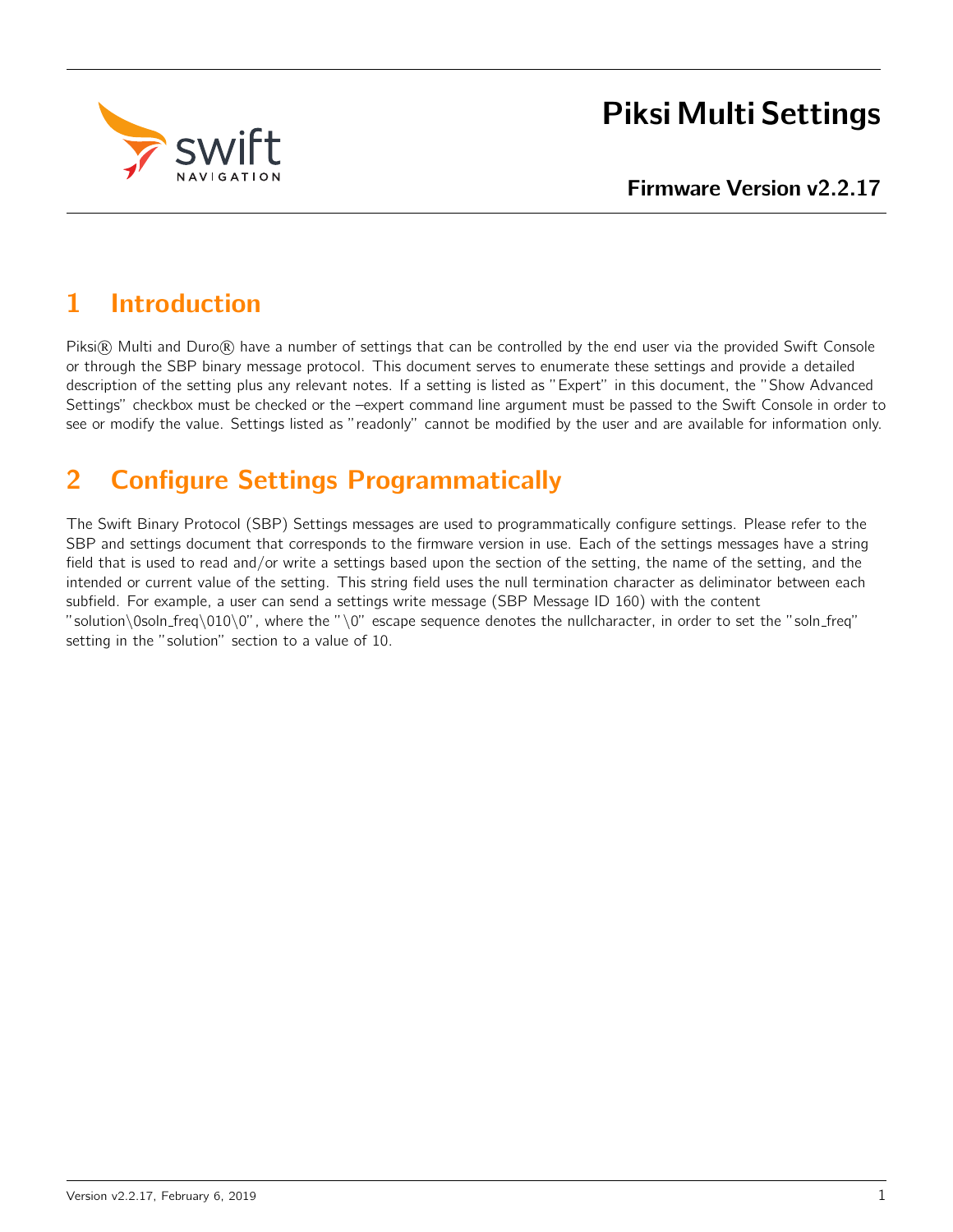

# Piksi Multi Settings

# 1 Introduction

Piksi® Multi and Duro® have a number of settings that can be controlled by the end user via the provided Swift Console or through the SBP binary message protocol. This document serves to enumerate these settings and provide a detailed description of the setting plus any relevant notes. If a setting is listed as "Expert" in this document, the "Show Advanced Settings" checkbox must be checked or the –expert command line argument must be passed to the Swift Console in order to see or modify the value. Settings listed as "readonly" cannot be modified by the user and are available for information only.

# 2 Configure Settings Programmatically

The Swift Binary Protocol (SBP) Settings messages are used to programmatically configure settings. Please refer to the SBP and settings document that corresponds to the firmware version in use. Each of the settings messages have a string field that is used to read and/or write a settings based upon the section of the setting, the name of the setting, and the intended or current value of the setting. This string field uses the null termination character as deliminator between each subfield. For example, a user can send a settings write message (SBP Message ID 160) with the content "solution\0soln\_freq\010\0", where the "\0" escape sequence denotes the nullcharacter, in order to set the "soln\_freq" setting in the "solution" section to a value of 10.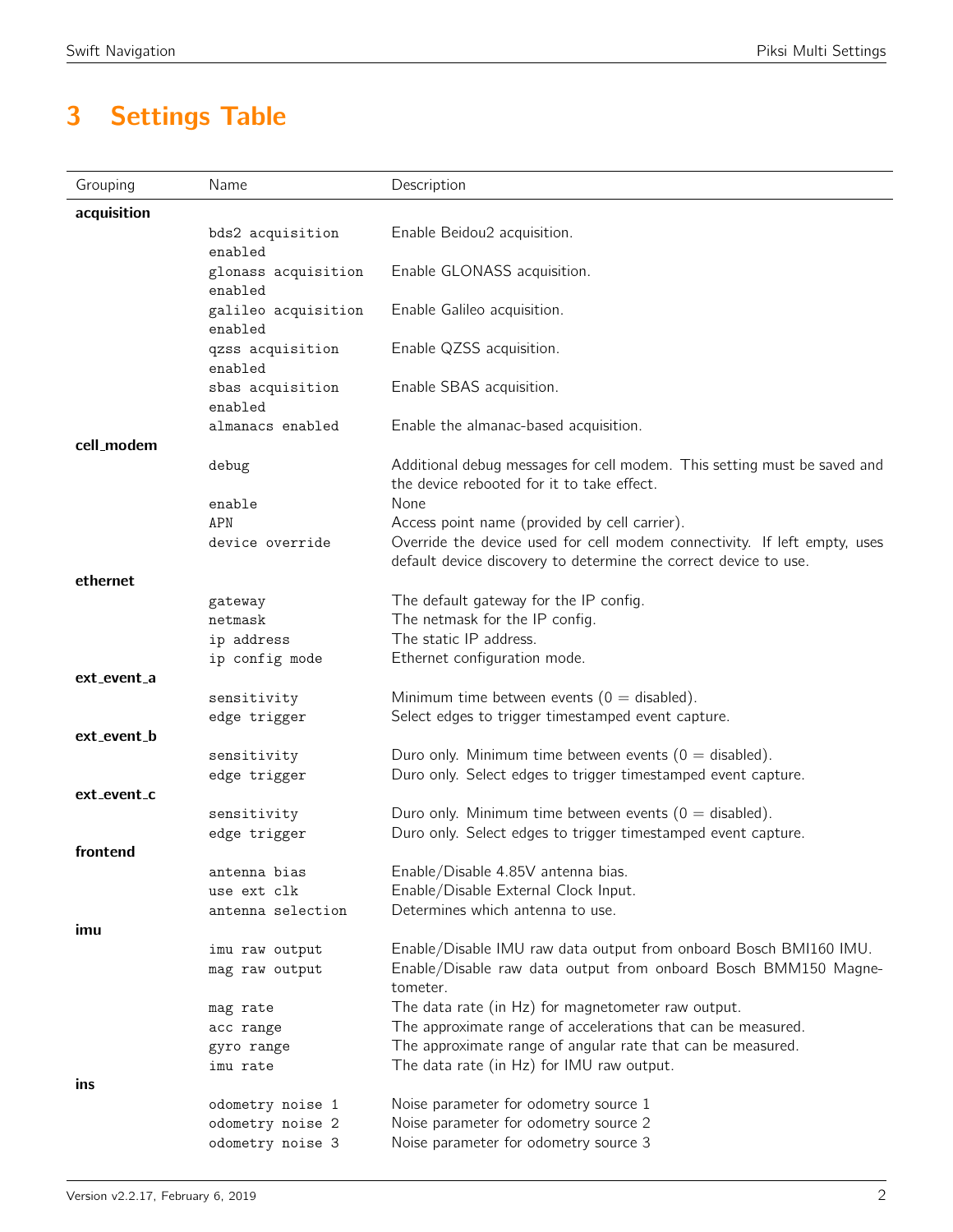# 3 Settings Table

| Grouping    | Name                             | Description                                                                                                                                      |
|-------------|----------------------------------|--------------------------------------------------------------------------------------------------------------------------------------------------|
| acquisition |                                  |                                                                                                                                                  |
|             | bds2 acquisition<br>enabled      | Enable Beidou2 acquisition.                                                                                                                      |
|             | glonass acquisition<br>enabled   | Enable GLONASS acquisition.                                                                                                                      |
|             | galileo acquisition<br>enabled   | Enable Galileo acquisition.                                                                                                                      |
|             | qzss acquisition<br>enabled      | Enable QZSS acquisition.                                                                                                                         |
|             | sbas acquisition<br>enabled      | Enable SBAS acquisition.                                                                                                                         |
|             | almanacs enabled                 | Enable the almanac-based acquisition.                                                                                                            |
| cell_modem  | debug                            | Additional debug messages for cell modem. This setting must be saved and<br>the device rebooted for it to take effect.                           |
|             | enable<br>APN                    | None<br>Access point name (provided by cell carrier).                                                                                            |
|             | device override                  | Override the device used for cell modem connectivity. If left empty, uses<br>default device discovery to determine the correct device to use.    |
| ethernet    |                                  | The default gateway for the IP config.                                                                                                           |
|             | gateway<br>netmask               | The netmask for the IP config.                                                                                                                   |
|             | ip address                       | The static IP address.                                                                                                                           |
|             | ip config mode                   | Ethernet configuration mode.                                                                                                                     |
| ext_event_a |                                  |                                                                                                                                                  |
|             | sensitivity<br>edge trigger      | Minimum time between events ( $0 =$ disabled).<br>Select edges to trigger timestamped event capture.                                             |
| ext_event_b |                                  |                                                                                                                                                  |
|             | sensitivity<br>edge trigger      | Duro only. Minimum time between events ( $0 =$ disabled).<br>Duro only. Select edges to trigger timestamped event capture.                       |
| ext_event_c |                                  |                                                                                                                                                  |
|             | sensitivity                      | Duro only. Minimum time between events ( $0 =$ disabled).                                                                                        |
|             | edge trigger                     | Duro only. Select edges to trigger timestamped event capture.                                                                                    |
| frontend    | antenna bias                     | Enable/Disable 4.85V antenna bias.                                                                                                               |
|             | use ext clk                      | Enable/Disable External Clock Input.                                                                                                             |
|             | antenna selection                | Determines which antenna to use.                                                                                                                 |
| imu         |                                  |                                                                                                                                                  |
|             | imu raw output<br>mag raw output | Enable/Disable IMU raw data output from onboard Bosch BMI160 IMU.<br>Enable/Disable raw data output from onboard Bosch BMM150 Magne-<br>tometer. |
|             | mag rate                         | The data rate (in Hz) for magnetometer raw output.                                                                                               |
|             | acc range                        | The approximate range of accelerations that can be measured.                                                                                     |
|             | gyro range                       | The approximate range of angular rate that can be measured.                                                                                      |
| ins         | imu rate                         | The data rate (in Hz) for IMU raw output.                                                                                                        |
|             | odometry noise 1                 | Noise parameter for odometry source 1                                                                                                            |
|             | odometry noise 2                 | Noise parameter for odometry source 2                                                                                                            |
|             | odometry noise 3                 | Noise parameter for odometry source 3                                                                                                            |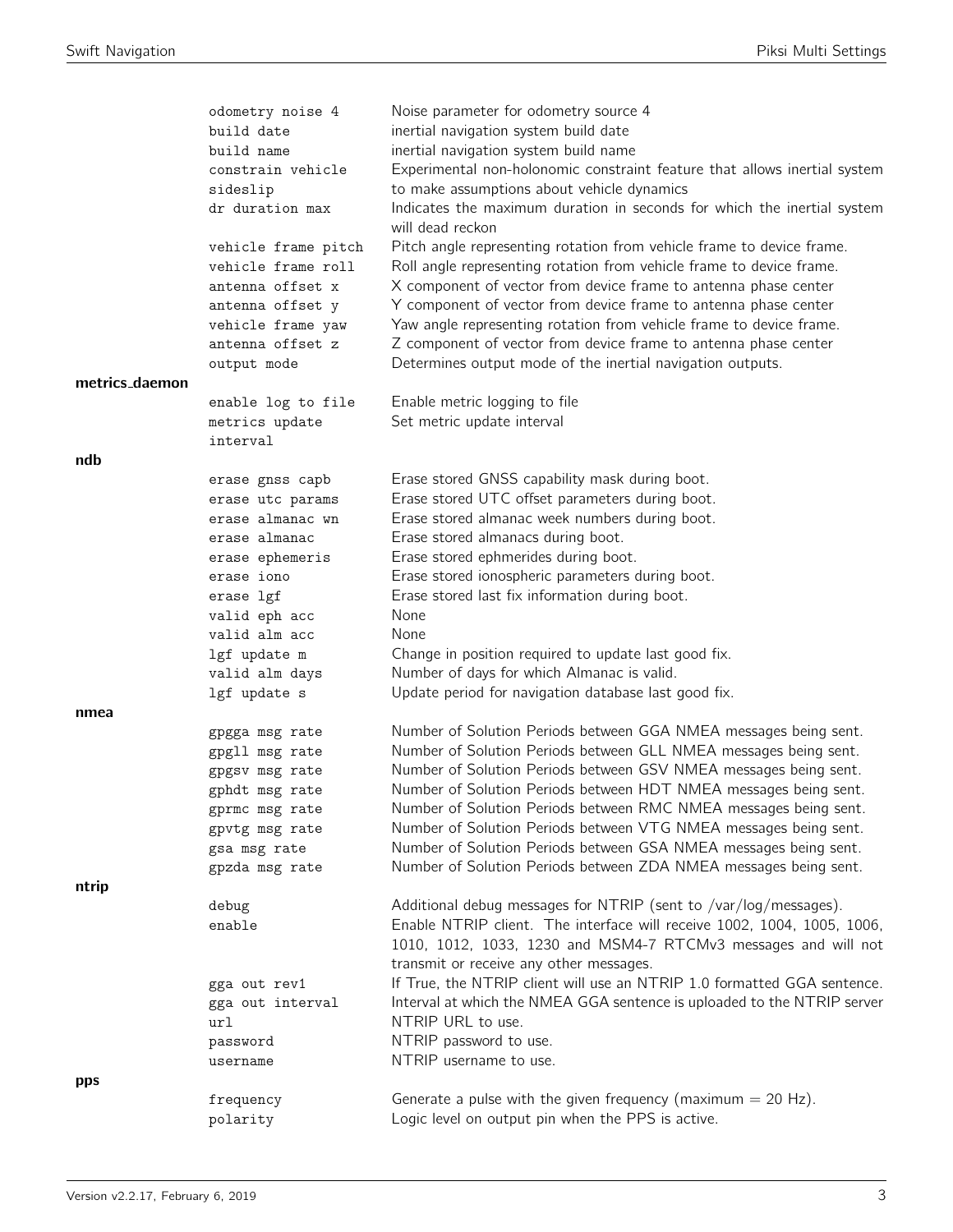|                | odometry noise 4               | Noise parameter for odometry source 4                                                                                                |
|----------------|--------------------------------|--------------------------------------------------------------------------------------------------------------------------------------|
|                | build date                     | inertial navigation system build date                                                                                                |
|                | build name                     | inertial navigation system build name                                                                                                |
|                | constrain vehicle              | Experimental non-holonomic constraint feature that allows inertial system                                                            |
|                | sideslip                       | to make assumptions about vehicle dynamics                                                                                           |
|                | dr duration max                | Indicates the maximum duration in seconds for which the inertial system<br>will dead reckon                                          |
|                | vehicle frame pitch            | Pitch angle representing rotation from vehicle frame to device frame.                                                                |
|                | vehicle frame roll             | Roll angle representing rotation from vehicle frame to device frame.                                                                 |
|                | antenna offset x               | X component of vector from device frame to antenna phase center                                                                      |
|                | antenna offset y               | Y component of vector from device frame to antenna phase center                                                                      |
|                | vehicle frame yaw              | Yaw angle representing rotation from vehicle frame to device frame.                                                                  |
|                | antenna offset z               | Z component of vector from device frame to antenna phase center                                                                      |
|                | output mode                    | Determines output mode of the inertial navigation outputs.                                                                           |
| metrics_daemon |                                |                                                                                                                                      |
|                | enable log to file             | Enable metric logging to file                                                                                                        |
|                | metrics update                 | Set metric update interval                                                                                                           |
|                | interval                       |                                                                                                                                      |
| ndb            |                                |                                                                                                                                      |
|                | erase gnss capb                | Erase stored GNSS capability mask during boot.                                                                                       |
|                | erase utc params               | Erase stored UTC offset parameters during boot.                                                                                      |
|                | erase almanac wn               | Erase stored almanac week numbers during boot.                                                                                       |
|                | erase almanac                  | Erase stored almanacs during boot.                                                                                                   |
|                | erase ephemeris                | Erase stored ephmerides during boot.                                                                                                 |
|                | erase iono                     | Erase stored ionospheric parameters during boot.                                                                                     |
|                | erase lgf                      | Erase stored last fix information during boot.                                                                                       |
|                | valid eph acc                  | None                                                                                                                                 |
|                | valid alm acc                  | None                                                                                                                                 |
|                | lgf update m                   | Change in position required to update last good fix.                                                                                 |
|                | valid alm days                 | Number of days for which Almanac is valid.                                                                                           |
|                | lgf update s                   | Update period for navigation database last good fix.                                                                                 |
| nmea           |                                |                                                                                                                                      |
|                | gpgga msg rate                 | Number of Solution Periods between GGA NMEA messages being sent.                                                                     |
|                | gpgll msg rate                 | Number of Solution Periods between GLL NMEA messages being sent.                                                                     |
|                | gpgsv msg rate                 | Number of Solution Periods between GSV NMEA messages being sent.                                                                     |
|                | gphdt msg rate                 | Number of Solution Periods between HDT NMEA messages being sent.<br>Number of Solution Periods between RMC NMEA messages being sent. |
|                | gprmc msg rate                 | Number of Solution Periods between VTG NMEA messages being sent.                                                                     |
|                | gpvtg msg rate<br>gsa msg rate | Number of Solution Periods between GSA NMEA messages being sent.                                                                     |
|                | gpzda msg rate                 | Number of Solution Periods between ZDA NMEA messages being sent.                                                                     |
| ntrip          |                                |                                                                                                                                      |
|                | debug                          | Additional debug messages for NTRIP (sent to /var/log/messages).                                                                     |
|                | enable                         | Enable NTRIP client. The interface will receive 1002, 1004, 1005, 1006,                                                              |
|                |                                | 1010, 1012, 1033, 1230 and MSM4-7 RTCMv3 messages and will not                                                                       |
|                |                                | transmit or receive any other messages.<br>If True, the NTRIP client will use an NTRIP 1.0 formatted GGA sentence.                   |
|                | gga out rev1                   | Interval at which the NMEA GGA sentence is uploaded to the NTRIP server                                                              |
|                | gga out interval<br>url        | NTRIP URL to use.                                                                                                                    |
|                |                                | NTRIP password to use.                                                                                                               |
|                | password<br>username           | NTRIP username to use.                                                                                                               |
| pps            |                                |                                                                                                                                      |
|                | frequency                      | Generate a pulse with the given frequency (maximum $= 20$ Hz).                                                                       |
|                | polarity                       | Logic level on output pin when the PPS is active.                                                                                    |
|                |                                |                                                                                                                                      |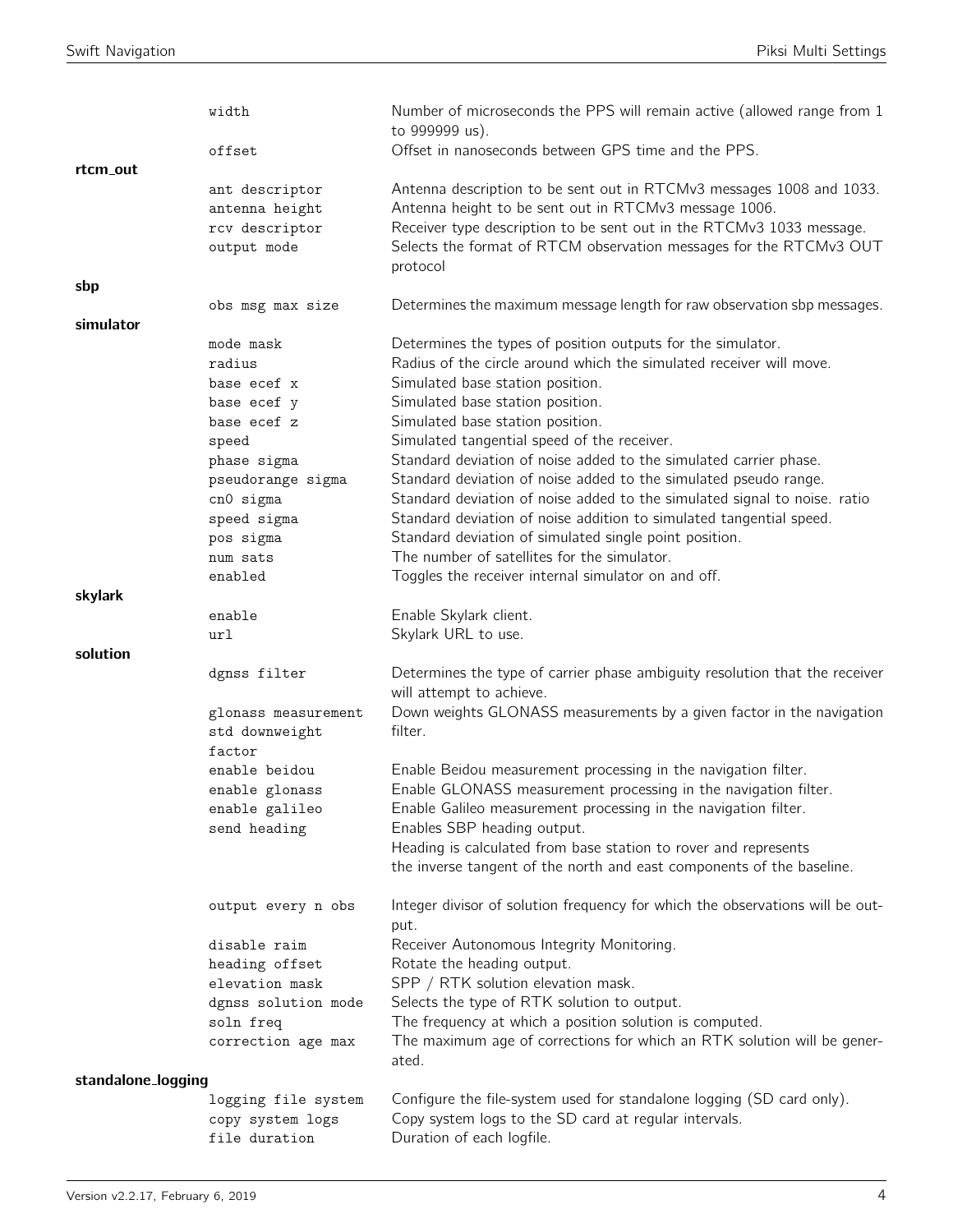|                    | width                            | Number of microseconds the PPS will remain active (allowed range from 1<br>to 999999 us).                        |
|--------------------|----------------------------------|------------------------------------------------------------------------------------------------------------------|
|                    | offset                           | Offset in nanoseconds between GPS time and the PPS.                                                              |
| rtcm_out           |                                  |                                                                                                                  |
|                    | ant descriptor                   | Antenna description to be sent out in RTCMv3 messages 1008 and 1033.                                             |
|                    | antenna height                   | Antenna height to be sent out in RTCMv3 message 1006.                                                            |
|                    | rcv descriptor                   | Receiver type description to be sent out in the RTCMv3 1033 message.                                             |
|                    | output mode                      | Selects the format of RTCM observation messages for the RTCMv3 OUT<br>protocol                                   |
| sbp                |                                  |                                                                                                                  |
|                    | obs msg max size                 | Determines the maximum message length for raw observation sbp messages.                                          |
| simulator          |                                  |                                                                                                                  |
|                    | mode mask                        | Determines the types of position outputs for the simulator.                                                      |
|                    | radius                           | Radius of the circle around which the simulated receiver will move.                                              |
|                    | base ecef x                      | Simulated base station position.                                                                                 |
|                    | base ecef y                      | Simulated base station position.                                                                                 |
|                    | base ecef z                      | Simulated base station position.                                                                                 |
|                    | speed                            | Simulated tangential speed of the receiver.<br>Standard deviation of noise added to the simulated carrier phase. |
|                    | phase sigma<br>pseudorange sigma | Standard deviation of noise added to the simulated pseudo range.                                                 |
|                    | cn0 sigma                        | Standard deviation of noise added to the simulated signal to noise. ratio                                        |
|                    | speed sigma                      | Standard deviation of noise addition to simulated tangential speed.                                              |
|                    | pos sigma                        | Standard deviation of simulated single point position.                                                           |
|                    | num sats                         | The number of satellites for the simulator.                                                                      |
|                    | enabled                          | Toggles the receiver internal simulator on and off.                                                              |
| skylark            |                                  |                                                                                                                  |
|                    | enable                           | Enable Skylark client.                                                                                           |
|                    | url                              | Skylark URL to use.                                                                                              |
| solution           |                                  |                                                                                                                  |
|                    | dgnss filter                     | Determines the type of carrier phase ambiguity resolution that the receiver<br>will attempt to achieve.          |
|                    | glonass measurement              | Down weights GLONASS measurements by a given factor in the navigation                                            |
|                    | std downweight                   | filter.                                                                                                          |
|                    | factor                           |                                                                                                                  |
|                    | enable beidou                    | Enable Beidou measurement processing in the navigation filter.                                                   |
|                    | enable glonass                   | Enable GLONASS measurement processing in the navigation filter.                                                  |
|                    | enable galileo                   | Enable Galileo measurement processing in the navigation filter.                                                  |
|                    | send heading                     | Enables SBP heading output.                                                                                      |
|                    |                                  | Heading is calculated from base station to rover and represents                                                  |
|                    |                                  | the inverse tangent of the north and east components of the baseline.                                            |
|                    | output every n obs               | Integer divisor of solution frequency for which the observations will be out-<br>put.                            |
|                    | disable raim                     | Receiver Autonomous Integrity Monitoring.                                                                        |
|                    | heading offset                   | Rotate the heading output.                                                                                       |
|                    | elevation mask                   | SPP / RTK solution elevation mask.                                                                               |
|                    | dgnss solution mode              | Selects the type of RTK solution to output.                                                                      |
|                    | soln freq                        | The frequency at which a position solution is computed.                                                          |
|                    | correction age max               | The maximum age of corrections for which an RTK solution will be gener-                                          |
|                    |                                  | ated.                                                                                                            |
| standalone_logging |                                  |                                                                                                                  |
|                    | logging file system              | Configure the file-system used for standalone logging (SD card only).                                            |
|                    | copy system logs                 | Copy system logs to the SD card at regular intervals.                                                            |
|                    | file duration                    | Duration of each logfile.                                                                                        |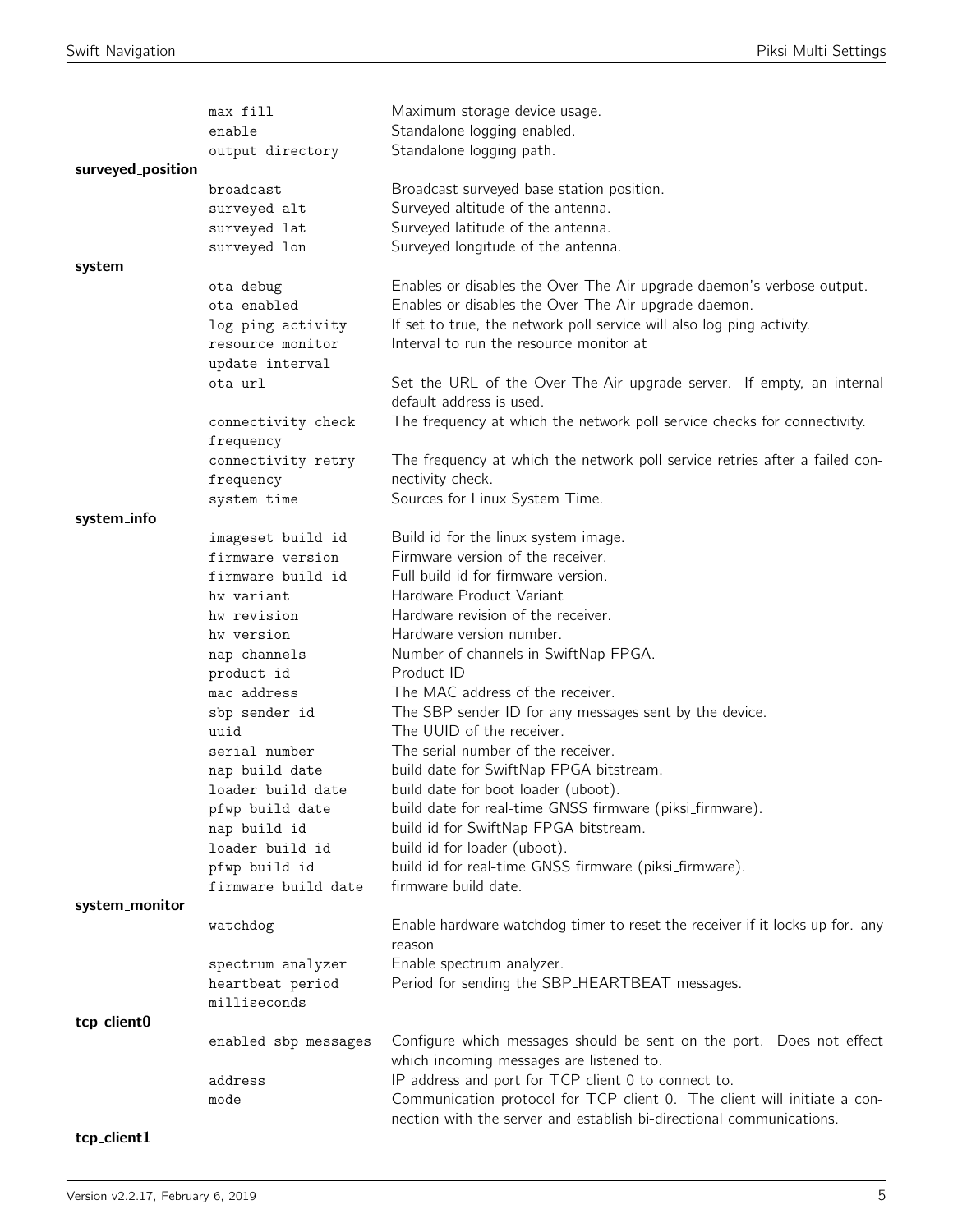|                   | max fill                  | Maximum storage device usage.                                                                                                                    |
|-------------------|---------------------------|--------------------------------------------------------------------------------------------------------------------------------------------------|
|                   | enable                    | Standalone logging enabled.                                                                                                                      |
|                   | output directory          | Standalone logging path.                                                                                                                         |
| surveyed_position | broadcast                 |                                                                                                                                                  |
|                   | surveyed alt              | Broadcast surveyed base station position.<br>Surveyed altitude of the antenna.                                                                   |
|                   | surveyed lat              | Surveyed latitude of the antenna.                                                                                                                |
|                   | surveyed lon              | Surveyed longitude of the antenna.                                                                                                               |
| system            |                           |                                                                                                                                                  |
|                   | ota debug                 | Enables or disables the Over-The-Air upgrade daemon's verbose output.                                                                            |
|                   | ota enabled               | Enables or disables the Over-The-Air upgrade daemon.                                                                                             |
|                   | log ping activity         | If set to true, the network poll service will also log ping activity.                                                                            |
|                   | resource monitor          | Interval to run the resource monitor at                                                                                                          |
|                   | update interval           |                                                                                                                                                  |
|                   | ota url                   | Set the URL of the Over-The-Air upgrade server. If empty, an internal<br>default address is used.                                                |
|                   | connectivity check        | The frequency at which the network poll service checks for connectivity.                                                                         |
|                   | frequency                 |                                                                                                                                                  |
|                   | connectivity retry        | The frequency at which the network poll service retries after a failed con-                                                                      |
|                   | frequency                 | nectivity check.                                                                                                                                 |
|                   | system time               | Sources for Linux System Time.                                                                                                                   |
| system_info       |                           |                                                                                                                                                  |
|                   | imageset build id         | Build id for the linux system image.                                                                                                             |
|                   | firmware version          | Firmware version of the receiver.                                                                                                                |
|                   | firmware build id         | Full build id for firmware version.                                                                                                              |
|                   | hw variant                | Hardware Product Variant                                                                                                                         |
|                   | hw revision               | Hardware revision of the receiver.                                                                                                               |
|                   | hw version                | Hardware version number.                                                                                                                         |
|                   | nap channels              | Number of channels in SwiftNap FPGA.<br>Product ID                                                                                               |
|                   | product id<br>mac address | The MAC address of the receiver.                                                                                                                 |
|                   | sbp sender id             | The SBP sender ID for any messages sent by the device.                                                                                           |
|                   | uuid                      | The UUID of the receiver.                                                                                                                        |
|                   | serial number             | The serial number of the receiver.                                                                                                               |
|                   | nap build date            | build date for SwiftNap FPGA bitstream.                                                                                                          |
|                   | loader build date         | build date for boot loader (uboot).                                                                                                              |
|                   | pfwp build date           | build date for real-time GNSS firmware (piksi_firmware).                                                                                         |
|                   | nap build id              | build id for SwiftNap FPGA bitstream.                                                                                                            |
|                   | loader build id           | build id for loader (uboot).                                                                                                                     |
|                   | pfwp build id             | build id for real-time GNSS firmware (piksi_firmware).                                                                                           |
|                   | firmware build date       | firmware build date.                                                                                                                             |
| system_monitor    |                           |                                                                                                                                                  |
|                   | watchdog                  | Enable hardware watchdog timer to reset the receiver if it locks up for. any<br>reason                                                           |
|                   | spectrum analyzer         | Enable spectrum analyzer.                                                                                                                        |
|                   | heartbeat period          | Period for sending the SBP_HEARTBEAT messages.                                                                                                   |
|                   | milliseconds              |                                                                                                                                                  |
| tcp_client0       |                           |                                                                                                                                                  |
|                   | enabled sbp messages      | Configure which messages should be sent on the port. Does not effect<br>which incoming messages are listened to.                                 |
|                   | address                   | IP address and port for TCP client 0 to connect to.                                                                                              |
|                   | mode                      | Communication protocol for TCP client 0. The client will initiate a con-<br>nection with the server and establish bi-directional communications. |

# $tcp\_client1$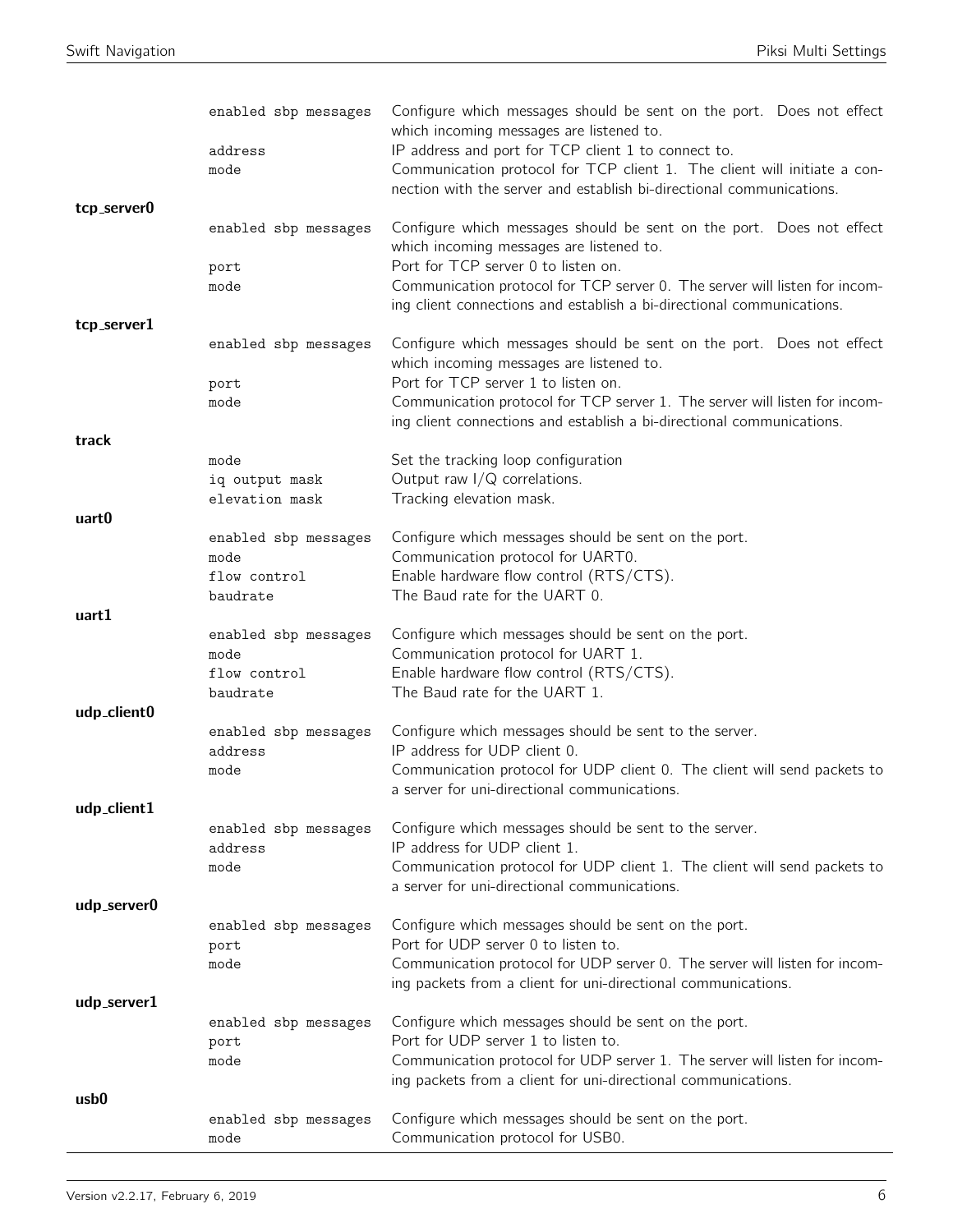| tcp_server0 | enabled sbp messages<br>address<br>mode                  | Configure which messages should be sent on the port. Does not effect<br>which incoming messages are listened to.<br>IP address and port for TCP client 1 to connect to.<br>Communication protocol for TCP client 1. The client will initiate a con-<br>nection with the server and establish bi-directional communications. |
|-------------|----------------------------------------------------------|-----------------------------------------------------------------------------------------------------------------------------------------------------------------------------------------------------------------------------------------------------------------------------------------------------------------------------|
|             | enabled sbp messages<br>port                             | Configure which messages should be sent on the port. Does not effect<br>which incoming messages are listened to.<br>Port for TCP server 0 to listen on.                                                                                                                                                                     |
|             | mode                                                     | Communication protocol for TCP server 0. The server will listen for incom-<br>ing client connections and establish a bi-directional communications.                                                                                                                                                                         |
| tcp_server1 | enabled sbp messages                                     | Configure which messages should be sent on the port. Does not effect                                                                                                                                                                                                                                                        |
|             |                                                          | which incoming messages are listened to.                                                                                                                                                                                                                                                                                    |
|             | port<br>mode                                             | Port for TCP server 1 to listen on.<br>Communication protocol for TCP server 1. The server will listen for incom-<br>ing client connections and establish a bi-directional communications.                                                                                                                                  |
| track       |                                                          |                                                                                                                                                                                                                                                                                                                             |
|             | mode<br>iq output mask<br>elevation mask                 | Set the tracking loop configuration<br>Output raw $I/Q$ correlations.<br>Tracking elevation mask.                                                                                                                                                                                                                           |
| uart0       |                                                          |                                                                                                                                                                                                                                                                                                                             |
|             | enabled sbp messages<br>mode<br>flow control<br>baudrate | Configure which messages should be sent on the port.<br>Communication protocol for UART0.<br>Enable hardware flow control (RTS/CTS).<br>The Baud rate for the UART 0.                                                                                                                                                       |
| uart1       |                                                          |                                                                                                                                                                                                                                                                                                                             |
|             | enabled sbp messages<br>mode<br>flow control             | Configure which messages should be sent on the port.<br>Communication protocol for UART 1.<br>Enable hardware flow control (RTS/CTS).                                                                                                                                                                                       |
| udp_client0 | baudrate                                                 | The Baud rate for the UART 1.                                                                                                                                                                                                                                                                                               |
|             | enabled sbp messages<br>address                          | Configure which messages should be sent to the server.<br>IP address for UDP client 0.                                                                                                                                                                                                                                      |
| udp_client1 | mode                                                     | Communication protocol for UDP client 0. The client will send packets to<br>a server for uni-directional communications.                                                                                                                                                                                                    |
|             | enabled sbp messages<br>address<br>mode                  | Configure which messages should be sent to the server.<br>IP address for UDP client 1.<br>Communication protocol for UDP client 1. The client will send packets to                                                                                                                                                          |
| udp_server0 |                                                          | a server for uni-directional communications.                                                                                                                                                                                                                                                                                |
|             | enabled sbp messages<br>port<br>mode                     | Configure which messages should be sent on the port.<br>Port for UDP server 0 to listen to.<br>Communication protocol for UDP server 0. The server will listen for incom-<br>ing packets from a client for uni-directional communications.                                                                                  |
| udp_server1 |                                                          |                                                                                                                                                                                                                                                                                                                             |
|             | enabled sbp messages<br>port<br>mode                     | Configure which messages should be sent on the port.<br>Port for UDP server 1 to listen to.<br>Communication protocol for UDP server 1. The server will listen for incom-<br>ing packets from a client for uni-directional communications.                                                                                  |
| usb0        |                                                          |                                                                                                                                                                                                                                                                                                                             |
|             | enabled sbp messages<br>mode                             | Configure which messages should be sent on the port.<br>Communication protocol for USB0.                                                                                                                                                                                                                                    |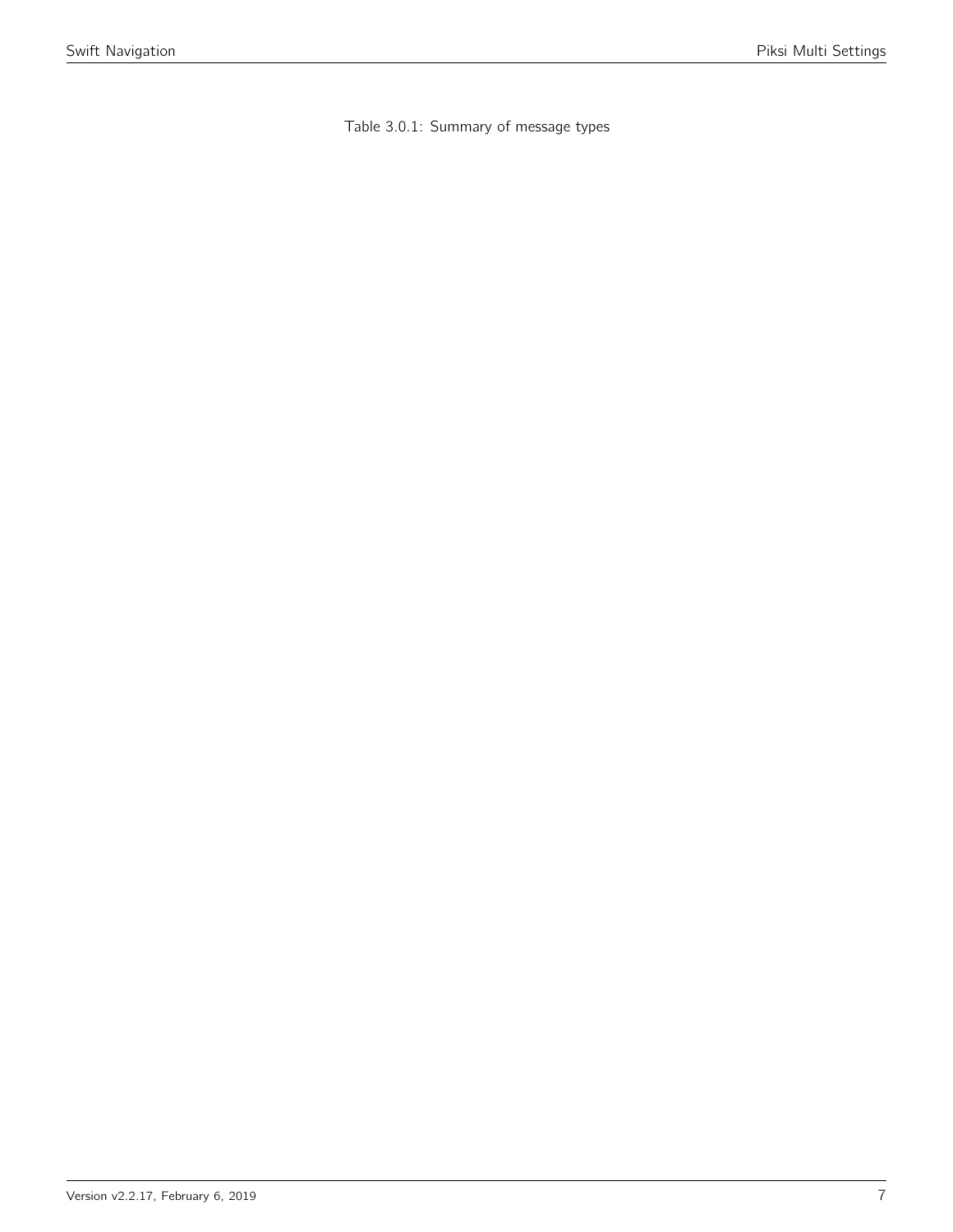Table 3.0.1: Summary of message types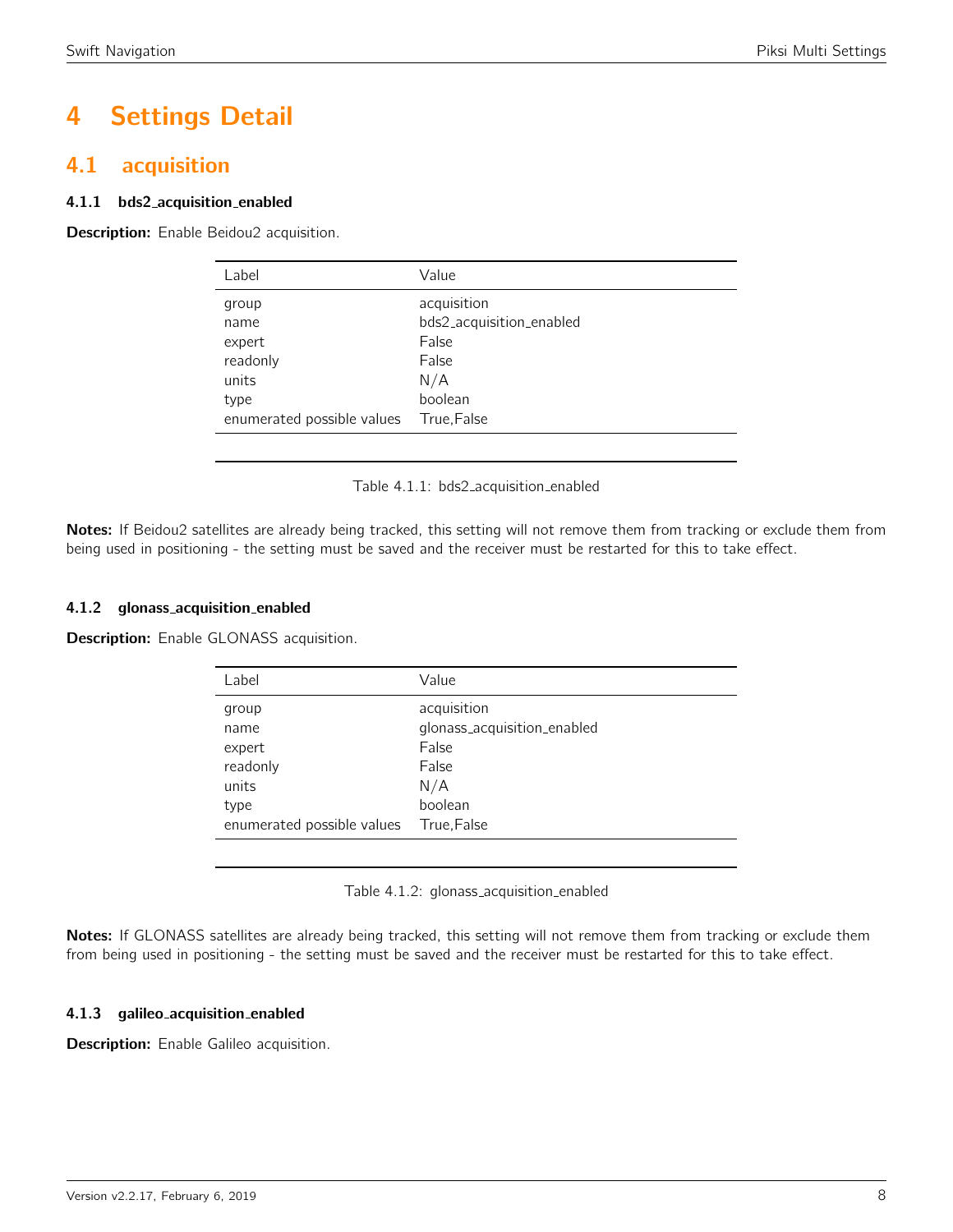# 4 Settings Detail

# <span id="page-7-0"></span>4.1 acquisition

# 4.1.1 bds2 acquisition enabled

<span id="page-7-1"></span>**Description:** Enable Beidou2 acquisition.

| Label                      | Value                    |
|----------------------------|--------------------------|
| group                      | acquisition              |
| name                       | bds2_acquisition_enabled |
| expert                     | False                    |
| readonly                   | False                    |
| units                      | N/A                      |
| type                       | boolean                  |
| enumerated possible values | True, False              |
|                            |                          |

Table 4.1.1: bds2 acquisition enabled

Notes: If Beidou2 satellites are already being tracked, this setting will not remove them from tracking or exclude them from being used in positioning - the setting must be saved and the receiver must be restarted for this to take effect.

## 4.1.2 glonass acquisition enabled

<span id="page-7-2"></span>**Description:** Enable GLONASS acquisition.

| Label                                                | Value                                                                          |
|------------------------------------------------------|--------------------------------------------------------------------------------|
| group<br>name<br>expert<br>readonly<br>units<br>type | acquisition<br>glonass_acquisition_enabled<br>False<br>False<br>N/A<br>boolean |
| enumerated possible values                           | True, False                                                                    |

Table 4.1.2: glonass\_acquisition\_enabled

Notes: If GLONASS satellites are already being tracked, this setting will not remove them from tracking or exclude them from being used in positioning - the setting must be saved and the receiver must be restarted for this to take effect.

## 4.1.3 galileo acquisition enabled

Description: Enable Galileo acquisition.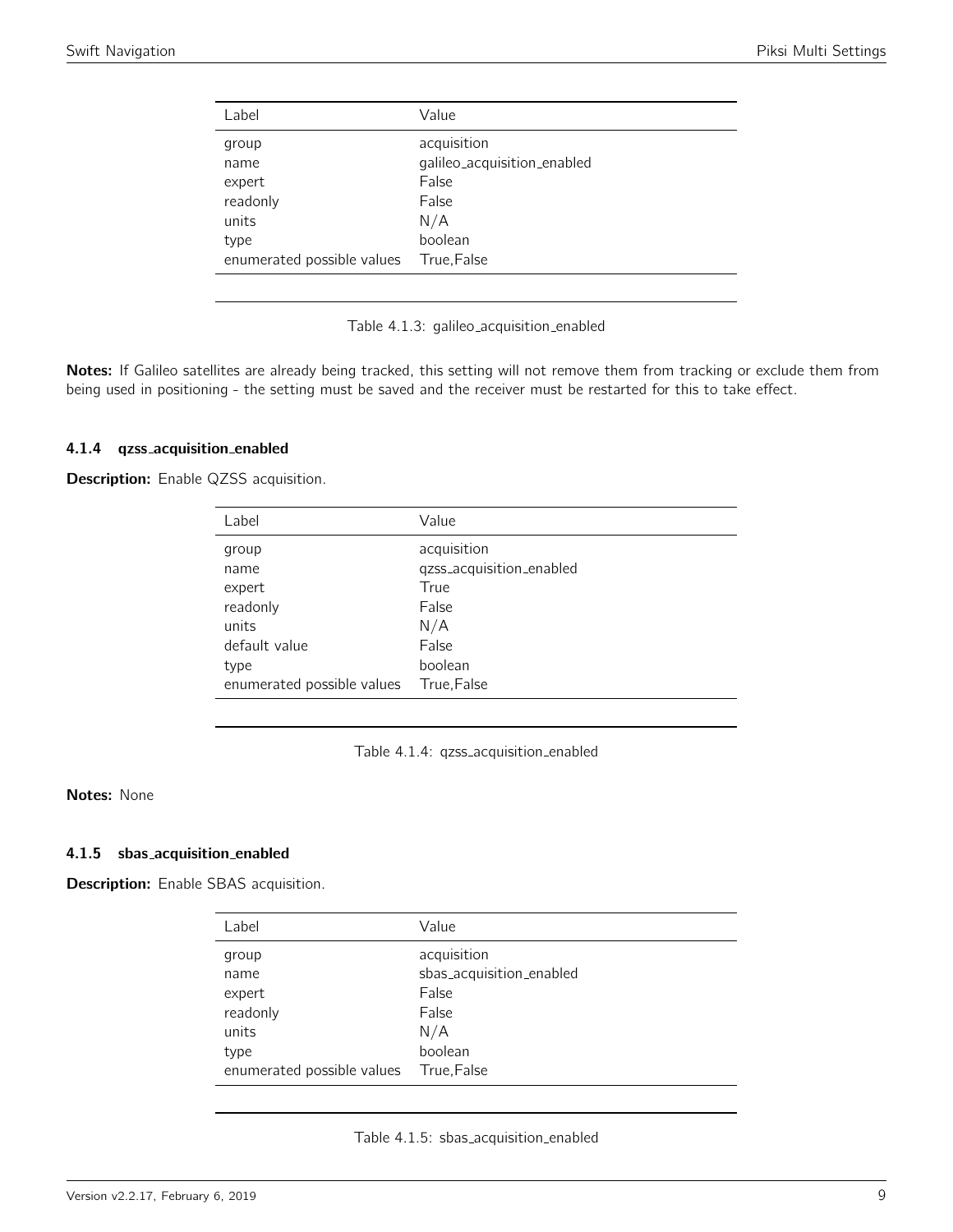<span id="page-8-0"></span>

| Label                               | Value                                                        |
|-------------------------------------|--------------------------------------------------------------|
| group<br>name<br>expert<br>readonly | acquisition<br>galileo_acquisition_enabled<br>False<br>False |
| units                               | N/A                                                          |
| type                                | boolean                                                      |
| enumerated possible values          | True,False                                                   |
|                                     |                                                              |

Table 4.1.3: galileo acquisition enabled

Notes: If Galileo satellites are already being tracked, this setting will not remove them from tracking or exclude them from being used in positioning - the setting must be saved and the receiver must be restarted for this to take effect.

#### 4.1.4 qzss acquisition enabled

<span id="page-8-1"></span>Description: Enable QZSS acquisition.

| Label                                                         | Value                                                                    |
|---------------------------------------------------------------|--------------------------------------------------------------------------|
| group<br>name<br>expert<br>readonly<br>units<br>default value | acquisition<br>qzss_acquisition_enabled<br>True<br>False<br>N/A<br>False |
| type<br>enumerated possible values                            | boolean<br>True, False                                                   |
|                                                               |                                                                          |

Table 4.1.4: qzss acquisition enabled

# Notes: None

#### 4.1.5 sbas acquisition enabled

<span id="page-8-2"></span>Description: Enable SBAS acquisition.

| Label                      | Value                    |
|----------------------------|--------------------------|
| group                      | acquisition              |
| name                       | sbas_acquisition_enabled |
| expert                     | False                    |
| readonly                   | False                    |
| units                      | N/A                      |
| type                       | boolean                  |
| enumerated possible values | True, False              |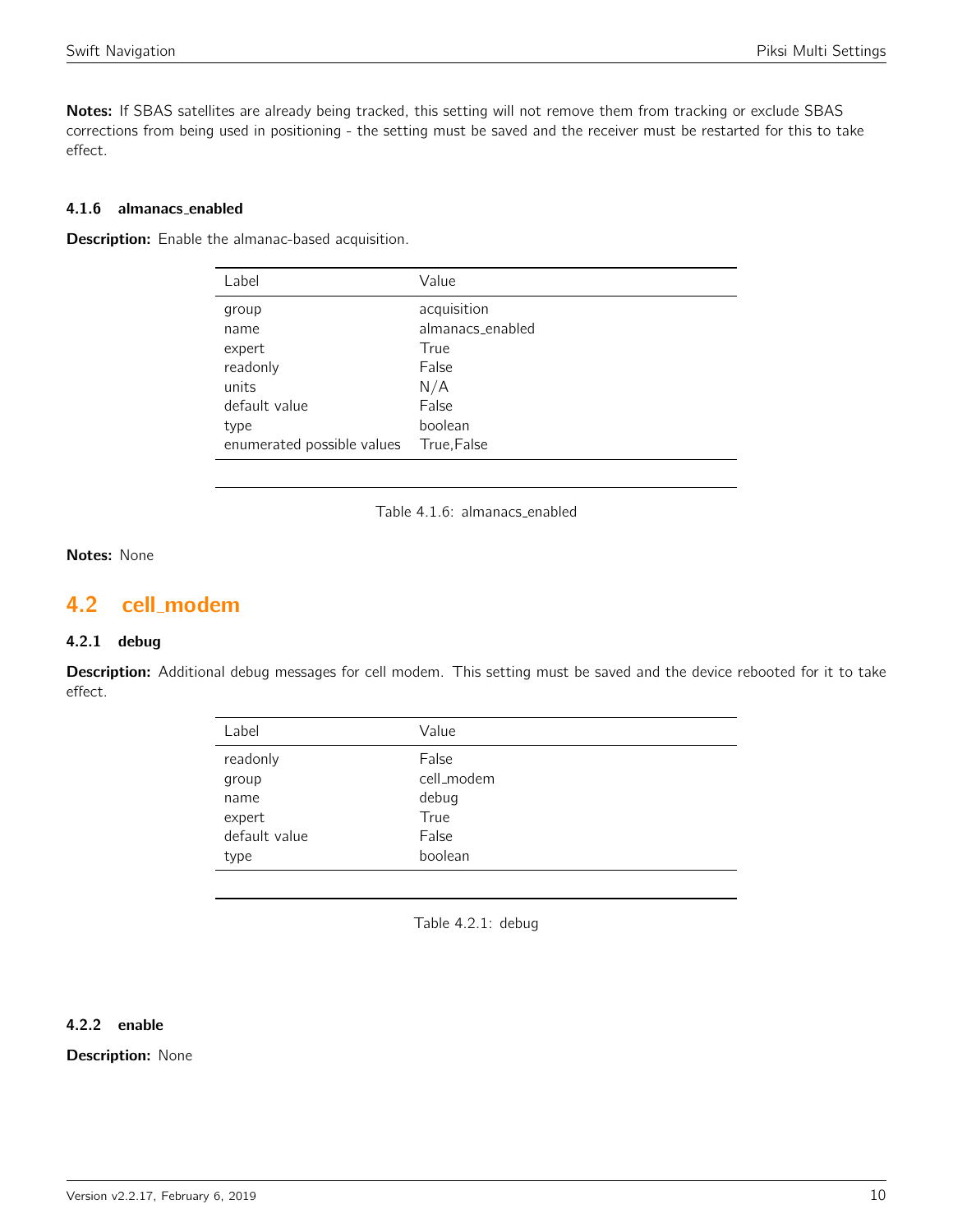Notes: If SBAS satellites are already being tracked, this setting will not remove them from tracking or exclude SBAS corrections from being used in positioning - the setting must be saved and the receiver must be restarted for this to take effect.

# 4.1.6 almanacs enabled

**Description:** Enable the almanac-based acquisition.

| Value            |
|------------------|
| acquisition      |
| almanacs_enabled |
| True             |
| False            |
| N/A              |
| False            |
| boolean          |
| True, False      |
|                  |

Table 4.1.6: almanacs enabled

# Notes: None

# <span id="page-9-0"></span>4.2 cell modem

# 4.2.1 debug

<span id="page-9-1"></span>Description: Additional debug messages for cell modem. This setting must be saved and the device rebooted for it to take effect.

| Label         | Value      |
|---------------|------------|
| readonly      | False      |
| group         | cell_modem |
| name          | debug      |
| expert        | True       |
| default value | False      |
| type          | boolean    |
|               |            |

Table 4.2.1: debug

# 4.2.2 enable

**Description: None**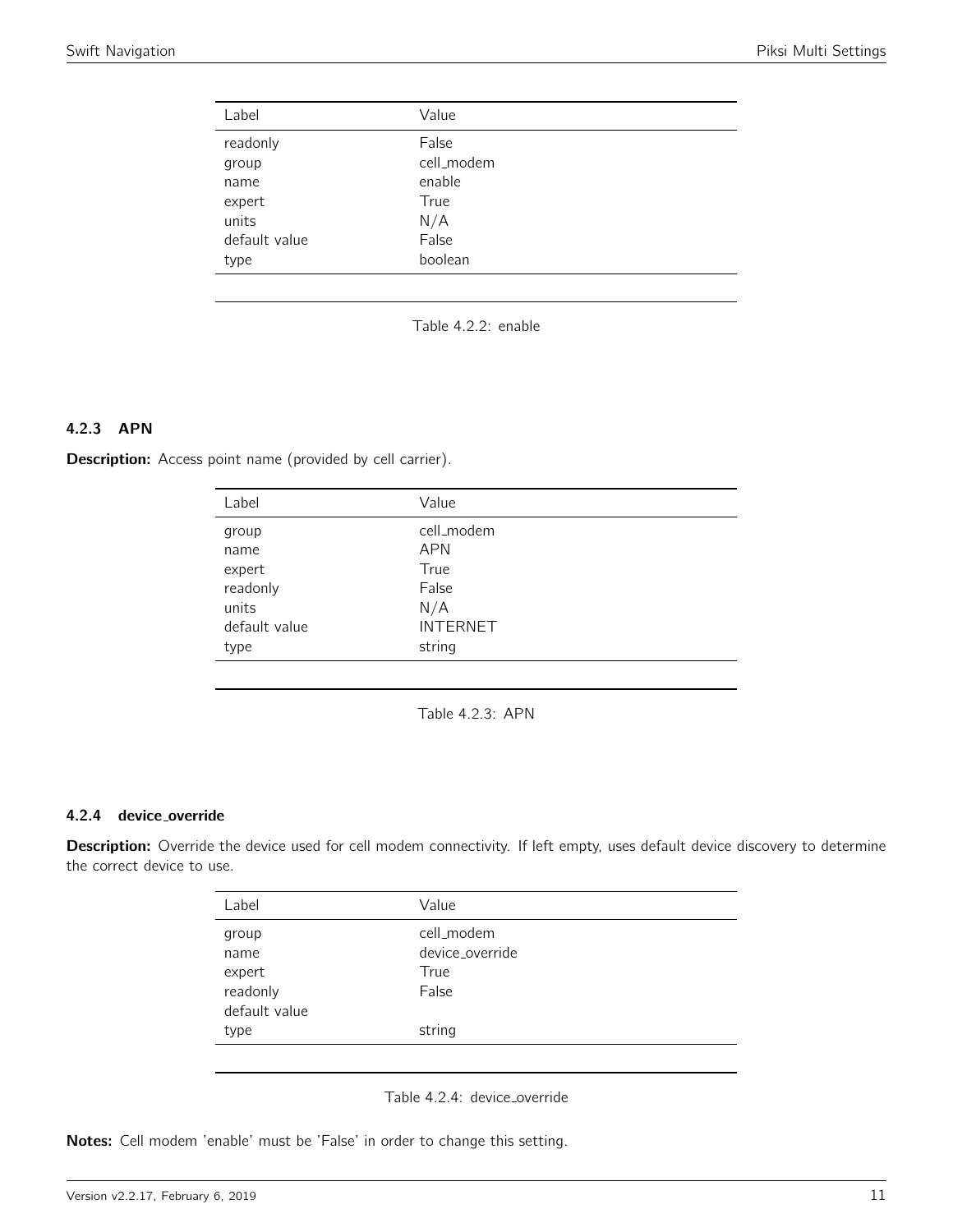<span id="page-10-0"></span>

| Label         | Value      |
|---------------|------------|
| readonly      | False      |
| group         | cell_modem |
| name          | enable     |
| expert        | True       |
| units         | N/A        |
| default value | False      |
| type          | boolean    |

Table 4.2.2: enable

# 4.2.3 APN

<span id="page-10-1"></span>Description: Access point name (provided by cell carrier).

| Label         | Value           |
|---------------|-----------------|
| group         | cell_modem      |
| name          | <b>APN</b>      |
| expert        | True            |
| readonly      | False           |
| units         | N/A             |
| default value | <b>INTERNET</b> |
| type          | string          |

Table 4.2.3: APN

# 4.2.4 device override

Description: Override the device used for cell modem connectivity. If left empty, uses default device discovery to determine the correct device to use.

| Label         | Value           |
|---------------|-----------------|
| group         | cell_modem      |
| name          | device override |
| expert        | True            |
| readonly      | False           |
| default value |                 |
| type          | string          |
|               |                 |

Table 4.2.4: device\_override

Notes: Cell modem 'enable' must be 'False' in order to change this setting.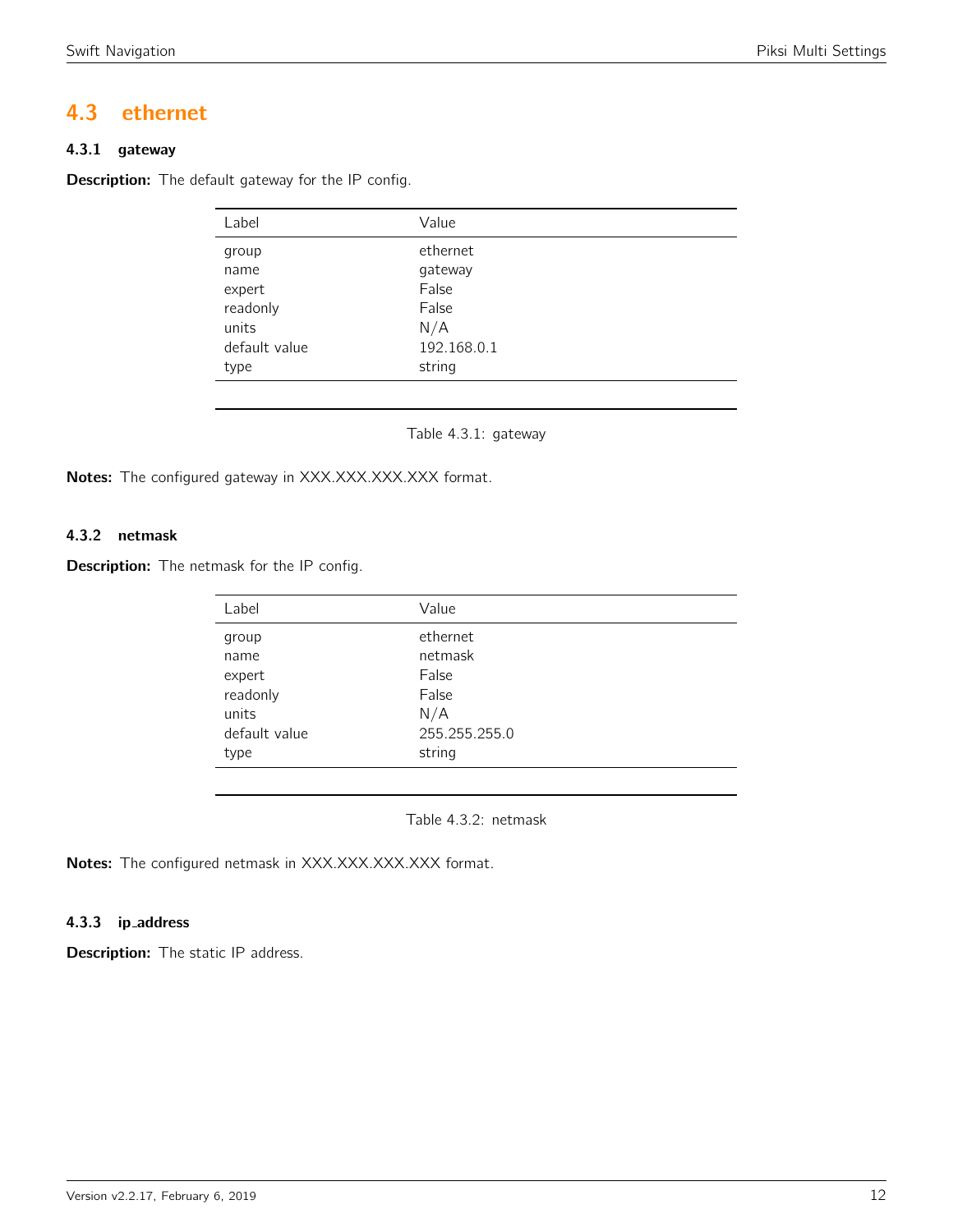# <span id="page-11-0"></span>4.3 ethernet

# 4.3.1 gateway

<span id="page-11-1"></span>**Description:** The default gateway for the IP config.

| Label         | Value       |
|---------------|-------------|
| group         | ethernet    |
| name          | gateway     |
| expert        | False       |
| readonly      | False       |
| units         | N/A         |
| default value | 192.168.0.1 |
| type          | string      |

Table 4.3.1: gateway

Notes: The configured gateway in XXX.XXX.XXX.XXX format.

# 4.3.2 netmask

<span id="page-11-2"></span>**Description:** The netmask for the IP config.

| Value         |  |
|---------------|--|
| ethernet      |  |
| netmask       |  |
| False         |  |
| False         |  |
| N/A           |  |
| 255.255.255.0 |  |
| string        |  |
|               |  |

Table 4.3.2: netmask

Notes: The configured netmask in XXX.XXX.XXX.XXX format.

# 4.3.3 ip address

Description: The static IP address.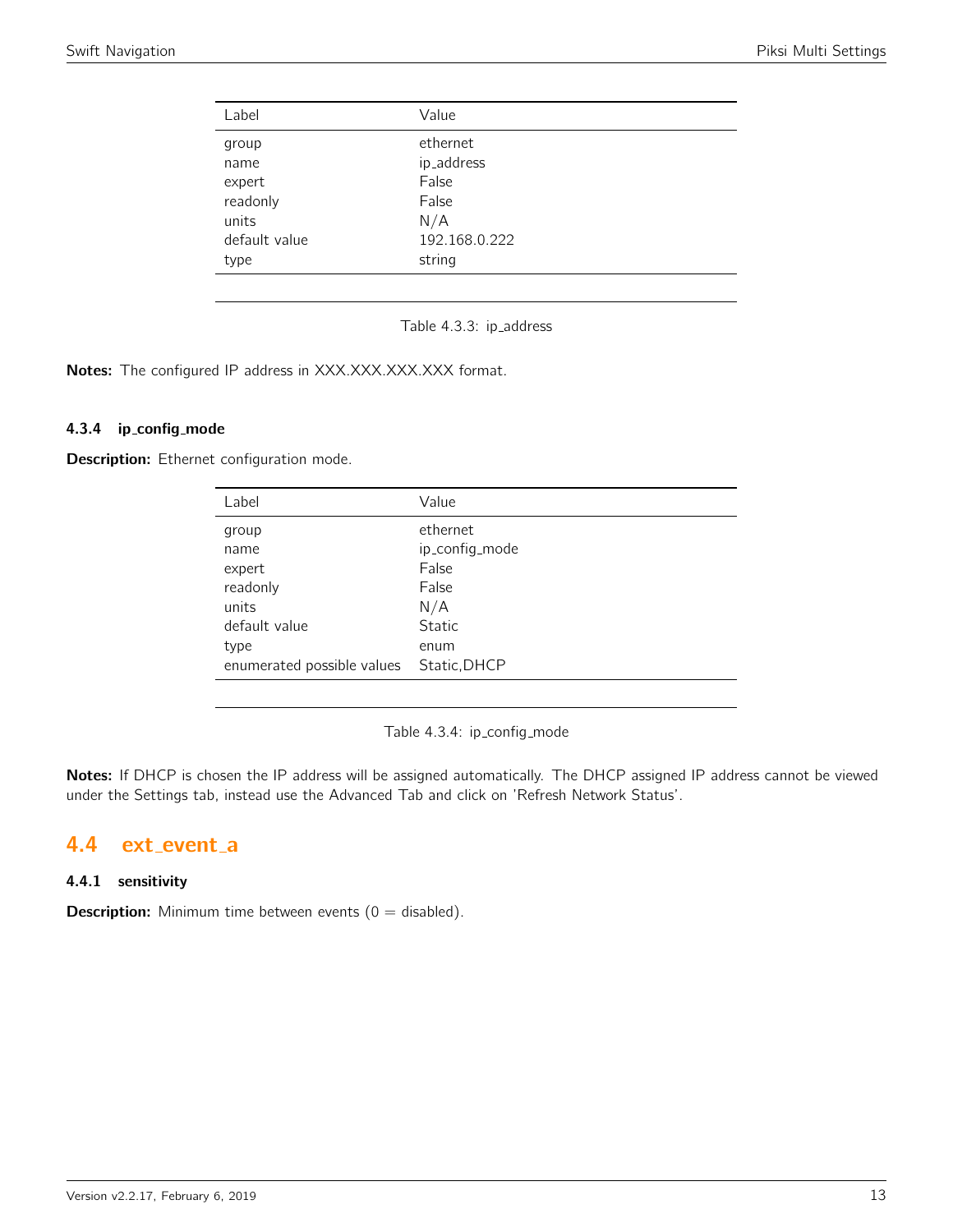<span id="page-12-0"></span>

| Value         |
|---------------|
| ethernet      |
| ip_address    |
| False         |
| False         |
| N/A           |
| 192.168.0.222 |
| string        |
|               |

Table 4.3.3: ip\_address

Notes: The configured IP address in XXX.XXX.XXX.XXX format.

# 4.3.4 ip config mode

Description: Ethernet configuration mode.

| Label                      | Value          |
|----------------------------|----------------|
| group                      | ethernet       |
| name                       | ip_config_mode |
| expert                     | False          |
| readonly                   | False          |
| units                      | N/A            |
| default value              | <b>Static</b>  |
| type                       | enum           |
| enumerated possible values | Static, DHCP   |

Table 4.3.4: ip\_config\_mode

Notes: If DHCP is chosen the IP address will be assigned automatically. The DHCP assigned IP address cannot be viewed under the Settings tab, instead use the Advanced Tab and click on 'Refresh Network Status'.

# <span id="page-12-1"></span>4.4 ext event a

# 4.4.1 sensitivity

**Description:** Minimum time between events  $(0 = \text{disabled})$ .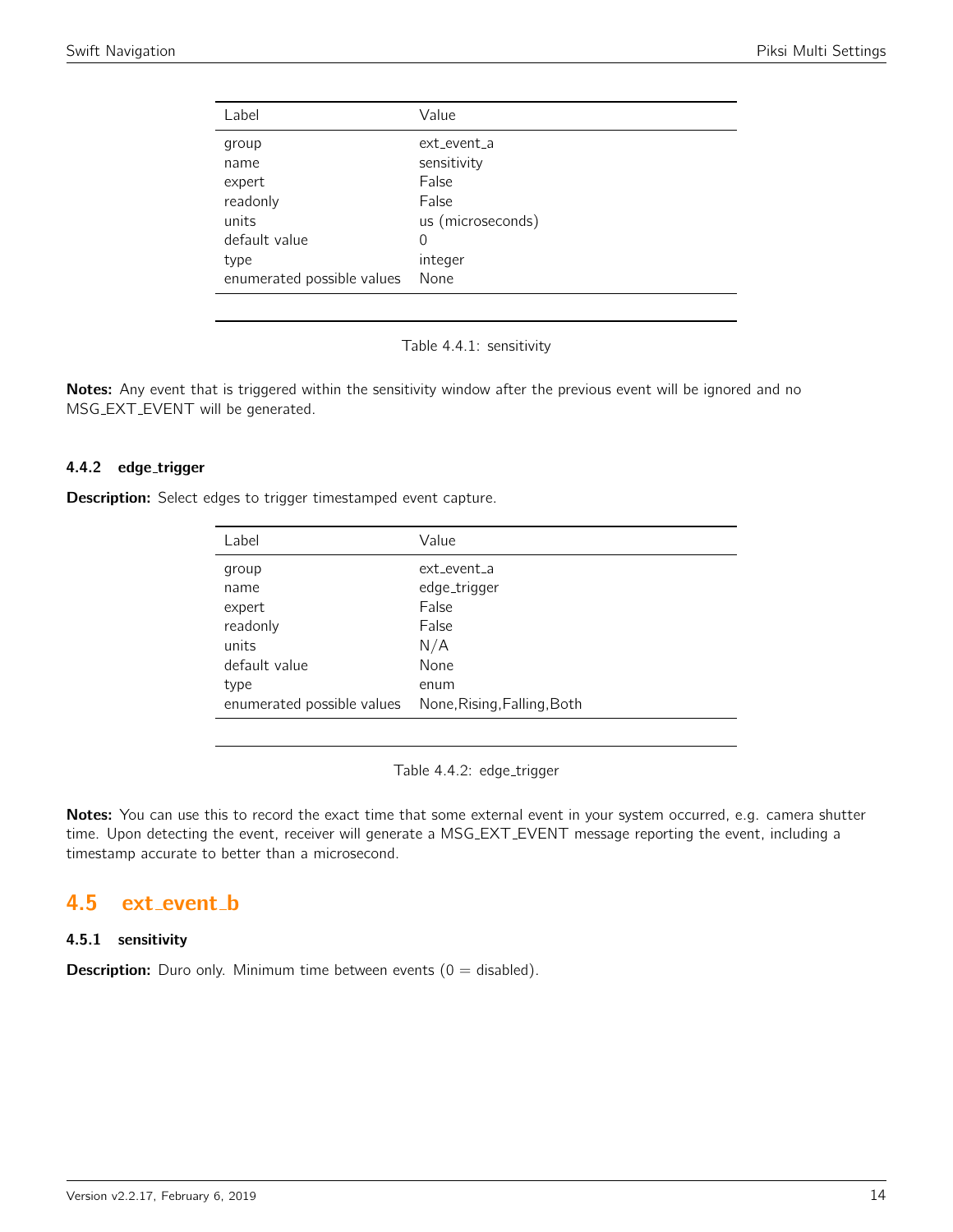<span id="page-13-0"></span>

| Label                      | Value             |
|----------------------------|-------------------|
| group                      | ext event a       |
| name                       | sensitivity       |
| expert                     | False             |
| readonly                   | False             |
| units                      | us (microseconds) |
| default value              | $\Omega$          |
| type                       | integer           |
| enumerated possible values | None              |

Table 4.4.1: sensitivity

Notes: Any event that is triggered within the sensitivity window after the previous event will be ignored and no MSG EXT EVENT will be generated.

# 4.4.2 edge\_trigger

**Description:** Select edges to trigger timestamped event capture.

| Label                      | Value                       |
|----------------------------|-----------------------------|
| group                      | ext event a                 |
| name                       | edge_trigger                |
| expert                     | False                       |
| readonly                   | False                       |
| units                      | N/A                         |
| default value              | None                        |
| type                       | enum                        |
| enumerated possible values | None, Rising, Falling, Both |

Table 4.4.2: edge\_trigger

Notes: You can use this to record the exact time that some external event in your system occurred, e.g. camera shutter time. Upon detecting the event, receiver will generate a MSG EXT EVENT message reporting the event, including a timestamp accurate to better than a microsecond.

# <span id="page-13-1"></span>4.5 ext event b

# 4.5.1 sensitivity

**Description:** Duro only. Minimum time between events  $(0 = \text{disabled})$ .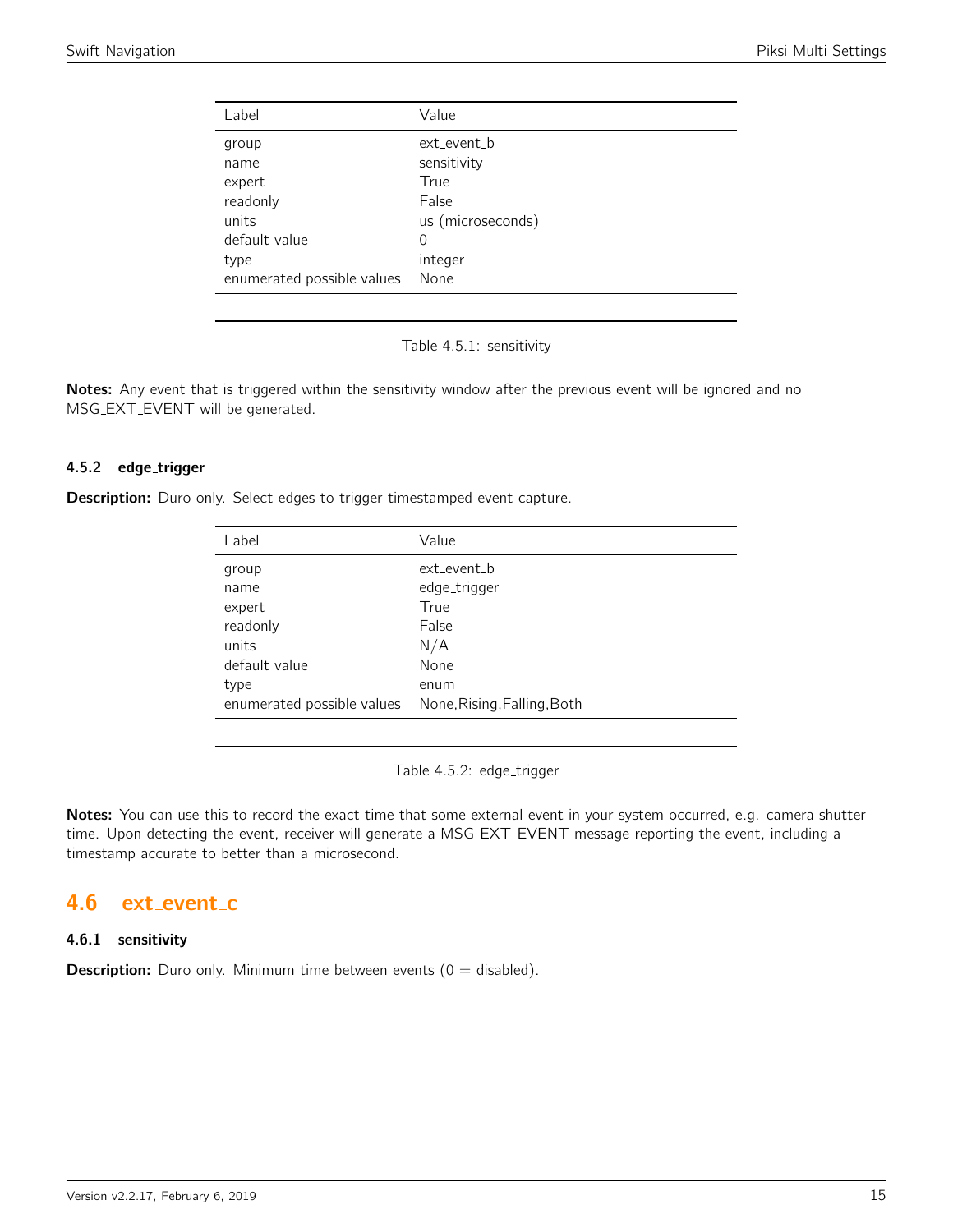<span id="page-14-0"></span>

| Label                      | Value             |
|----------------------------|-------------------|
| group                      | ext_event_b       |
| name                       | sensitivity       |
| expert                     | True              |
| readonly                   | False             |
| units                      | us (microseconds) |
| default value              | 0                 |
| type                       | integer           |
| enumerated possible values | None              |

Table 4.5.1: sensitivity

Notes: Any event that is triggered within the sensitivity window after the previous event will be ignored and no MSG EXT EVENT will be generated.

#### 4.5.2 edge\_trigger

**Description:** Duro only. Select edges to trigger timestamped event capture.

| Label                      | Value                       |
|----------------------------|-----------------------------|
| group                      | ext event b                 |
| name                       | edge_trigger                |
| expert                     | True                        |
| readonly                   | False                       |
| units                      | N/A                         |
| default value              | None                        |
| type                       | enum                        |
| enumerated possible values | None, Rising, Falling, Both |

Table 4.5.2: edge\_trigger

Notes: You can use this to record the exact time that some external event in your system occurred, e.g. camera shutter time. Upon detecting the event, receiver will generate a MSG EXT EVENT message reporting the event, including a timestamp accurate to better than a microsecond.

# <span id="page-14-1"></span>4.6 ext\_event\_c

#### 4.6.1 sensitivity

**Description:** Duro only. Minimum time between events  $(0 = \text{disabled})$ .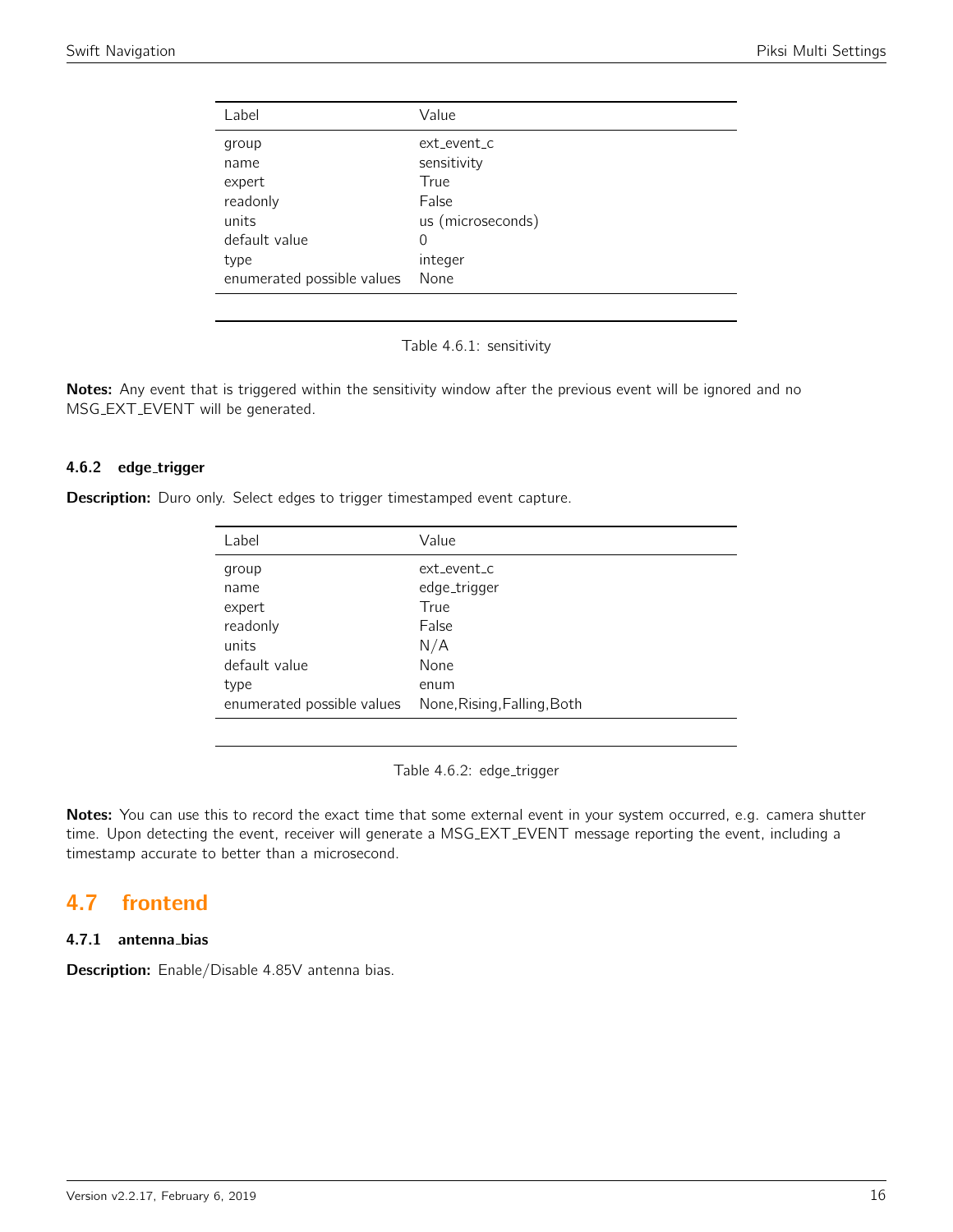<span id="page-15-0"></span>

| Label                      | Value             |
|----------------------------|-------------------|
| group                      | ext event c       |
| name                       | sensitivity       |
| expert                     | True              |
| readonly                   | False             |
| units                      | us (microseconds) |
| default value              | $\Omega$          |
| type                       | integer           |
| enumerated possible values | None              |

Table 4.6.1: sensitivity

Notes: Any event that is triggered within the sensitivity window after the previous event will be ignored and no MSG EXT EVENT will be generated.

# 4.6.2 edge\_trigger

**Description:** Duro only. Select edges to trigger timestamped event capture.

| Label                      | Value                       |
|----------------------------|-----------------------------|
| group                      | ext event c                 |
| name                       | edge_trigger                |
| expert                     | True                        |
| readonly                   | False                       |
| units                      | N/A                         |
| default value              | None                        |
| type                       | enum                        |
| enumerated possible values | None, Rising, Falling, Both |

Table 4.6.2: edge\_trigger

Notes: You can use this to record the exact time that some external event in your system occurred, e.g. camera shutter time. Upon detecting the event, receiver will generate a MSG EXT EVENT message reporting the event, including a timestamp accurate to better than a microsecond.

# <span id="page-15-1"></span>4.7 frontend

# 4.7.1 antenna bias

Description: Enable/Disable 4.85V antenna bias.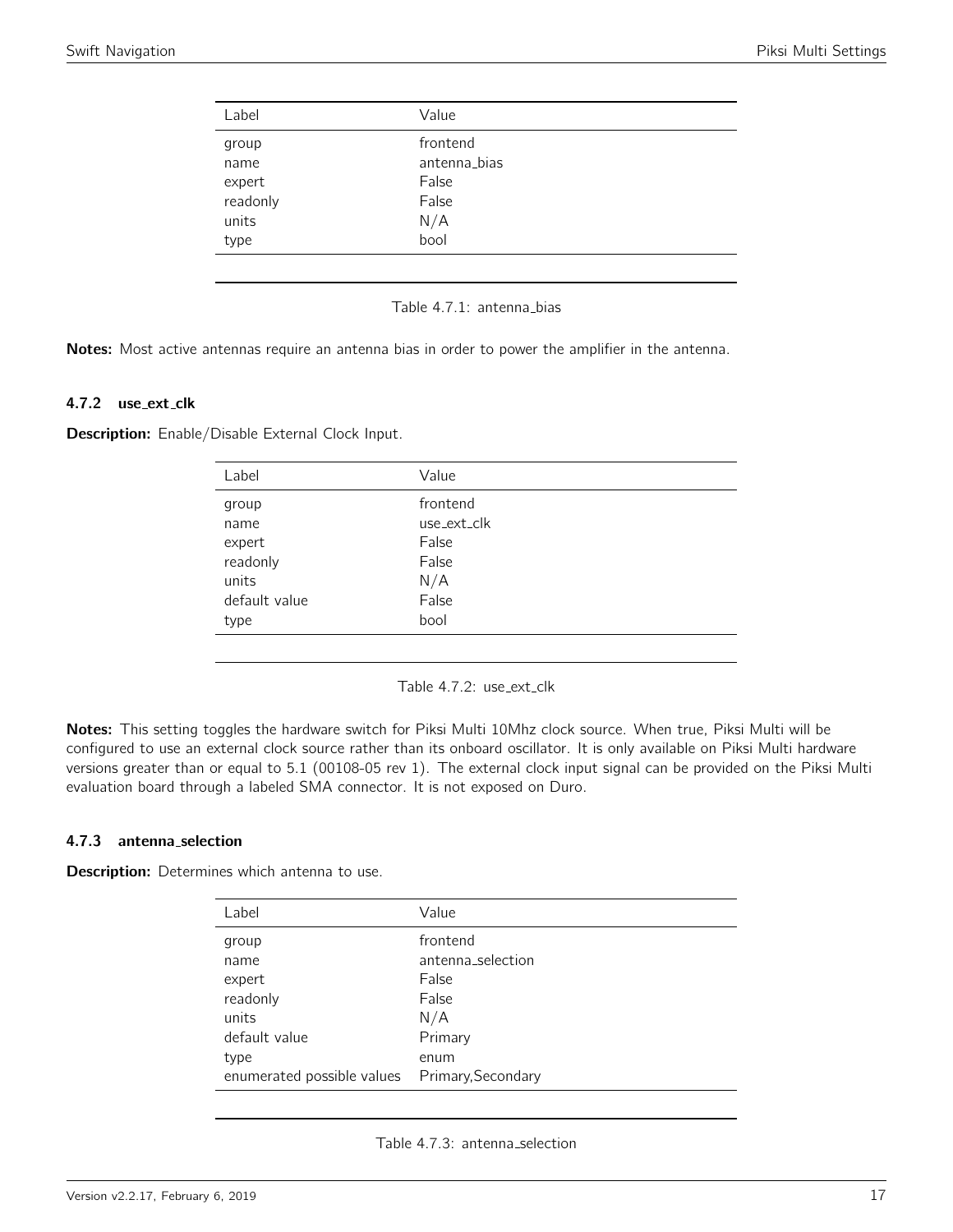<span id="page-16-0"></span>

| Label    | Value        |  |
|----------|--------------|--|
| group    | frontend     |  |
| name     | antenna_bias |  |
| expert   | False        |  |
| readonly | False        |  |
| units    | N/A          |  |
| type     | bool         |  |
|          |              |  |

#### Table 4.7.1: antenna\_bias

Notes: Most active antennas require an antenna bias in order to power the amplifier in the antenna.

#### 4.7.2 use\_ext\_clk

<span id="page-16-1"></span>Description: Enable/Disable External Clock Input.

| Label         | Value       |
|---------------|-------------|
| group         | frontend    |
| name          | use_ext_clk |
| expert        | False       |
| readonly      | False       |
| units         | N/A         |
| default value | False       |
| type          | bool        |
|               |             |

Table 4.7.2: use\_ext\_clk

Notes: This setting toggles the hardware switch for Piksi Multi 10Mhz clock source. When true, Piksi Multi will be configured to use an external clock source rather than its onboard oscillator. It is only available on Piksi Multi hardware versions greater than or equal to 5.1 (00108-05 rev 1). The external clock input signal can be provided on the Piksi Multi evaluation board through a labeled SMA connector. It is not exposed on Duro.

#### 4.7.3 antenna selection

**Description:** Determines which antenna to use.

| Label                                          | Value             |
|------------------------------------------------|-------------------|
| group                                          | frontend          |
| name                                           | antenna_selection |
| expert                                         | False             |
| readonly                                       | False             |
| units                                          | N/A               |
| default value                                  | Primary           |
| type                                           | enum              |
| enumerated possible values  Primary, Secondary |                   |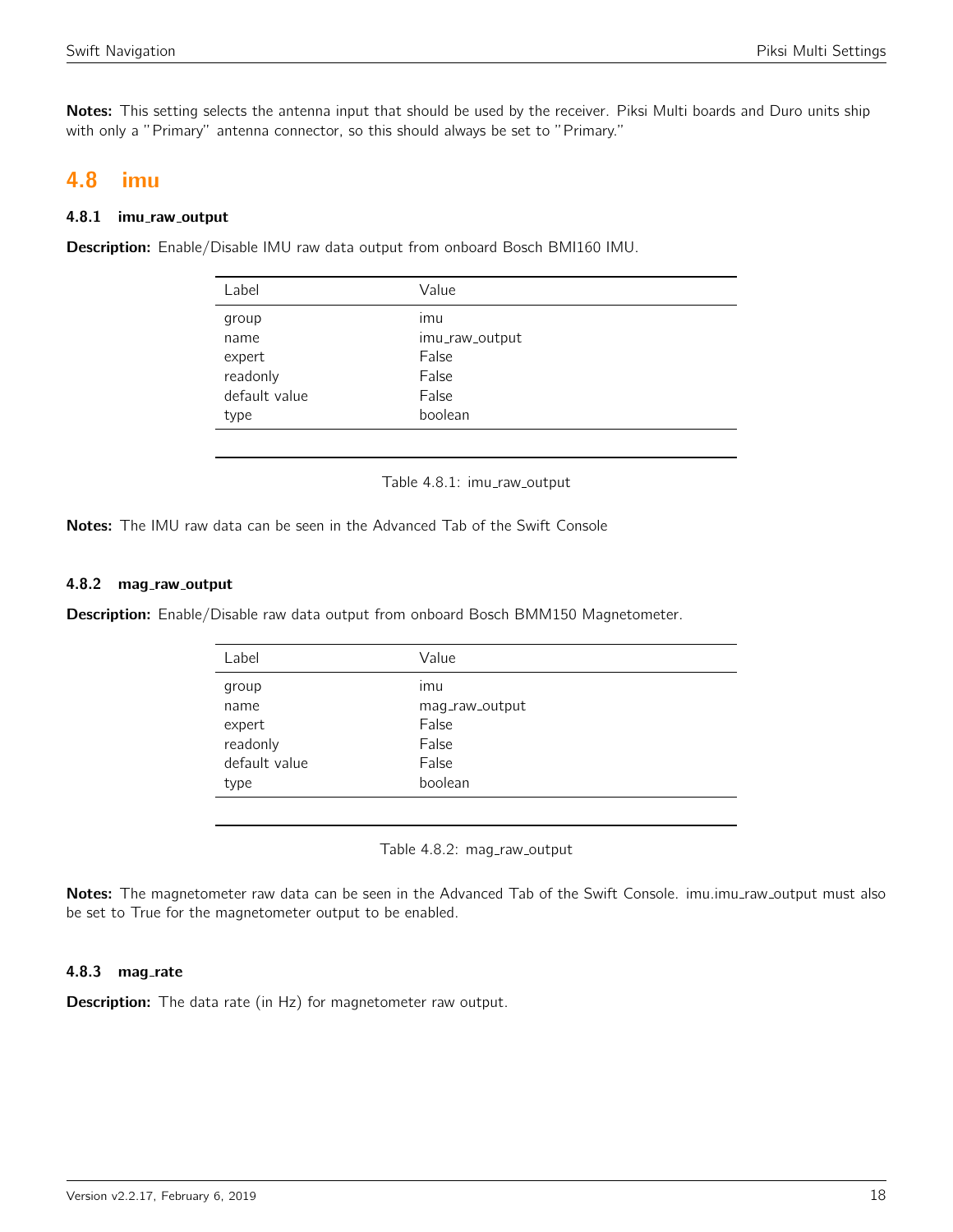Notes: This setting selects the antenna input that should be used by the receiver. Piksi Multi boards and Duro units ship with only a "Primary" antenna connector, so this should always be set to "Primary."

# <span id="page-17-0"></span>4.8 imu

## 4.8.1 imu\_raw\_output

<span id="page-17-1"></span>Description: Enable/Disable IMU raw data output from onboard Bosch BMI160 IMU.

| Label         | Value          |
|---------------|----------------|
| group         | imu            |
| name          | imu_raw_output |
| expert        | False          |
| readonly      | False          |
| default value | False          |
| type          | boolean        |
|               |                |

Table 4.8.1: imu\_raw\_output

Notes: The IMU raw data can be seen in the Advanced Tab of the Swift Console

## 4.8.2 mag\_raw\_output

<span id="page-17-2"></span>Description: Enable/Disable raw data output from onboard Bosch BMM150 Magnetometer.

| Label         | Value          |
|---------------|----------------|
| group         | ımu            |
| name          | mag_raw_output |
| expert        | False          |
| readonly      | False          |
| default value | False          |
| type          | boolean        |
|               |                |

Table 4.8.2: mag\_raw\_output

Notes: The magnetometer raw data can be seen in the Advanced Tab of the Swift Console. imu.imu\_raw\_output must also be set to True for the magnetometer output to be enabled.

## 4.8.3 mag\_rate

**Description:** The data rate (in Hz) for magnetometer raw output.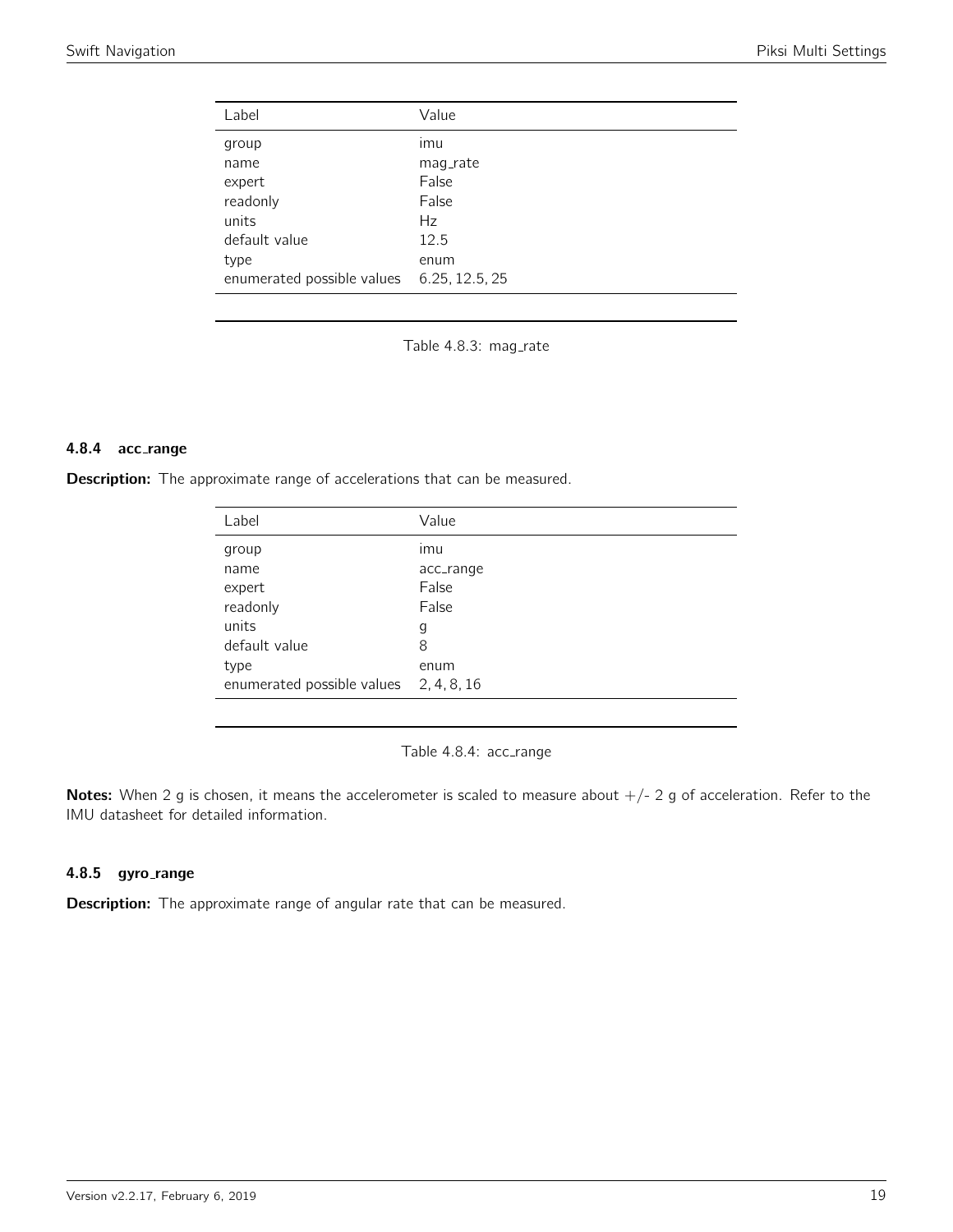<span id="page-18-0"></span>

| Label                      | Value          |
|----------------------------|----------------|
| group                      | imu            |
| name                       | mag_rate       |
| expert                     | False          |
| readonly                   | False          |
| units                      | Hz             |
| default value              | 12.5           |
| type                       | enum           |
| enumerated possible values | 6.25, 12.5, 25 |

Table 4.8.3: mag\_rate

#### 4.8.4 acc range

<span id="page-18-1"></span>Description: The approximate range of accelerations that can be measured.

| Label                                  | Value     |
|----------------------------------------|-----------|
| group                                  | imu       |
| name                                   | acc_range |
| expert                                 | False     |
| readonly                               | False     |
| units                                  | g         |
| default value                          | 8         |
| type                                   | enum      |
| enumerated possible values 2, 4, 8, 16 |           |

Table 4.8.4: acc\_range

Notes: When 2 g is chosen, it means the accelerometer is scaled to measure about  $+/- 2$  g of acceleration. Refer to the IMU datasheet for detailed information.

## 4.8.5 gyro\_range

Description: The approximate range of angular rate that can be measured.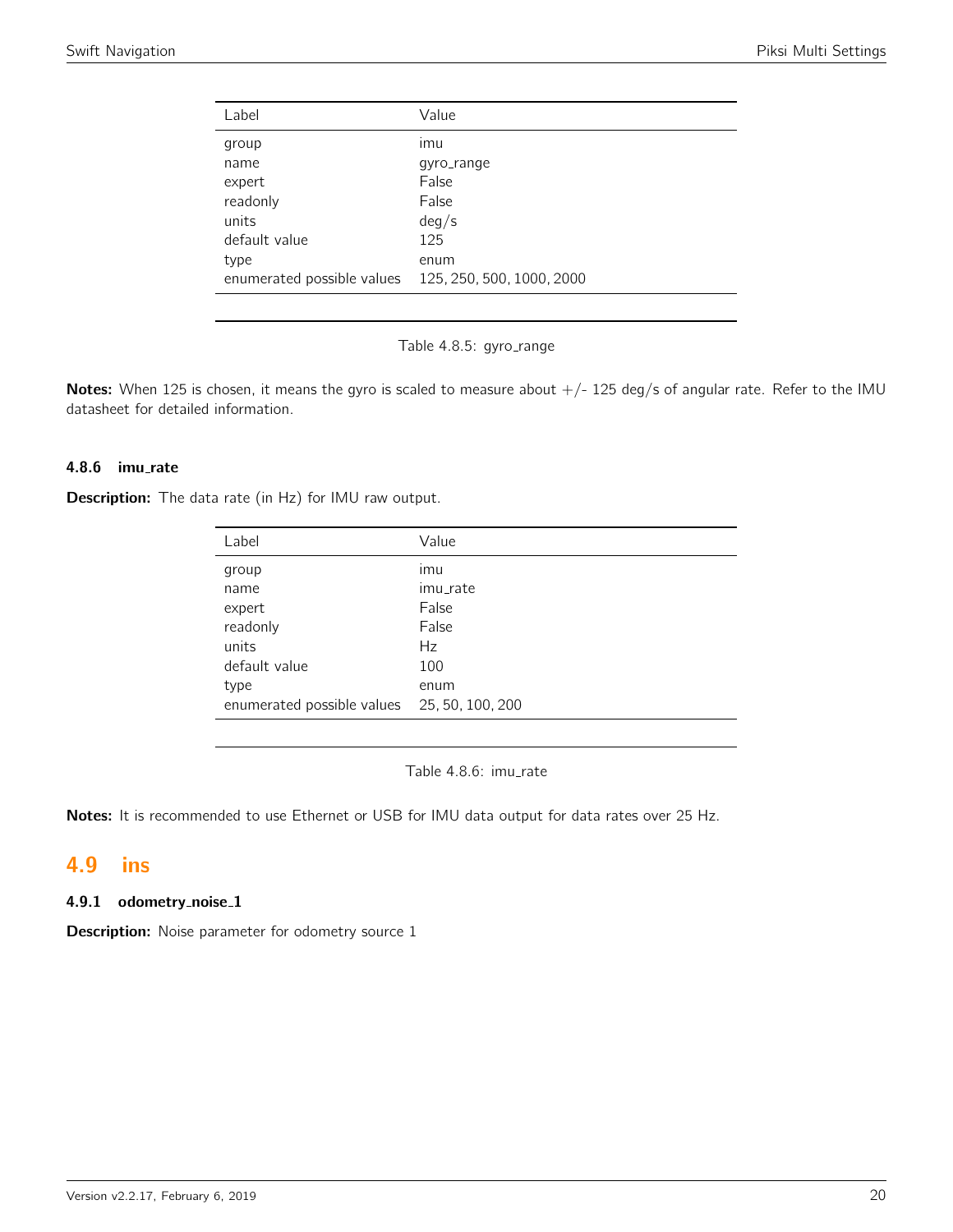<span id="page-19-0"></span>

| Label                      | Value                     |
|----------------------------|---------------------------|
| group                      | ımu                       |
| name                       | qyro_range                |
| expert                     | False                     |
| readonly                   | False                     |
| units                      | deg/s                     |
| default value              | 125                       |
| type                       | enum                      |
| enumerated possible values | 125, 250, 500, 1000, 2000 |
|                            |                           |



Notes: When 125 is chosen, it means the gyro is scaled to measure about  $+/-$  125 deg/s of angular rate. Refer to the IMU datasheet for detailed information.

# 4.8.6 imu rate

**Description:** The data rate (in Hz) for IMU raw output.

| Label                                       | Value    |
|---------------------------------------------|----------|
| group                                       | ımu      |
| name                                        | imu_rate |
| expert                                      | False    |
| readonly                                    | False    |
| units                                       | Hz       |
| default value                               | 100      |
| type                                        | enum     |
| enumerated possible values 25, 50, 100, 200 |          |

Table 4.8.6: imu\_rate

Notes: It is recommended to use Ethernet or USB for IMU data output for data rates over 25 Hz.

# <span id="page-19-1"></span>4.9 ins

#### 4.9.1 odometry\_noise\_1

**Description:** Noise parameter for odometry source 1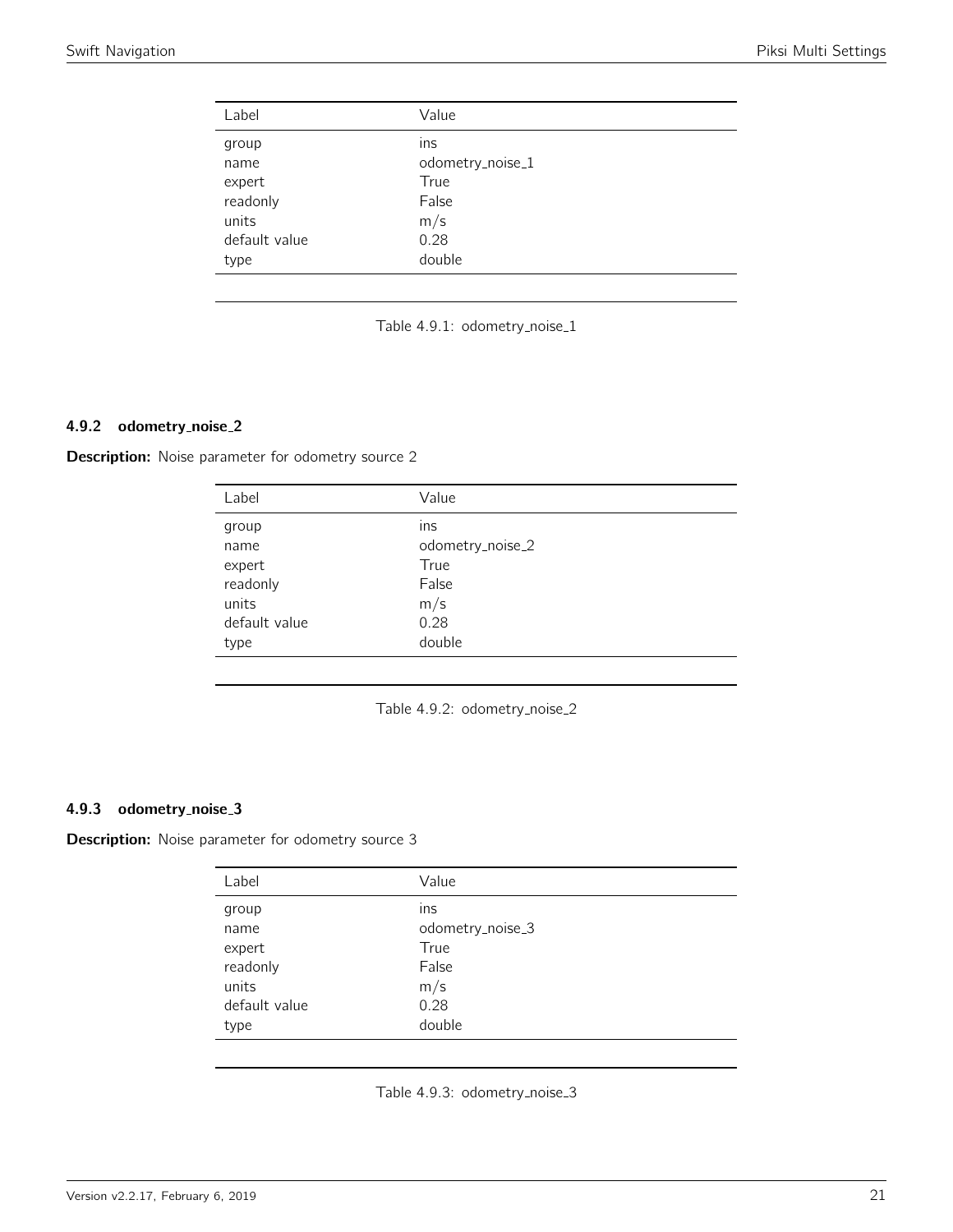<span id="page-20-0"></span>

| Label         | Value            |
|---------------|------------------|
| group         | ins              |
| name          | odometry_noise_1 |
| expert        | True             |
| readonly      | False            |
| units         | m/s              |
| default value | 0.28             |
| type          | double           |



# 4.9.2 odometry noise 2

<span id="page-20-1"></span>**Description:** Noise parameter for odometry source 2

| Label         | Value            |
|---------------|------------------|
| group         | ins              |
| name          | odometry_noise_2 |
| expert        | True             |
| readonly      | False            |
| units         | m/s              |
| default value | 0.28             |
| type          | double           |

Table 4.9.2: odometry\_noise\_2

# 4.9.3 odometry noise 3

<span id="page-20-2"></span>**Description:** Noise parameter for odometry source 3

| Label         | Value            |
|---------------|------------------|
| group         | ins              |
| name          | odometry_noise_3 |
| expert        | True             |
| readonly      | False            |
| units         | m/s              |
| default value | 0.28             |
| type          | double           |

Table 4.9.3: odometry\_noise\_3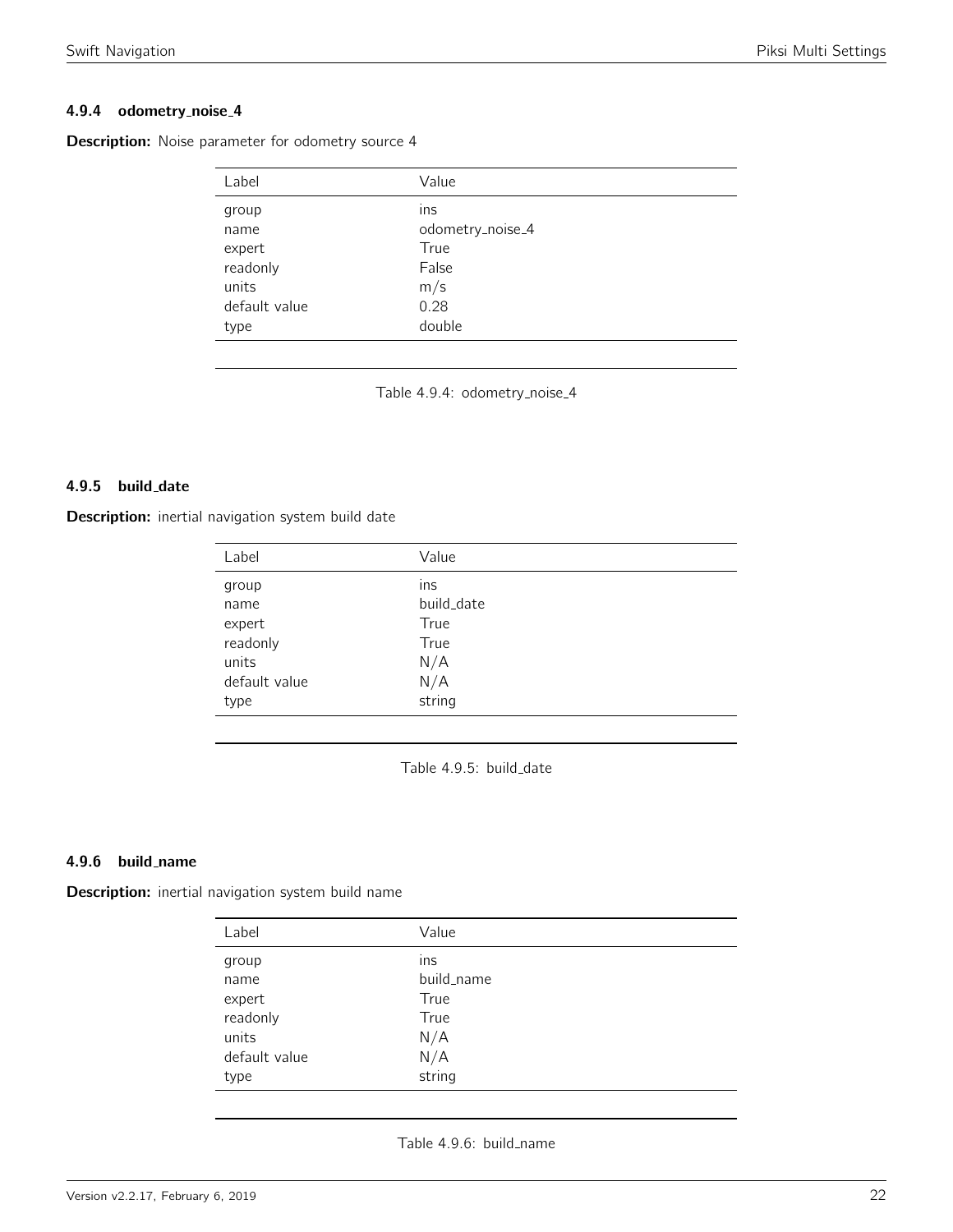# 4.9.4 odometry noise 4

| Label         | Value            |
|---------------|------------------|
| group         | ins              |
| name          | odometry_noise_4 |
| expert        | True             |
| readonly      | False            |
| units         | m/s              |
| default value | 0.28             |
| type          | double           |

<span id="page-21-0"></span>**Description:** Noise parameter for odometry source 4

Table 4.9.4: odometry\_noise\_4

#### 4.9.5 build\_date

<span id="page-21-1"></span>Description: inertial navigation system build date

| Label         | Value      |
|---------------|------------|
| group         | ins        |
| name          | build_date |
| expert        | True       |
| readonly      | True       |
| units         | N/A        |
| default value | N/A        |
| type          | string     |

Table 4.9.5: build\_date

#### 4.9.6 build name

<span id="page-21-2"></span>Description: inertial navigation system build name

| Label         | Value      |
|---------------|------------|
| group         | ins        |
| name          | build_name |
| expert        | True       |
| readonly      | True       |
| units         | N/A        |
| default value | N/A        |
| type          | string     |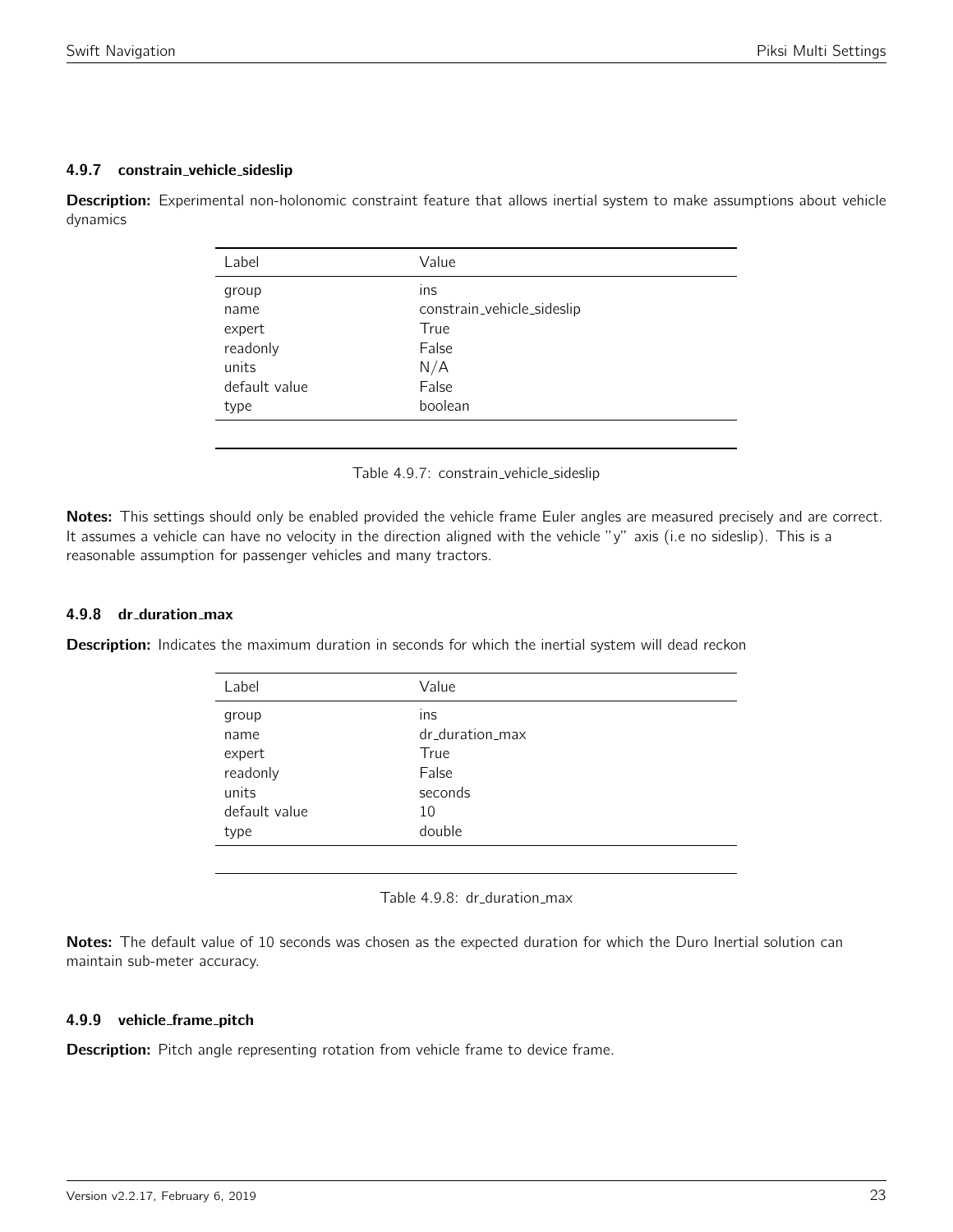# 4.9.7 constrain vehicle sideslip

<span id="page-22-0"></span>Description: Experimental non-holonomic constraint feature that allows inertial system to make assumptions about vehicle dynamics

| Label         | Value                      |
|---------------|----------------------------|
| group         | ins                        |
| name          | constrain_vehicle_sideslip |
| expert        | True                       |
| readonly      | False                      |
| units         | N/A                        |
| default value | False                      |
| type          | boolean                    |
|               |                            |

Table 4.9.7: constrain\_vehicle\_sideslip

Notes: This settings should only be enabled provided the vehicle frame Euler angles are measured precisely and are correct. It assumes a vehicle can have no velocity in the direction aligned with the vehicle "y" axis (i.e no sideslip). This is a reasonable assumption for passenger vehicles and many tractors.

# 4.9.8 dr duration max

<span id="page-22-1"></span>**Description:** Indicates the maximum duration in seconds for which the inertial system will dead reckon

| Label         | Value           |
|---------------|-----------------|
| group         | ins             |
| name          | dr_duration_max |
| expert        | True            |
| readonly      | False           |
| units         | seconds         |
| default value | 10              |
| type          | double          |
|               |                 |

Table 4.9.8: dr\_duration\_max

Notes: The default value of 10 seconds was chosen as the expected duration for which the Duro Inertial solution can maintain sub-meter accuracy.

## 4.9.9 vehicle frame pitch

Description: Pitch angle representing rotation from vehicle frame to device frame.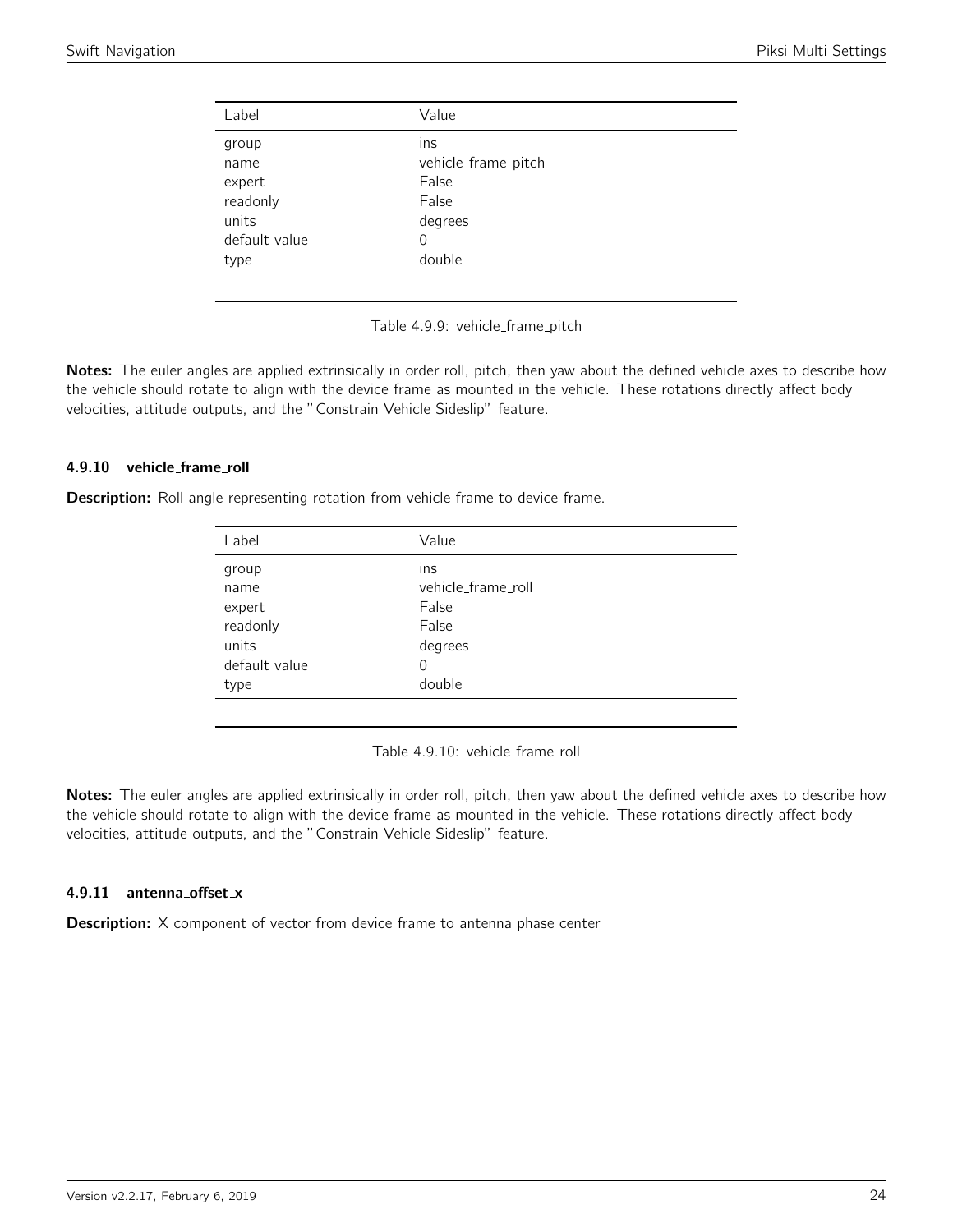<span id="page-23-0"></span>

| Label         | Value               |
|---------------|---------------------|
| group         | ins                 |
| name          | vehicle_frame_pitch |
| expert        | False               |
| readonly      | False               |
| units         | degrees             |
| default value | 0                   |
| type          | double              |
|               |                     |

Table 4.9.9: vehicle\_frame\_pitch

Notes: The euler angles are applied extrinsically in order roll, pitch, then yaw about the defined vehicle axes to describe how the vehicle should rotate to align with the device frame as mounted in the vehicle. These rotations directly affect body velocities, attitude outputs, and the "Constrain Vehicle Sideslip" feature.

#### 4.9.10 vehicle frame roll

<span id="page-23-1"></span>**Description:** Roll angle representing rotation from vehicle frame to device frame.

| Label         | Value              |
|---------------|--------------------|
| group         | ins                |
| name          | vehicle_frame_roll |
| expert        | False              |
| readonly      | False              |
| units         | degrees            |
| default value | 0                  |
| type          | double             |
|               |                    |

Table 4.9.10: vehicle\_frame\_roll

Notes: The euler angles are applied extrinsically in order roll, pitch, then yaw about the defined vehicle axes to describe how the vehicle should rotate to align with the device frame as mounted in the vehicle. These rotations directly affect body velocities, attitude outputs, and the "Constrain Vehicle Sideslip" feature.

#### 4.9.11 antenna offset x

**Description:** X component of vector from device frame to antenna phase center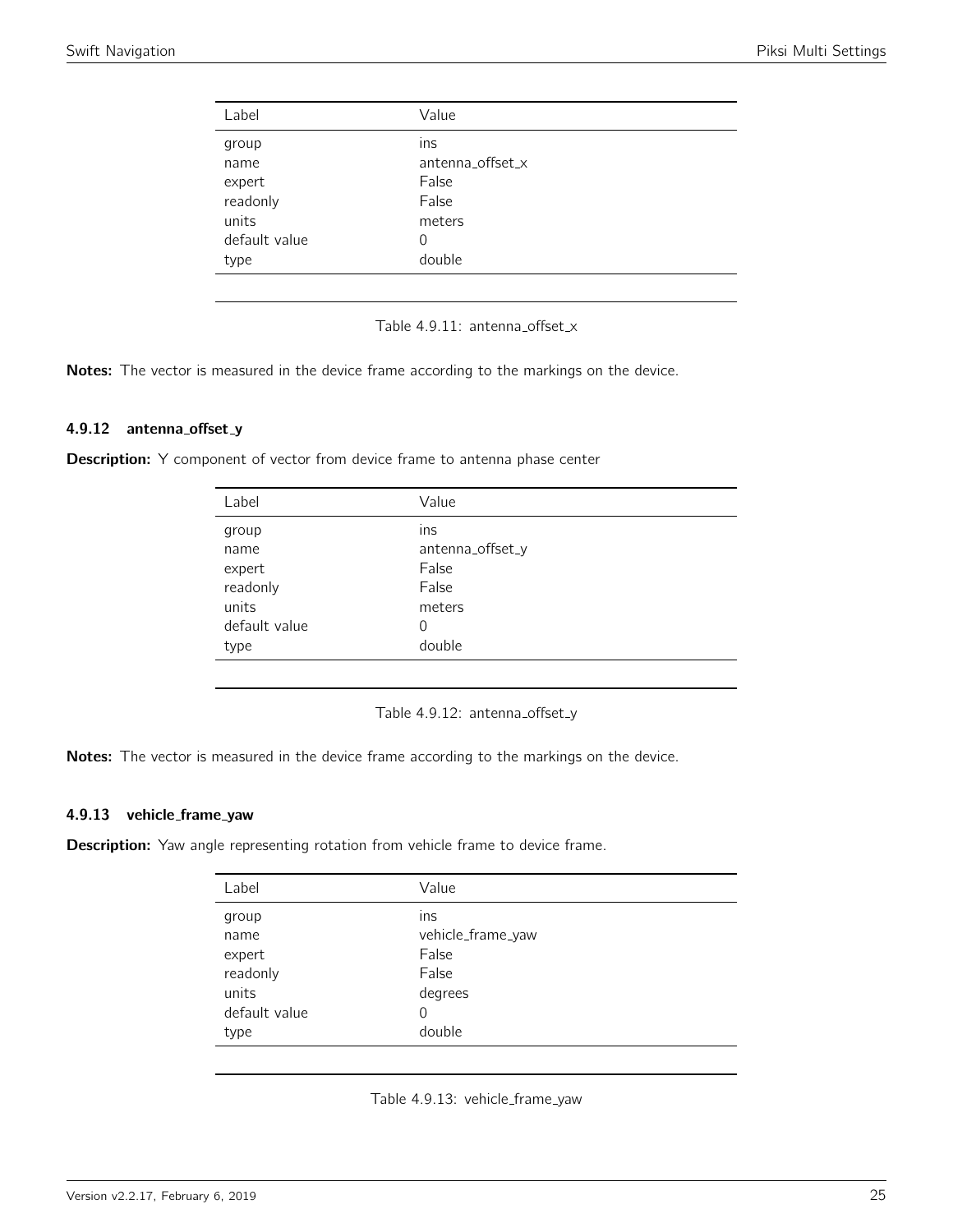<span id="page-24-0"></span>

| Label         | Value            |
|---------------|------------------|
| group         | Ins              |
| name          | antenna_offset_x |
| expert        | False            |
| readonly      | False            |
| units         | meters           |
| default value | 0                |
| type          | double           |
|               |                  |

Table 4.9.11: antenna\_offset\_x

Notes: The vector is measured in the device frame according to the markings on the device.

# 4.9.12 antenna\_offset\_y

<span id="page-24-1"></span>**Description:** Y component of vector from device frame to antenna phase center

| Label         | Value            |
|---------------|------------------|
| group         | ins              |
| name          | antenna_offset_y |
| expert        | False            |
| readonly      | False            |
| units         | meters           |
| default value | 0                |
| type          | double           |
|               |                  |

Table 4.9.12: antenna\_offset\_y

Notes: The vector is measured in the device frame according to the markings on the device.

#### 4.9.13 vehicle frame yaw

<span id="page-24-2"></span>**Description:** Yaw angle representing rotation from vehicle frame to device frame.

| Label         | Value             |
|---------------|-------------------|
| group         | ins               |
| name          | vehicle_frame_yaw |
| expert        | False             |
| readonly      | False             |
| units         | degrees           |
| default value | 0                 |
| type          | double            |
|               |                   |

Table 4.9.13: vehicle\_frame\_yaw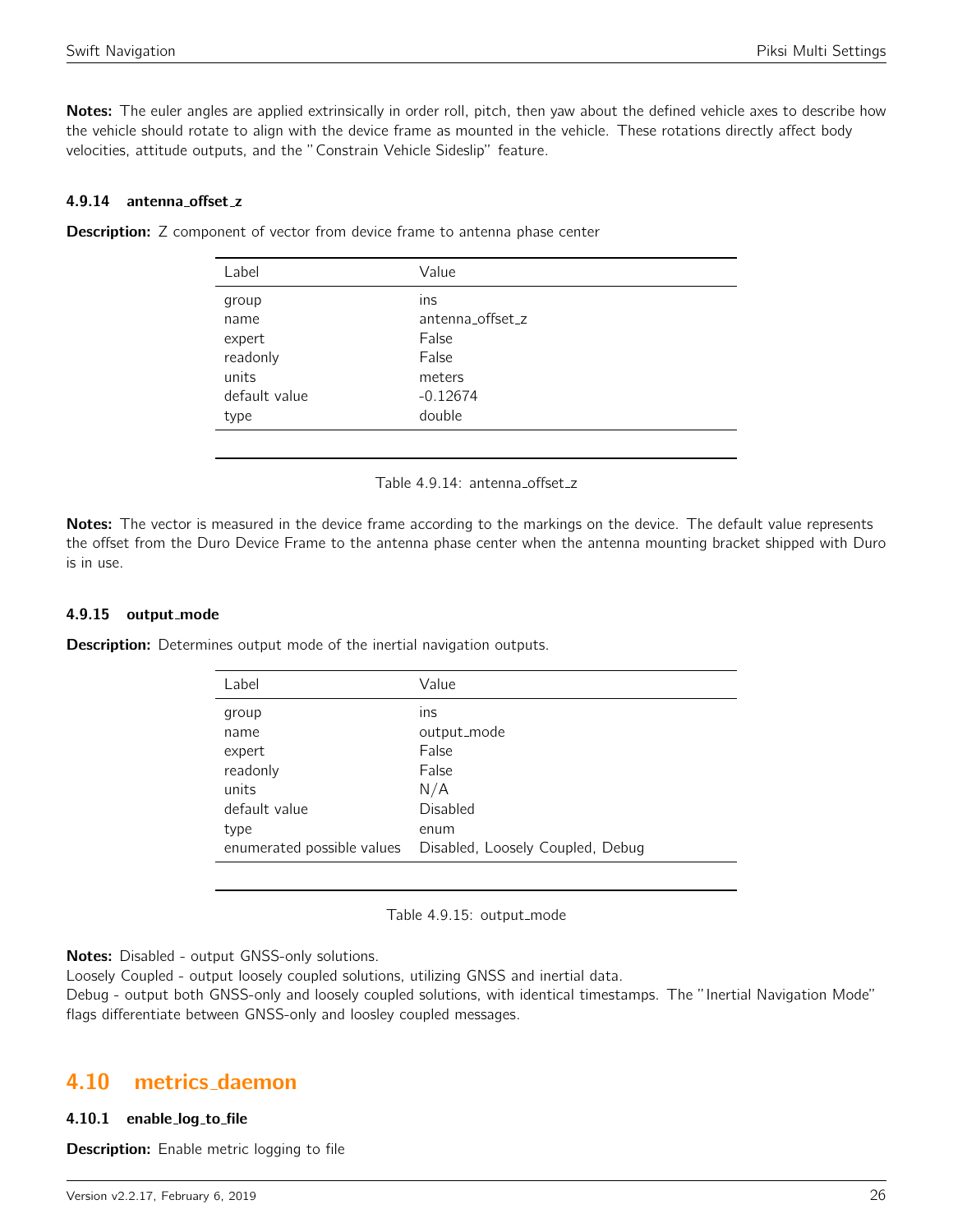Notes: The euler angles are applied extrinsically in order roll, pitch, then yaw about the defined vehicle axes to describe how the vehicle should rotate to align with the device frame as mounted in the vehicle. These rotations directly affect body velocities, attitude outputs, and the "Constrain Vehicle Sideslip" feature.

#### 4.9.14 antenna offset z

| Label         | Value            |
|---------------|------------------|
| group         | ins              |
| name          | antenna offset_z |
| expert        | False            |
| readonly      | False            |
| units         | meters           |
| default value | $-0.12674$       |
| type          | double           |
|               |                  |

<span id="page-25-0"></span>**Description:** Z component of vector from device frame to antenna phase center

Table 4.9.14: antenna\_offset\_z

Notes: The vector is measured in the device frame according to the markings on the device. The default value represents the offset from the Duro Device Frame to the antenna phase center when the antenna mounting bracket shipped with Duro is in use.

#### 4.9.15 output mode

**Description:** Determines output mode of the inertial navigation outputs.

| Label                      | Value                            |
|----------------------------|----------------------------------|
| group                      | ins                              |
| name                       | output_mode                      |
| expert                     | False                            |
| readonly                   | False                            |
| units                      | N/A                              |
| default value              | Disabled                         |
| type                       | enum                             |
| enumerated possible values | Disabled, Loosely Coupled, Debug |
|                            |                                  |

Table 4.9.15: output\_mode

Notes: Disabled - output GNSS-only solutions.

Loosely Coupled - output loosely coupled solutions, utilizing GNSS and inertial data.

Debug - output both GNSS-only and loosely coupled solutions, with identical timestamps. The "Inertial Navigation Mode" flags differentiate between GNSS-only and loosley coupled messages.

# <span id="page-25-1"></span>4.10 metrics daemon

#### 4.10.1 enable log to file

**Description:** Enable metric logging to file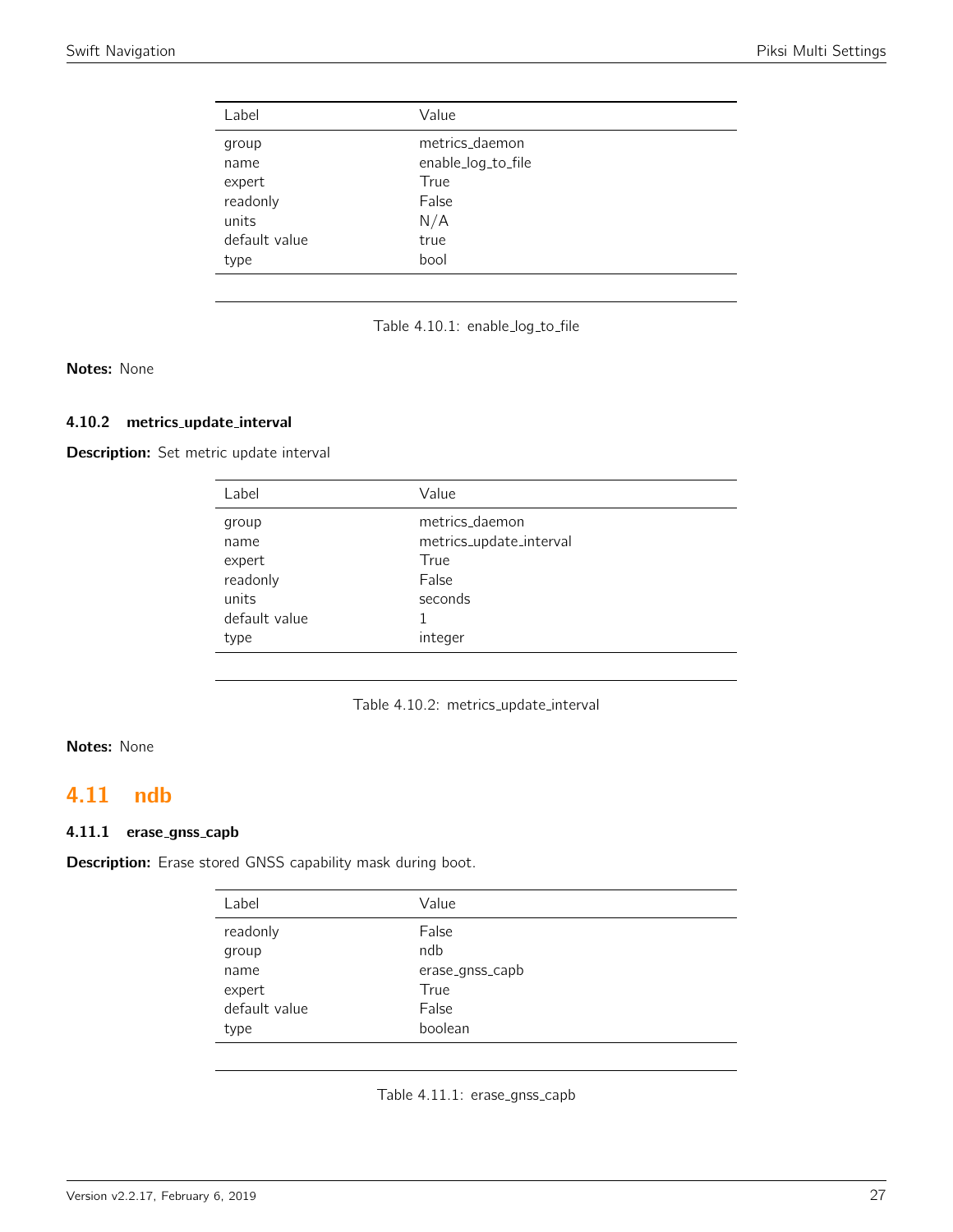<span id="page-26-0"></span>

| Label         | Value              |
|---------------|--------------------|
| group         | metrics_daemon     |
| name          | enable_log_to_file |
| expert        | True               |
| readonly      | False              |
| units         | N/A                |
| default value | true               |
| type          | bool               |

|  |  | Table 4.10.1: enable_log_to_file |
|--|--|----------------------------------|
|--|--|----------------------------------|

Notes: None

## 4.10.2 metrics update interval

Description: Set metric update interval

| Label         | Value                   |
|---------------|-------------------------|
| group         | metrics_daemon          |
| name          | metrics_update_interval |
| expert        | True                    |
| readonly      | False                   |
| units         | seconds                 |
| default value |                         |
| type          | integer                 |

Table 4.10.2: metrics\_update\_interval

# Notes: None

# <span id="page-26-1"></span>4.11 ndb

# 4.11.1 erase\_gnss\_capb

<span id="page-26-2"></span>Description: Erase stored GNSS capability mask during boot.

| Label         | Value           |
|---------------|-----------------|
| readonly      | False           |
| group         | ndb             |
| name          | erase_gnss_capb |
| expert        | True            |
| default value | False           |
| type          | boolean         |

Table 4.11.1: erase\_gnss\_capb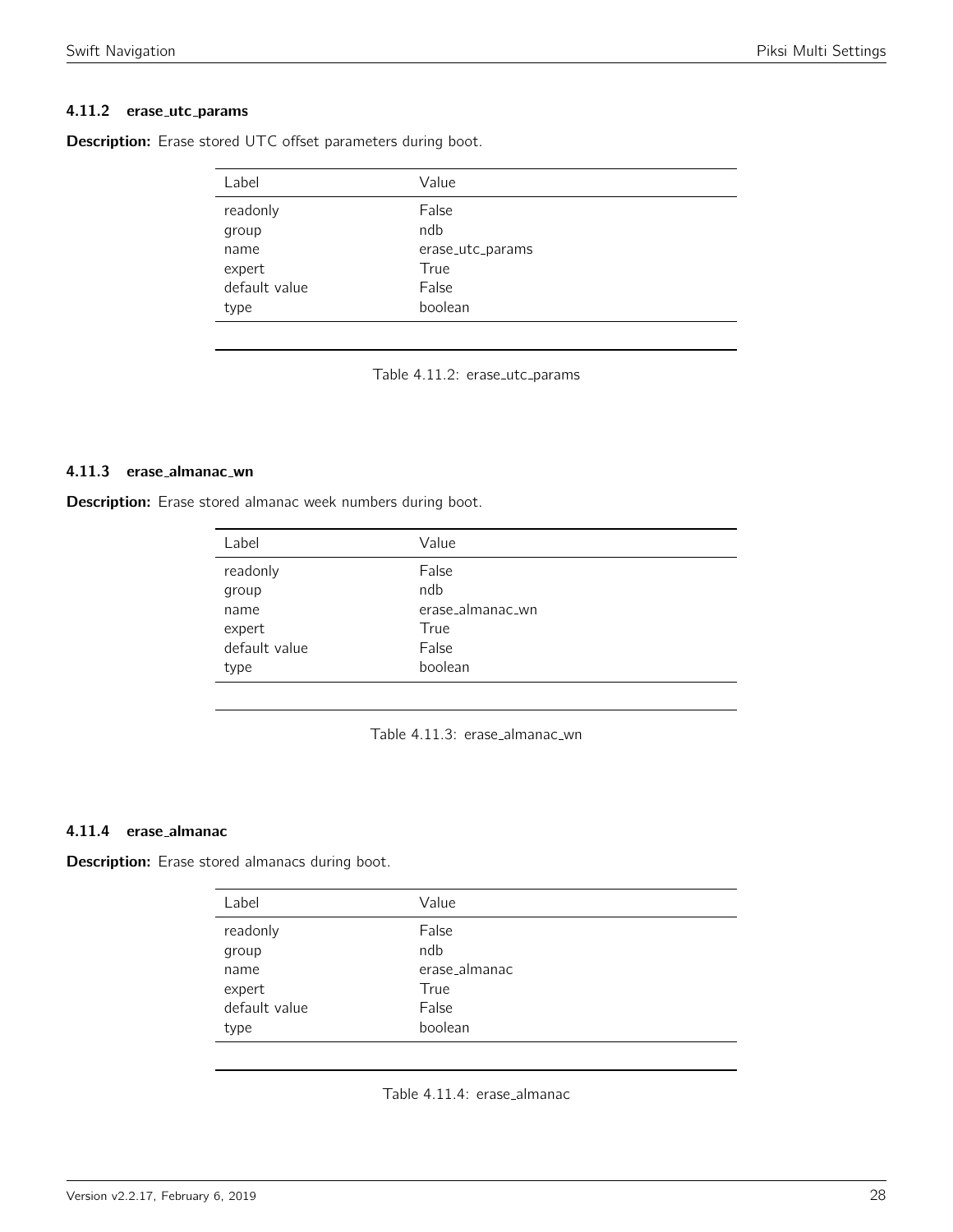## 4.11.2 erase\_utc\_params

| Label         | Value            |
|---------------|------------------|
| readonly      | False            |
| group         | ndb              |
| name          | erase_utc_params |
| expert        | True             |
| default value | False            |
| type          | boolean          |
|               |                  |

<span id="page-27-0"></span>Description: Erase stored UTC offset parameters during boot.

Table 4.11.2: erase\_utc\_params

#### 4.11.3 erase almanac wn

<span id="page-27-1"></span>Description: Erase stored almanac week numbers during boot.

| Value            |
|------------------|
| False            |
| ndb              |
| erase_almanac_wn |
| True             |
| False            |
| boolean          |
|                  |

| Table 4.11.3: erase_almanac_wn |  |
|--------------------------------|--|
|--------------------------------|--|

### 4.11.4 erase almanac

<span id="page-27-2"></span>Description: Erase stored almanacs during boot.

| Label         | Value         |
|---------------|---------------|
| readonly      | False         |
| group         | ndb           |
| name          | erase_almanac |
| expert        | True          |
| default value | False         |
| type          | boolean       |

Table 4.11.4: erase\_almanac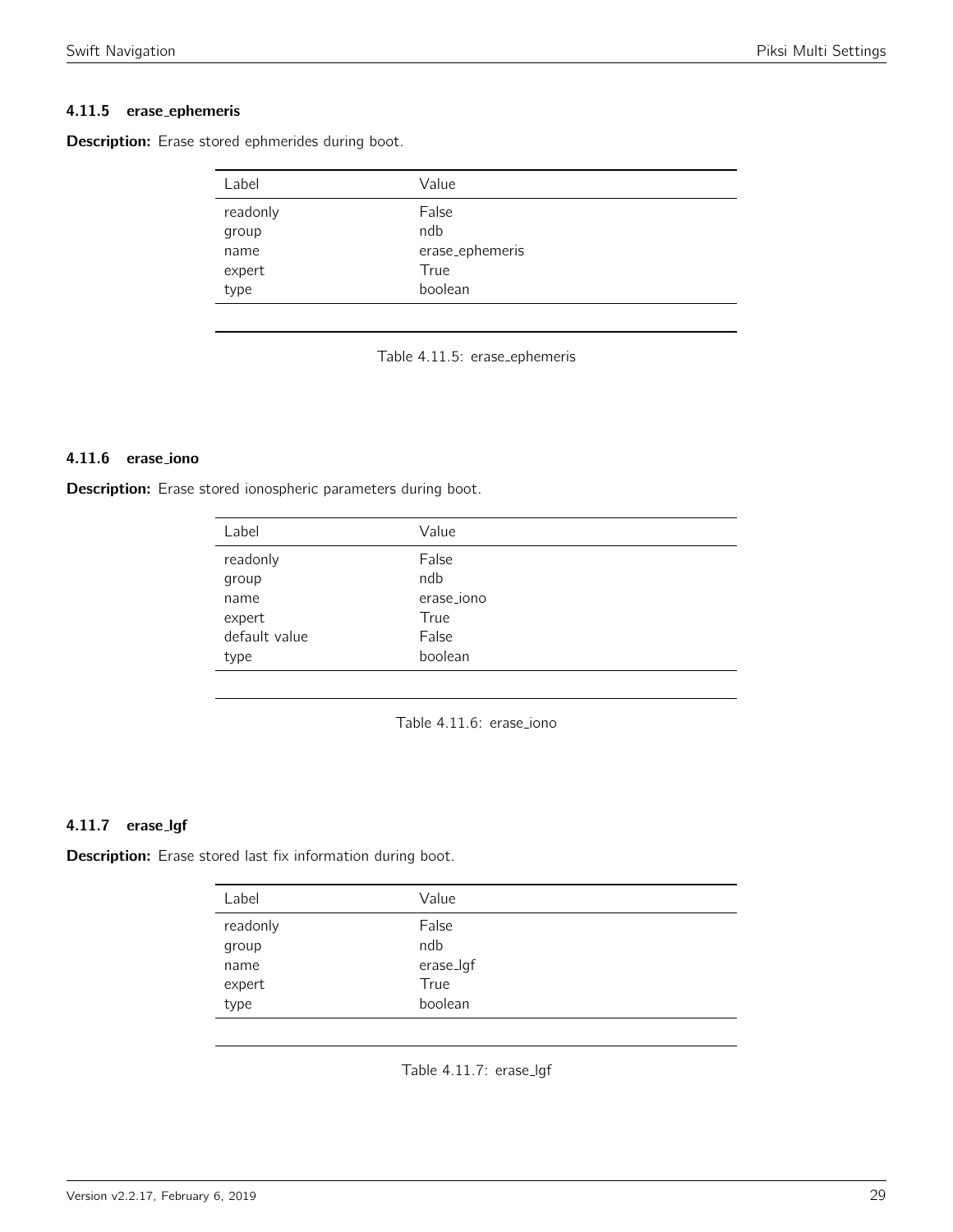# 4.11.5 erase ephemeris

<span id="page-28-0"></span>Description: Erase stored ephmerides during boot.

| Label    | Value           |
|----------|-----------------|
| readonly | False           |
| group    | ndb             |
| name     | erase_ephemeris |
| expert   | True            |
| type     | boolean         |

Table 4.11.5: erase ephemeris

# 4.11.6 erase iono

<span id="page-28-1"></span>Description: Erase stored ionospheric parameters during boot.

| Label         | Value      |
|---------------|------------|
| readonly      | False      |
| group         | ndb        |
| name          | erase_iono |
| expert        | True       |
| default value | False      |
| type          | boolean    |
|               |            |

Table 4.11.6: erase\_iono

# 4.11.7 erase lgf

<span id="page-28-2"></span>Description: Erase stored last fix information during boot.

| Label             | Value           |
|-------------------|-----------------|
| readonly<br>group | False<br>ndb    |
| name              | erase_lgf       |
| expert<br>type    | True<br>boolean |
|                   |                 |

Table 4.11.7: erase\_lgf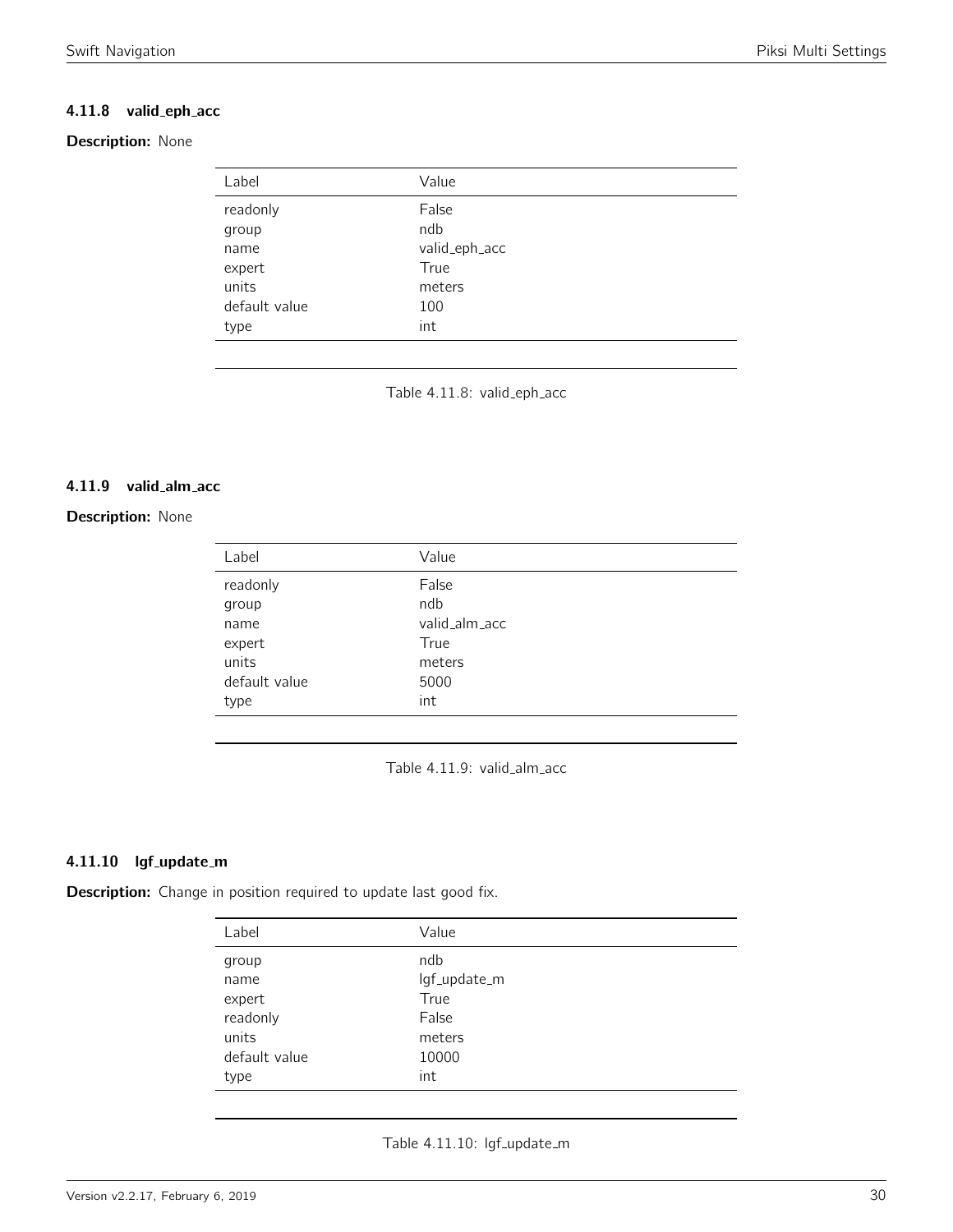# 4.11.8 valid\_eph\_acc

# <span id="page-29-0"></span>Description: None

| Label         | Value         |
|---------------|---------------|
| readonly      | False         |
| group         | ndb           |
| name          | valid_eph_acc |
| expert        | True          |
| units         | meters        |
| default value | 100           |
| type          | int           |

Table 4.11.8: valid\_eph\_acc

# 4.11.9 valid alm acc

# <span id="page-29-1"></span>**Description: None**

| Label         | Value         |
|---------------|---------------|
| readonly      | False         |
| group         | ndb           |
| name          | valid_alm_acc |
| expert        | True          |
| units         | meters        |
| default value | 5000          |
| type          | int           |

Table 4.11.9: valid\_alm\_acc

# 4.11.10 lgf\_update\_m

<span id="page-29-2"></span>Description: Change in position required to update last good fix.

| Label         | Value        |
|---------------|--------------|
| group         | ndb          |
| name          | lgf_update_m |
| expert        | True         |
| readonly      | False        |
| units         | meters       |
| default value | 10000        |
| type          | int          |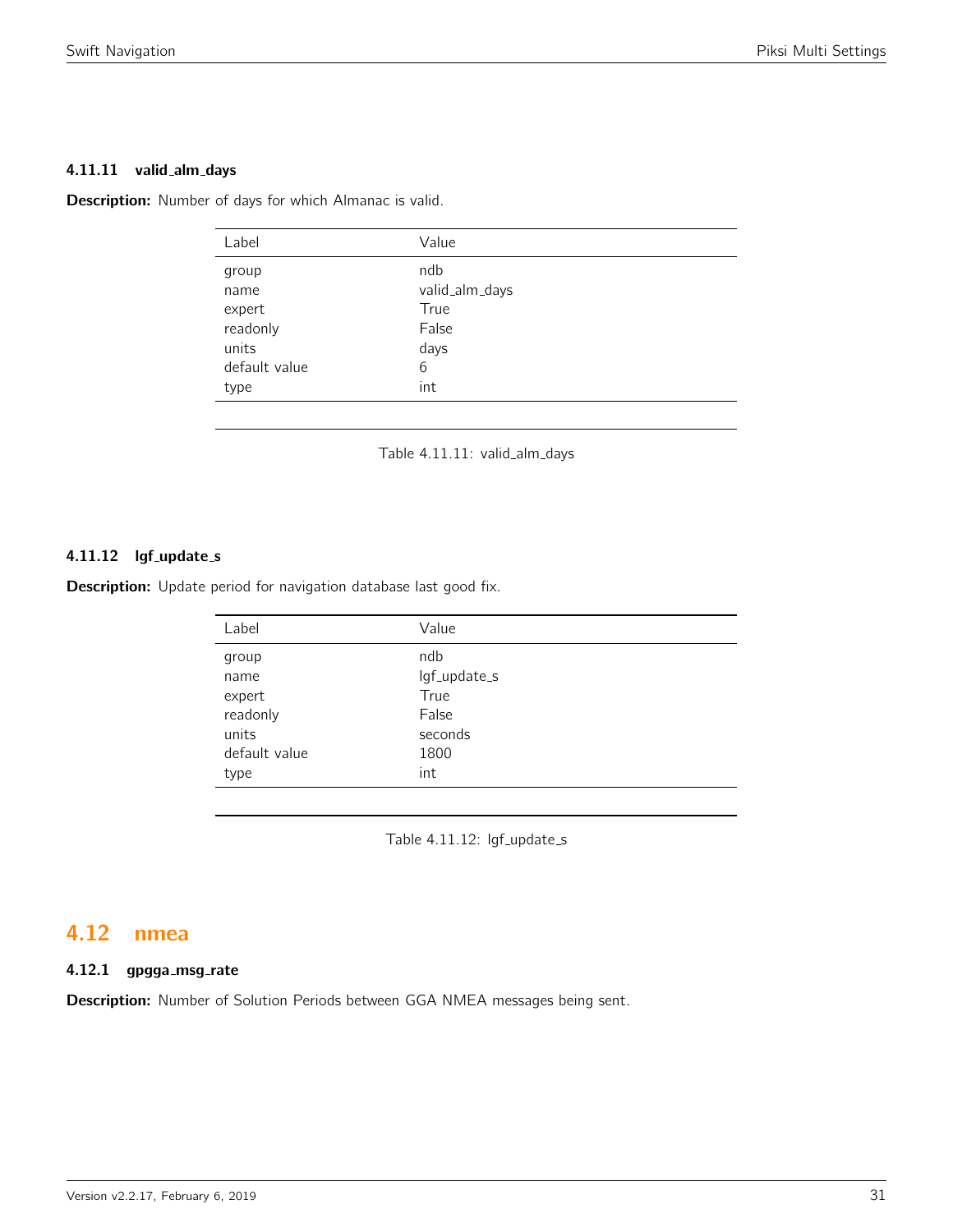### 4.11.11 valid\_alm\_days

<span id="page-30-0"></span>Description: Number of days for which Almanac is valid.

| Label                                                                 | Value                                                      |
|-----------------------------------------------------------------------|------------------------------------------------------------|
| group<br>name<br>expert<br>readonly<br>units<br>default value<br>type | ndb<br>valid_alm_days<br>True<br>False<br>days<br>6<br>int |
|                                                                       |                                                            |

Table 4.11.11: valid\_alm\_days

# 4.11.12 lgf\_update\_s

Description: Update period for navigation database last good fix.

| Label         | Value        |
|---------------|--------------|
| group         | ndb          |
| name          | lgf_update_s |
| expert        | True         |
| readonly      | False        |
| units         | seconds      |
| default value | 1800         |
| type          | int          |
|               |              |

Table 4.11.12: lgf\_update\_s

# <span id="page-30-1"></span>4.12 nmea

# 4.12.1 gpgga\_msg\_rate

Description: Number of Solution Periods between GGA NMEA messages being sent.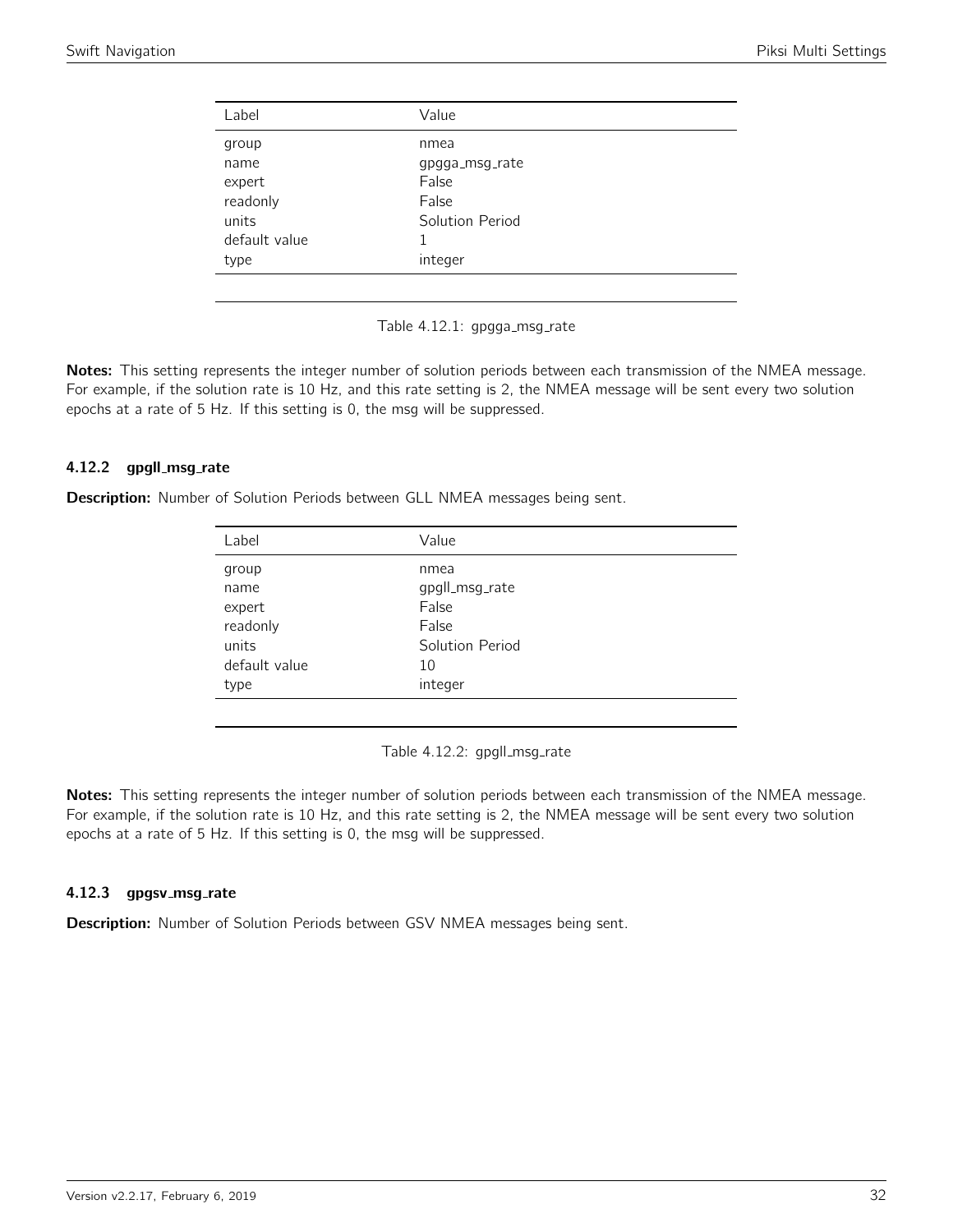<span id="page-31-0"></span>

| gpgga_msg_rate  |
|-----------------|
|                 |
|                 |
|                 |
|                 |
| Solution Period |
|                 |
|                 |
| integer         |

Table 4.12.1: gpgga\_msg\_rate

Notes: This setting represents the integer number of solution periods between each transmission of the NMEA message. For example, if the solution rate is 10 Hz, and this rate setting is 2, the NMEA message will be sent every two solution epochs at a rate of 5 Hz. If this setting is 0, the msg will be suppressed.

## 4.12.2 gpgll\_msg\_rate

<span id="page-31-1"></span>Description: Number of Solution Periods between GLL NMEA messages being sent.

| Label         | Value           |
|---------------|-----------------|
| group         | nmea            |
| name          | gpgll_msg_rate  |
| expert        | False           |
| readonly      | False           |
| units         | Solution Period |
| default value | 10              |
| type          | integer         |
|               |                 |

Table 4.12.2: gpgll\_msg\_rate

Notes: This setting represents the integer number of solution periods between each transmission of the NMEA message. For example, if the solution rate is 10 Hz, and this rate setting is 2, the NMEA message will be sent every two solution epochs at a rate of 5 Hz. If this setting is 0, the msg will be suppressed.

#### 4.12.3 gpgsv\_msg\_rate

Description: Number of Solution Periods between GSV NMEA messages being sent.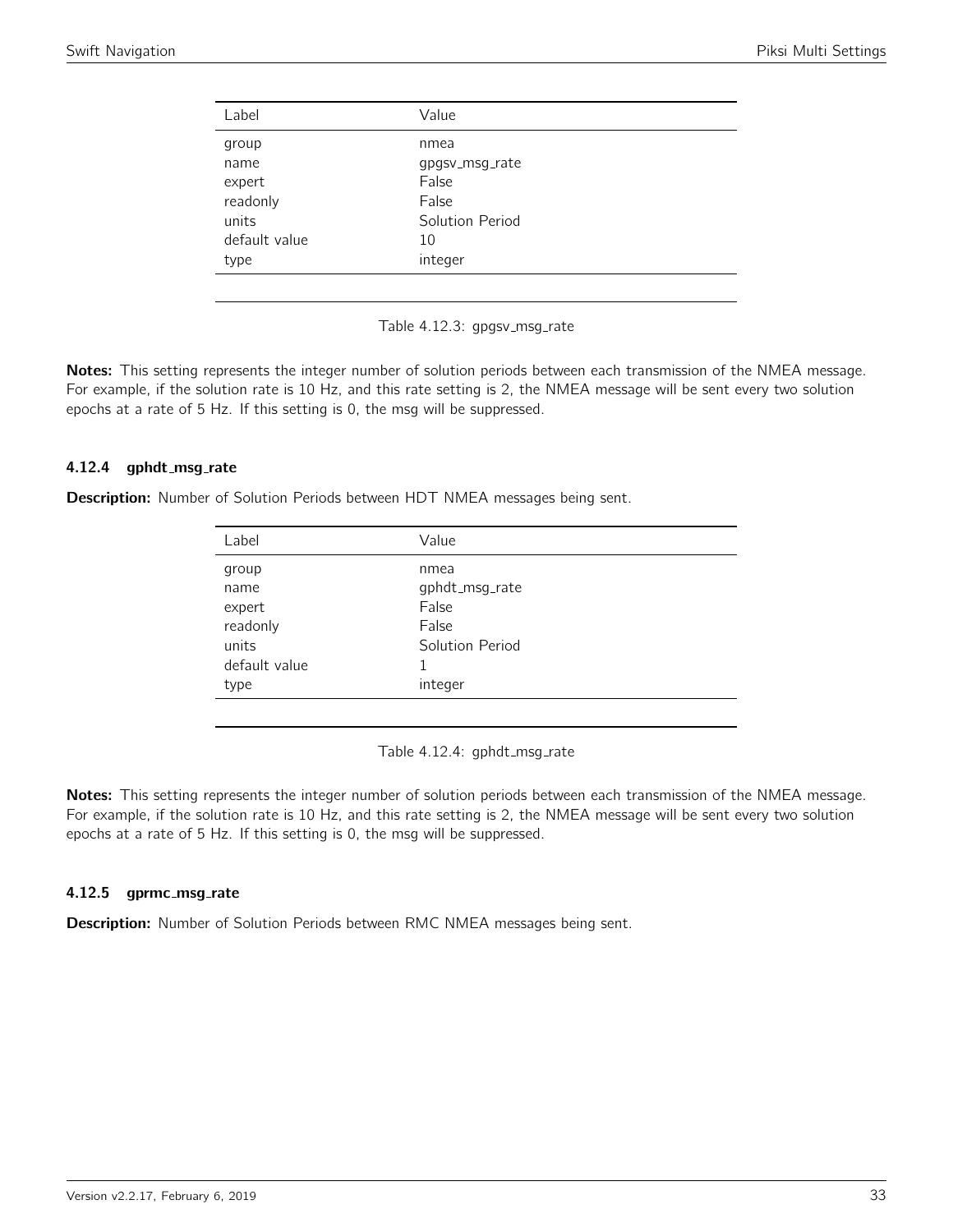<span id="page-32-0"></span>

| Label         | Value           |
|---------------|-----------------|
| group         | nmea            |
| name          | gpgsv_msg_rate  |
| expert        | False           |
| readonly      | False           |
| units         | Solution Period |
| default value | 10              |
| type          | integer         |
|               |                 |

Table 4.12.3: gpgsv\_msg\_rate

Notes: This setting represents the integer number of solution periods between each transmission of the NMEA message. For example, if the solution rate is 10 Hz, and this rate setting is 2, the NMEA message will be sent every two solution epochs at a rate of 5 Hz. If this setting is 0, the msg will be suppressed.

## 4.12.4 gphdt\_msg\_rate

<span id="page-32-1"></span>Description: Number of Solution Periods between HDT NMEA messages being sent.

| Label         | Value           |
|---------------|-----------------|
| group         | nmea            |
| name          | gphdt_msg_rate  |
| expert        | False           |
| readonly      | False           |
| units         | Solution Period |
| default value | 1               |
| type          | integer         |
|               |                 |

Table 4.12.4: gphdt\_msg\_rate

Notes: This setting represents the integer number of solution periods between each transmission of the NMEA message. For example, if the solution rate is 10 Hz, and this rate setting is 2, the NMEA message will be sent every two solution epochs at a rate of 5 Hz. If this setting is 0, the msg will be suppressed.

#### 4.12.5 gprmc\_msg\_rate

Description: Number of Solution Periods between RMC NMEA messages being sent.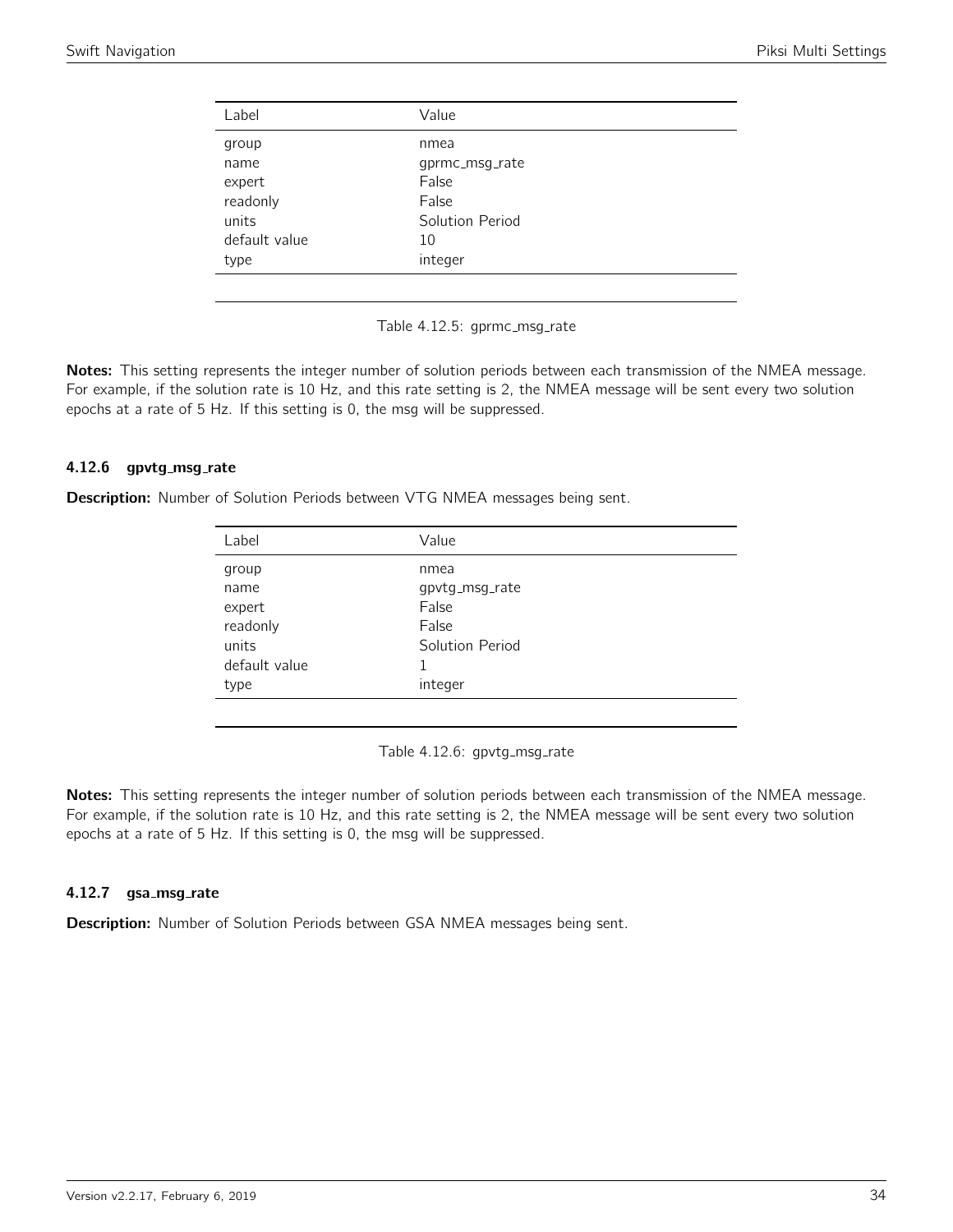<span id="page-33-0"></span>

| Label         | Value           |
|---------------|-----------------|
| group         | nmea            |
| name          | gprmc_msg_rate  |
| expert        | False           |
| readonly      | False           |
| units         | Solution Period |
| default value | 10              |
| type          | integer         |
|               |                 |

Table 4.12.5: gprmc\_msg\_rate

Notes: This setting represents the integer number of solution periods between each transmission of the NMEA message. For example, if the solution rate is 10 Hz, and this rate setting is 2, the NMEA message will be sent every two solution epochs at a rate of 5 Hz. If this setting is 0, the msg will be suppressed.

## 4.12.6 gpvtg\_msg\_rate

<span id="page-33-1"></span>Description: Number of Solution Periods between VTG NMEA messages being sent.

| Label         | Value           |
|---------------|-----------------|
| group         | nmea            |
| name          | gpvtg_msg_rate  |
| expert        | False           |
| readonly      | False           |
| units         | Solution Period |
| default value | 1               |
| type          | integer         |
|               |                 |

Table 4.12.6: gpvtg\_msg\_rate

Notes: This setting represents the integer number of solution periods between each transmission of the NMEA message. For example, if the solution rate is 10 Hz, and this rate setting is 2, the NMEA message will be sent every two solution epochs at a rate of 5 Hz. If this setting is 0, the msg will be suppressed.

## 4.12.7 gsa\_msg\_rate

Description: Number of Solution Periods between GSA NMEA messages being sent.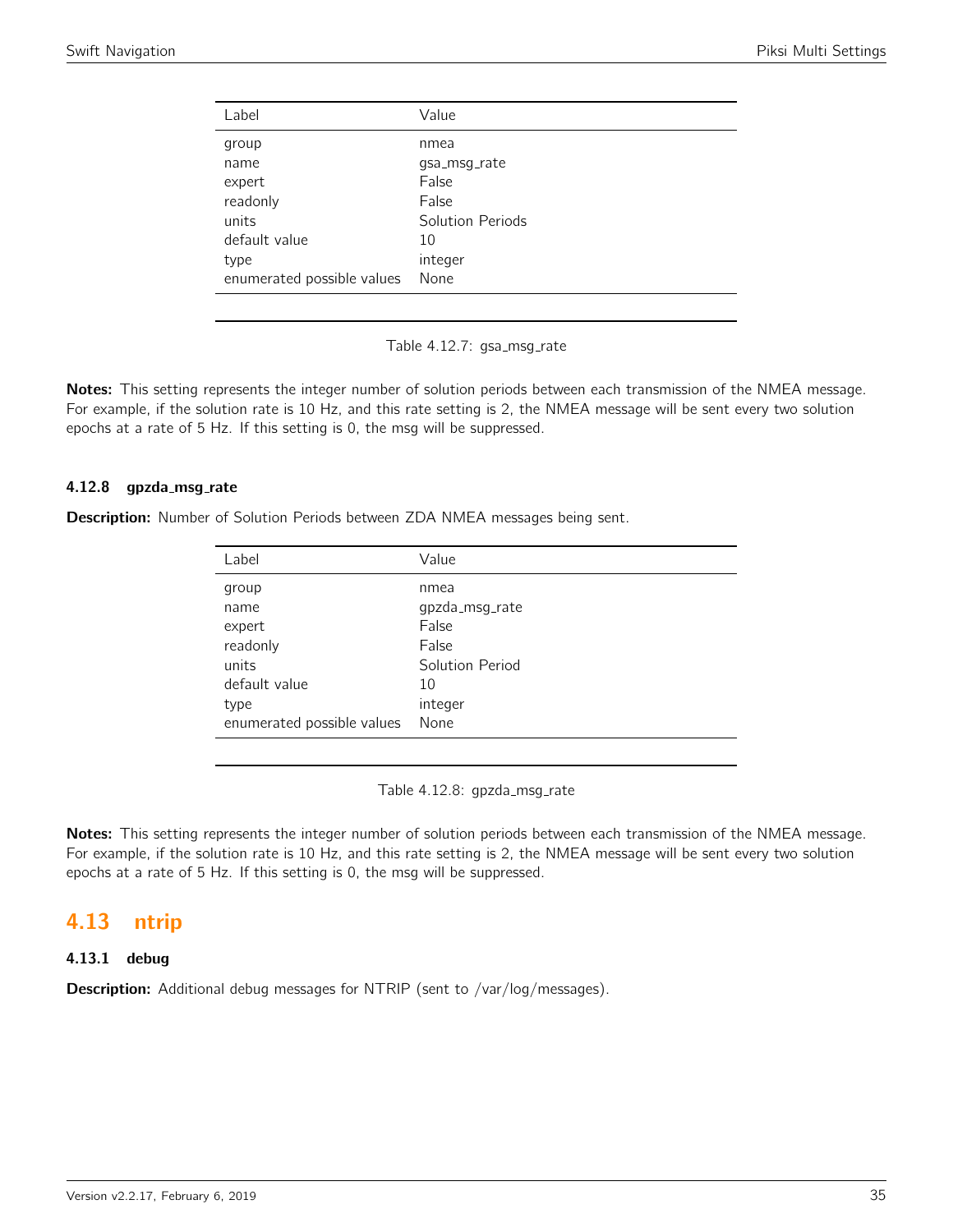<span id="page-34-0"></span>

| Label                      | Value            |
|----------------------------|------------------|
| group                      | nmea             |
| name                       | qsa_msq_rate     |
| expert                     | False            |
| readonly                   | False            |
| units                      | Solution Periods |
| default value              | 10               |
| type                       | integer          |
| enumerated possible values | None             |

Table 4.12.7: gsa\_msg\_rate

Notes: This setting represents the integer number of solution periods between each transmission of the NMEA message. For example, if the solution rate is 10 Hz, and this rate setting is 2, the NMEA message will be sent every two solution epochs at a rate of 5 Hz. If this setting is 0, the msg will be suppressed.

## 4.12.8 gpzda\_msg\_rate

Description: Number of Solution Periods between ZDA NMEA messages being sent.

| Label                      | Value           |
|----------------------------|-----------------|
| group                      | nmea            |
| name                       | gpzda_msg_rate  |
| expert                     | False           |
| readonly                   | False           |
| units                      | Solution Period |
| default value              | 10              |
| type                       | integer         |
| enumerated possible values | None            |

Table 4.12.8: gpzda\_msg\_rate

Notes: This setting represents the integer number of solution periods between each transmission of the NMEA message. For example, if the solution rate is 10 Hz, and this rate setting is 2, the NMEA message will be sent every two solution epochs at a rate of 5 Hz. If this setting is 0, the msg will be suppressed.

# <span id="page-34-1"></span>4.13 ntrip

# 4.13.1 debug

Description: Additional debug messages for NTRIP (sent to /var/log/messages).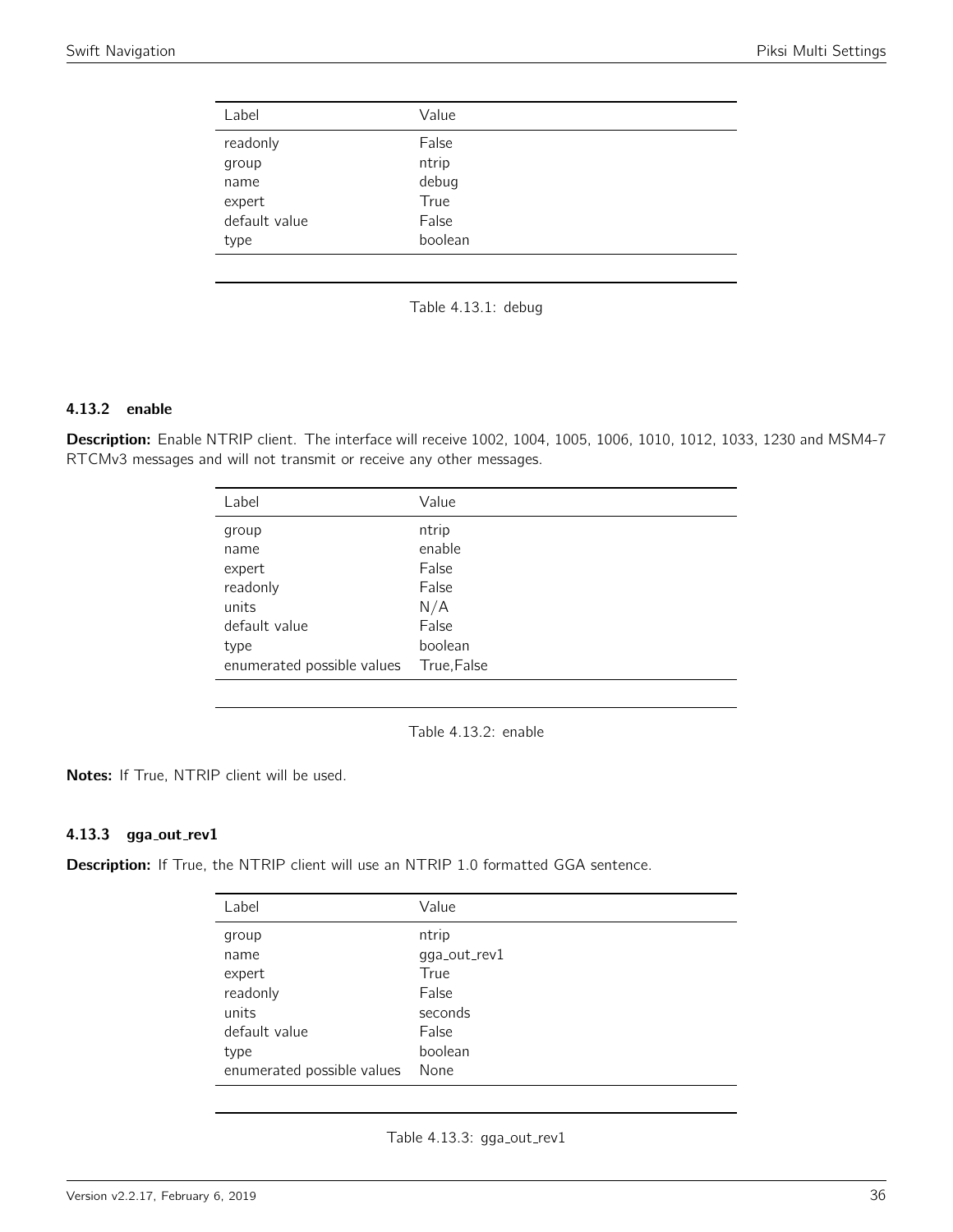<span id="page-35-0"></span>

| Label         | Value   |  |
|---------------|---------|--|
| readonly      | False   |  |
| group         | ntrip   |  |
| name          | debug   |  |
| expert        | True    |  |
| default value | False   |  |
| type          | boolean |  |
|               |         |  |



# 4.13.2 enable

<span id="page-35-1"></span>Description: Enable NTRIP client. The interface will receive 1002, 1004, 1005, 1006, 1010, 1012, 1033, 1230 and MSM4-7 RTCMv3 messages and will not transmit or receive any other messages.

| Label                      | Value       |
|----------------------------|-------------|
| group                      | ntrip       |
| name                       | enable      |
| expert                     | False       |
| readonly                   | False       |
| units                      | N/A         |
| default value              | False       |
| type                       | boolean     |
| enumerated possible values | True, False |
|                            |             |

Table 4.13.2: enable

Notes: If True, NTRIP client will be used.

# 4.13.3 gga\_out\_rev1

<span id="page-35-2"></span>Description: If True, the NTRIP client will use an NTRIP 1.0 formatted GGA sentence.

| Label                      | Value        |
|----------------------------|--------------|
| group                      | ntrip        |
| name                       | gga_out_rev1 |
| expert                     | True         |
| readonly                   | False        |
| units                      | seconds      |
| default value              | False        |
| type                       | boolean      |
| enumerated possible values | None         |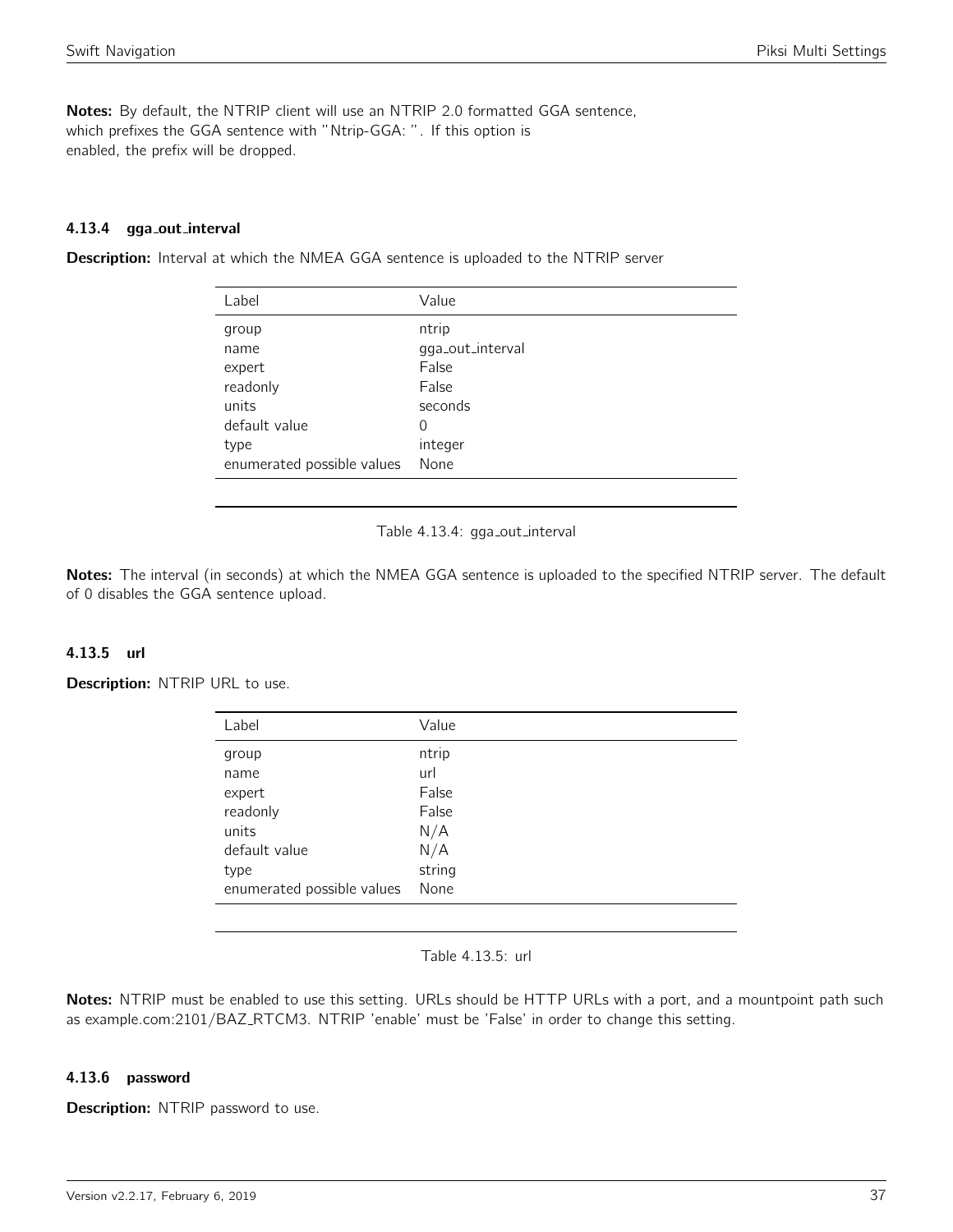Notes: By default, the NTRIP client will use an NTRIP 2.0 formatted GGA sentence, which prefixes the GGA sentence with "Ntrip-GGA: ". If this option is enabled, the prefix will be dropped.

### 4.13.4 gga out interval

**Description:** Interval at which the NMEA GGA sentence is uploaded to the NTRIP server

| Label                      | Value            |
|----------------------------|------------------|
| group                      | ntrip            |
| name                       | gga_out_interval |
| expert                     | False            |
| readonly                   | False            |
| units                      | seconds          |
| default value              | 0                |
| type                       | integer          |
| enumerated possible values | None             |



Notes: The interval (in seconds) at which the NMEA GGA sentence is uploaded to the specified NTRIP server. The default of 0 disables the GGA sentence upload.

### 4.13.5 url

Description: NTRIP URL to use.

| Label                      | Value  |
|----------------------------|--------|
| group                      | ntrip  |
| name                       | url    |
| expert                     | False  |
| readonly                   | False  |
| units                      | N/A    |
| default value              | N/A    |
| type                       | string |
| enumerated possible values | None   |
|                            |        |

Table 4.13.5: url

Notes: NTRIP must be enabled to use this setting. URLs should be HTTP URLs with a port, and a mountpoint path such as example.com:2101/BAZ\_RTCM3. NTRIP 'enable' must be 'False' in order to change this setting.

### 4.13.6 password

**Description:** NTRIP password to use.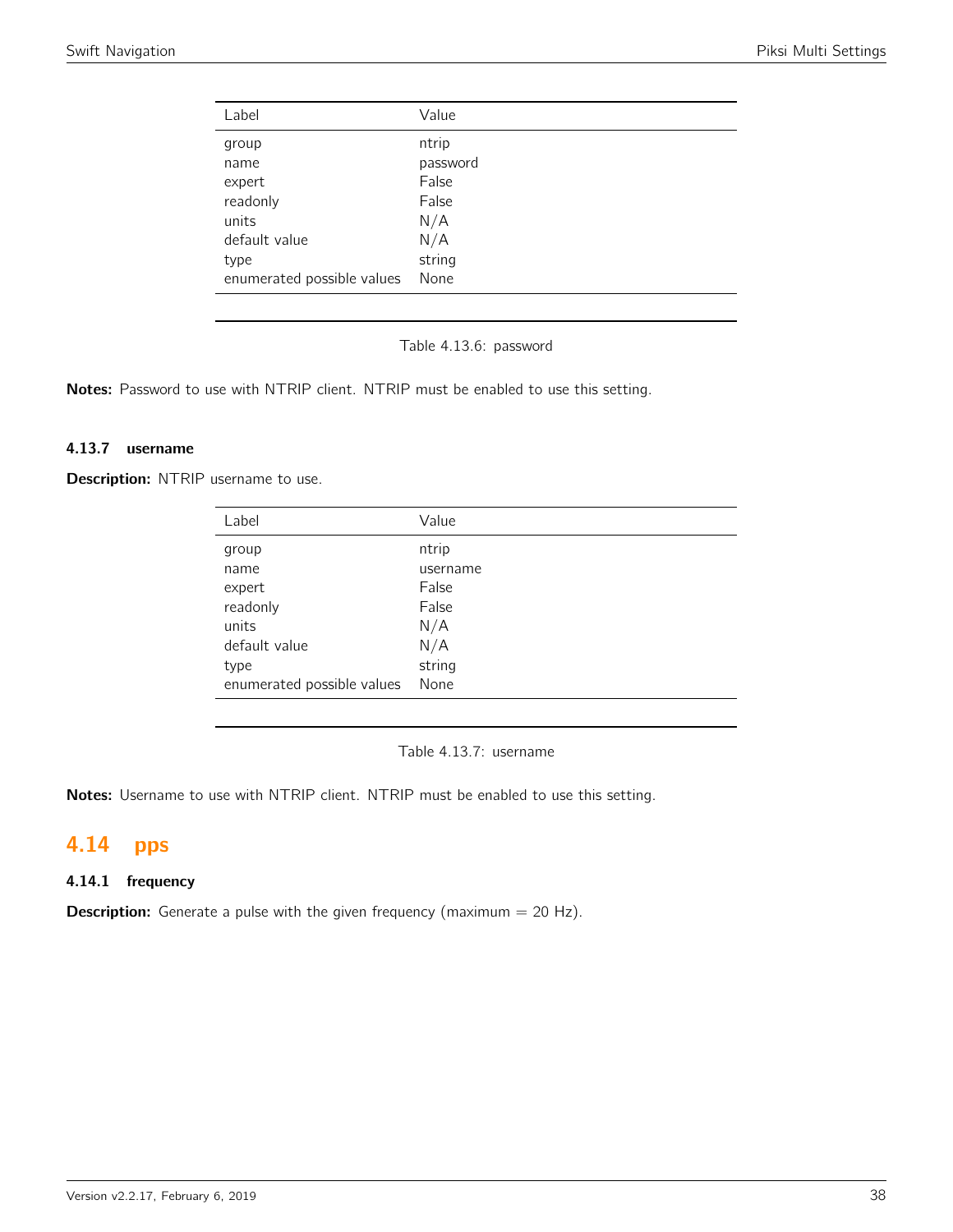| Label                      | Value    |
|----------------------------|----------|
| group                      | ntrip    |
| name                       | password |
| expert                     | False    |
| readonly                   | False    |
| units                      | N/A      |
| default value              | N/A      |
| type                       | string   |
| enumerated possible values | None     |

Table 4.13.6: password

Notes: Password to use with NTRIP client. NTRIP must be enabled to use this setting.

## 4.13.7 username

Description: NTRIP username to use.

| Label                      | Value    |
|----------------------------|----------|
| group                      | ntrip    |
| name                       | username |
| expert                     | False    |
| readonly                   | False    |
| units                      | N/A      |
| default value              | N/A      |
| type                       | string   |
| enumerated possible values | None     |
|                            |          |

Table 4.13.7: username

Notes: Username to use with NTRIP client. NTRIP must be enabled to use this setting.

# 4.14 pps

# 4.14.1 frequency

**Description:** Generate a pulse with the given frequency (maximum  $= 20$  Hz).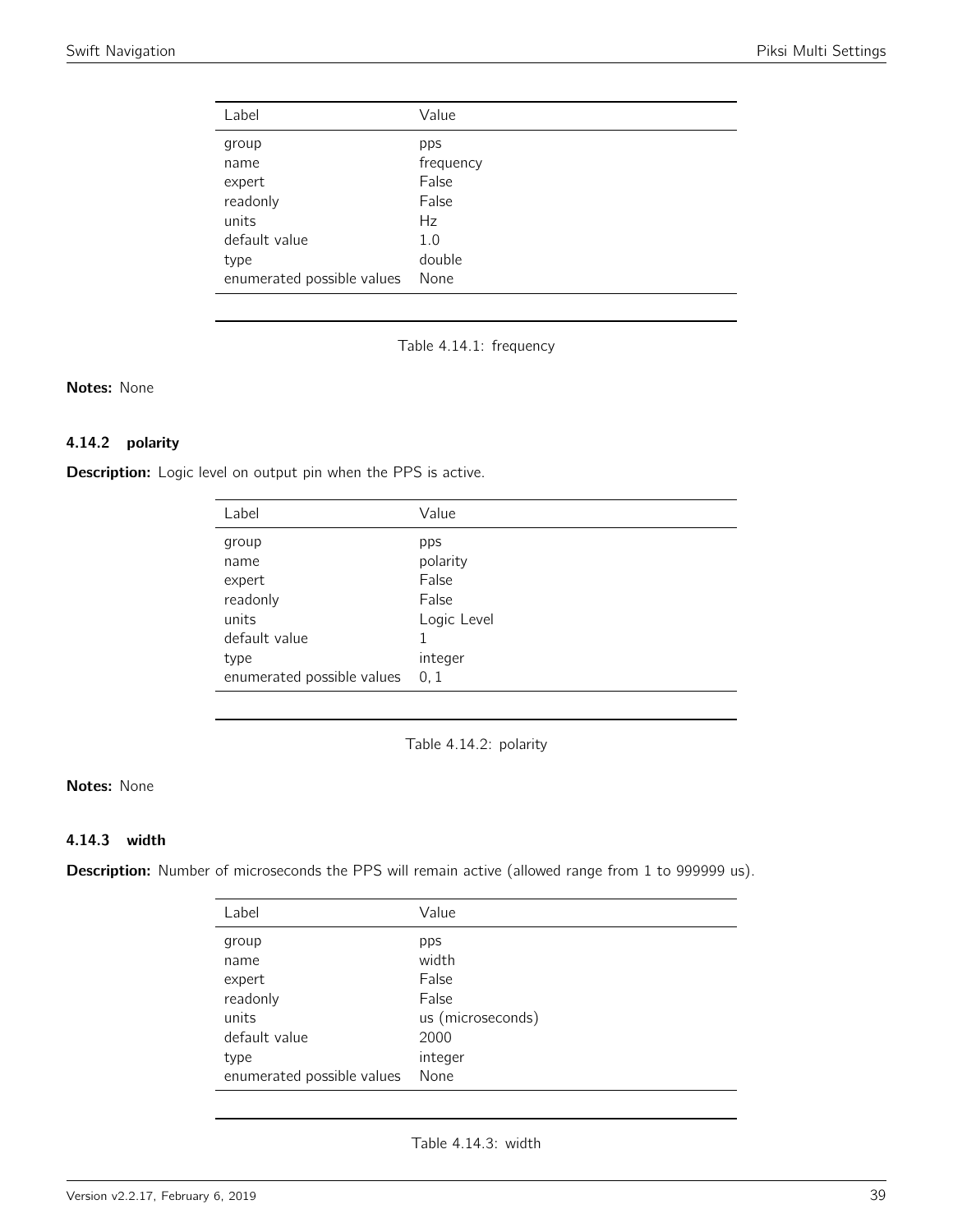| Label                      | Value     |
|----------------------------|-----------|
| group                      | pps       |
| name                       | frequency |
| expert                     | False     |
| readonly                   | False     |
| units                      | Hz        |
| default value              | 1.0       |
| type                       | double    |
| enumerated possible values | None      |

Table 4.14.1: frequency

Notes: None

## 4.14.2 polarity

Description: Logic level on output pin when the PPS is active.

| Label                      | Value       |
|----------------------------|-------------|
| group                      | pps         |
| name                       | polarity    |
| expert                     | False       |
| readonly                   | False       |
| units                      | Logic Level |
| default value              |             |
| type                       | integer     |
| enumerated possible values | 0, 1        |

Table 4.14.2: polarity

## Notes: None

### 4.14.3 width

Description: Number of microseconds the PPS will remain active (allowed range from 1 to 999999 us).

| Label                      | Value             |
|----------------------------|-------------------|
| group                      | pps               |
| name                       | width             |
| expert                     | False             |
| readonly                   | False             |
| units                      | us (microseconds) |
| default value              | 2000              |
| type                       | integer           |
| enumerated possible values | None              |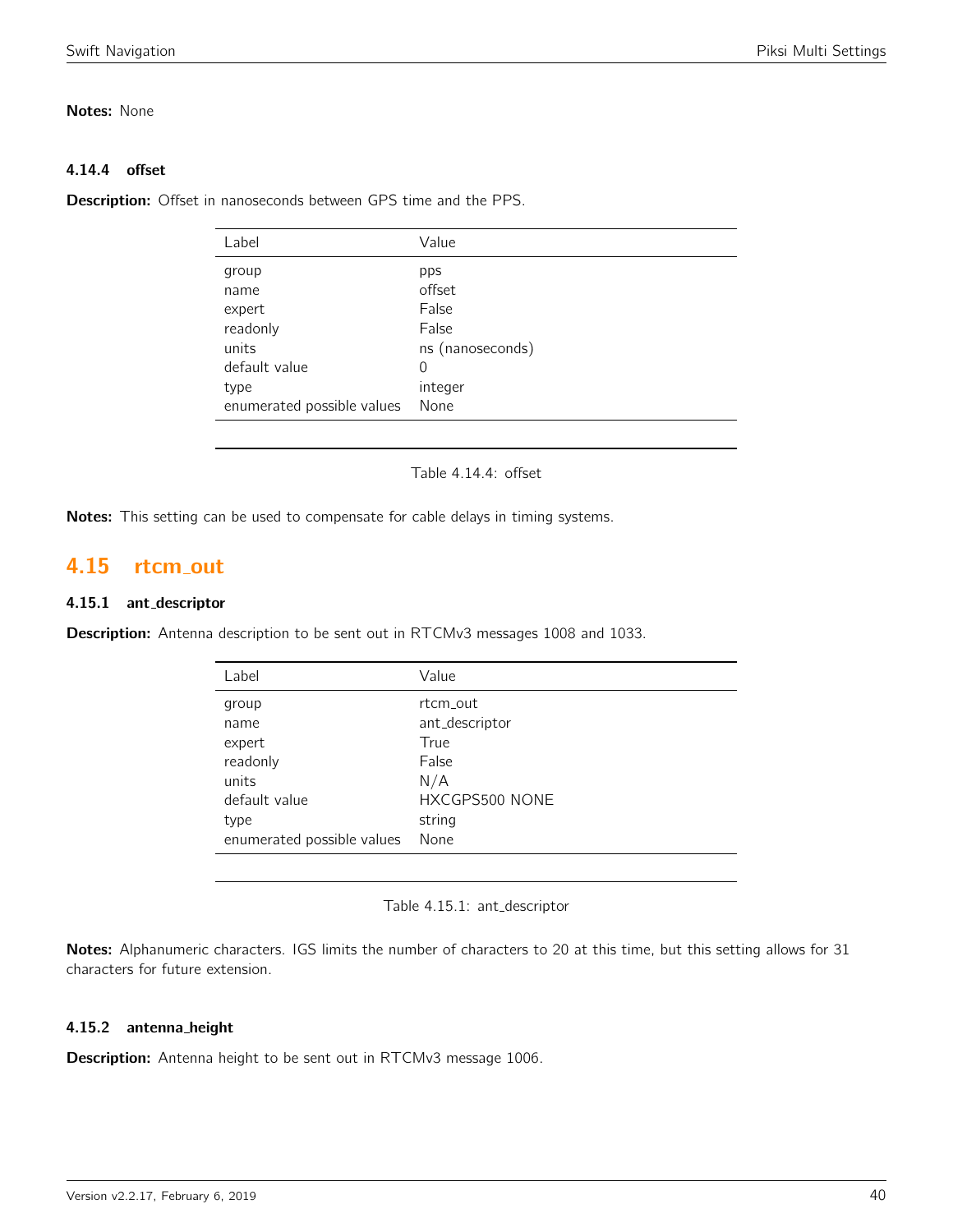## Notes: None

# 4.14.4 offset

Description: Offset in nanoseconds between GPS time and the PPS.

| Label                      | Value            |
|----------------------------|------------------|
| group                      | pps              |
| name                       | offset           |
| expert                     | False            |
| readonly                   | False            |
| units                      | ns (nanoseconds) |
| default value              | 0                |
| type                       | integer          |
| enumerated possible values | None             |
|                            |                  |

Table 4.14.4: offset

Notes: This setting can be used to compensate for cable delays in timing systems.

# 4.15 rtcm out

## 4.15.1 ant\_descriptor

Description: Antenna description to be sent out in RTCMv3 messages 1008 and 1033.

| Label                      | Value          |
|----------------------------|----------------|
| group                      | rt.cm out      |
| name                       | ant_descriptor |
| expert                     | True           |
| readonly                   | False          |
| units                      | N/A            |
| default value              | HXCGPS500 NONE |
| type                       | string         |
| enumerated possible values | None           |

Table 4.15.1: ant\_descriptor

Notes: Alphanumeric characters. IGS limits the number of characters to 20 at this time, but this setting allows for 31 characters for future extension.

## 4.15.2 antenna height

**Description:** Antenna height to be sent out in RTCMv3 message 1006.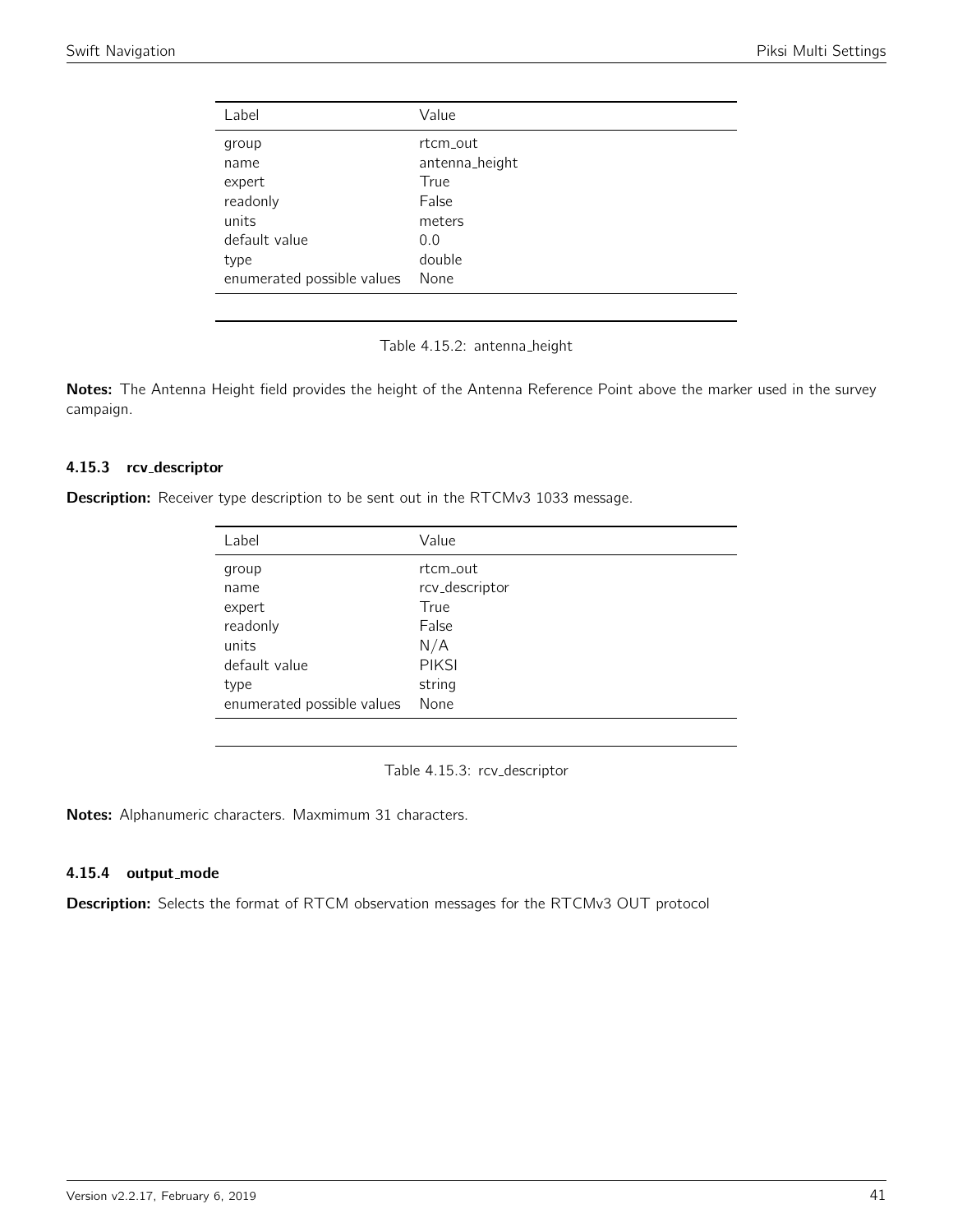| Value          |
|----------------|
| rt.cm_out      |
| antenna_height |
| True           |
| False          |
| meters         |
| 0.0            |
| double         |
| None           |
|                |

Table 4.15.2: antenna\_height

Notes: The Antenna Height field provides the height of the Antenna Reference Point above the marker used in the survey campaign.

### 4.15.3 rcv descriptor

**Description:** Receiver type description to be sent out in the RTCMv3 1033 message.

| Label                      | Value          |
|----------------------------|----------------|
| group                      | rt.cm out      |
| name                       | rcv_descriptor |
| expert                     | True           |
| readonly                   | False          |
| units                      | N/A            |
| default value              | <b>PIKSI</b>   |
| type                       | string         |
| enumerated possible values | None           |

Table 4.15.3: rcv\_descriptor

Notes: Alphanumeric characters. Maxmimum 31 characters.

## 4.15.4 output mode

Description: Selects the format of RTCM observation messages for the RTCMv3 OUT protocol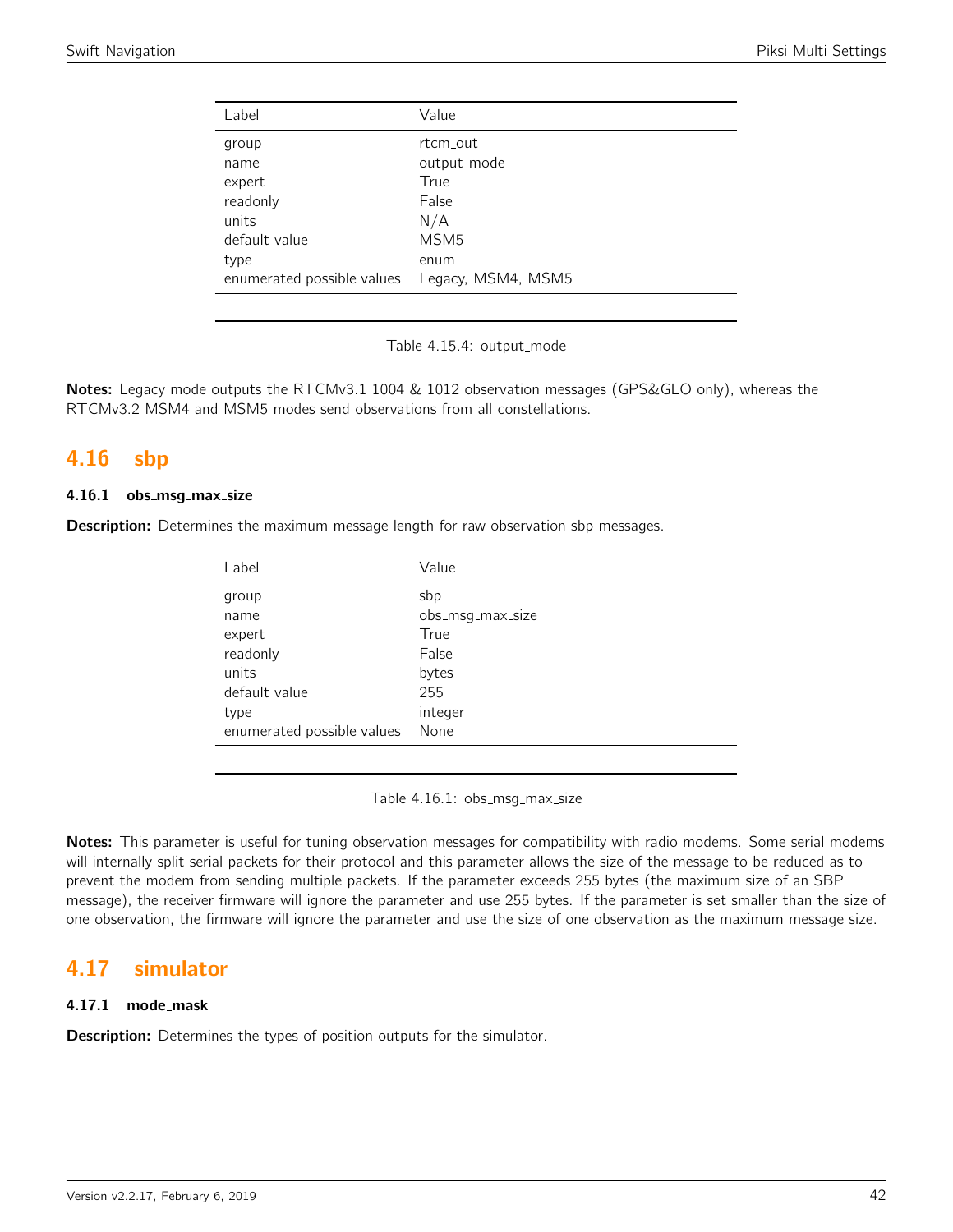| Label                      | Value              |
|----------------------------|--------------------|
| group                      | rt.cm_out          |
| name                       | output_mode        |
| expert                     | True               |
| readonly                   | False              |
| units                      | N/A                |
| default value              | MSM <sub>5</sub>   |
| type                       | enum               |
| enumerated possible values | Legacy, MSM4, MSM5 |
|                            |                    |

Table 4.15.4: output\_mode

Notes: Legacy mode outputs the RTCMv3.1 1004 & 1012 observation messages (GPS&GLO only), whereas the RTCMv3.2 MSM4 and MSM5 modes send observations from all constellations.

# 4.16 sbp

## 4.16.1 obs\_msg\_max\_size

**Description:** Determines the maximum message length for raw observation sbp messages.

| Label                      | Value            |
|----------------------------|------------------|
| group                      | sbp              |
| name                       | obs_msg_max_size |
| expert                     | True             |
| readonly                   | False            |
| units                      | bytes            |
| default value              | 255              |
| type                       | integer          |
| enumerated possible values | None             |

Table 4.16.1: obs\_msg\_max\_size

Notes: This parameter is useful for tuning observation messages for compatibility with radio modems. Some serial modems will internally split serial packets for their protocol and this parameter allows the size of the message to be reduced as to prevent the modem from sending multiple packets. If the parameter exceeds 255 bytes (the maximum size of an SBP message), the receiver firmware will ignore the parameter and use 255 bytes. If the parameter is set smaller than the size of one observation, the firmware will ignore the parameter and use the size of one observation as the maximum message size.

# 4.17 simulator

### 4.17.1 mode mask

**Description:** Determines the types of position outputs for the simulator.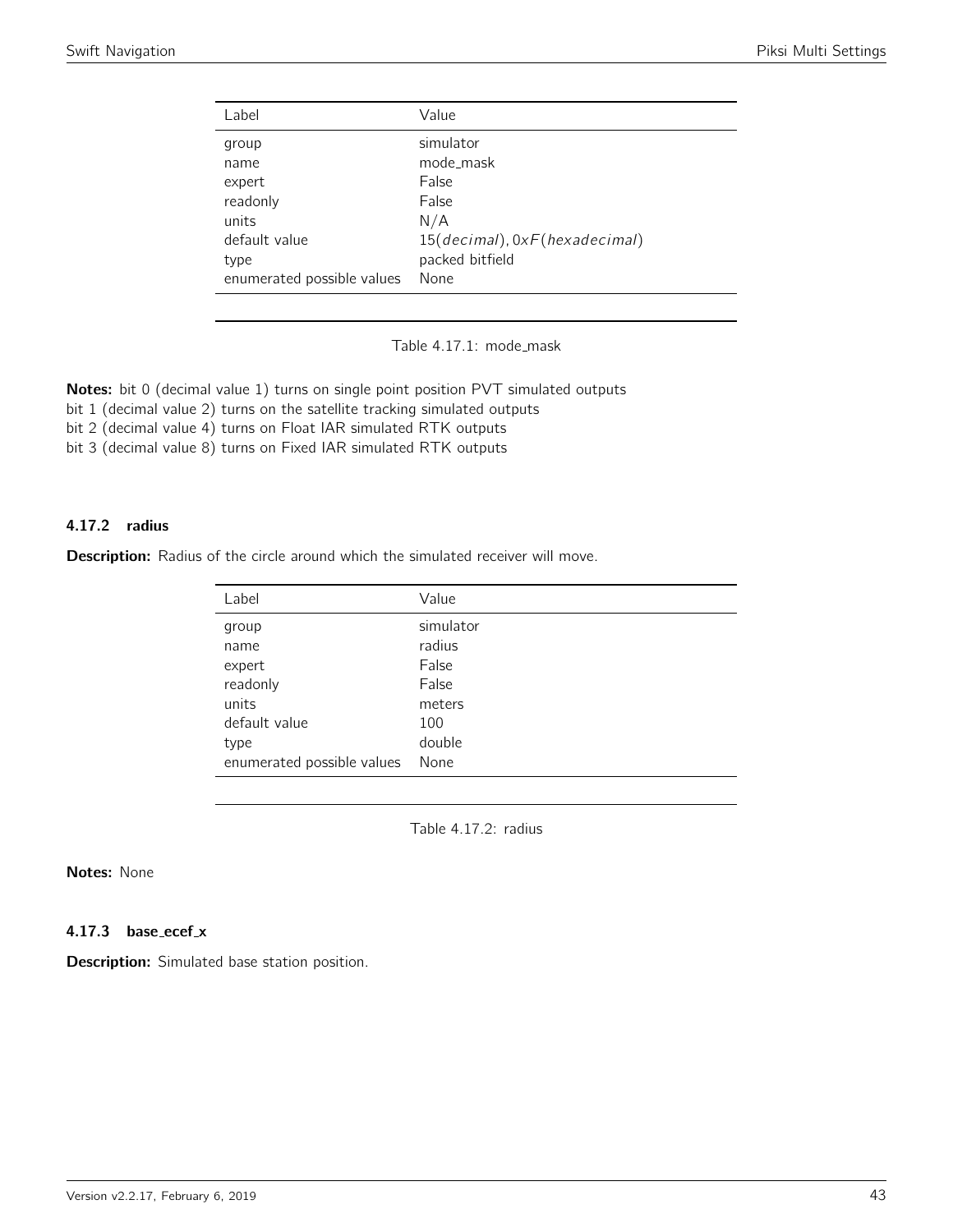| Value                         |
|-------------------------------|
| simulator                     |
| mode_mask                     |
| False                         |
| False                         |
| N/A                           |
| 15(decimal), 0xF(hexadecimal) |
| packed bitfield               |
| None                          |
|                               |

Table 4.17.1: mode\_mask

Notes: bit 0 (decimal value 1) turns on single point position PVT simulated outputs

bit 1 (decimal value 2) turns on the satellite tracking simulated outputs

bit 2 (decimal value 4) turns on Float IAR simulated RTK outputs

bit 3 (decimal value 8) turns on Fixed IAR simulated RTK outputs

#### 4.17.2 radius

Description: Radius of the circle around which the simulated receiver will move.

| Label                      | Value     |
|----------------------------|-----------|
| group                      | simulator |
| name                       | radius    |
| expert                     | False     |
| readonly                   | False     |
| units                      | meters    |
| default value              | 100       |
| type                       | double    |
| enumerated possible values | None      |

Table 4.17.2: radius

# Notes: None

#### 4.17.3 base\_ecef\_x

Description: Simulated base station position.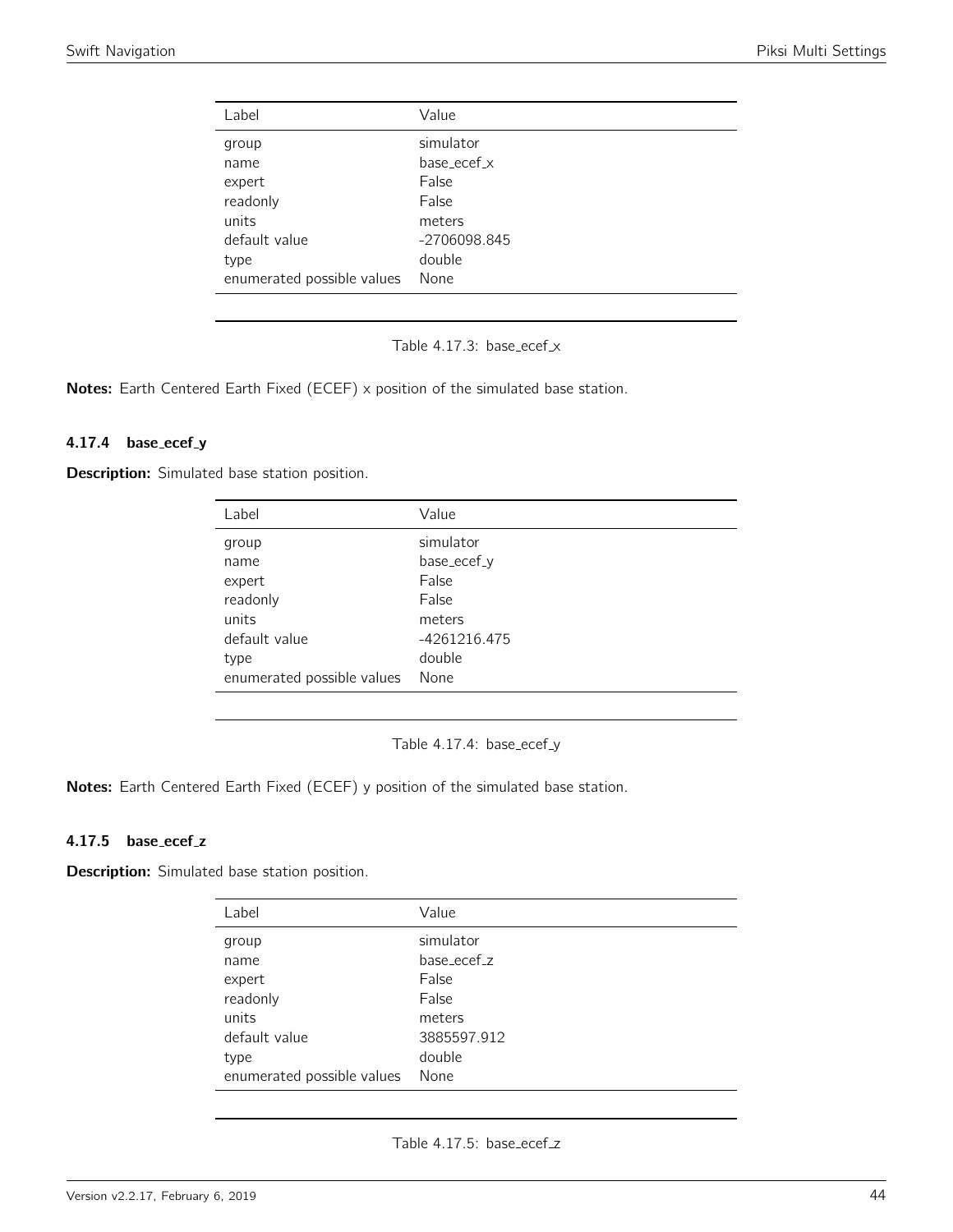| Label                      | Value        |
|----------------------------|--------------|
| group                      | simulator    |
| name                       | base_ecef_x  |
| expert                     | False        |
| readonly                   | False        |
| units                      | meters       |
| default value              | -2706098.845 |
| type                       | double       |
| enumerated possible values | None         |

Table 4.17.3: base\_ecef\_x

Notes: Earth Centered Earth Fixed (ECEF) x position of the simulated base station.

#### 4.17.4 base\_ecef\_y

**Description:** Simulated base station position.

| Label                      | Value        |
|----------------------------|--------------|
| group                      | simulator    |
| name                       | base_ecef_y  |
| expert                     | False        |
| readonly                   | False        |
| units                      | meters       |
| default value              | -4261216.475 |
| type                       | double       |
| enumerated possible values | None         |

Table 4.17.4: base\_ecef\_y

Notes: Earth Centered Earth Fixed (ECEF) y position of the simulated base station.

## 4.17.5 base\_ecef\_z

Description: Simulated base station position.

| Label                      | Value       |
|----------------------------|-------------|
| group                      | simulator   |
| name                       | base_ecef_z |
| expert                     | False       |
| readonly                   | False       |
| units                      | meters      |
| default value              | 3885597.912 |
| type                       | double      |
| enumerated possible values | None        |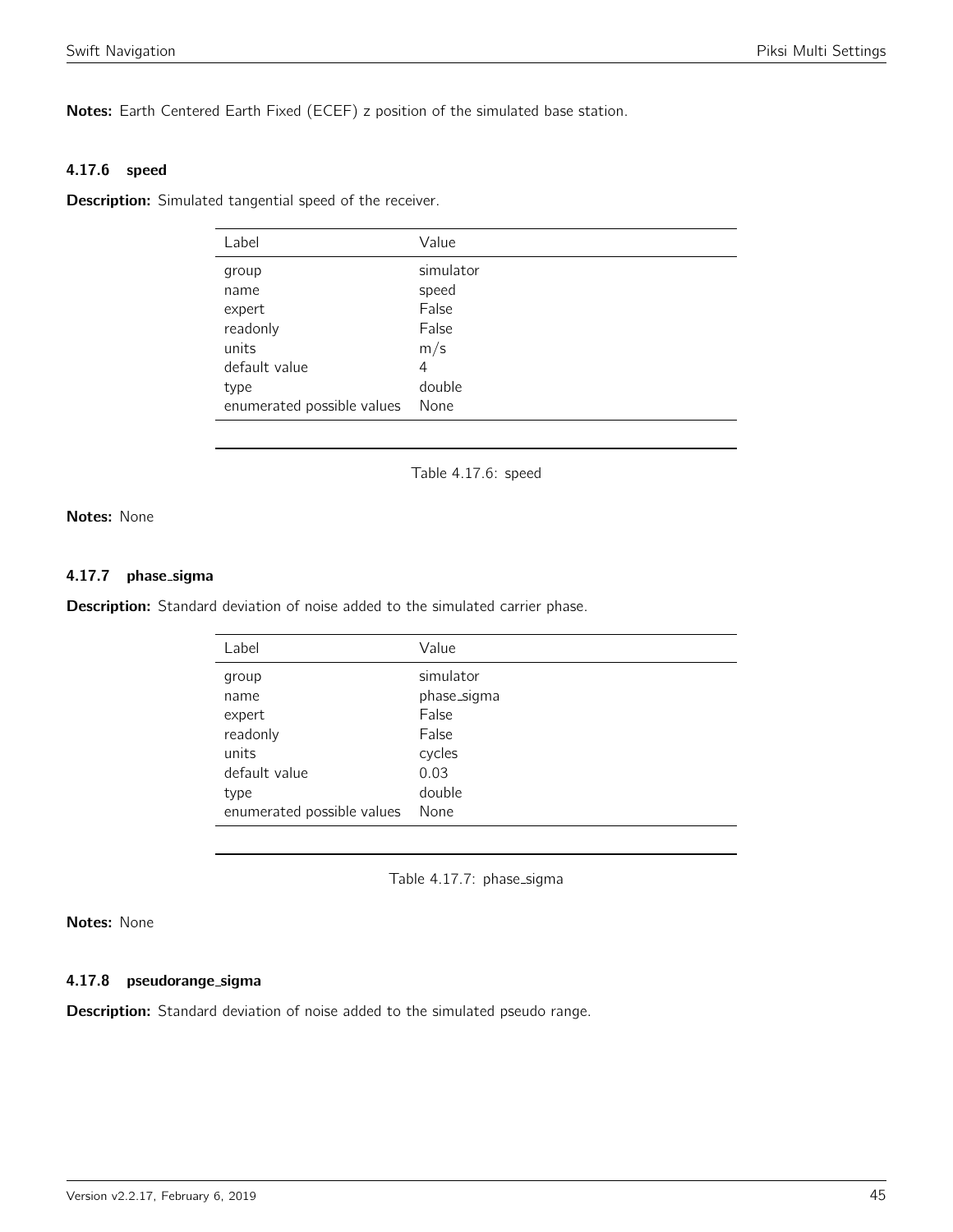Notes: Earth Centered Earth Fixed (ECEF) z position of the simulated base station.

#### 4.17.6 speed

**Description:** Simulated tangential speed of the receiver.

| Label                      | Value     |
|----------------------------|-----------|
| group                      | simulator |
| name                       | speed     |
| expert                     | False     |
| readonly                   | False     |
| units                      | m/s       |
| default value              | 4         |
| type                       | double    |
| enumerated possible values | None      |

Table 4.17.6: speed

Notes: None

#### 4.17.7 phase sigma

Description: Standard deviation of noise added to the simulated carrier phase.

| Label                      | Value       |
|----------------------------|-------------|
| group                      | simulator   |
| name                       | phase_sigma |
| expert                     | False       |
| readonly                   | False       |
| units                      | cycles      |
| default value              | 0.03        |
| type                       | double      |
| enumerated possible values | None        |

Table 4.17.7: phase\_sigma

## Notes: None

#### 4.17.8 pseudorange\_sigma

**Description:** Standard deviation of noise added to the simulated pseudo range.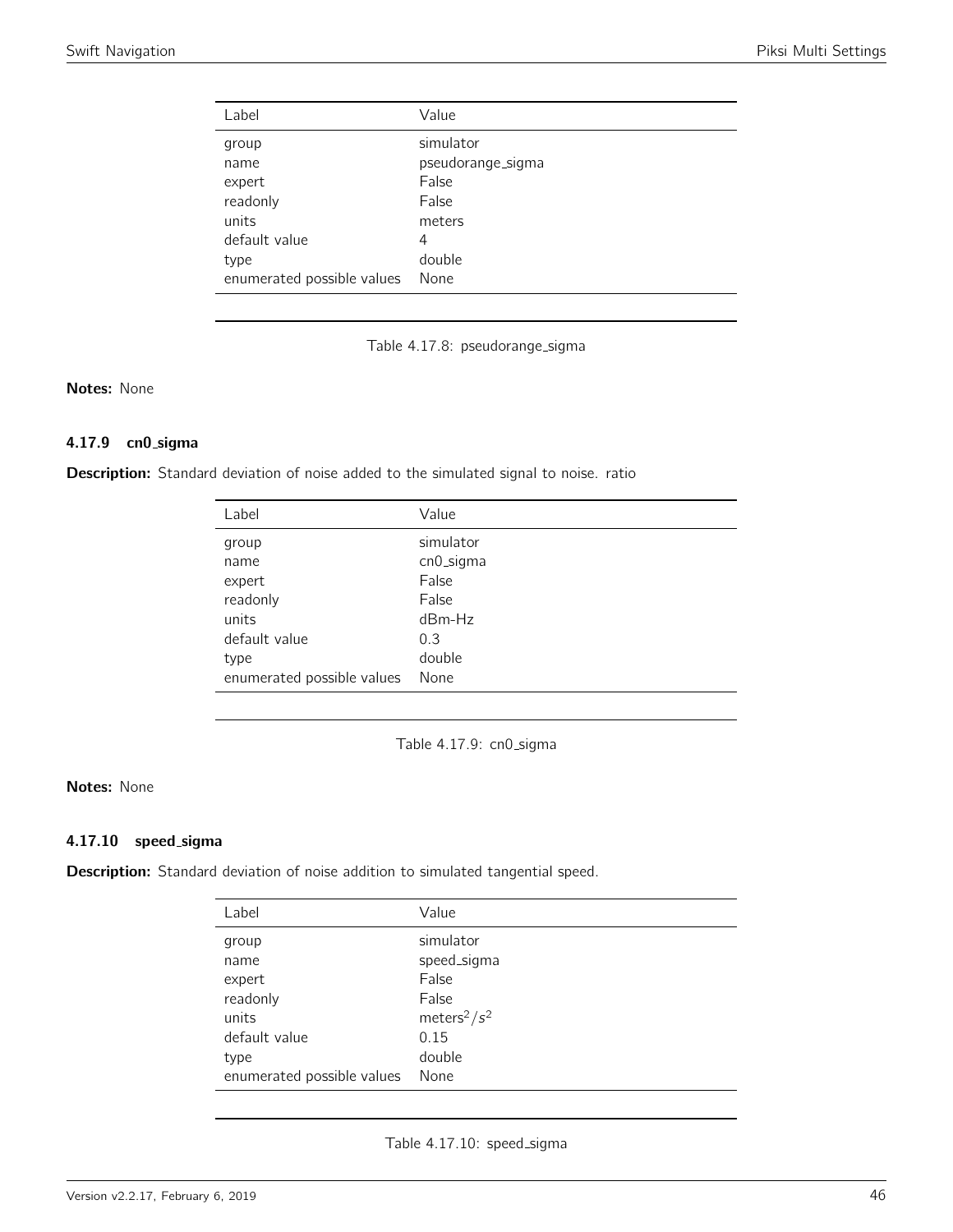| Label                      | Value             |
|----------------------------|-------------------|
| group                      | simulator         |
| name                       | pseudorange_sigma |
| expert                     | False             |
| readonly                   | False             |
| units                      | meters            |
| default value              | 4                 |
| type                       | double            |
| enumerated possible values | None              |

Table 4.17.8: pseudorange\_sigma

## Notes: None

## 4.17.9 cn0 sigma

Description: Standard deviation of noise added to the simulated signal to noise. ratio

| Label                      | Value     |
|----------------------------|-----------|
| group                      | simulator |
| name                       | cn0_sigma |
| expert                     | False     |
| readonly                   | False     |
| units                      | $dBm-Hz$  |
| default value              | 0.3       |
| type                       | double    |
| enumerated possible values | None      |

Table 4.17.9: cn0\_sigma

## Notes: None

#### 4.17.10 speed sigma

Description: Standard deviation of noise addition to simulated tangential speed.

| Label                      | Value                       |
|----------------------------|-----------------------------|
| group                      | simulator                   |
| name                       | speed_sigma                 |
| expert                     | False                       |
| readonly                   | False                       |
| units                      | meters <sup>2</sup> / $s^2$ |
| default value              | 0.15                        |
| type                       | double                      |
| enumerated possible values | None                        |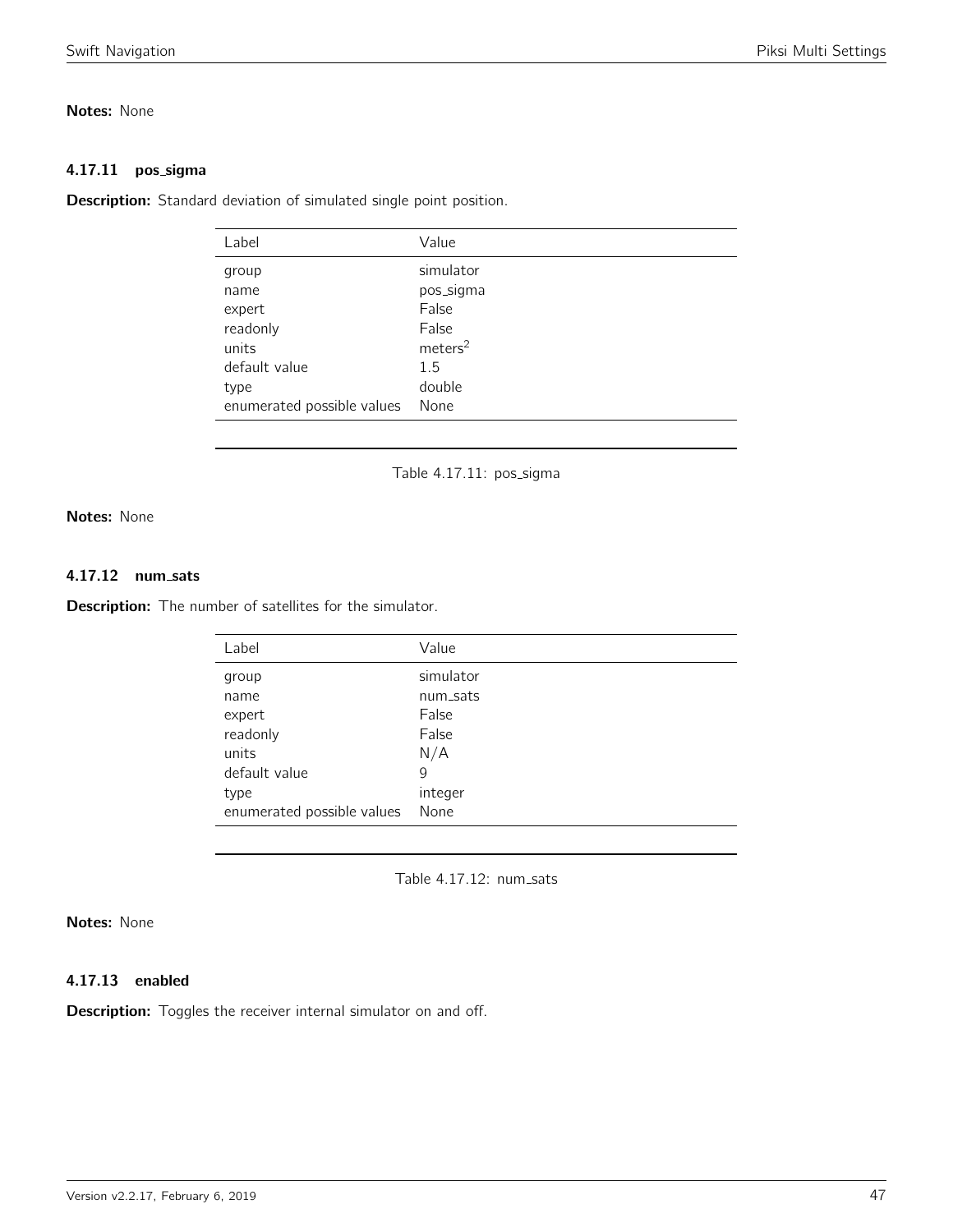## Notes: None

#### 4.17.11 pos\_sigma

Description: Standard deviation of simulated single point position.

| Label                      | Value               |
|----------------------------|---------------------|
| group                      | simulator           |
| name                       | pos_sigma           |
| expert                     | False               |
| readonly                   | False               |
| units                      | meters <sup>2</sup> |
| default value              | 1.5                 |
| type                       | double              |
| enumerated possible values | None                |
|                            |                     |

Table 4.17.11: pos\_sigma

Notes: None

## 4.17.12 num sats

**Description:** The number of satellites for the simulator.

| Label                      | Value     |
|----------------------------|-----------|
| group                      | simulator |
| name                       | num_sats  |
| expert                     | False     |
| readonly                   | False     |
| units                      | N/A       |
| default value              | 9         |
| type                       | integer   |
| enumerated possible values | None      |

Table 4.17.12: num\_sats

# Notes: None

## 4.17.13 enabled

**Description:** Toggles the receiver internal simulator on and off.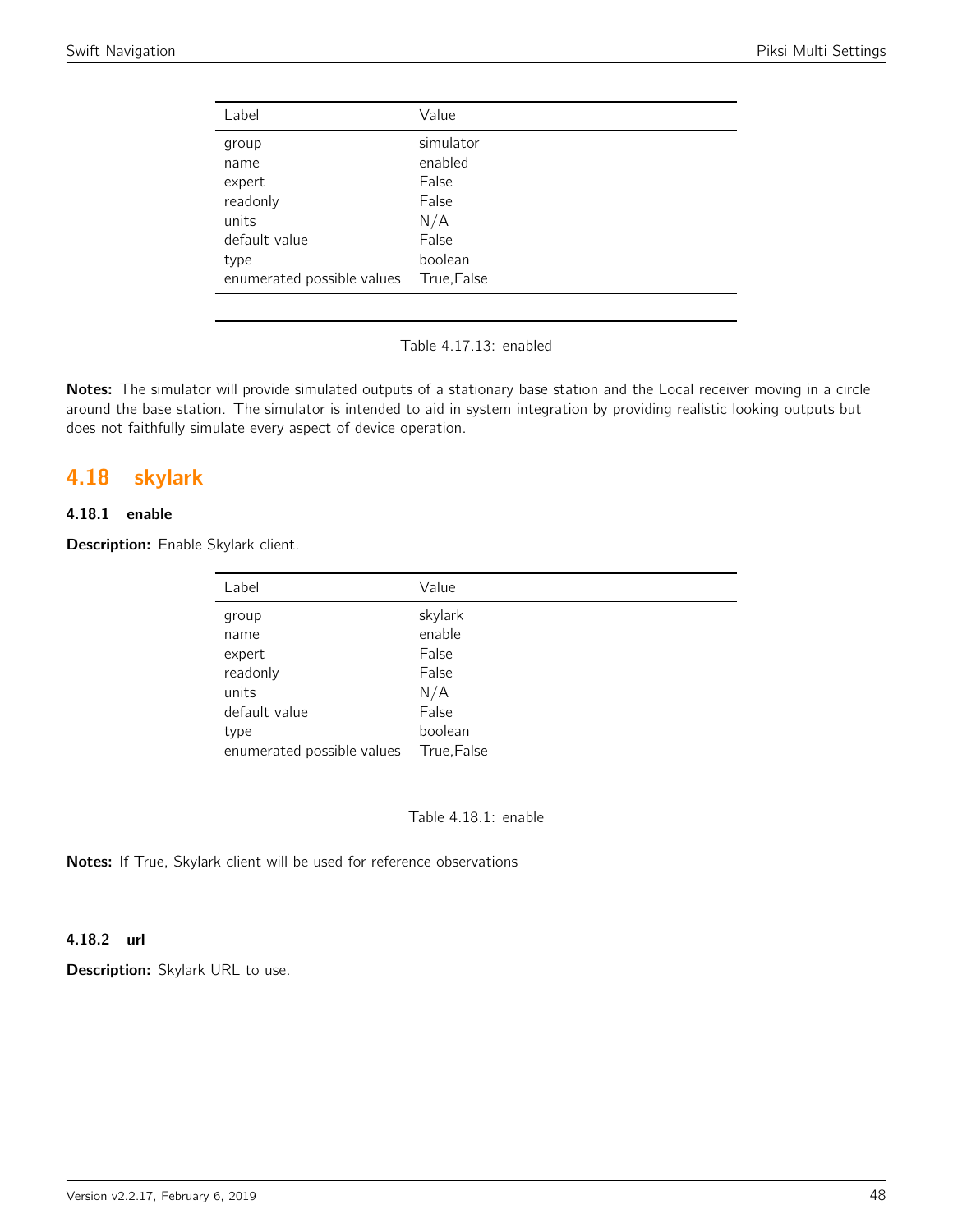| Label                      | Value       |
|----------------------------|-------------|
|                            |             |
| group                      | simulator   |
| name                       | enabled     |
| expert                     | False       |
| readonly                   | False       |
| units                      | N/A         |
| default value              | False       |
| type                       | boolean     |
| enumerated possible values | True, False |
|                            |             |

Table 4.17.13: enabled

Notes: The simulator will provide simulated outputs of a stationary base station and the Local receiver moving in a circle around the base station. The simulator is intended to aid in system integration by providing realistic looking outputs but does not faithfully simulate every aspect of device operation.

# 4.18 skylark

# 4.18.1 enable

Description: Enable Skylark client.

| Label                      | Value       |
|----------------------------|-------------|
| group                      | skylark     |
| name                       | enable      |
| expert                     | False       |
| readonly                   | False       |
| units                      | N/A         |
| default value              | False       |
| type                       | boolean     |
| enumerated possible values | True, False |

Table 4.18.1: enable

Notes: If True, Skylark client will be used for reference observations

### 4.18.2 url

Description: Skylark URL to use.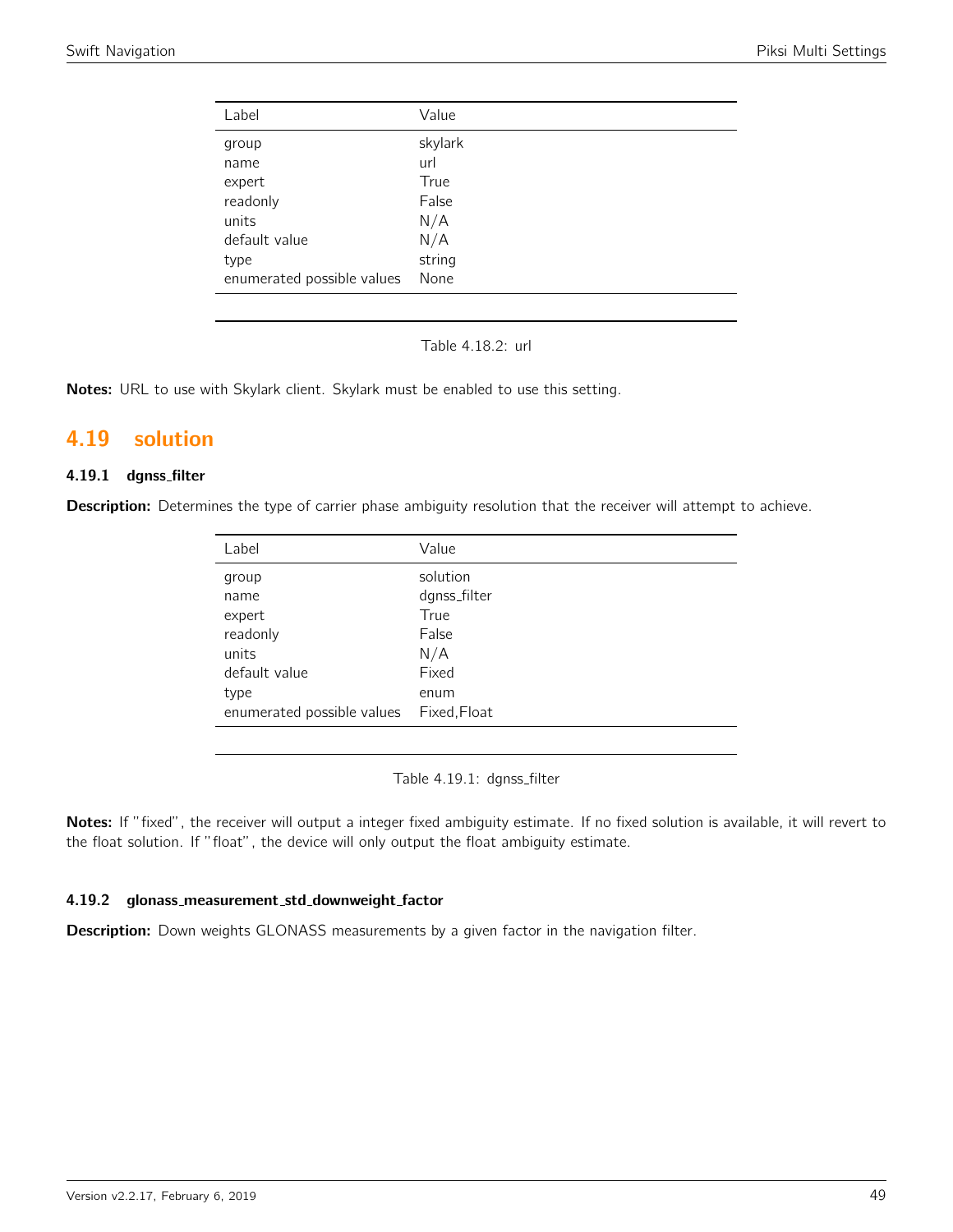| Value   |
|---------|
| skylark |
| url     |
| True    |
| False   |
| N/A     |
| N/A     |
| string  |
| None    |
|         |

Table 4.18.2: url

Notes: URL to use with Skylark client. Skylark must be enabled to use this setting.

# 4.19 solution

## 4.19.1 dgnss filter

Description: Determines the type of carrier phase ambiguity resolution that the receiver will attempt to achieve.

| Label                      | Value        |
|----------------------------|--------------|
| group                      | solution     |
| name                       | dgnss_filter |
| expert                     | True         |
| readonly                   | False        |
| units                      | N/A          |
| default value              | Fixed        |
| type                       | enum         |
| enumerated possible values | Fixed, Float |

Table 4.19.1: dgnss\_filter

Notes: If "fixed", the receiver will output a integer fixed ambiguity estimate. If no fixed solution is available, it will revert to the float solution. If "float", the device will only output the float ambiguity estimate.

#### 4.19.2 glonass measurement std downweight factor

Description: Down weights GLONASS measurements by a given factor in the navigation filter.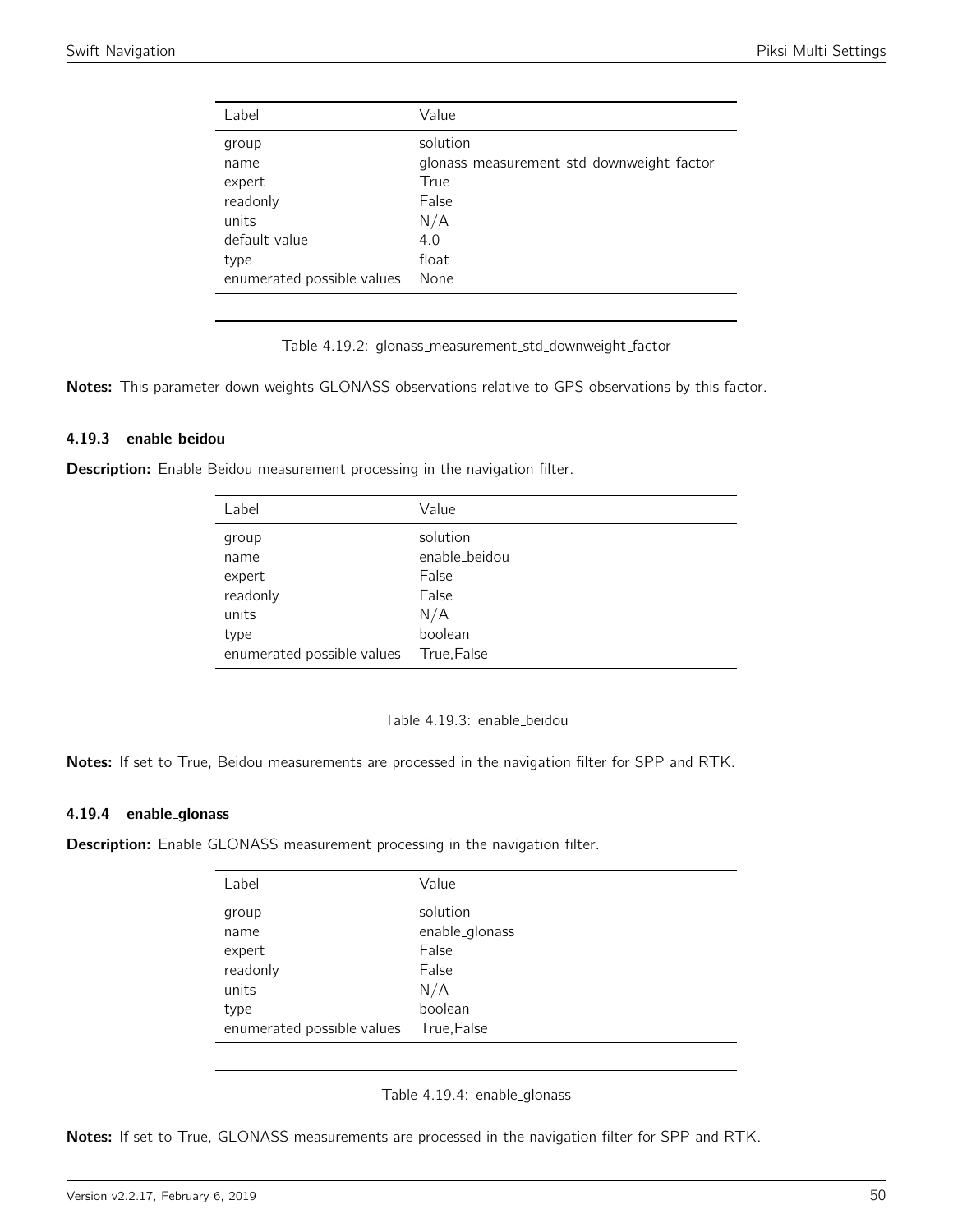| Label                      | Value                                     |
|----------------------------|-------------------------------------------|
| group                      | solution                                  |
| name                       | glonass_measurement_std_downweight_factor |
| expert                     | True                                      |
| readonly                   | False                                     |
| units                      | N/A                                       |
| default value              | 4.0                                       |
| type                       | float                                     |
| enumerated possible values | None                                      |

Table 4.19.2: glonass\_measurement\_std\_downweight\_factor

Notes: This parameter down weights GLONASS observations relative to GPS observations by this factor.

#### 4.19.3 enable beidou

Description: Enable Beidou measurement processing in the navigation filter.

| Label                                                | Value                                                         |
|------------------------------------------------------|---------------------------------------------------------------|
| group<br>name<br>expert<br>readonly<br>units<br>type | solution<br>enable_beidou<br>False<br>False<br>N/A<br>boolean |
| enumerated possible values                           | True, False                                                   |

Table 4.19.3: enable beidou

Notes: If set to True, Beidou measurements are processed in the navigation filter for SPP and RTK.

#### 4.19.4 enable glonass

**Description:** Enable GLONASS measurement processing in the navigation filter.

| Label                      | Value          |
|----------------------------|----------------|
| group                      | solution       |
| name                       | enable_glonass |
| expert                     | False          |
| readonly                   | False          |
| units                      | N/A            |
| type                       | boolean        |
| enumerated possible values | True, False    |

Table 4.19.4: enable\_glonass

Notes: If set to True, GLONASS measurements are processed in the navigation filter for SPP and RTK.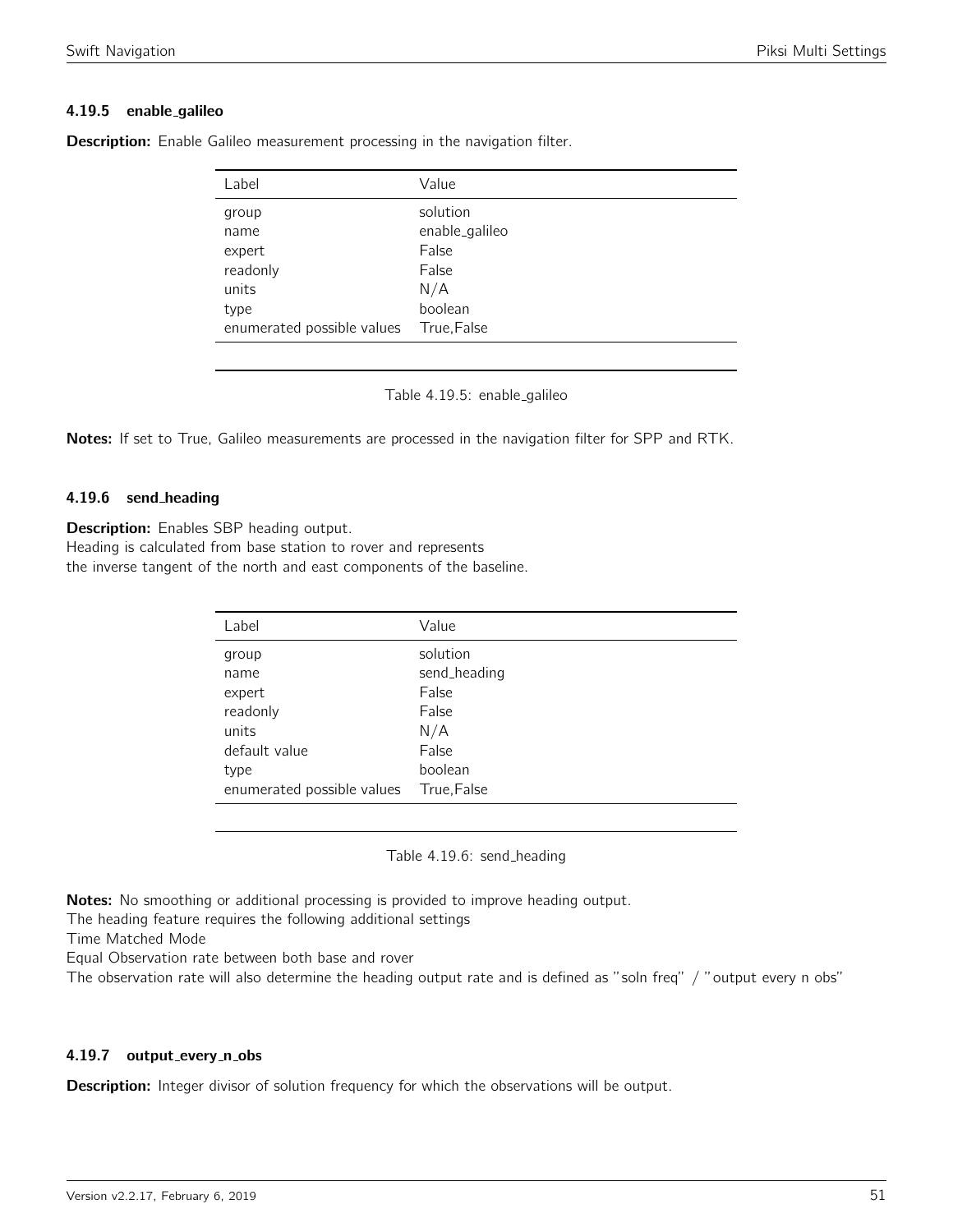## 4.19.5 enable galileo

| Label                      | Value          |
|----------------------------|----------------|
| group                      | solution       |
| name                       | enable_galileo |
| expert                     | False          |
| readonly                   | False          |
| units                      | N/A            |
| type                       | boolean        |
| enumerated possible values | True, False    |

**Description:** Enable Galileo measurement processing in the navigation filter.

Table 4.19.5: enable galileo

Notes: If set to True, Galileo measurements are processed in the navigation filter for SPP and RTK.

### 4.19.6 send heading

Description: Enables SBP heading output.

Heading is calculated from base station to rover and represents

the inverse tangent of the north and east components of the baseline.

| Label                      | Value        |
|----------------------------|--------------|
| group                      | solution     |
| name                       | send_heading |
| expert                     | False        |
| readonly                   | False        |
| units                      | N/A          |
| default value              | False        |
| type                       | boolean      |
| enumerated possible values | True, False  |

Table 4.19.6: send\_heading

Notes: No smoothing or additional processing is provided to improve heading output.

The heading feature requires the following additional settings

Time Matched Mode

Equal Observation rate between both base and rover

The observation rate will also determine the heading output rate and is defined as "soln freq" / "output every n obs"

### 4.19.7 output\_every\_n\_obs

**Description:** Integer divisor of solution frequency for which the observations will be output.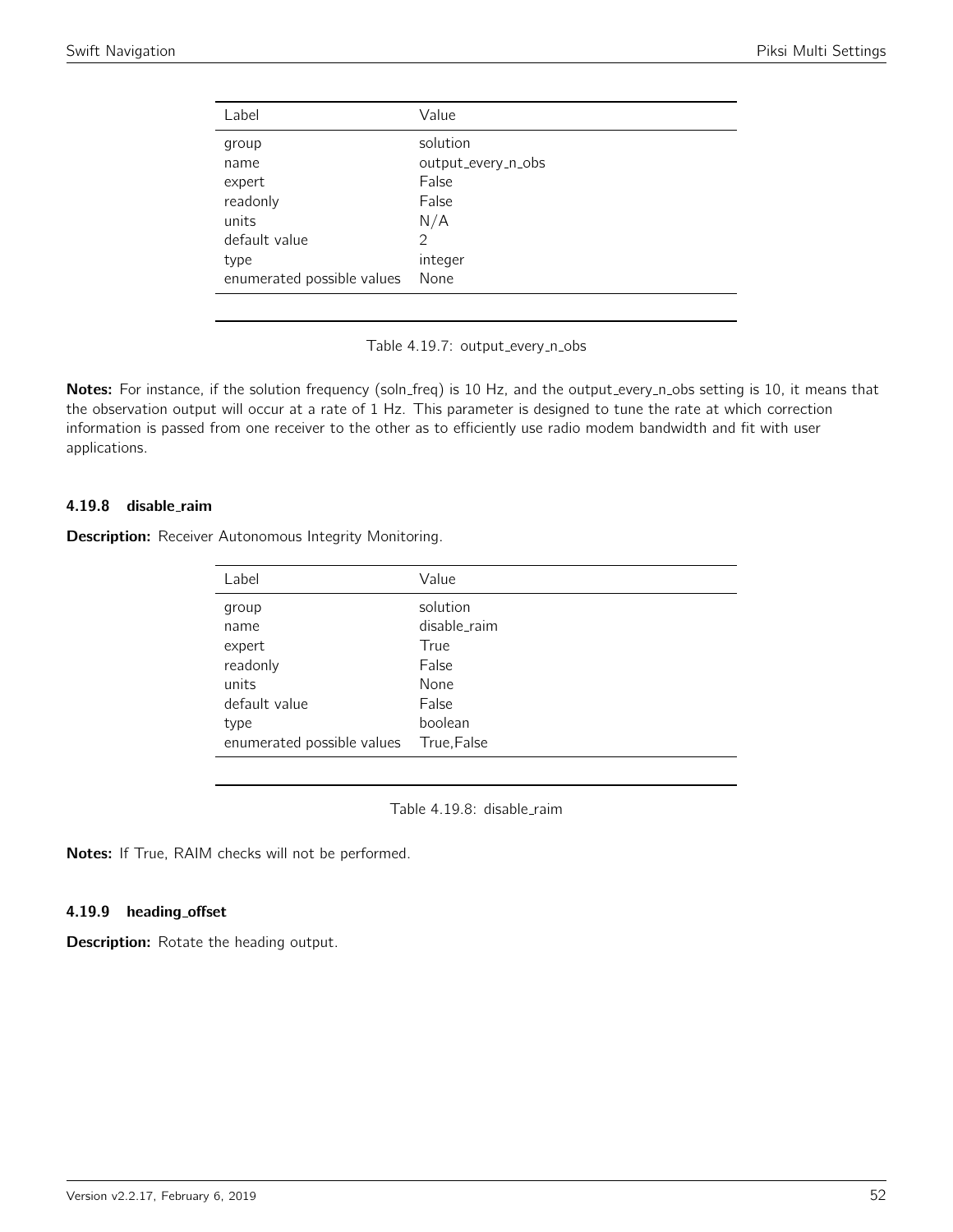| Value              |
|--------------------|
| solution           |
| output_every_n_obs |
| False              |
| False              |
| N/A                |
| 2                  |
| integer            |
| None               |
|                    |

Table 4.19.7: output\_every\_n\_obs

Notes: For instance, if the solution frequency (soln\_freq) is 10 Hz, and the output\_every\_n\_obs setting is 10, it means that the observation output will occur at a rate of 1 Hz. This parameter is designed to tune the rate at which correction information is passed from one receiver to the other as to efficiently use radio modem bandwidth and fit with user applications.

## 4.19.8 disable raim

Description: Receiver Autonomous Integrity Monitoring.

| Label                      | Value        |
|----------------------------|--------------|
| group                      | solution     |
| name                       | disable_raim |
| expert                     | True         |
| readonly                   | False        |
| units                      | None         |
| default value              | False        |
| type                       | boolean      |
| enumerated possible values | True, False  |
|                            |              |

Table 4.19.8: disable\_raim

Notes: If True, RAIM checks will not be performed.

### 4.19.9 heading offset

**Description:** Rotate the heading output.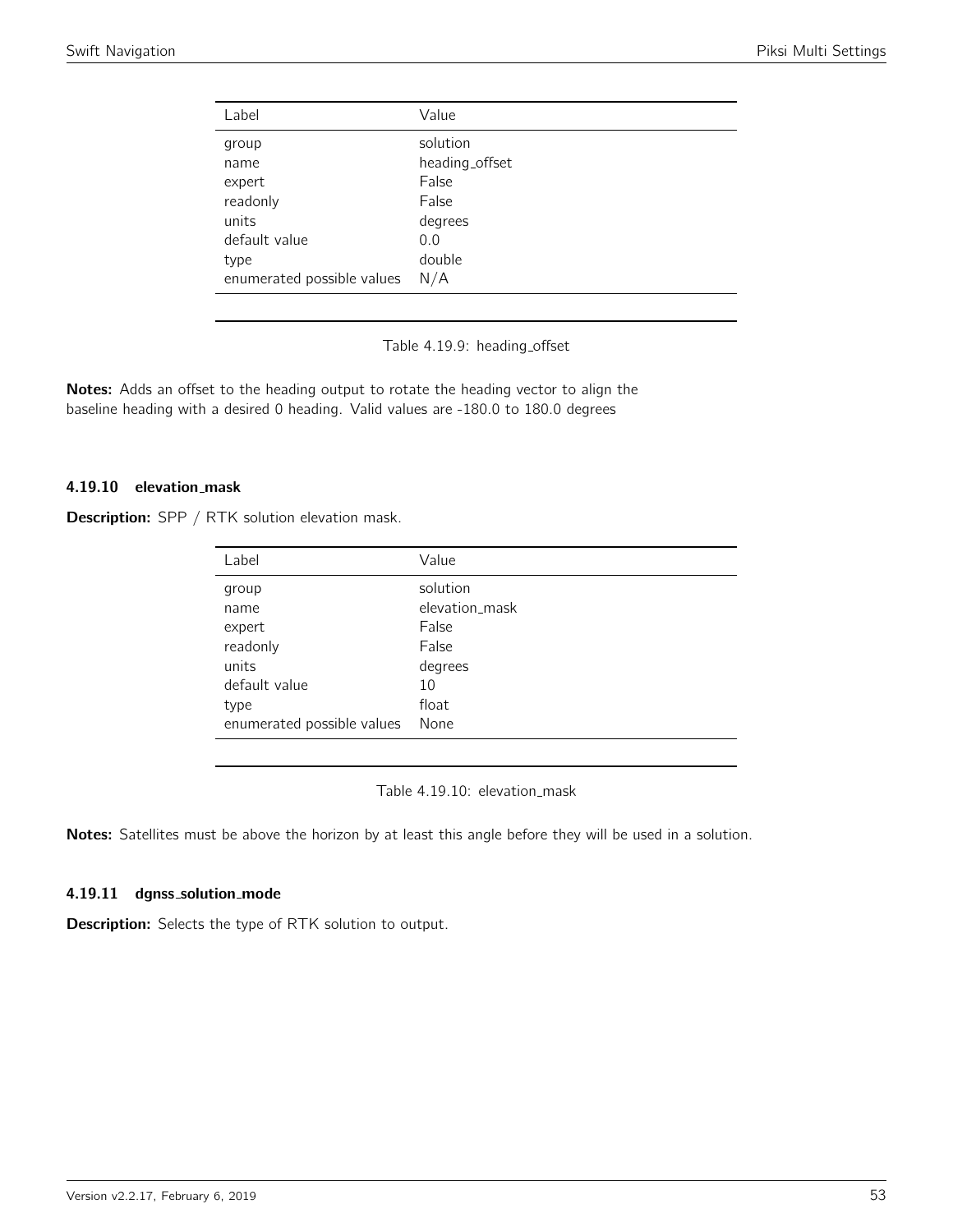| Label                      | Value          |
|----------------------------|----------------|
| group                      | solution       |
| name                       | heading_offset |
| expert                     | False          |
| readonly                   | False          |
| units                      | degrees        |
| default value              | 0.0            |
| type                       | double         |
| enumerated possible values | N/A            |

Table 4.19.9: heading\_offset

Notes: Adds an offset to the heading output to rotate the heading vector to align the baseline heading with a desired 0 heading. Valid values are -180.0 to 180.0 degrees

# 4.19.10 elevation mask

| Label                      | Value          |
|----------------------------|----------------|
| group                      | solution       |
| name                       | elevation_mask |
| expert                     | False          |
| readonly                   | False          |
| units                      | degrees        |
| default value              | 10             |
| type                       | float          |
| enumerated possible values | None           |

Table 4.19.10: elevation\_mask

Notes: Satellites must be above the horizon by at least this angle before they will be used in a solution.

#### 4.19.11 dgnss\_solution\_mode

Description: Selects the type of RTK solution to output.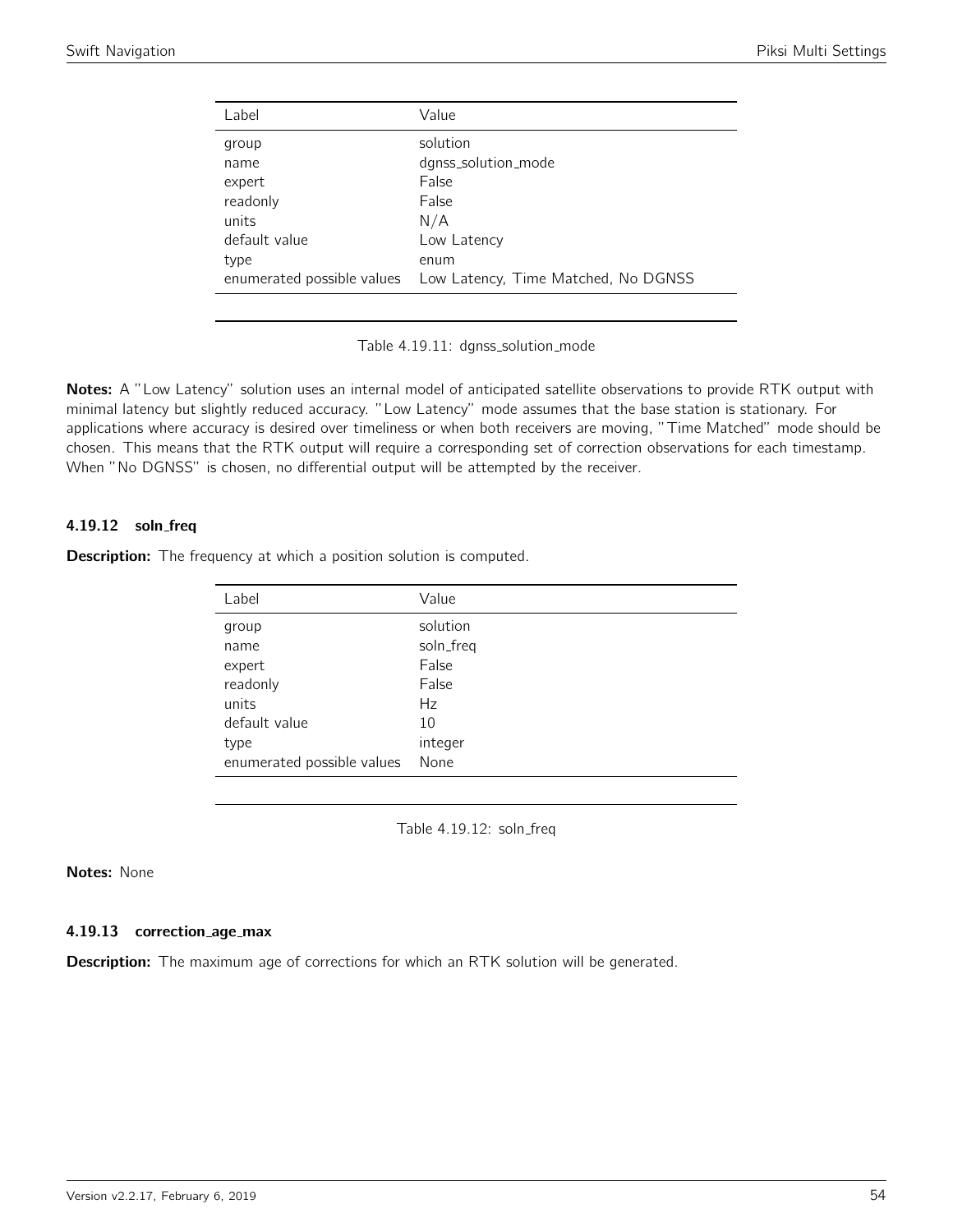| Label                      | Value                               |
|----------------------------|-------------------------------------|
| group                      | solution                            |
| name                       | dgnss_solution_mode                 |
| expert                     | False                               |
| readonly                   | False                               |
| units                      | N/A                                 |
| default value              | Low Latency                         |
| type                       | enum                                |
| enumerated possible values | Low Latency, Time Matched, No DGNSS |
|                            |                                     |

Table 4.19.11: dgnss\_solution\_mode

Notes: A "Low Latency" solution uses an internal model of anticipated satellite observations to provide RTK output with minimal latency but slightly reduced accuracy. "Low Latency" mode assumes that the base station is stationary. For applications where accuracy is desired over timeliness or when both receivers are moving, "Time Matched" mode should be chosen. This means that the RTK output will require a corresponding set of correction observations for each timestamp. When "No DGNSS" is chosen, no differential output will be attempted by the receiver.

## 4.19.12 soln freq

**Description:** The frequency at which a position solution is computed.

| Label                      | Value     |
|----------------------------|-----------|
| group                      | solution  |
| name                       | soln_freq |
| expert                     | False     |
| readonly                   | False     |
| units                      | Hz        |
| default value              | 10        |
| type                       | integer   |
| enumerated possible values | None      |

Table 4.19.12: soln\_freq

## Notes: None

#### 4.19.13 correction age max

**Description:** The maximum age of corrections for which an RTK solution will be generated.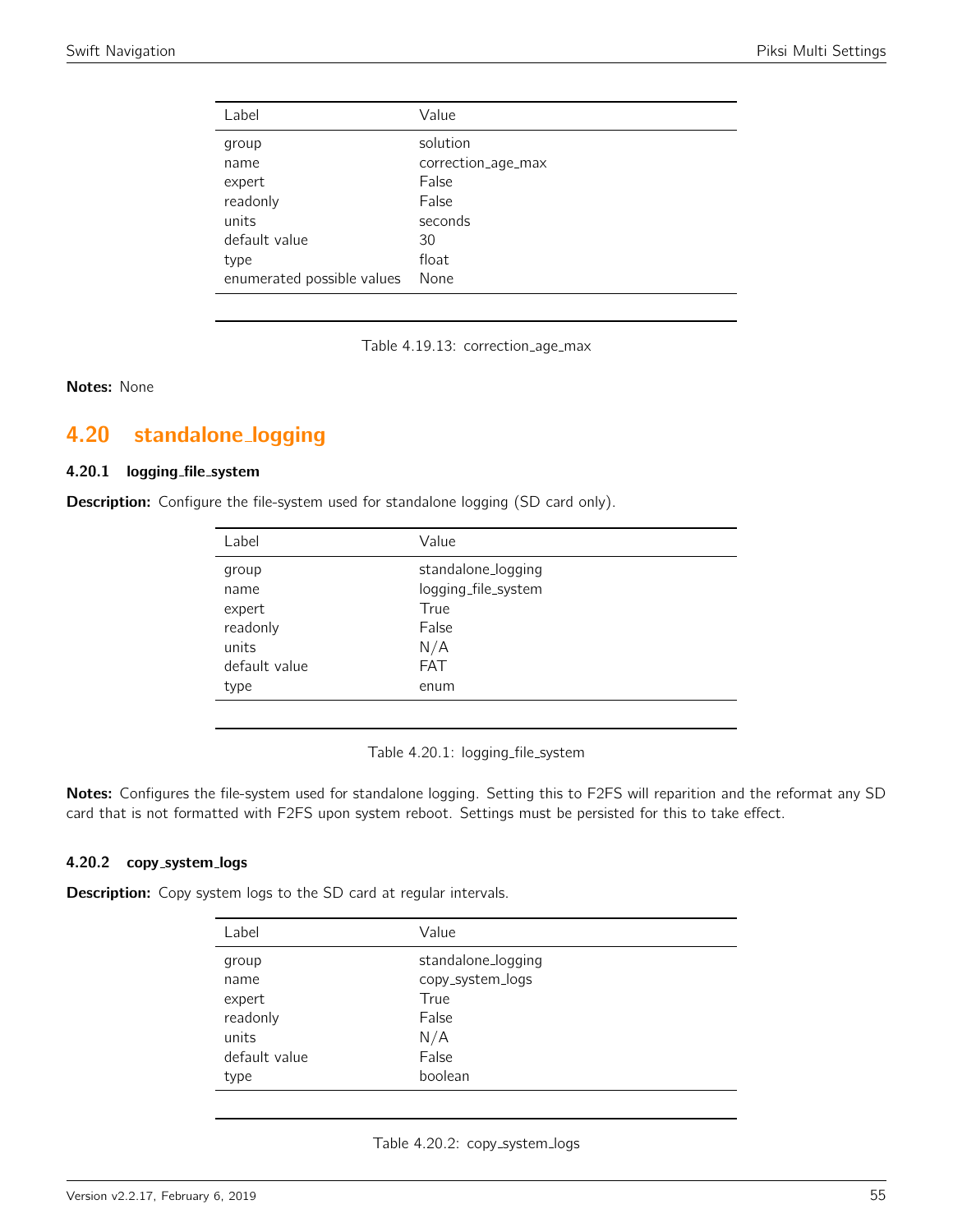| Label                      | Value              |
|----------------------------|--------------------|
| group                      | solution           |
| name                       | correction_age_max |
| expert                     | False              |
| readonly                   | False              |
| units                      | seconds            |
| default value              | 30                 |
| type                       | float              |
| enumerated possible values | None               |

Table 4.19.13: correction\_age\_max

Notes: None

# 4.20 standalone logging

## 4.20.1 logging file system

**Description:** Configure the file-system used for standalone logging (SD card only).

| Label         | Value               |
|---------------|---------------------|
| group         | standalone_logging  |
| name          | logging_file_system |
| expert        | True                |
| readonly      | False               |
| units         | N/A                 |
| default value | <b>FAT</b>          |
| type          | enum                |
|               |                     |

Table 4.20.1: logging\_file\_system

Notes: Configures the file-system used for standalone logging. Setting this to F2FS will reparition and the reformat any SD card that is not formatted with F2FS upon system reboot. Settings must be persisted for this to take effect.

#### 4.20.2 copy\_system\_logs

**Description:** Copy system logs to the SD card at regular intervals.

| Label         | Value              |
|---------------|--------------------|
| group         | standalone_logging |
| name          | copy_system_logs   |
| expert        | True               |
| readonly      | False              |
| units         | N/A                |
| default value | False              |
| type          | boolean            |

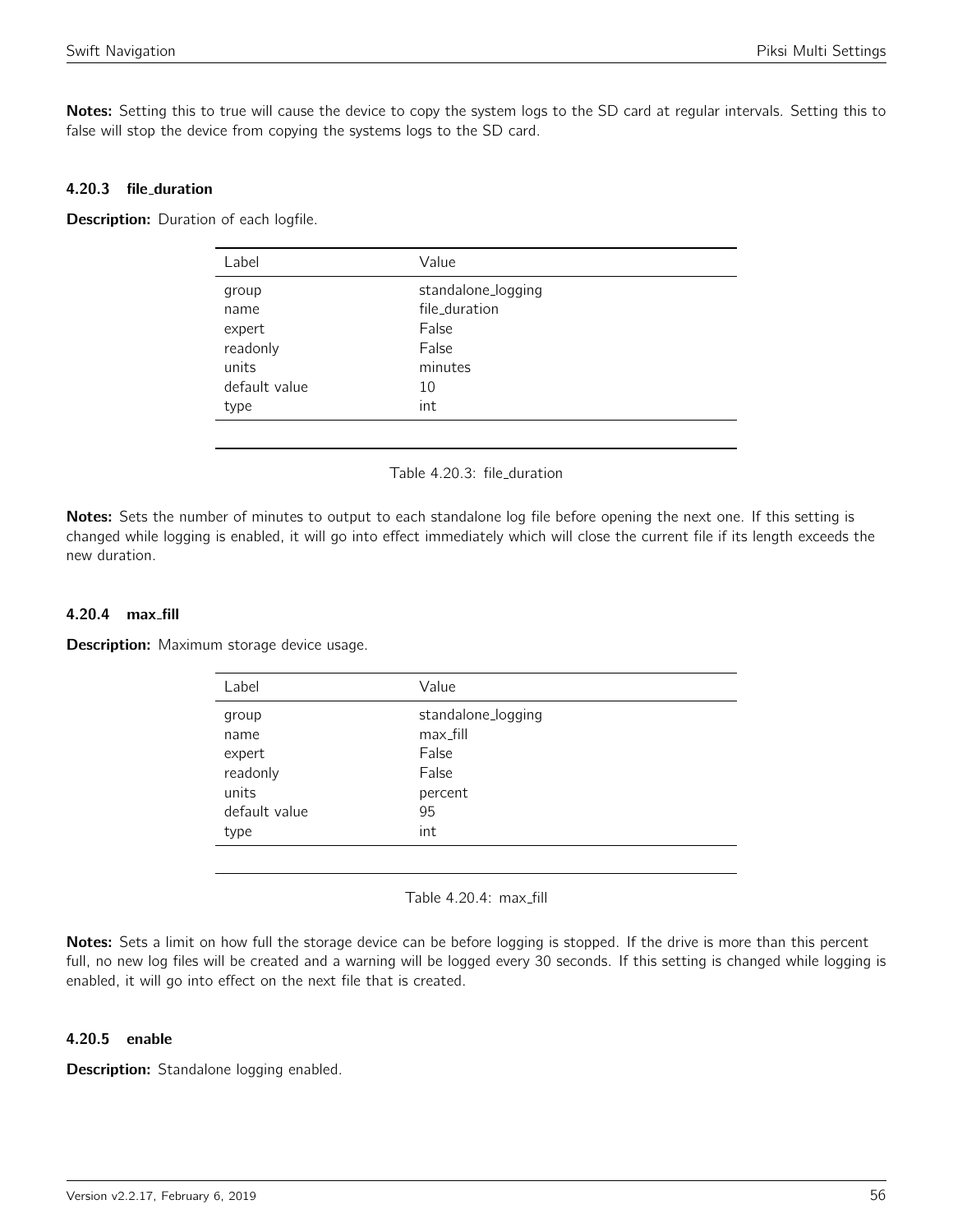Notes: Setting this to true will cause the device to copy the system logs to the SD card at regular intervals. Setting this to false will stop the device from copying the systems logs to the SD card.

## 4.20.3 file duration

Description: Duration of each logfile.

| Value              |
|--------------------|
| standalone_logging |
| file_duration      |
| False              |
| False              |
| minutes            |
| 10                 |
| int                |
|                    |

#### Table 4.20.3: file duration

Notes: Sets the number of minutes to output to each standalone log file before opening the next one. If this setting is changed while logging is enabled, it will go into effect immediately which will close the current file if its length exceeds the new duration.

## 4.20.4 max fill

**Description:** Maximum storage device usage.

| Label         | Value              |
|---------------|--------------------|
| group         | standalone_logging |
| name          | max_fill           |
| expert        | False              |
| readonly      | False              |
| units         | percent            |
| default value | 95                 |
| type          | int                |
|               |                    |

Table 4.20.4: max\_fill

Notes: Sets a limit on how full the storage device can be before logging is stopped. If the drive is more than this percent full, no new log files will be created and a warning will be logged every 30 seconds. If this setting is changed while logging is enabled, it will go into effect on the next file that is created.

#### 4.20.5 enable

Description: Standalone logging enabled.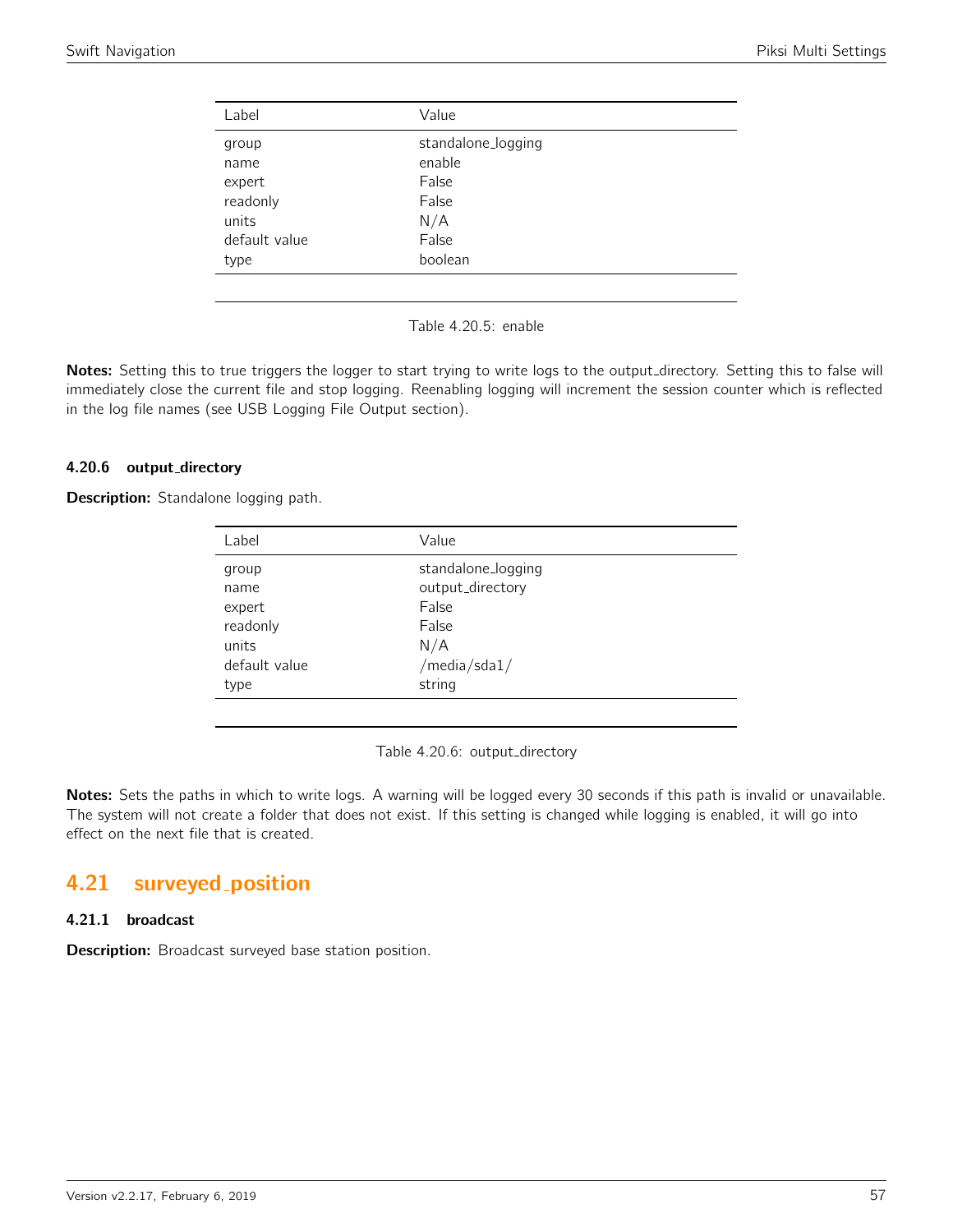| Label         | Value              |
|---------------|--------------------|
| group         | standalone_logging |
| name          | enable             |
| expert        | False              |
| readonly      | False              |
| units         | N/A                |
| default value | False              |
| type          | boolean            |
|               |                    |

Table 4.20.5: enable

Notes: Setting this to true triggers the logger to start trying to write logs to the output\_directory. Setting this to false will immediately close the current file and stop logging. Reenabling logging will increment the session counter which is reflected in the log file names (see USB Logging File Output section).

### 4.20.6 output directory

Description: Standalone logging path.

| Label         | Value              |  |
|---------------|--------------------|--|
| group         | standalone_logging |  |
| name          | output_directory   |  |
| expert        | False              |  |
| readonly      | False              |  |
| units         | N/A                |  |
| default value | /media/sda1/       |  |
| type          | string             |  |
|               |                    |  |

Table 4.20.6: output\_directory

Notes: Sets the paths in which to write logs. A warning will be logged every 30 seconds if this path is invalid or unavailable. The system will not create a folder that does not exist. If this setting is changed while logging is enabled, it will go into effect on the next file that is created.

# 4.21 surveyed position

## 4.21.1 broadcast

**Description:** Broadcast surveyed base station position.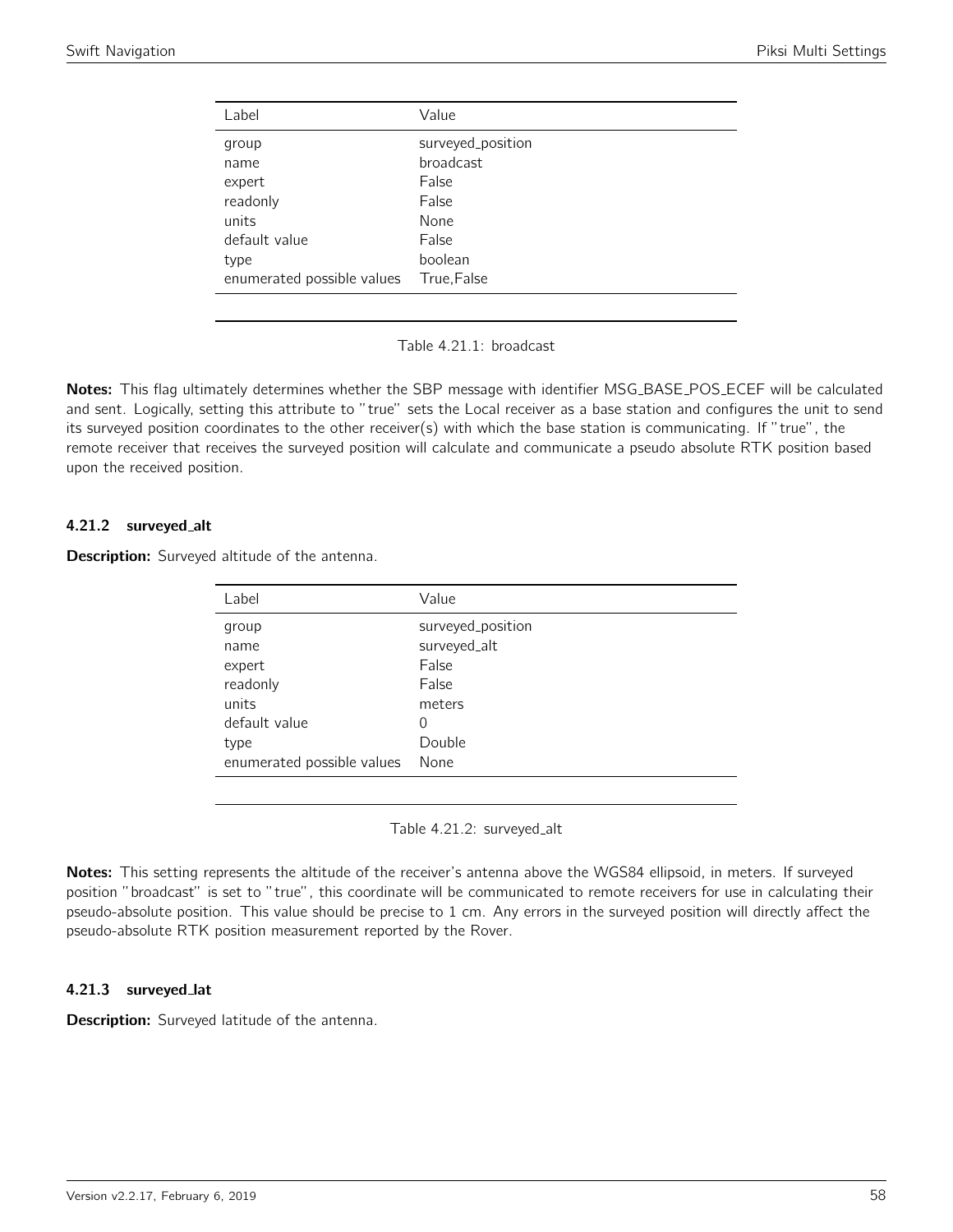| Value             |
|-------------------|
| surveyed_position |
| broadcast         |
| False             |
| False             |
| None              |
| False             |
| boolean           |
| True, False       |
|                   |

Table 4.21.1: broadcast

Notes: This flag ultimately determines whether the SBP message with identifier MSG\_BASE\_POS\_ECEF will be calculated and sent. Logically, setting this attribute to "true" sets the Local receiver as a base station and configures the unit to send its surveyed position coordinates to the other receiver(s) with which the base station is communicating. If "true", the remote receiver that receives the surveyed position will calculate and communicate a pseudo absolute RTK position based upon the received position.

## 4.21.2 surveyed alt

Description: Surveyed altitude of the antenna.

| Label                      | Value             |
|----------------------------|-------------------|
| group                      | surveyed_position |
| name                       | surveyed_alt      |
| expert                     | False             |
| readonly                   | False             |
| units                      | meters            |
| default value              | 0                 |
| type                       | Double            |
| enumerated possible values | None              |
|                            |                   |

Table 4.21.2: surveyed\_alt

Notes: This setting represents the altitude of the receiver's antenna above the WGS84 ellipsoid, in meters. If surveyed position "broadcast" is set to "true", this coordinate will be communicated to remote receivers for use in calculating their pseudo-absolute position. This value should be precise to 1 cm. Any errors in the surveyed position will directly affect the pseudo-absolute RTK position measurement reported by the Rover.

### 4.21.3 surveyed lat

Description: Surveyed latitude of the antenna.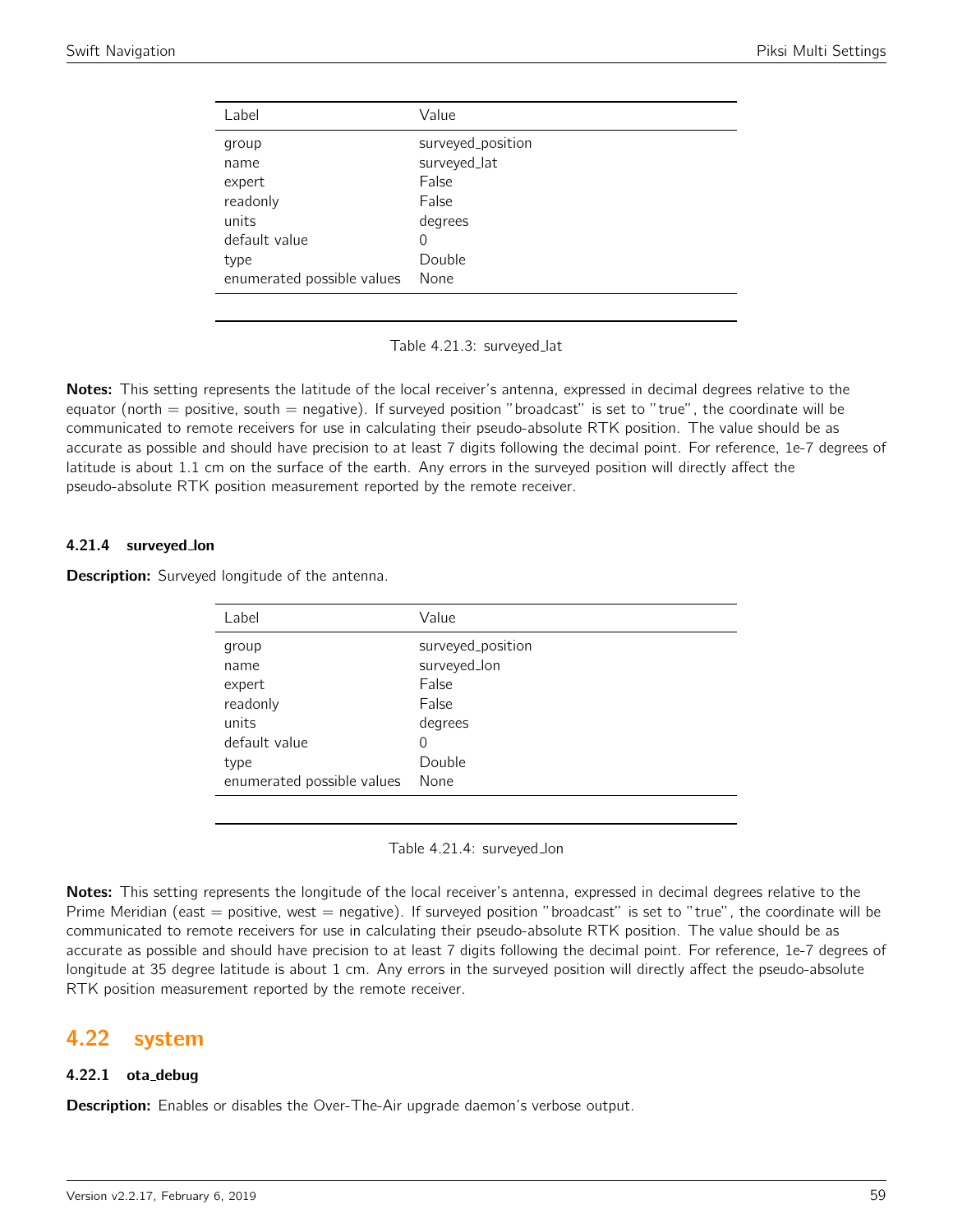| Label                      | Value             |
|----------------------------|-------------------|
| group                      | surveyed_position |
| name                       | surveyed_lat      |
| expert                     | False             |
| readonly                   | False             |
| units                      | degrees           |
| default value              | 0                 |
| type                       | Double            |
| enumerated possible values | None              |

Table 4.21.3: surveyed lat

Notes: This setting represents the latitude of the local receiver's antenna, expressed in decimal degrees relative to the equator (north  $=$  positive, south  $=$  negative). If surveyed position "broadcast" is set to "true", the coordinate will be communicated to remote receivers for use in calculating their pseudo-absolute RTK position. The value should be as accurate as possible and should have precision to at least 7 digits following the decimal point. For reference, 1e-7 degrees of latitude is about 1.1 cm on the surface of the earth. Any errors in the surveyed position will directly affect the pseudo-absolute RTK position measurement reported by the remote receiver.

#### 4.21.4 surveyed lon

**Description:** Surveyed longitude of the antenna.

| Label                      | Value             |
|----------------------------|-------------------|
| group                      | surveyed_position |
| name                       | surveyed_lon      |
| expert                     | False             |
| readonly                   | False             |
| units                      | degrees           |
| default value              | 0                 |
| type                       | Double            |
| enumerated possible values | None              |

Table 4.21.4: surveyed lon

Notes: This setting represents the longitude of the local receiver's antenna, expressed in decimal degrees relative to the Prime Meridian (east = positive, west = negative). If surveyed position "broadcast" is set to "true", the coordinate will be communicated to remote receivers for use in calculating their pseudo-absolute RTK position. The value should be as accurate as possible and should have precision to at least 7 digits following the decimal point. For reference, 1e-7 degrees of longitude at 35 degree latitude is about 1 cm. Any errors in the surveyed position will directly affect the pseudo-absolute RTK position measurement reported by the remote receiver.

# 4.22 system

### 4.22.1 ota debug

**Description:** Enables or disables the Over-The-Air upgrade daemon's verbose output.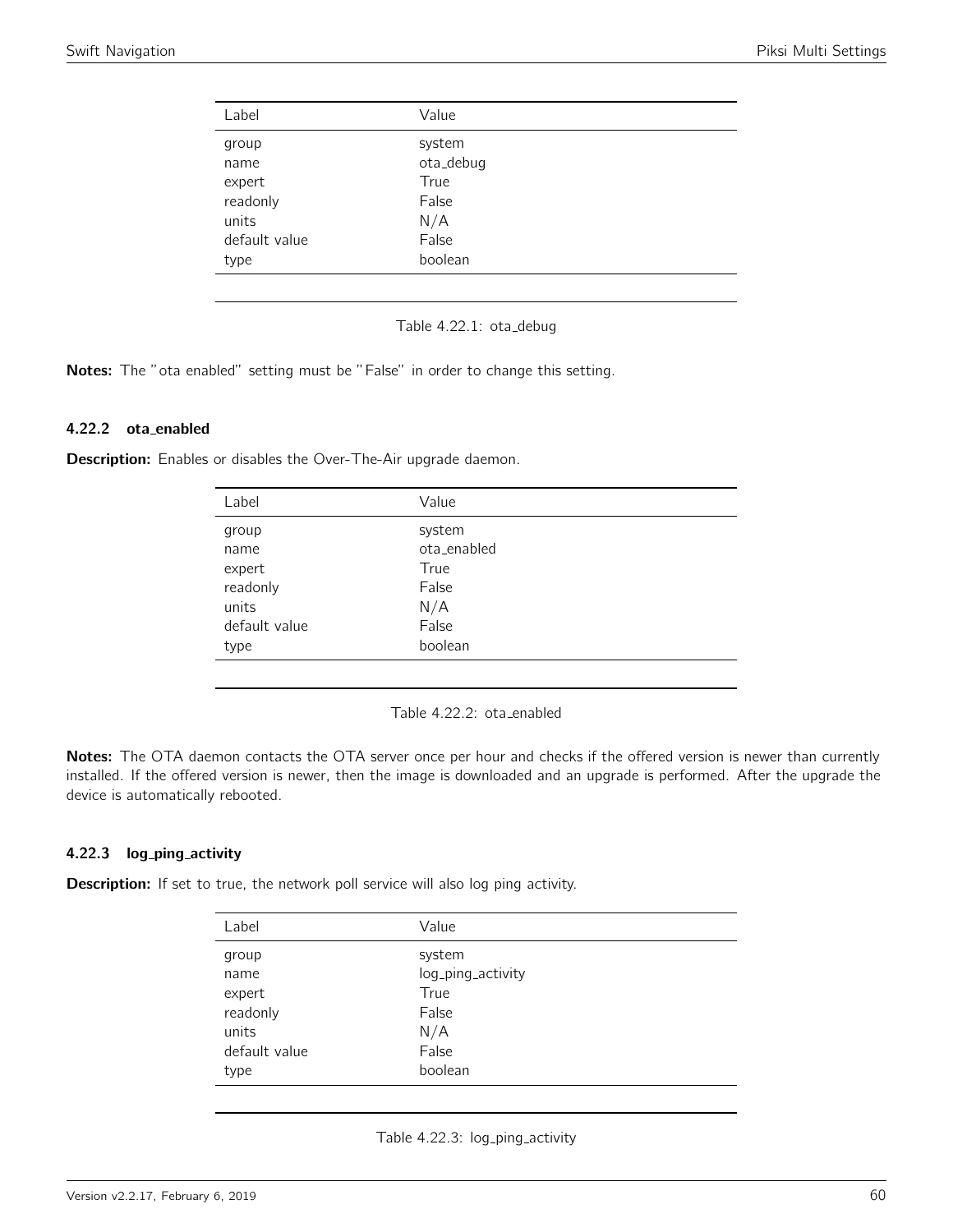| Label         | Value     |  |
|---------------|-----------|--|
| group         | system    |  |
| name          | ota_debug |  |
| expert        | True      |  |
| readonly      | False     |  |
| units         | N/A       |  |
| default value | False     |  |
| type          | boolean   |  |
|               |           |  |

Table 4.22.1: ota\_debug

Notes: The "ota enabled" setting must be "False" in order to change this setting.

## 4.22.2 ota enabled

Description: Enables or disables the Over-The-Air upgrade daemon.

| Label         | Value       |  |
|---------------|-------------|--|
| group         | system      |  |
| name          | ota_enabled |  |
| expert        | True        |  |
| readonly      | False       |  |
| units         | N/A         |  |
| default value | False       |  |
| type          | boolean     |  |
|               |             |  |

Table 4.22.2: ota enabled

Notes: The OTA daemon contacts the OTA server once per hour and checks if the offered version is newer than currently installed. If the offered version is newer, then the image is downloaded and an upgrade is performed. After the upgrade the device is automatically rebooted.

#### 4.22.3 log\_ping\_activity

**Description:** If set to true, the network poll service will also log ping activity.

| Label         | Value             |  |
|---------------|-------------------|--|
| group         | system            |  |
| name          | log_ping_activity |  |
| expert        | True              |  |
| readonly      | False             |  |
| units         | N/A               |  |
| default value | False             |  |
| type          | boolean           |  |
|               |                   |  |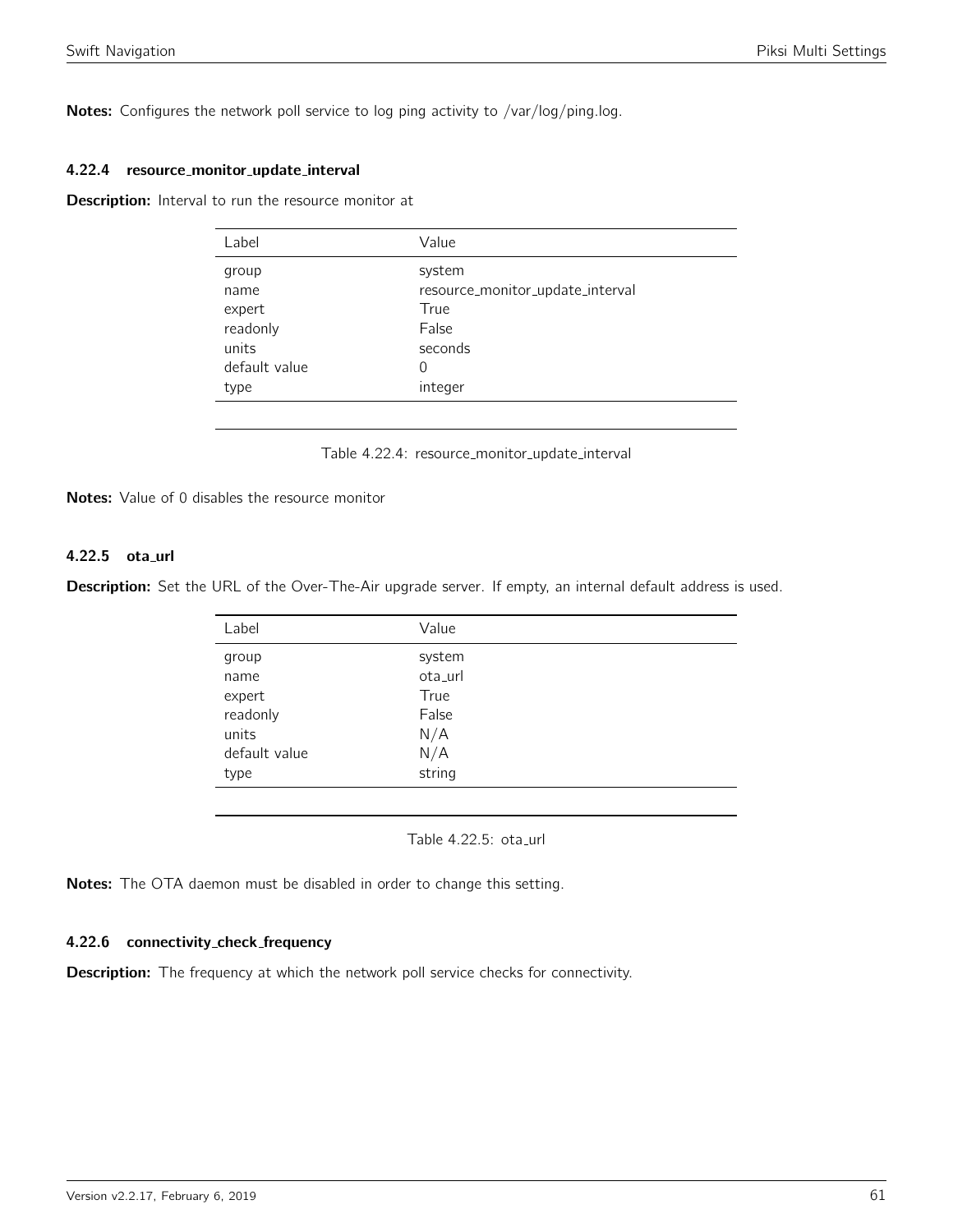Notes: Configures the network poll service to log ping activity to /var/log/ping.log.

#### 4.22.4 resource monitor update interval

Description: Interval to run the resource monitor at

| Label         | Value                            |
|---------------|----------------------------------|
| group         | system                           |
| name          | resource_monitor_update_interval |
| expert        | True                             |
| readonly      | False                            |
| units         | seconds                          |
| default value | 0                                |
| type          | integer                          |
|               |                                  |

Table 4.22.4: resource\_monitor\_update\_interval

Notes: Value of 0 disables the resource monitor

# 4.22.5 ota\_url

Description: Set the URL of the Over-The-Air upgrade server. If empty, an internal default address is used.

| Label         | Value   |  |
|---------------|---------|--|
| group         | system  |  |
| name          | ota_url |  |
| expert        | True    |  |
| readonly      | False   |  |
| units         | N/A     |  |
| default value | N/A     |  |
| type          | string  |  |
|               |         |  |

Table 4.22.5: ota\_url

Notes: The OTA daemon must be disabled in order to change this setting.

# 4.22.6 connectivity check frequency

**Description:** The frequency at which the network poll service checks for connectivity.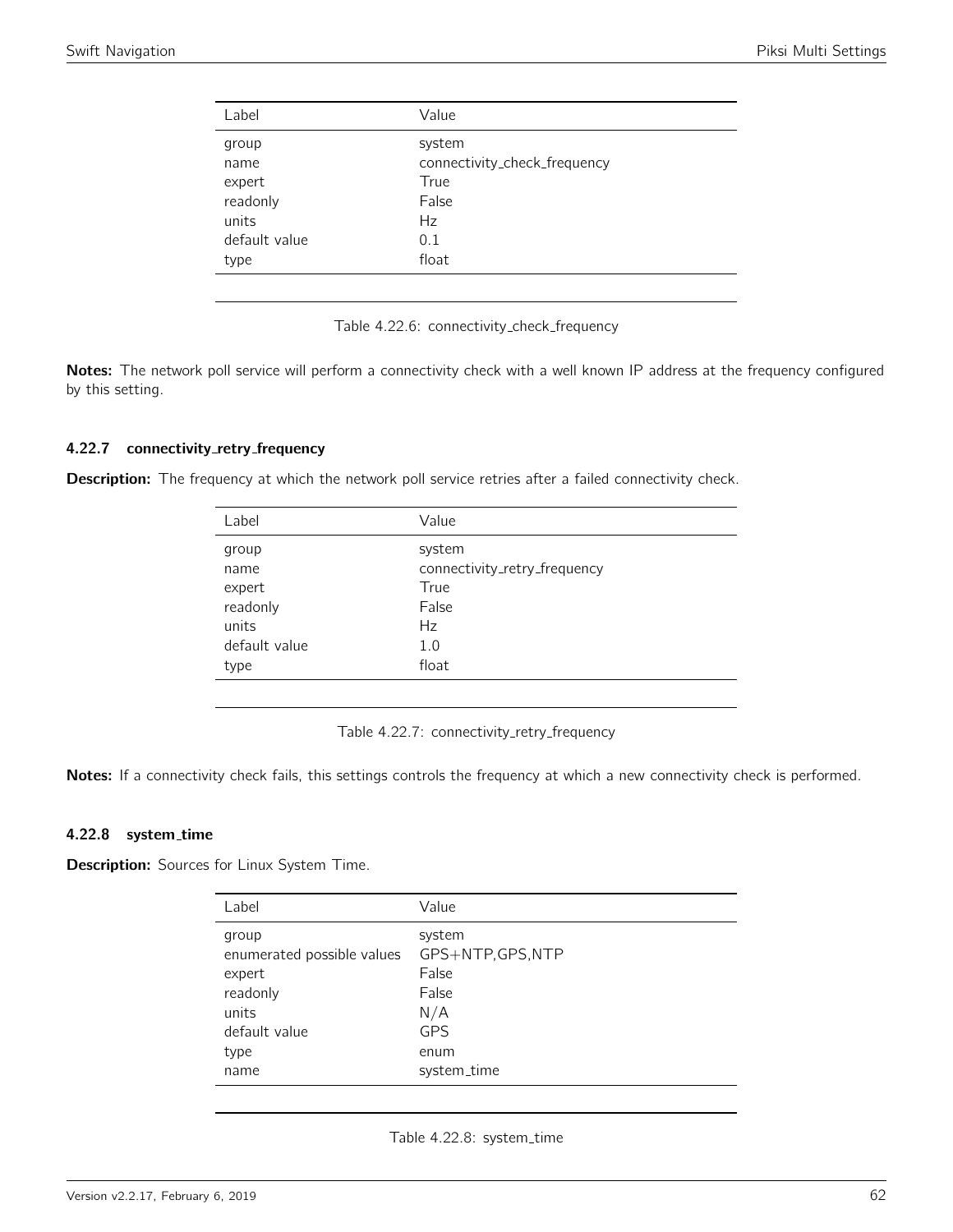| Label         | Value                        |
|---------------|------------------------------|
| group         | system                       |
| name          | connectivity_check_frequency |
| expert        | True                         |
| readonly      | False                        |
| units         | <b>Hz</b>                    |
| default value | 0.1                          |
| type          | float                        |
|               |                              |

Table 4.22.6: connectivity check frequency

Notes: The network poll service will perform a connectivity check with a well known IP address at the frequency configured by this setting.

#### 4.22.7 connectivity\_retry\_frequency

Description: The frequency at which the network poll service retries after a failed connectivity check.

| Label         | Value                        |
|---------------|------------------------------|
| group         | system                       |
| name          | connectivity_retry_frequency |
| expert        | True                         |
| readonly      | False                        |
| units         | Hz                           |
| default value | 1.0                          |
| type          | float                        |
|               |                              |

Table 4.22.7: connectivity\_retry\_frequency

Notes: If a connectivity check fails, this settings controls the frequency at which a new connectivity check is performed.

## 4.22.8 system time

**Description:** Sources for Linux System Time.

| Label                                                                                               | Value                                                                                     |
|-----------------------------------------------------------------------------------------------------|-------------------------------------------------------------------------------------------|
| group<br>enumerated possible values<br>expert<br>readonly<br>units<br>default value<br>type<br>name | system<br>GPS+NTP, GPS, NTP<br>False<br>False<br>N/A<br><b>GPS</b><br>enum<br>system_time |
|                                                                                                     |                                                                                           |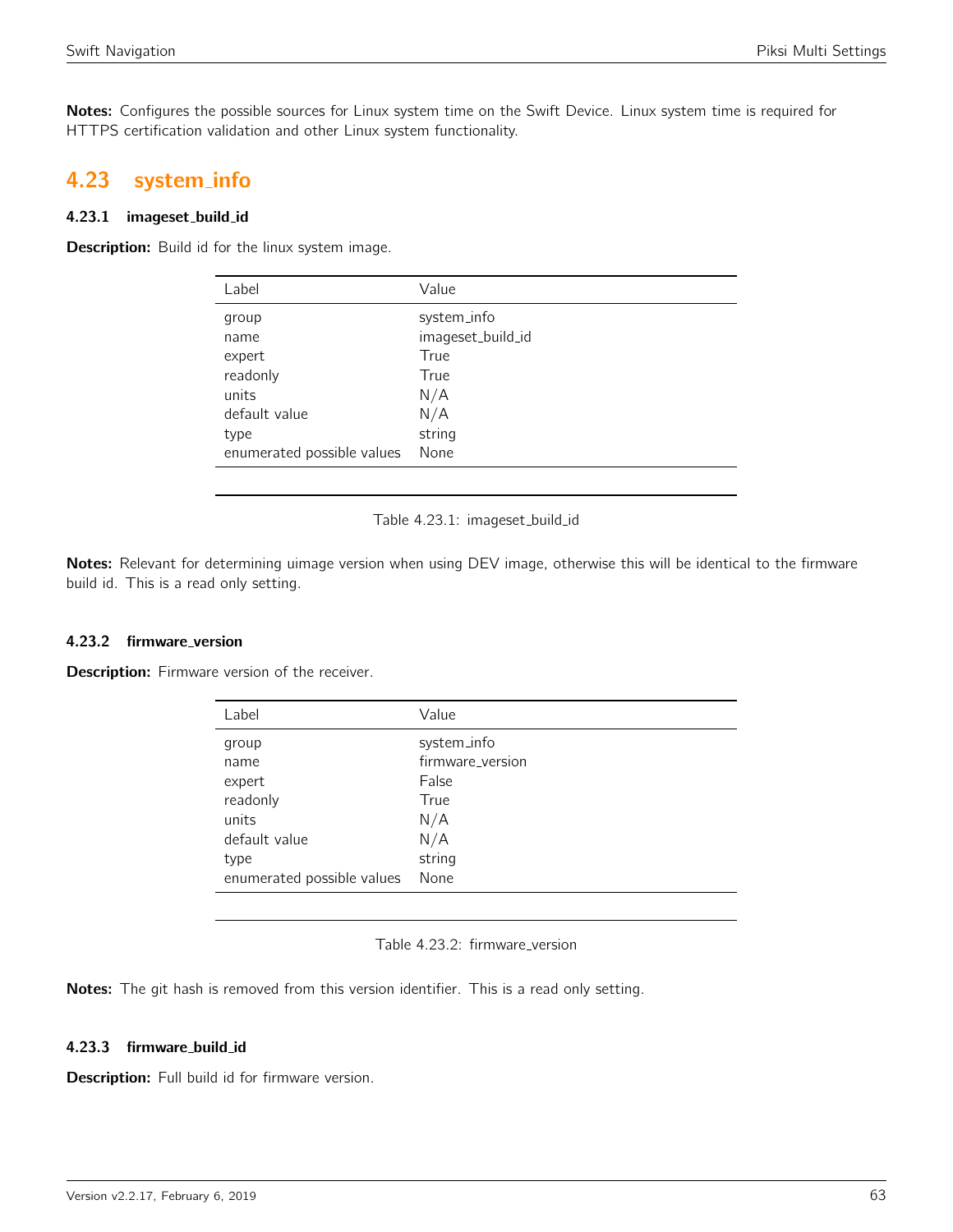Notes: Configures the possible sources for Linux system time on the Swift Device. Linux system time is required for HTTPS certification validation and other Linux system functionality.

# 4.23 system info

## 4.23.1 imageset build id

Description: Build id for the linux system image.

| Label                      | Value             |
|----------------------------|-------------------|
| group                      | system_info       |
| name                       | imageset_build_id |
| expert                     | True              |
| readonly                   | True              |
| units                      | N/A               |
| default value              | N/A               |
| type                       | string            |
| enumerated possible values | None              |

Table 4.23.1: imageset\_build\_id

Notes: Relevant for determining uimage version when using DEV image, otherwise this will be identical to the firmware build id. This is a read only setting.

# 4.23.2 firmware version

Description: Firmware version of the receiver.

| Label                      | Value            |
|----------------------------|------------------|
| group                      | system_info      |
| name                       | firmware_version |
| expert                     | False            |
| readonly                   | True             |
| units                      | N/A              |
| default value              | N/A              |
| type                       | string           |
| enumerated possible values | None             |
|                            |                  |

|  | Table 4.23.2: firmware_version |  |
|--|--------------------------------|--|

Notes: The git hash is removed from this version identifier. This is a read only setting.

# 4.23.3 firmware build id

Description: Full build id for firmware version.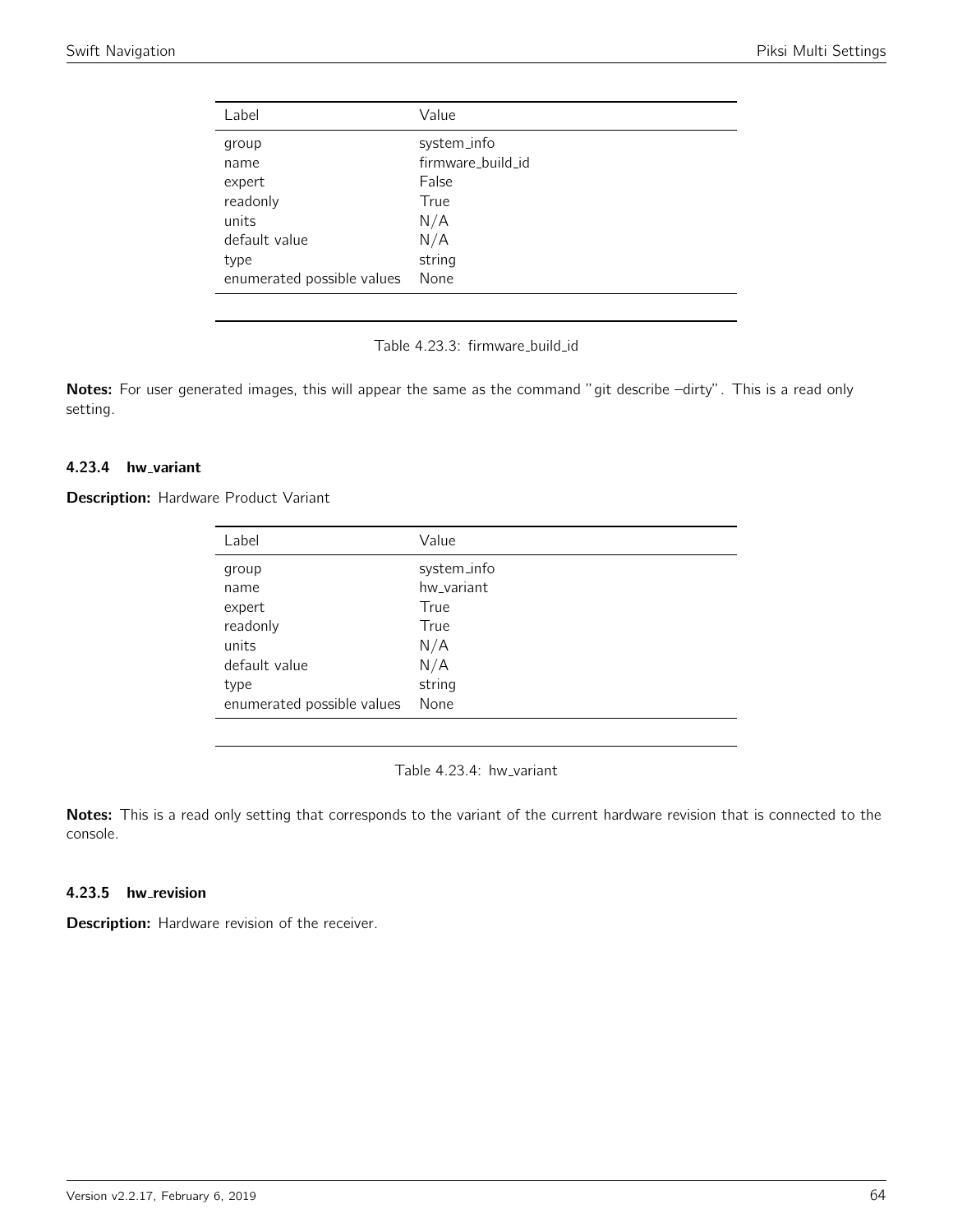| Label                      | Value             |
|----------------------------|-------------------|
| group                      | system_info       |
| name                       | firmware_build_id |
| expert                     | False             |
| readonly                   | True              |
| units                      | N/A               |
| default value              | N/A               |
| type                       | string            |
| enumerated possible values | None              |
|                            |                   |

Table 4.23.3: firmware\_build\_id

Notes: For user generated images, this will appear the same as the command "git describe -dirty". This is a read only setting.

### 4.23.4 hw\_variant

**Description:** Hardware Product Variant

| Label                      | Value       |
|----------------------------|-------------|
| group                      | system_info |
| name                       | hw variant  |
| expert                     | True        |
| readonly                   | True        |
| units                      | N/A         |
| default value              | N/A         |
| type                       | string      |
| enumerated possible values | None        |

Table 4.23.4: hw\_variant

Notes: This is a read only setting that corresponds to the variant of the current hardware revision that is connected to the console.

### 4.23.5 hw\_revision

Description: Hardware revision of the receiver.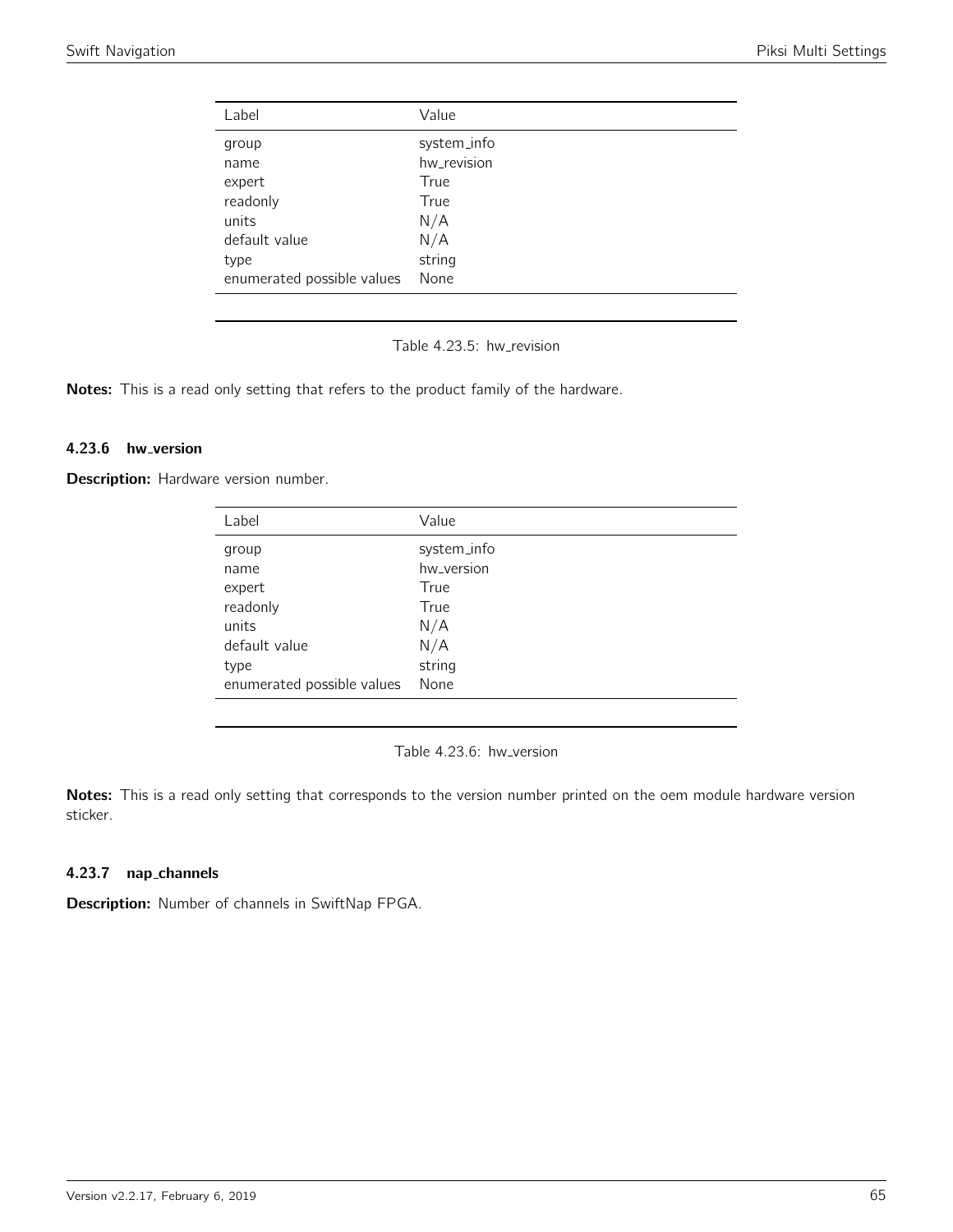| Label                      | Value       |
|----------------------------|-------------|
| group                      | system_info |
| name                       | hw_revision |
| expert                     | True        |
| readonly                   | True        |
| units                      | N/A         |
| default value              | N/A         |
| type                       | string      |
| enumerated possible values | None        |

Table 4.23.5: hw\_revision

Notes: This is a read only setting that refers to the product family of the hardware.

#### 4.23.6 hw\_version

Description: Hardware version number.

| Label                      | Value       |
|----------------------------|-------------|
| group                      | system_info |
| name                       | hw_version  |
| expert                     | True        |
| readonly                   | True        |
| units                      | N/A         |
| default value              | N/A         |
| type                       | string      |
| enumerated possible values | None        |

Table 4.23.6: hw\_version

Notes: This is a read only setting that corresponds to the version number printed on the oem module hardware version sticker.

## 4.23.7 nap channels

Description: Number of channels in SwiftNap FPGA.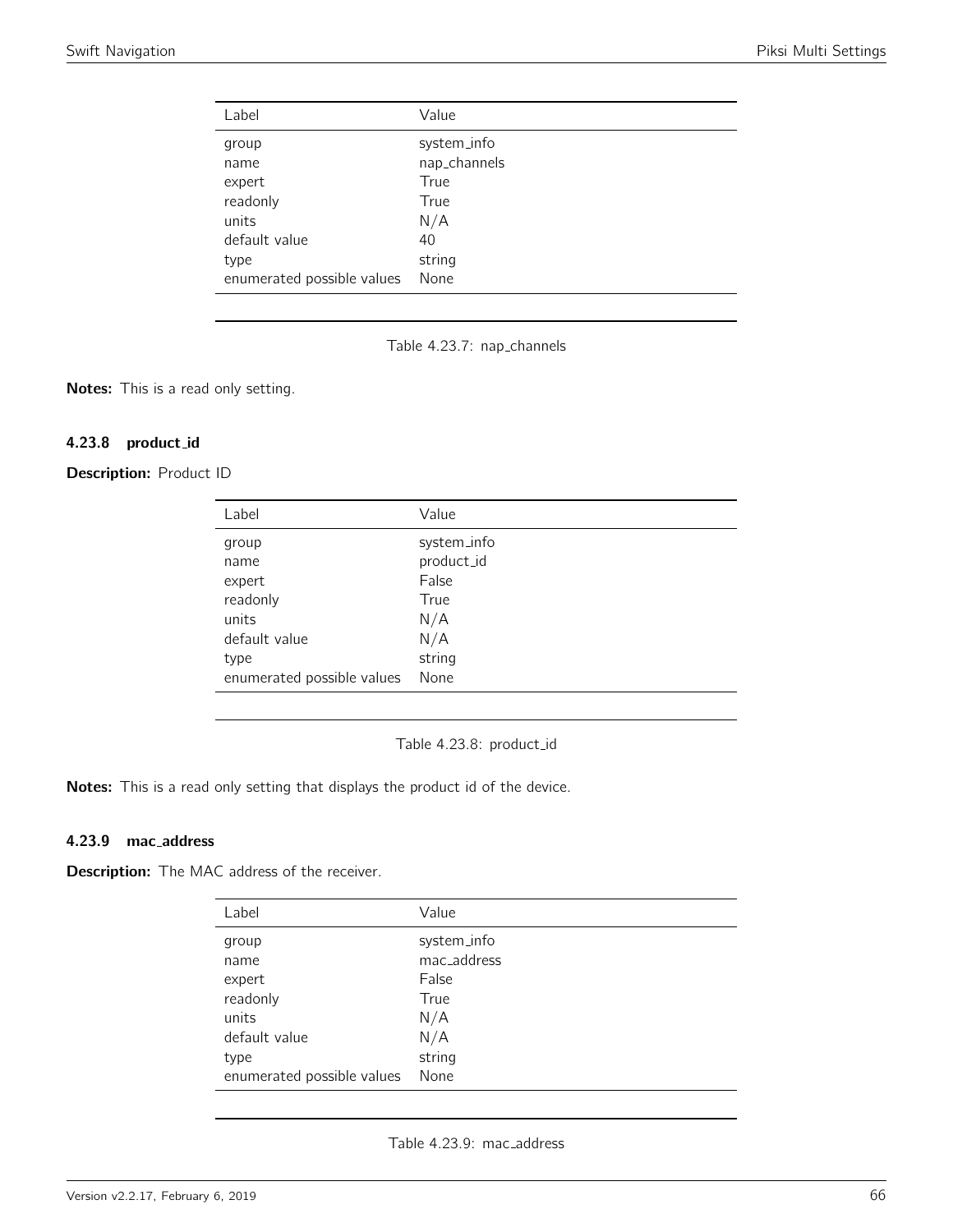| Label                      | Value        |
|----------------------------|--------------|
| group                      | system_info  |
| name                       | nap_channels |
| expert                     | True         |
| readonly                   | True         |
| units                      | N/A          |
| default value              | 40           |
| type                       | string       |
| enumerated possible values | None         |

Table 4.23.7: nap\_channels

Notes: This is a read only setting.

# 4.23.8 product id

Description: Product ID

| Label                      | Value       |
|----------------------------|-------------|
| group                      | system_info |
| name                       | product_id  |
| expert                     | False       |
| readonly                   | True        |
| units                      | N/A         |
| default value              | N/A         |
| type                       | string      |
| enumerated possible values | None        |

Table 4.23.8: product\_id

Notes: This is a read only setting that displays the product id of the device.

## 4.23.9 mac address

Description: The MAC address of the receiver.

| Label                      | Value       |
|----------------------------|-------------|
| group                      | system_info |
| name                       | mac_address |
| expert                     | False       |
| readonly                   | True        |
| units                      | N/A         |
| default value              | N/A         |
| type                       | string      |
| enumerated possible values | None        |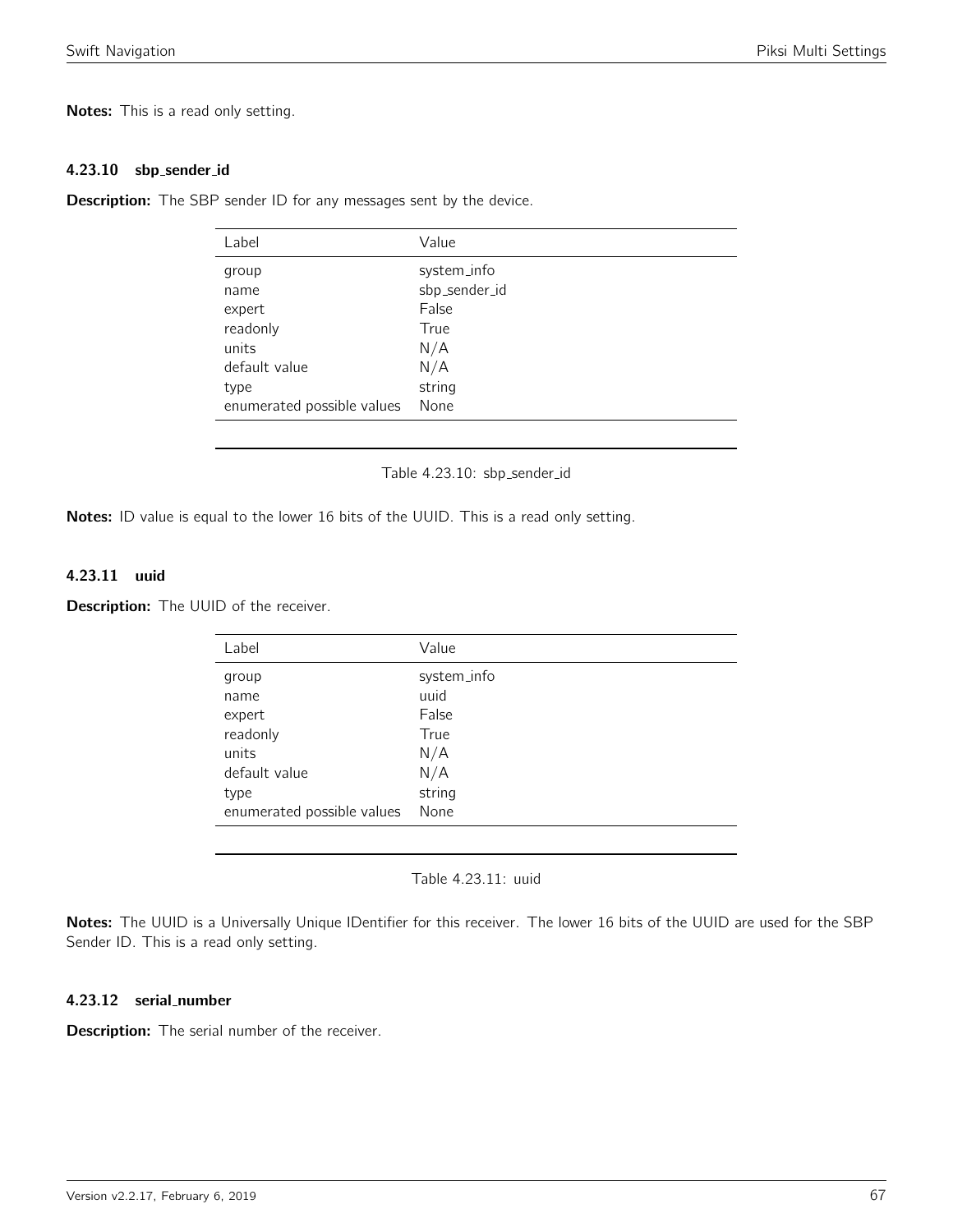Notes: This is a read only setting.

#### 4.23.10 sbp sender id

**Description:** The SBP sender ID for any messages sent by the device.

| Label                      | Value         |
|----------------------------|---------------|
| group                      | system_info   |
| name                       | sbp_sender_id |
| expert                     | False         |
| readonly                   | True          |
| units                      | N/A           |
| default value              | N/A           |
| type                       | string        |
| enumerated possible values | None          |
|                            |               |

Table 4.23.10: sbp\_sender\_id

Notes: ID value is equal to the lower 16 bits of the UUID. This is a read only setting.

#### 4.23.11 uuid

**Description:** The UUID of the receiver.

| Label                      | Value       |
|----------------------------|-------------|
| group                      | system_info |
| name                       | uuid        |
| expert                     | False       |
| readonly                   | True        |
| units                      | N/A         |
| default value              | N/A         |
| type                       | string      |
| enumerated possible values | None        |

Table 4.23.11: uuid

Notes: The UUID is a Universally Unique IDentifier for this receiver. The lower 16 bits of the UUID are used for the SBP Sender ID. This is a read only setting.

## 4.23.12 serial number

**Description:** The serial number of the receiver.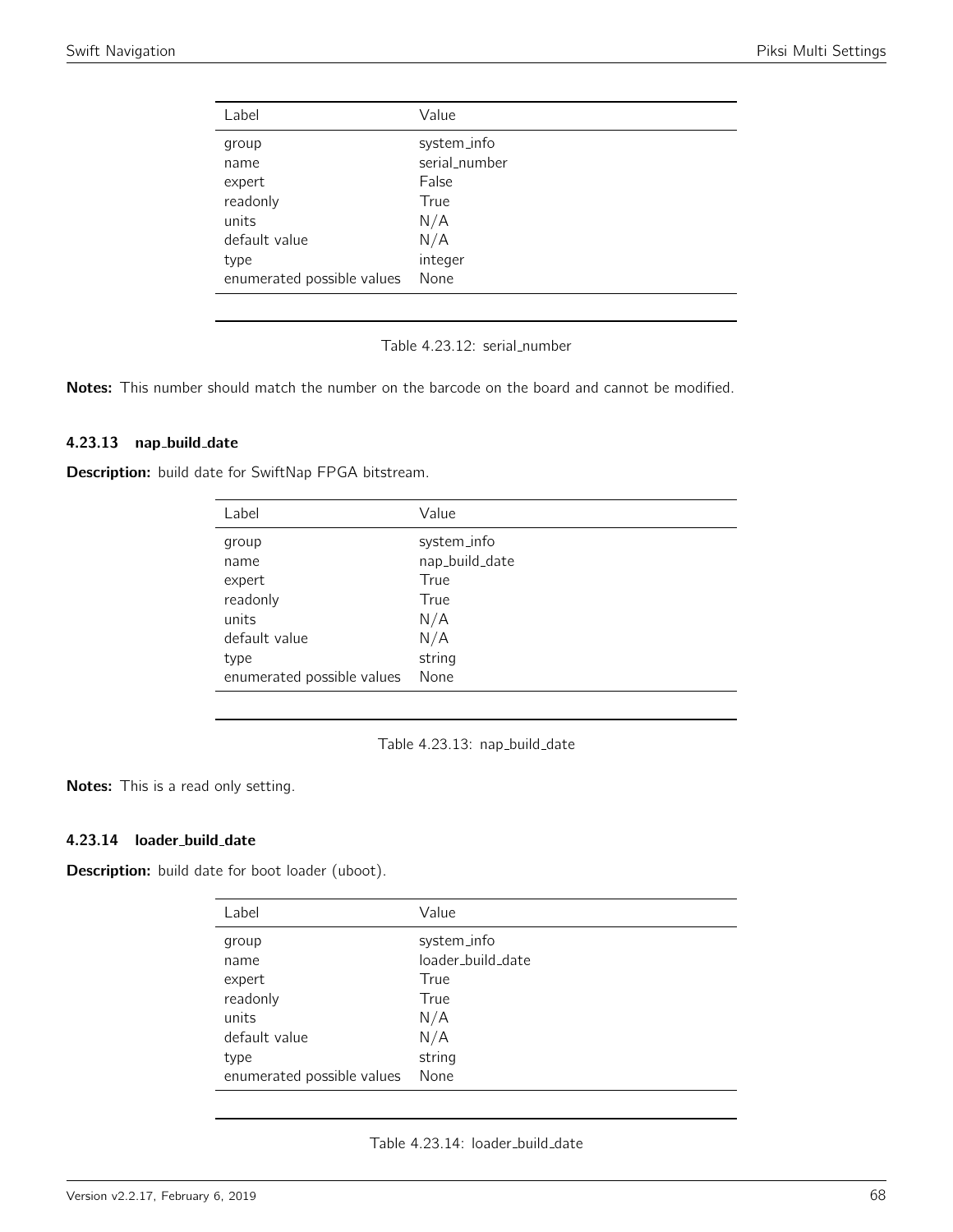| Label                      | Value         |
|----------------------------|---------------|
| group                      | system_info   |
| name                       | serial_number |
| expert                     | False         |
| readonly                   | True          |
| units                      | N/A           |
| default value              | N/A           |
| type                       | integer       |
| enumerated possible values | None          |
|                            |               |

Table 4.23.12: serial number

Notes: This number should match the number on the barcode on the board and cannot be modified.

#### 4.23.13 nap build date

Description: build date for SwiftNap FPGA bitstream.

| Label                      | Value          |
|----------------------------|----------------|
| group                      | system_info    |
| name                       | nap_build_date |
| expert                     | True           |
| readonly                   | True           |
| units                      | N/A            |
| default value              | N/A            |
| type                       | string         |
| enumerated possible values | None           |

Table 4.23.13: nap\_build\_date

Notes: This is a read only setting.

### 4.23.14 loader build date

Description: build date for boot loader (uboot).

| Label                      | Value             |
|----------------------------|-------------------|
| group                      | system_info       |
| name                       | loader_build_date |
| expert                     | True              |
| readonly                   | True              |
| units                      | N/A               |
| default value              | N/A               |
| type                       | string            |
| enumerated possible values | None              |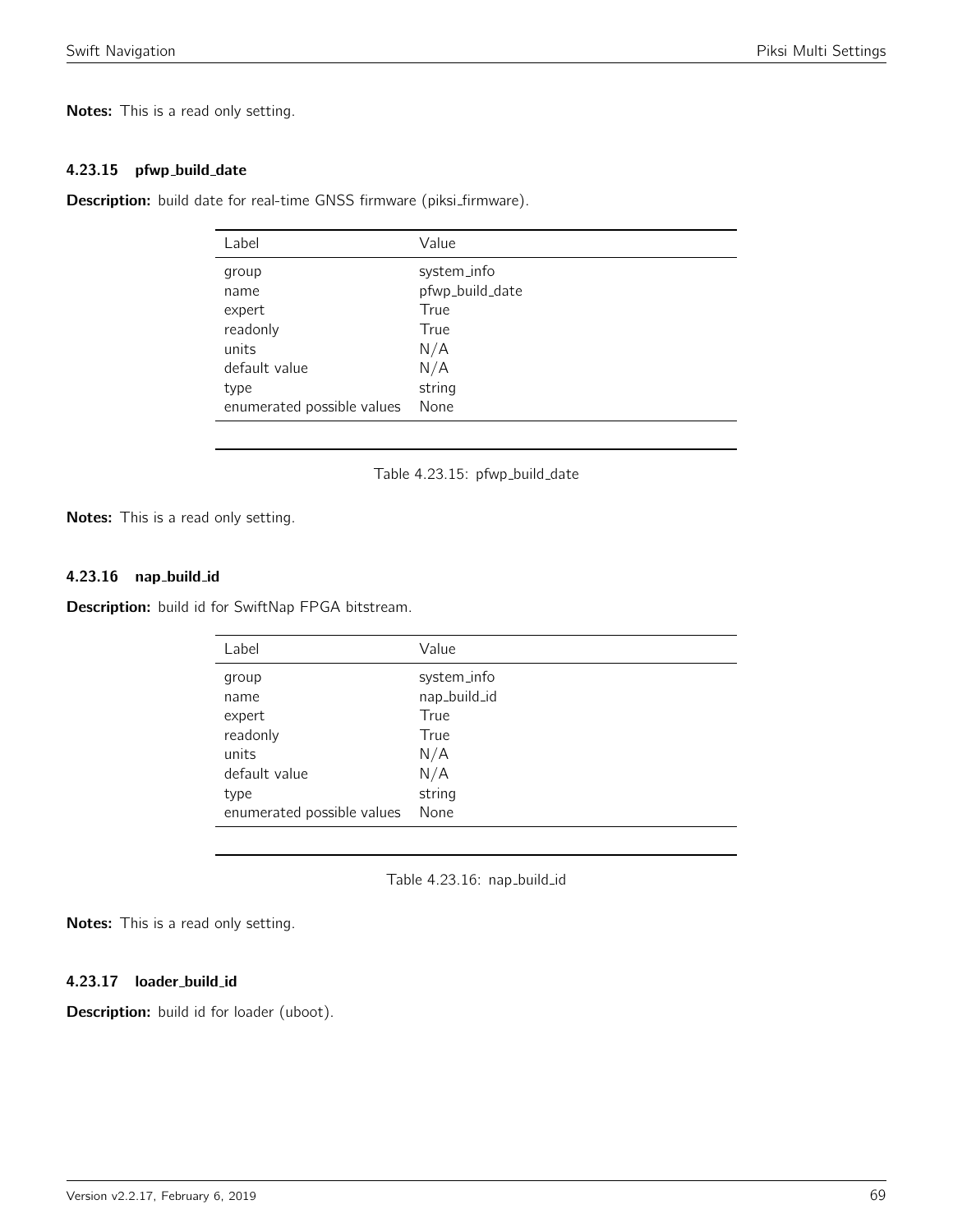Notes: This is a read only setting.

#### 4.23.15 pfwp\_build\_date

Description: build date for real-time GNSS firmware (piksi\_firmware).

| Label                      | Value           |
|----------------------------|-----------------|
| group                      | system_info     |
| name                       | pfwp_build_date |
| expert                     | True            |
| readonly                   | True            |
| units                      | N/A             |
| default value              | N/A             |
| type                       | string          |
| enumerated possible values | None            |
|                            |                 |

Table 4.23.15: pfwp\_build\_date

Notes: This is a read only setting.

## 4.23.16 nap build id

Description: build id for SwiftNap FPGA bitstream.

| Label                      | Value        |
|----------------------------|--------------|
| group                      | system_info  |
| name                       | nap_build_id |
| expert                     | True         |
| readonly                   | True         |
| units                      | N/A          |
| default value              | N/A          |
| type                       | string       |
| enumerated possible values | None         |

Table 4.23.16: nap\_build\_id

Notes: This is a read only setting.

4.23.17 loader\_build\_id

Description: build id for loader (uboot).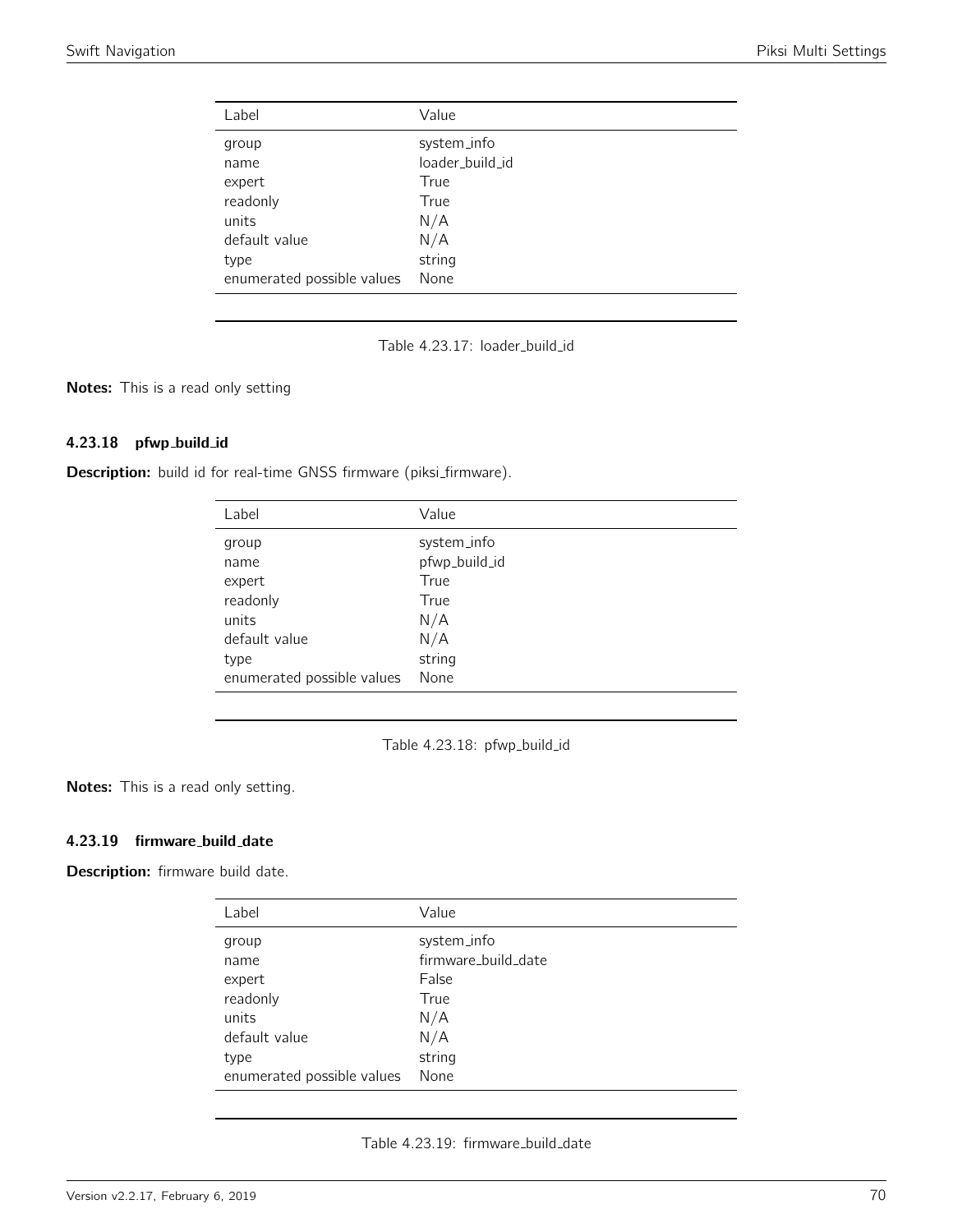| Label                      | Value           |
|----------------------------|-----------------|
| group                      | system_info     |
| name                       | loader_build_id |
| expert                     | True            |
| readonly                   | True            |
| units                      | N/A             |
| default value              | N/A             |
| type                       | string          |
| enumerated possible values | None            |

Table 4.23.17: loader\_build\_id

Notes: This is a read only setting

#### 4.23.18 pfwp build id

Description: build id for real-time GNSS firmware (piksi\_firmware).

| Label                      | Value         |
|----------------------------|---------------|
| group                      | system_info   |
| name                       | pfwp_build_id |
| expert                     | True          |
| readonly                   | True          |
| units                      | N/A           |
| default value              | N/A           |
| type                       | string        |
| enumerated possible values | None          |

Table 4.23.18: pfwp\_build\_id

Notes: This is a read only setting.

# 4.23.19 firmware\_build\_date

Description: firmware build date.

| Label                      | Value               |
|----------------------------|---------------------|
| group                      | system_info         |
| name                       | firmware_build_date |
| expert                     | False               |
| readonly                   | True                |
| units                      | N/A                 |
| default value              | N/A                 |
| type                       | string              |
| enumerated possible values | None                |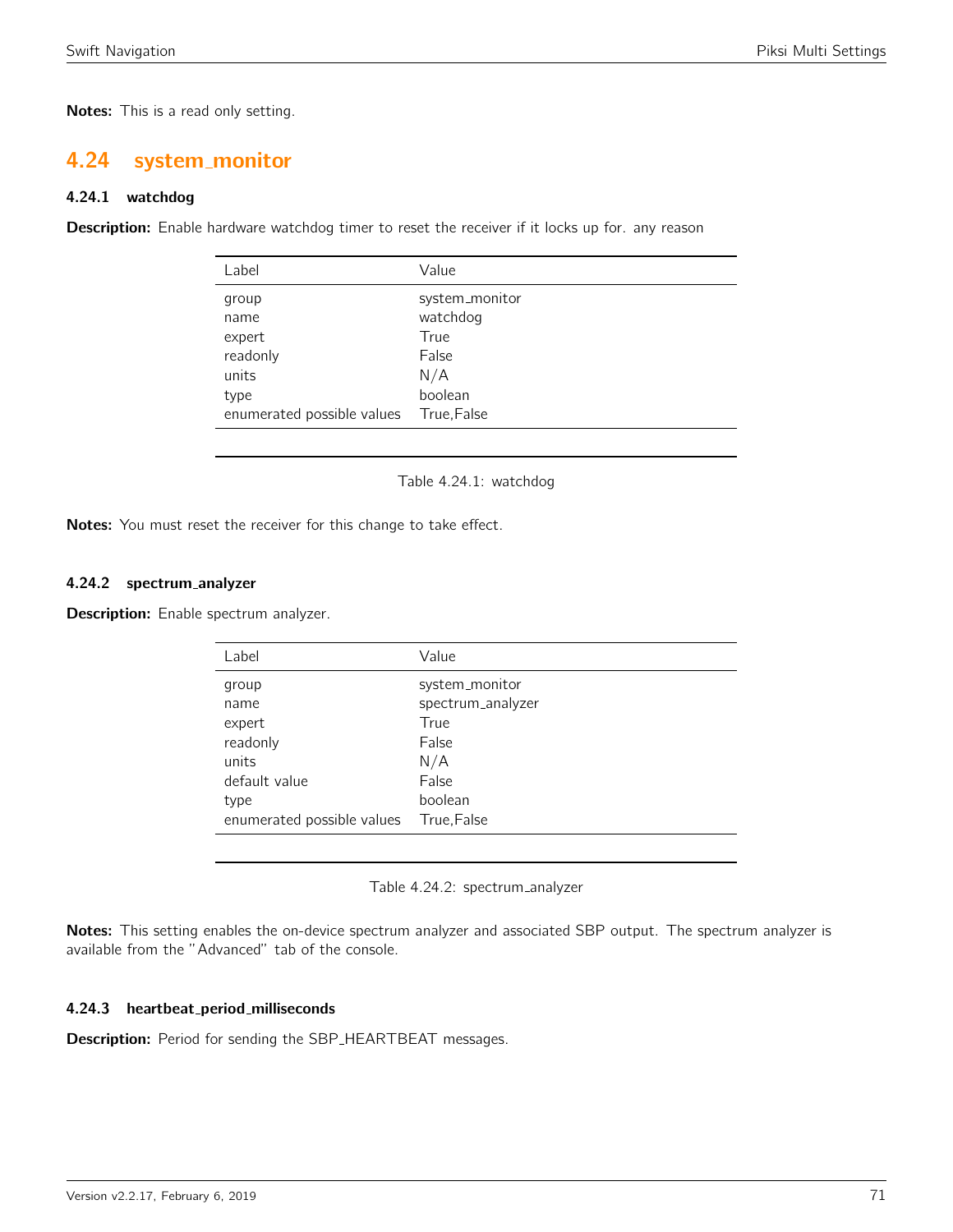Notes: This is a read only setting.

# 4.24 system monitor

## 4.24.1 watchdog

Description: Enable hardware watchdog timer to reset the receiver if it locks up for. any reason

| Label                                                                              | Value                                                                        |
|------------------------------------------------------------------------------------|------------------------------------------------------------------------------|
| group<br>name<br>expert<br>readonly<br>units<br>type<br>enumerated possible values | system_monitor<br>watchdog<br>True<br>False<br>N/A<br>boolean<br>True, False |
|                                                                                    |                                                                              |

Table 4.24.1: watchdog

Notes: You must reset the receiver for this change to take effect.

#### 4.24.2 spectrum analyzer

Description: Enable spectrum analyzer.

| Label                      | Value             |
|----------------------------|-------------------|
| group                      | system_monitor    |
| name                       | spectrum_analyzer |
| expert                     | True              |
| readonly                   | False             |
| units                      | N/A               |
| default value              | False             |
| type                       | boolean           |
| enumerated possible values | True, False       |

Table 4.24.2: spectrum analyzer

Notes: This setting enables the on-device spectrum analyzer and associated SBP output. The spectrum analyzer is available from the "Advanced" tab of the console.

### 4.24.3 heartbeat period milliseconds

Description: Period for sending the SBP\_HEARTBEAT messages.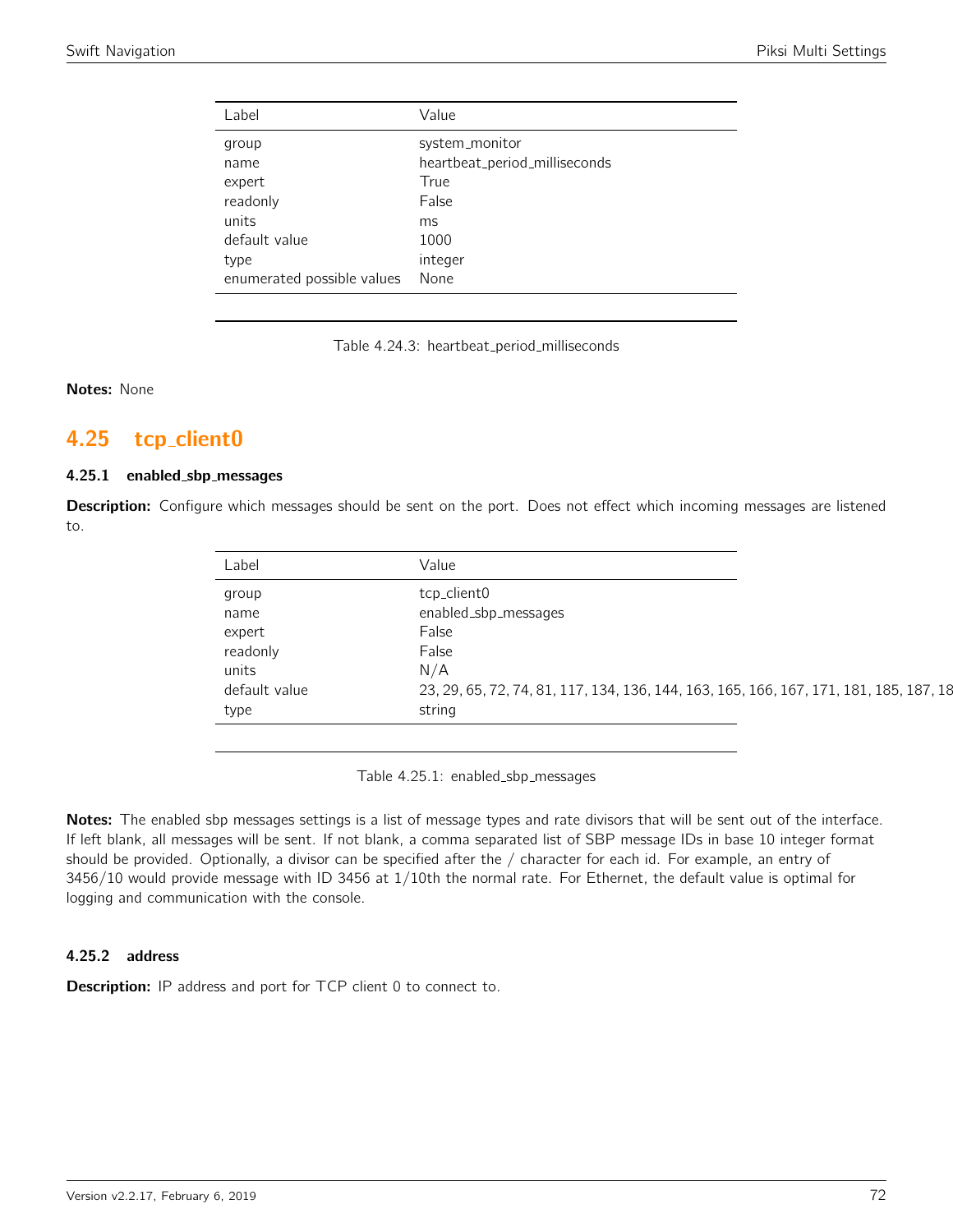| Label                                                                 | Value                                                                                     |
|-----------------------------------------------------------------------|-------------------------------------------------------------------------------------------|
| group<br>name<br>expert<br>readonly<br>units<br>default value<br>type | system_monitor<br>heartbeat_period_milliseconds<br>True<br>False<br>ms<br>1000<br>integer |
| enumerated possible values                                            | None                                                                                      |

Table 4.24.3: heartbeat\_period\_milliseconds

Notes: None

# 4.25 tcp client0

## 4.25.1 enabled sbp messages

Description: Configure which messages should be sent on the port. Does not effect which incoming messages are listened to.

| Label         | Value                                                                                  |
|---------------|----------------------------------------------------------------------------------------|
| group         | tcp_client0                                                                            |
| name          | enabled_sbp_messages                                                                   |
| expert        | False                                                                                  |
| readonly      | False                                                                                  |
| units         | N/A                                                                                    |
| default value | 23, 29, 65, 72, 74, 81, 117, 134, 136, 144, 163, 165, 166, 167, 171, 181, 185, 187, 18 |
| type          | string                                                                                 |

Table 4.25.1: enabled\_sbp\_messages

Notes: The enabled sbp messages settings is a list of message types and rate divisors that will be sent out of the interface. If left blank, all messages will be sent. If not blank, a comma separated list of SBP message IDs in base 10 integer format should be provided. Optionally, a divisor can be specified after the / character for each id. For example, an entry of 3456/10 would provide message with ID 3456 at 1/10th the normal rate. For Ethernet, the default value is optimal for logging and communication with the console.

#### 4.25.2 address

**Description:** IP address and port for TCP client 0 to connect to.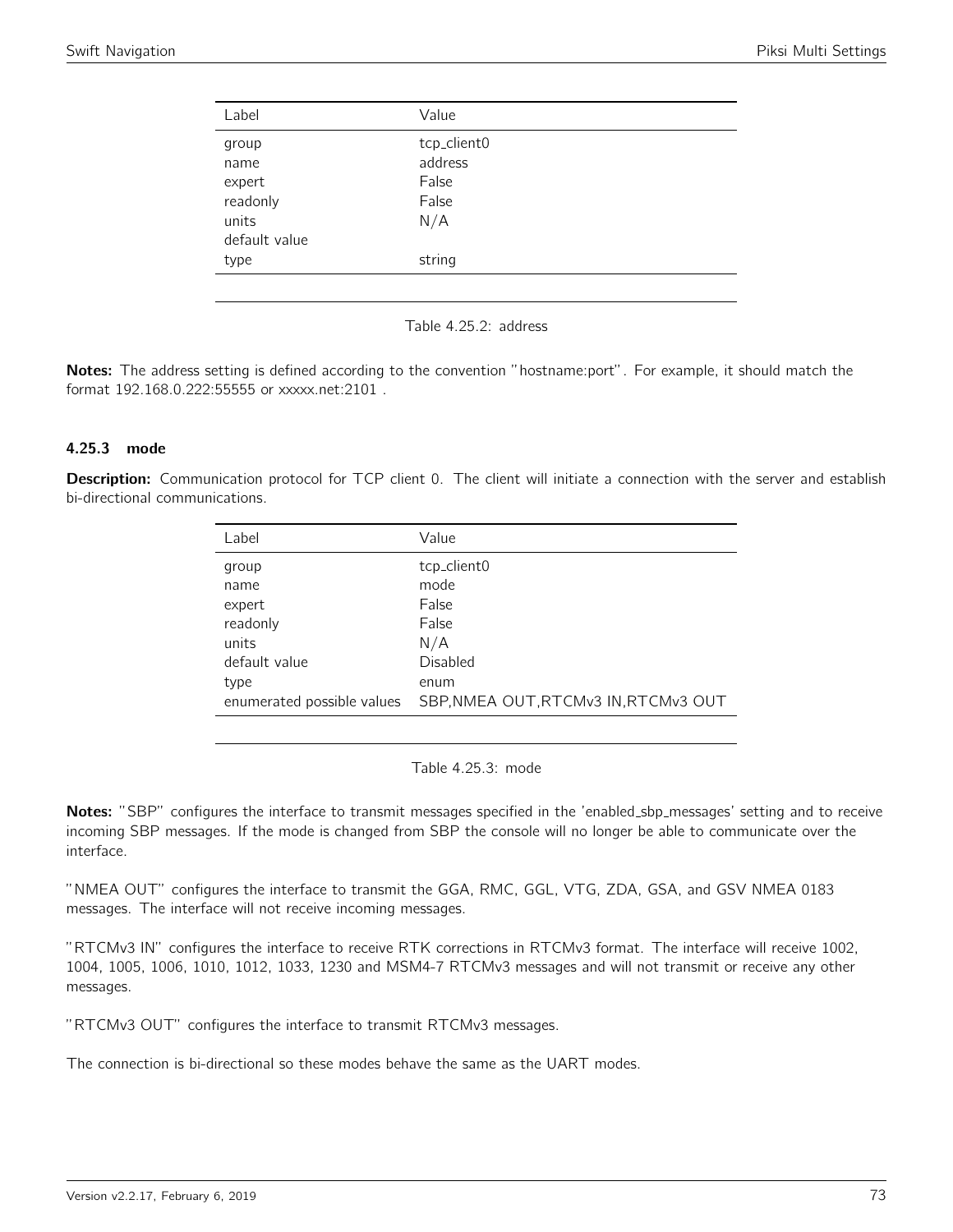| Label                                                                 | Value                                                     |
|-----------------------------------------------------------------------|-----------------------------------------------------------|
| group<br>name<br>expert<br>readonly<br>units<br>default value<br>type | tcp_client0<br>address<br>False<br>False<br>N/A<br>string |
|                                                                       |                                                           |

Table 4.25.2: address

Notes: The address setting is defined according to the convention "hostname:port". For example, it should match the format 192.168.0.222:55555 or xxxxx.net:2101 .

### 4.25.3 mode

Description: Communication protocol for TCP client 0. The client will initiate a connection with the server and establish bi-directional communications.

| Label         | Value                                                              |
|---------------|--------------------------------------------------------------------|
| group         | tcp_client0                                                        |
| name          | mode                                                               |
| expert        | False                                                              |
| readonly      | False                                                              |
| units         | N/A                                                                |
| default value | Disabled                                                           |
| type          | enum                                                               |
|               | enumerated possible values    SBP, NMEA OUT, RTCMv3 IN, RTCMv3 OUT |

Table 4.25.3: mode

Notes: "SBP" configures the interface to transmit messages specified in the 'enabled\_sbp\_messages' setting and to receive incoming SBP messages. If the mode is changed from SBP the console will no longer be able to communicate over the interface.

"NMEA OUT" configures the interface to transmit the GGA, RMC, GGL, VTG, ZDA, GSA, and GSV NMEA 0183 messages. The interface will not receive incoming messages.

"RTCMv3 IN" configures the interface to receive RTK corrections in RTCMv3 format. The interface will receive 1002, 1004, 1005, 1006, 1010, 1012, 1033, 1230 and MSM4-7 RTCMv3 messages and will not transmit or receive any other messages.

"RTCMv3 OUT" configures the interface to transmit RTCMv3 messages.

The connection is bi-directional so these modes behave the same as the UART modes.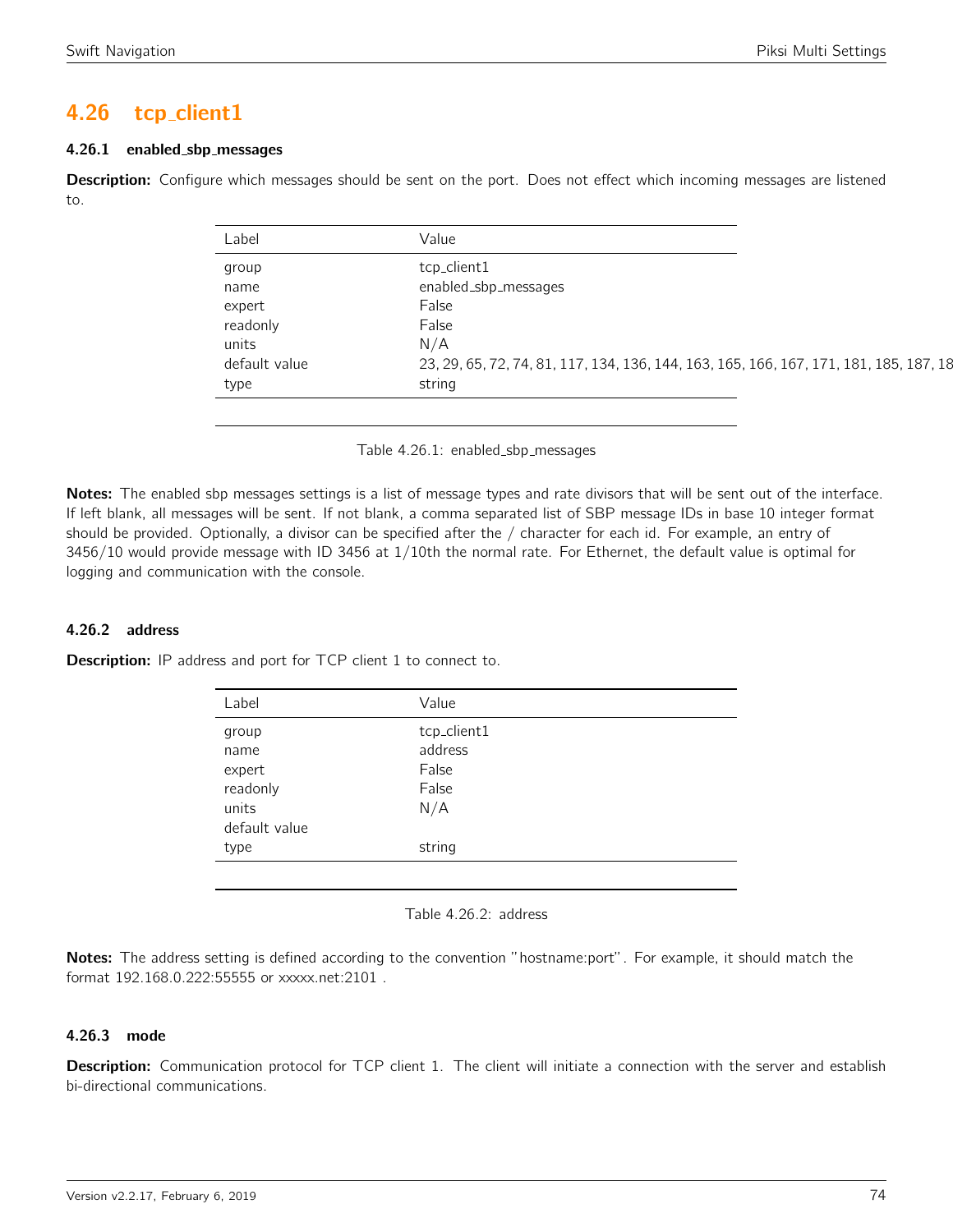# 4.26 tcp client1

## 4.26.1 enabled sbp messages

Description: Configure which messages should be sent on the port. Does not effect which incoming messages are listened to.

| Label         | Value                                                                                  |
|---------------|----------------------------------------------------------------------------------------|
| group         | tcp_client1                                                                            |
| name          | enabled_sbp_messages                                                                   |
| expert        | False                                                                                  |
| readonly      | False                                                                                  |
| units         | N/A                                                                                    |
| default value | 23, 29, 65, 72, 74, 81, 117, 134, 136, 144, 163, 165, 166, 167, 171, 181, 185, 187, 18 |
| type          | string                                                                                 |

Table 4.26.1: enabled sbp messages

Notes: The enabled sbp messages settings is a list of message types and rate divisors that will be sent out of the interface. If left blank, all messages will be sent. If not blank, a comma separated list of SBP message IDs in base 10 integer format should be provided. Optionally, a divisor can be specified after the / character for each id. For example, an entry of 3456/10 would provide message with ID 3456 at 1/10th the normal rate. For Ethernet, the default value is optimal for logging and communication with the console.

# 4.26.2 address

**Description:** IP address and port for TCP client 1 to connect to.

| Label         | Value       |
|---------------|-------------|
| group         | tcp_client1 |
| name          | address     |
| expert        | False       |
| readonly      | False       |
| units         | N/A         |
| default value |             |
| type          | string      |

Table 4.26.2: address

Notes: The address setting is defined according to the convention "hostname:port". For example, it should match the format 192.168.0.222:55555 or xxxxx.net:2101 .

### 4.26.3 mode

Description: Communication protocol for TCP client 1. The client will initiate a connection with the server and establish bi-directional communications.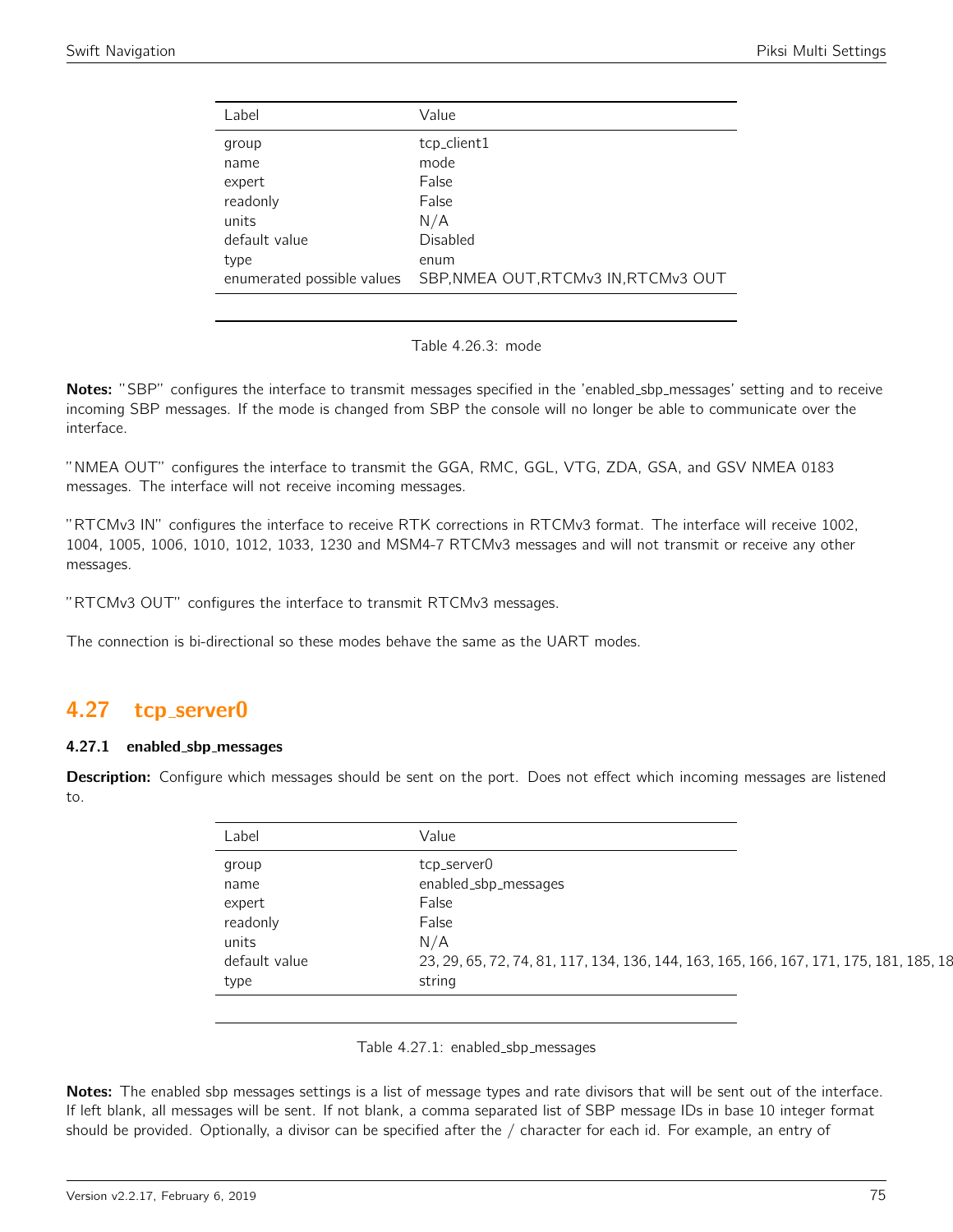| Label                      | Value                                |
|----------------------------|--------------------------------------|
| group                      | tcp_client1                          |
| name                       | mode                                 |
| expert                     | False                                |
| readonly                   | False                                |
| units                      | N/A                                  |
| default value              | Disabled                             |
| type                       | enum                                 |
| enumerated possible values | SBP, NMEA OUT, RTCMv3 IN, RTCMv3 OUT |
|                            |                                      |

Table 4.26.3: mode

Notes: "SBP" configures the interface to transmit messages specified in the 'enabled\_sbp\_messages' setting and to receive incoming SBP messages. If the mode is changed from SBP the console will no longer be able to communicate over the interface.

"NMEA OUT" configures the interface to transmit the GGA, RMC, GGL, VTG, ZDA, GSA, and GSV NMEA 0183 messages. The interface will not receive incoming messages.

"RTCMv3 IN" configures the interface to receive RTK corrections in RTCMv3 format. The interface will receive 1002, 1004, 1005, 1006, 1010, 1012, 1033, 1230 and MSM4-7 RTCMv3 messages and will not transmit or receive any other messages.

"RTCMv3 OUT" configures the interface to transmit RTCMv3 messages.

The connection is bi-directional so these modes behave the same as the UART modes.

# 4.27 tcp server0

### 4.27.1 enabled sbp messages

Description: Configure which messages should be sent on the port. Does not effect which incoming messages are listened to.

| Label         | Value                                                                                  |
|---------------|----------------------------------------------------------------------------------------|
| group         | tcp_server0                                                                            |
| name          | enabled_sbp_messages                                                                   |
| expert        | False                                                                                  |
| readonly      | False                                                                                  |
| units         | N/A                                                                                    |
| default value | 23, 29, 65, 72, 74, 81, 117, 134, 136, 144, 163, 165, 166, 167, 171, 175, 181, 185, 18 |
| type          | string                                                                                 |

Table 4.27.1: enabled\_sbp\_messages

Notes: The enabled sbp messages settings is a list of message types and rate divisors that will be sent out of the interface. If left blank, all messages will be sent. If not blank, a comma separated list of SBP message IDs in base 10 integer format should be provided. Optionally, a divisor can be specified after the / character for each id. For example, an entry of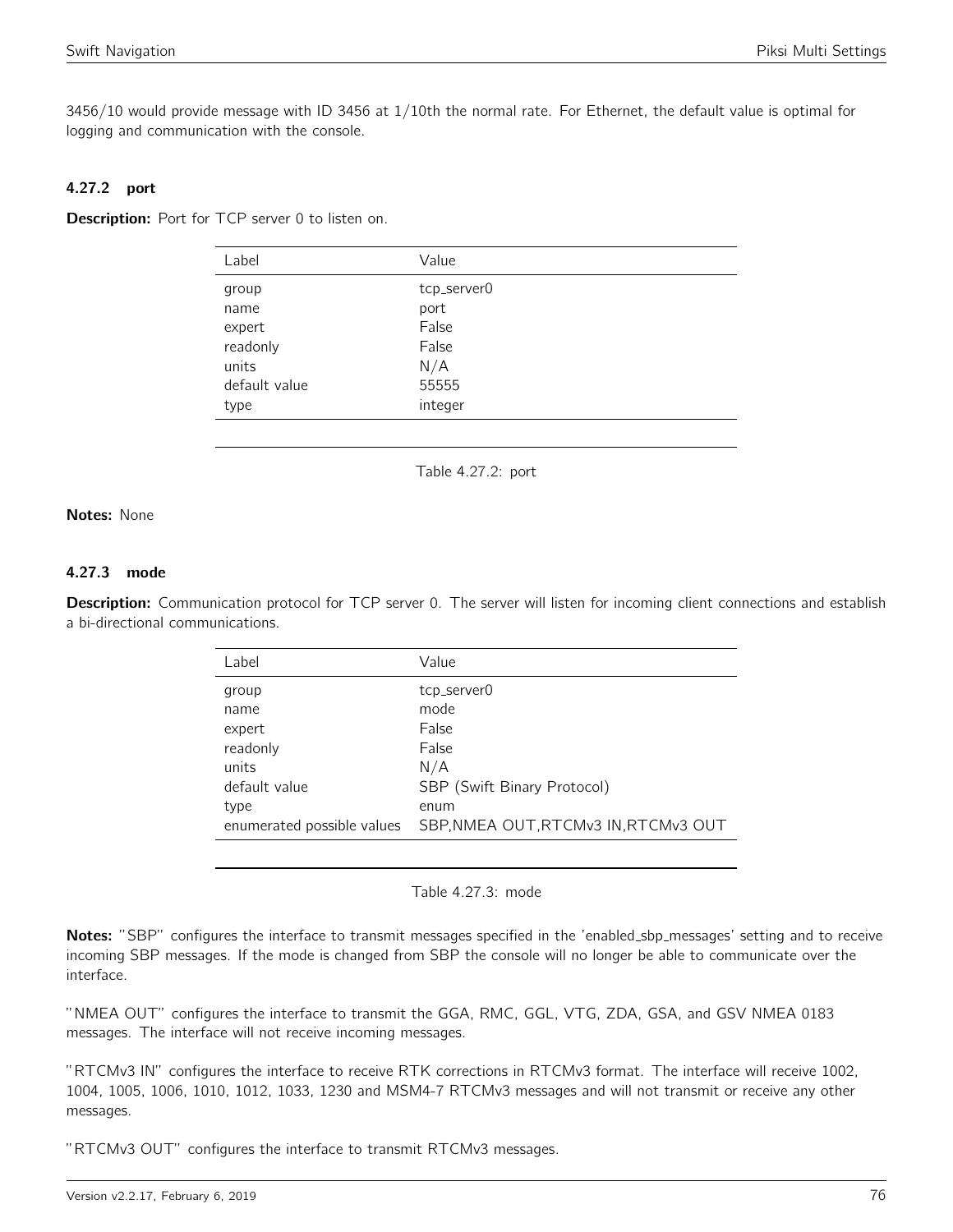3456/10 would provide message with ID 3456 at 1/10th the normal rate. For Ethernet, the default value is optimal for logging and communication with the console.

# 4.27.2 port

**Description:** Port for TCP server 0 to listen on.

| Label         | Value       |
|---------------|-------------|
| group         | tcp_server0 |
| name          | port        |
| expert        | False       |
| readonly      | False       |
| units         | N/A         |
| default value | 55555       |
| type          | integer     |

Table 4.27.2: port

#### Notes: None

# 4.27.3 mode

Description: Communication protocol for TCP server 0. The server will listen for incoming client connections and establish a bi-directional communications.

| Value                                |
|--------------------------------------|
| tcp_server0                          |
| mode                                 |
| False                                |
| False                                |
| N/A                                  |
| SBP (Swift Binary Protocol)          |
| enum                                 |
| SBP, NMEA OUT, RTCMv3 IN, RTCMv3 OUT |
|                                      |

Table 4.27.3: mode

Notes: "SBP" configures the interface to transmit messages specified in the 'enabled\_sbp\_messages' setting and to receive incoming SBP messages. If the mode is changed from SBP the console will no longer be able to communicate over the interface.

"NMEA OUT" configures the interface to transmit the GGA, RMC, GGL, VTG, ZDA, GSA, and GSV NMEA 0183 messages. The interface will not receive incoming messages.

"RTCMv3 IN" configures the interface to receive RTK corrections in RTCMv3 format. The interface will receive 1002, 1004, 1005, 1006, 1010, 1012, 1033, 1230 and MSM4-7 RTCMv3 messages and will not transmit or receive any other messages.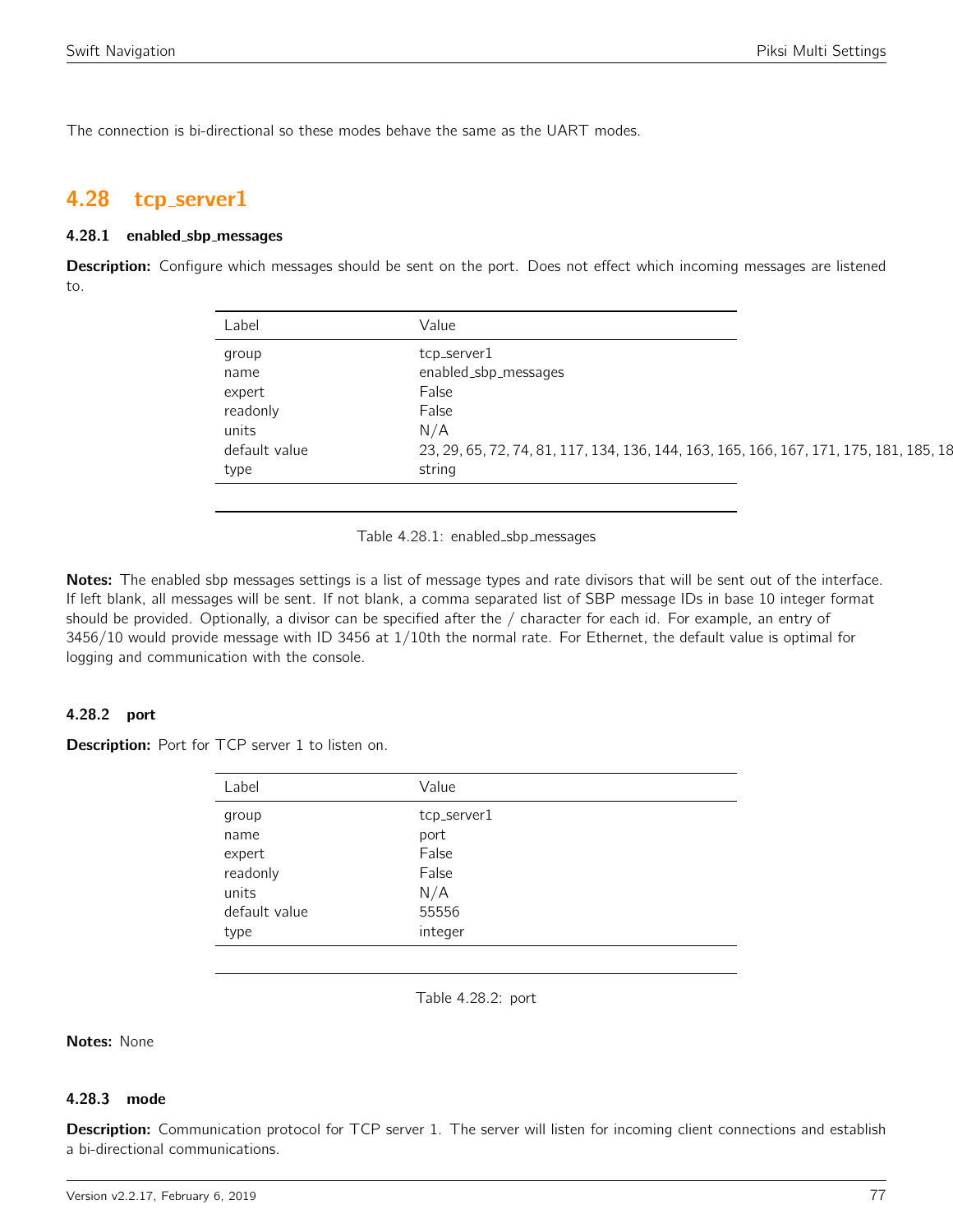The connection is bi-directional so these modes behave the same as the UART modes.

# 4.28 tcp server1

#### 4.28.1 enabled sbp messages

**Description:** Configure which messages should be sent on the port. Does not effect which incoming messages are listened to.

| Label         | Value                                                                                  |
|---------------|----------------------------------------------------------------------------------------|
| group         | tcp_server1                                                                            |
| name          | enabled_sbp_messages                                                                   |
| expert        | False                                                                                  |
| readonly      | False                                                                                  |
| units         | N/A                                                                                    |
| default value | 23, 29, 65, 72, 74, 81, 117, 134, 136, 144, 163, 165, 166, 167, 171, 175, 181, 185, 18 |
| type          | string                                                                                 |

Table 4.28.1: enabled\_sbp\_messages

Notes: The enabled sbp messages settings is a list of message types and rate divisors that will be sent out of the interface. If left blank, all messages will be sent. If not blank, a comma separated list of SBP message IDs in base 10 integer format should be provided. Optionally, a divisor can be specified after the / character for each id. For example, an entry of 3456/10 would provide message with ID 3456 at 1/10th the normal rate. For Ethernet, the default value is optimal for logging and communication with the console.

### 4.28.2 port

Description: Port for TCP server 1 to listen on.

| Label         | Value       |  |
|---------------|-------------|--|
| group         | tcp_server1 |  |
| name          | port        |  |
| expert        | False       |  |
| readonly      | False       |  |
| units         | N/A         |  |
| default value | 55556       |  |
| type          | integer     |  |

Table 4.28.2: port

# Notes: None

#### 4.28.3 mode

Description: Communication protocol for TCP server 1. The server will listen for incoming client connections and establish a bi-directional communications.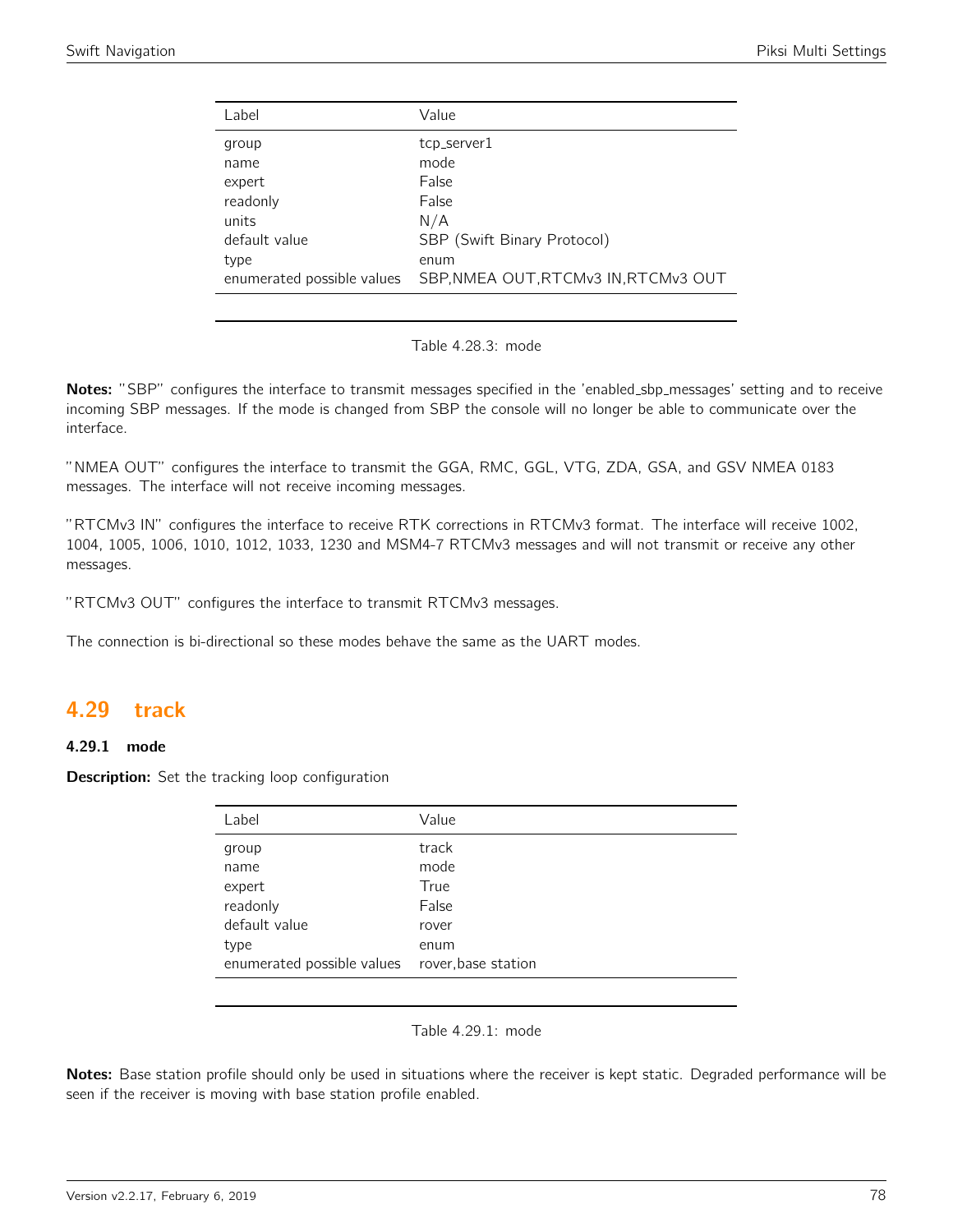| Label                      | Value                                |
|----------------------------|--------------------------------------|
|                            |                                      |
| group                      | tcp_server1                          |
| name                       | mode                                 |
| expert                     | False                                |
| readonly                   | False                                |
| units                      | N/A                                  |
| default value              | SBP (Swift Binary Protocol)          |
| type                       | enum                                 |
| enumerated possible values | SBP, NMEA OUT, RTCMv3 IN, RTCMv3 OUT |
|                            |                                      |

Table 4.28.3: mode

Notes: "SBP" configures the interface to transmit messages specified in the 'enabled\_sbp\_messages' setting and to receive incoming SBP messages. If the mode is changed from SBP the console will no longer be able to communicate over the interface.

"NMEA OUT" configures the interface to transmit the GGA, RMC, GGL, VTG, ZDA, GSA, and GSV NMEA 0183 messages. The interface will not receive incoming messages.

"RTCMv3 IN" configures the interface to receive RTK corrections in RTCMv3 format. The interface will receive 1002, 1004, 1005, 1006, 1010, 1012, 1033, 1230 and MSM4-7 RTCMv3 messages and will not transmit or receive any other messages.

"RTCMv3 OUT" configures the interface to transmit RTCMv3 messages.

The connection is bi-directional so these modes behave the same as the UART modes.

# 4.29 track

### 4.29.1 mode

Description: Set the tracking loop configuration

| Label                      | Value               |
|----------------------------|---------------------|
| group                      | track               |
| name                       | mode                |
| expert                     | True                |
| readonly                   | False               |
| default value              | rover               |
| type                       | enum                |
| enumerated possible values | rover, base station |

#### Table 4.29.1: mode

Notes: Base station profile should only be used in situations where the receiver is kept static. Degraded performance will be seen if the receiver is moving with base station profile enabled.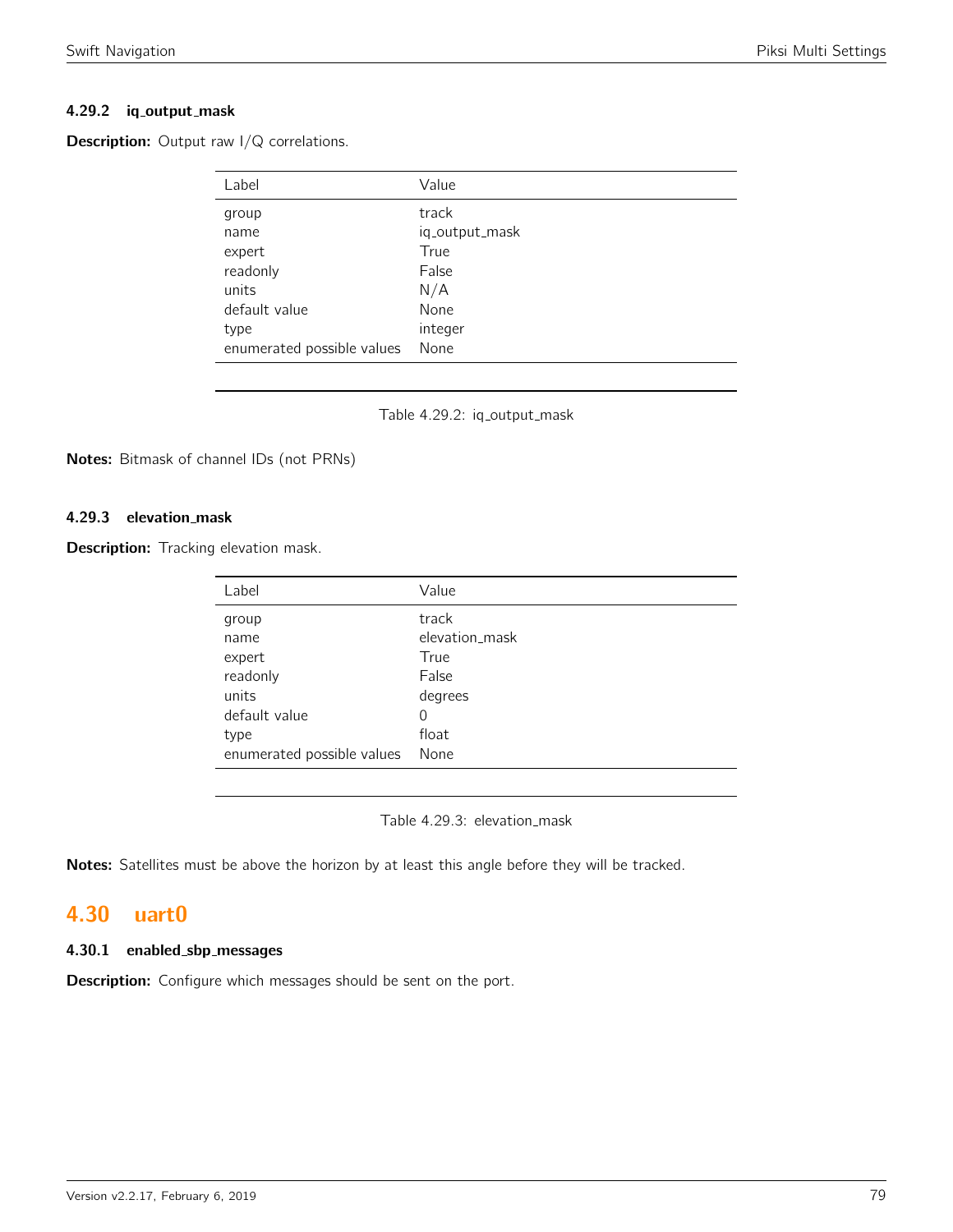## 4.29.2 iq\_output\_mask

**Description:** Output raw I/Q correlations.

| Label                      | Value          |
|----------------------------|----------------|
| group                      | track          |
| name                       | iq_output_mask |
| expert                     | True           |
| readonly                   | False          |
| units                      | N/A            |
| default value              | None           |
| type                       | integer        |
| enumerated possible values | None           |

Table 4.29.2: iq\_output\_mask

Notes: Bitmask of channel IDs (not PRNs)

### 4.29.3 elevation mask

**Description:** Tracking elevation mask.

| Label                      | Value          |
|----------------------------|----------------|
| group                      | track          |
| name                       | elevation_mask |
| expert                     | True           |
| readonly                   | False          |
| units                      | degrees        |
| default value              | 0              |
| type                       | float          |
| enumerated possible values | None           |

Table 4.29.3: elevation\_mask

Notes: Satellites must be above the horizon by at least this angle before they will be tracked.

# 4.30 uart0

# 4.30.1 enabled sbp messages

**Description:** Configure which messages should be sent on the port.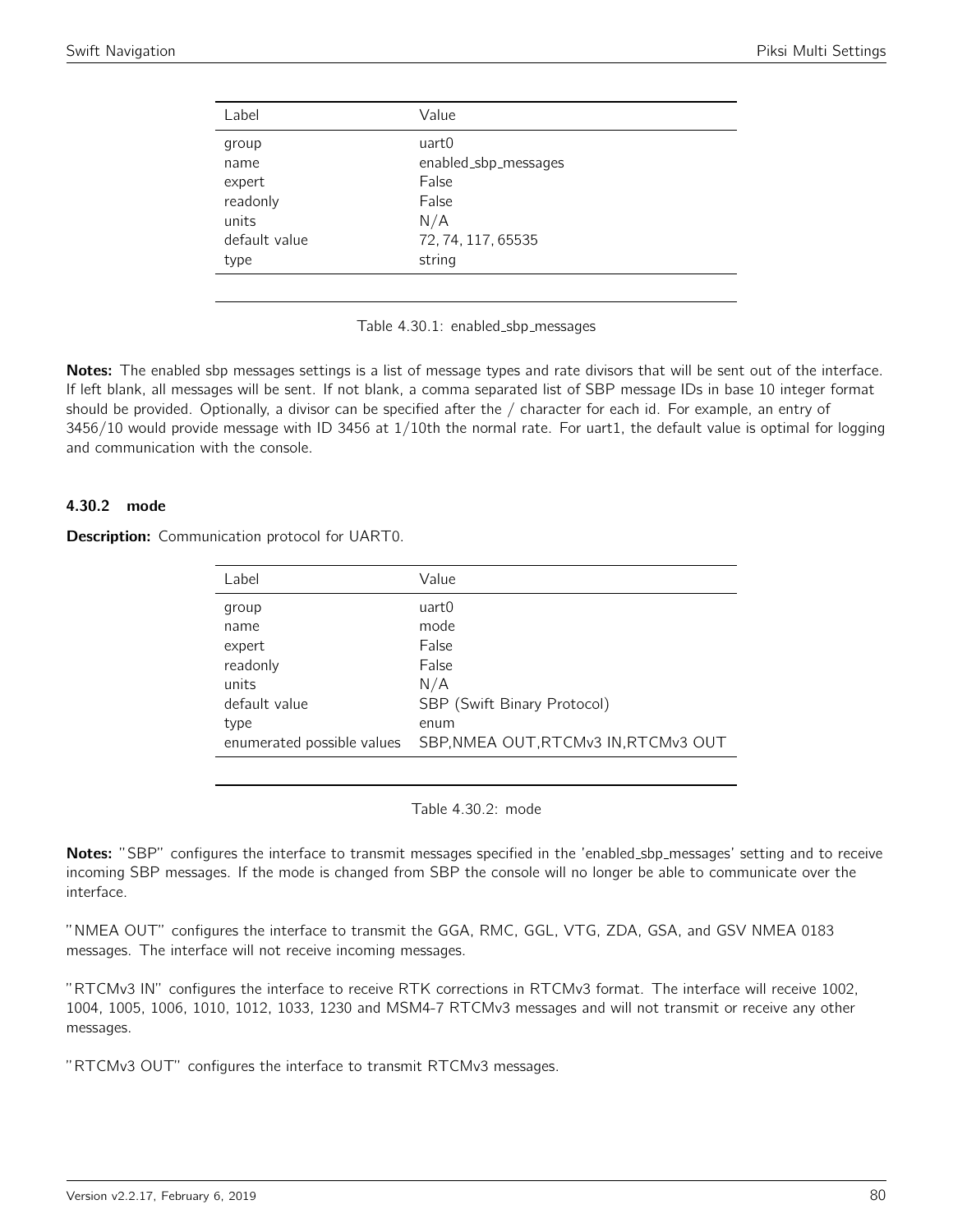| Label         | Value                |
|---------------|----------------------|
| group         | uart0                |
| name          | enabled_sbp_messages |
| expert        | False                |
| readonly      | False                |
| units         | N/A                  |
| default value | 72, 74, 117, 65535   |
| type          | string               |



Notes: The enabled sbp messages settings is a list of message types and rate divisors that will be sent out of the interface. If left blank, all messages will be sent. If not blank, a comma separated list of SBP message IDs in base 10 integer format should be provided. Optionally, a divisor can be specified after the / character for each id. For example, an entry of 3456/10 would provide message with ID 3456 at 1/10th the normal rate. For uart1, the default value is optimal for logging and communication with the console.

# 4.30.2 mode

Description: Communication protocol for UART0.

| Label                      | Value                                |
|----------------------------|--------------------------------------|
| group                      | uart0                                |
| name                       | mode                                 |
| expert                     | False                                |
| readonly                   | False                                |
| units                      | N/A                                  |
| default value              | SBP (Swift Binary Protocol)          |
| type                       | enum                                 |
| enumerated possible values | SBP, NMEA OUT, RTCMv3 IN, RTCMv3 OUT |

Table 4.30.2: mode

Notes: "SBP" configures the interface to transmit messages specified in the 'enabled\_sbp\_messages' setting and to receive incoming SBP messages. If the mode is changed from SBP the console will no longer be able to communicate over the interface.

"NMEA OUT" configures the interface to transmit the GGA, RMC, GGL, VTG, ZDA, GSA, and GSV NMEA 0183 messages. The interface will not receive incoming messages.

"RTCMv3 IN" configures the interface to receive RTK corrections in RTCMv3 format. The interface will receive 1002, 1004, 1005, 1006, 1010, 1012, 1033, 1230 and MSM4-7 RTCMv3 messages and will not transmit or receive any other messages.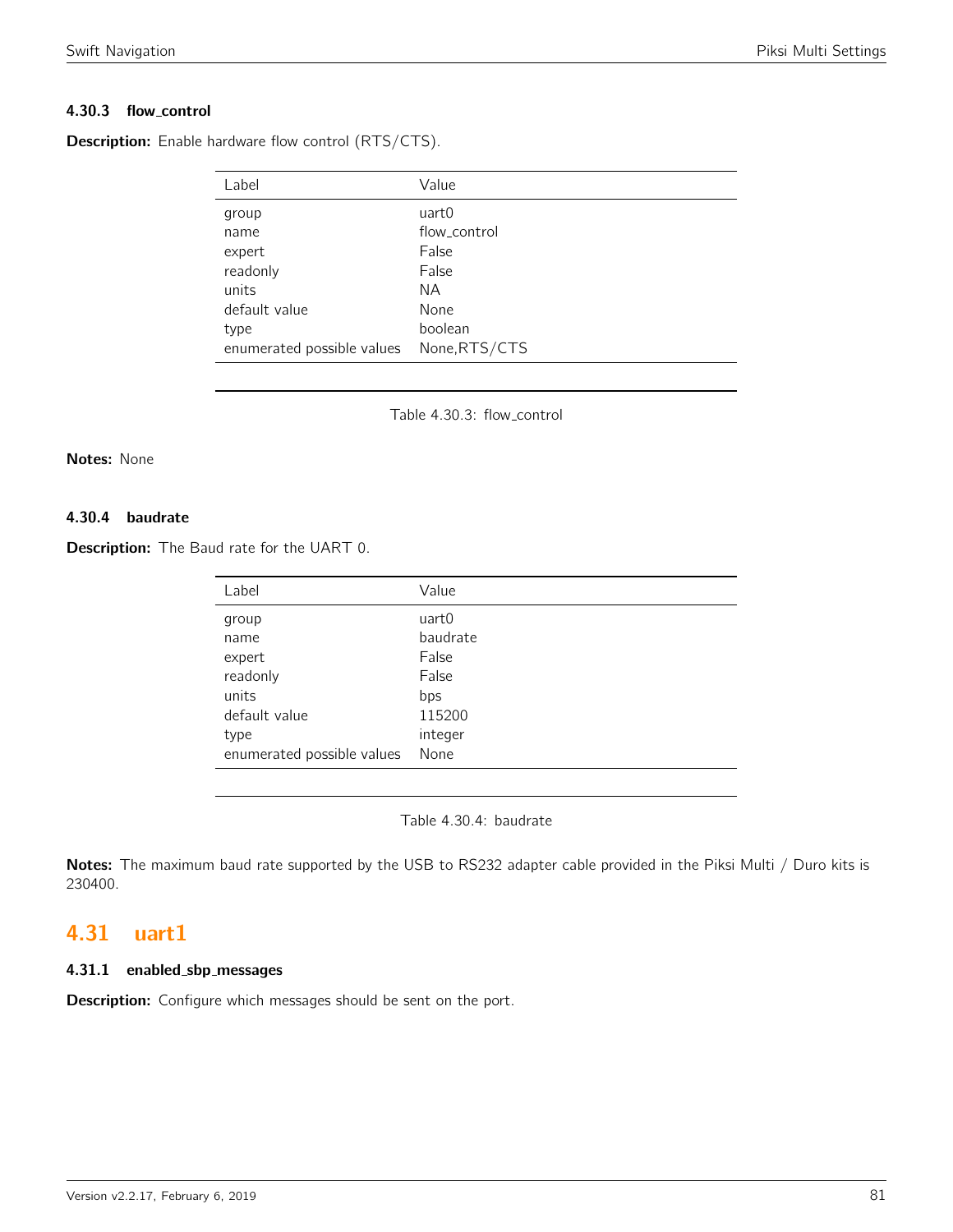# 4.30.3 flow control

**Description:** Enable hardware flow control (RTS/CTS).

| Label                      | Value         |
|----------------------------|---------------|
| group                      | uart0         |
| name                       | flow_control  |
| expert                     | False         |
| readonly                   | False         |
| units                      | ΝA            |
| default value              | None          |
| type                       | boolean       |
| enumerated possible values | None, RTS/CTS |

Table 4.30.3: flow\_control

#### Notes: None

# 4.30.4 baudrate

Description: The Baud rate for the UART 0.

| Label                      | Value    |
|----------------------------|----------|
| group                      | uart0    |
| name                       | baudrate |
| expert                     | False    |
| readonly                   | False    |
| units                      | bps      |
| default value              | 115200   |
| type                       | integer  |
| enumerated possible values | None     |

Table 4.30.4: baudrate

Notes: The maximum baud rate supported by the USB to RS232 adapter cable provided in the Piksi Multi / Duro kits is 230400.

# 4.31 uart1

# 4.31.1 enabled sbp messages

Description: Configure which messages should be sent on the port.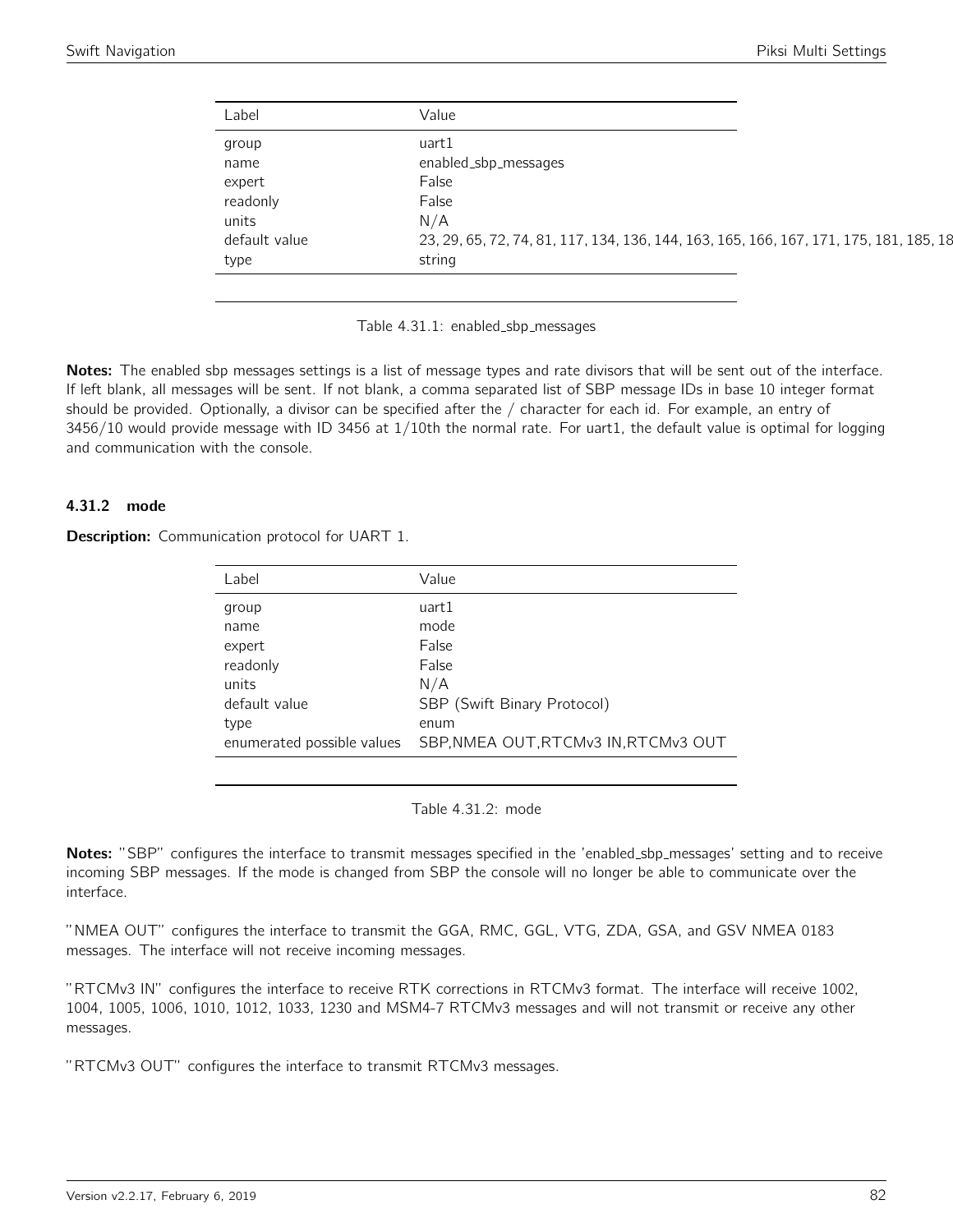| Label         | Value                                                                                  |
|---------------|----------------------------------------------------------------------------------------|
| group         | uart1                                                                                  |
| name          | enabled_sbp_messages                                                                   |
| expert        | False                                                                                  |
| readonly      | False                                                                                  |
| units         | N/A                                                                                    |
| default value | 23, 29, 65, 72, 74, 81, 117, 134, 136, 144, 163, 165, 166, 167, 171, 175, 181, 185, 18 |
| type          | string                                                                                 |

Table 4.31.1: enabled\_sbp\_messages

Notes: The enabled sbp messages settings is a list of message types and rate divisors that will be sent out of the interface. If left blank, all messages will be sent. If not blank, a comma separated list of SBP message IDs in base 10 integer format should be provided. Optionally, a divisor can be specified after the / character for each id. For example, an entry of 3456/10 would provide message with ID 3456 at 1/10th the normal rate. For uart1, the default value is optimal for logging and communication with the console.

### 4.31.2 mode

Description: Communication protocol for UART 1.

| Label                      | Value                                |
|----------------------------|--------------------------------------|
| group                      | uart1                                |
| name                       | mode                                 |
| expert                     | False                                |
| readonly                   | False                                |
| units                      | N/A                                  |
| default value              | SBP (Swift Binary Protocol)          |
| type                       | enum                                 |
| enumerated possible values | SBP, NMEA OUT, RTCMv3 IN, RTCMv3 OUT |

Table 4.31.2: mode

Notes: "SBP" configures the interface to transmit messages specified in the 'enabled\_sbp\_messages' setting and to receive incoming SBP messages. If the mode is changed from SBP the console will no longer be able to communicate over the interface.

"NMEA OUT" configures the interface to transmit the GGA, RMC, GGL, VTG, ZDA, GSA, and GSV NMEA 0183 messages. The interface will not receive incoming messages.

"RTCMv3 IN" configures the interface to receive RTK corrections in RTCMv3 format. The interface will receive 1002, 1004, 1005, 1006, 1010, 1012, 1033, 1230 and MSM4-7 RTCMv3 messages and will not transmit or receive any other messages.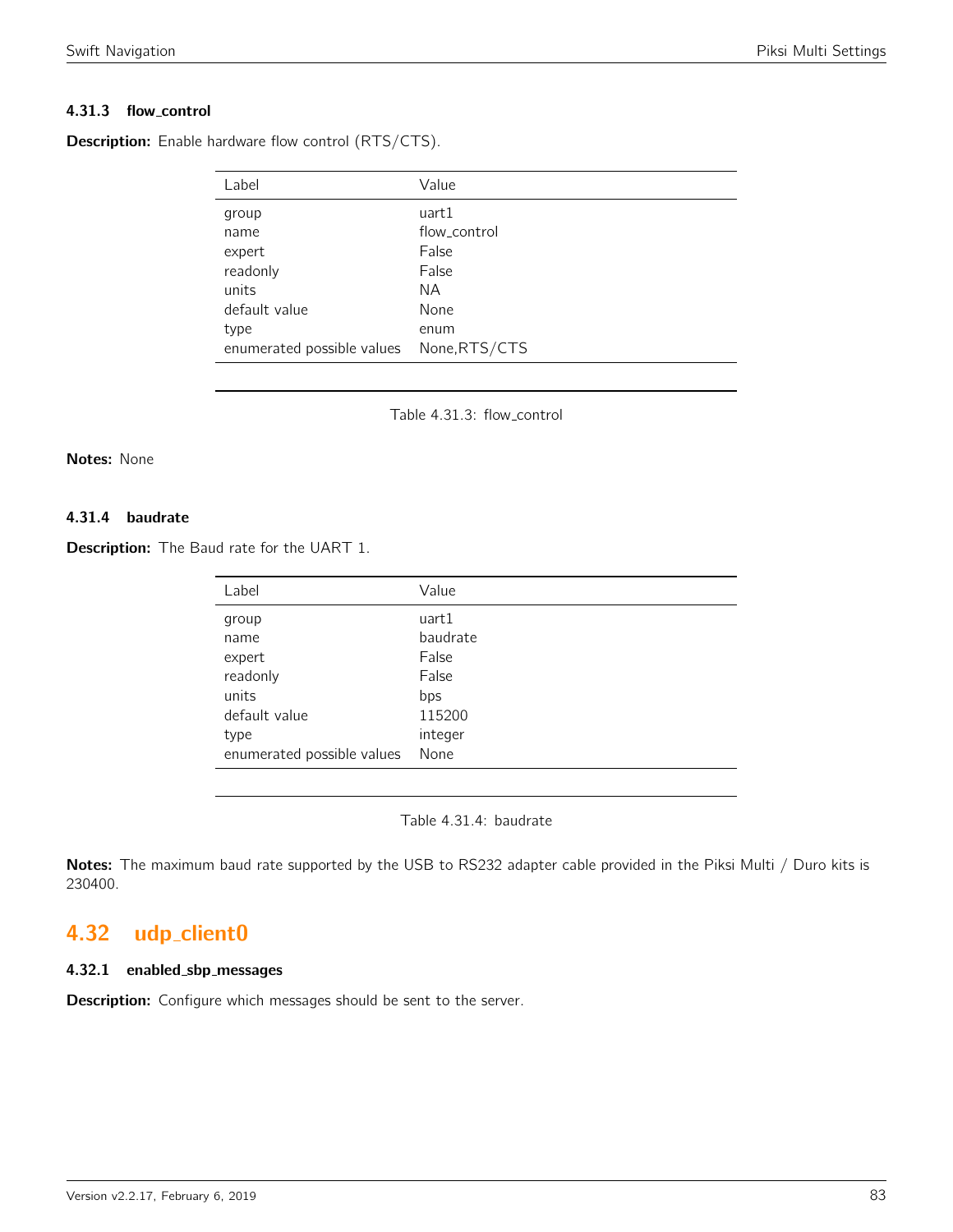# 4.31.3 flow control

| Label  | Value        |
|--------|--------------|
| group  | uart1        |
| name   | flow_control |
| expert | False        |

**Description:** Enable hardware flow control (RTS/CTS).

| group                                    | uart1        |
|------------------------------------------|--------------|
| name                                     | flow_control |
| expert                                   | False        |
| readonly                                 | False        |
| units                                    | NA.          |
| default value                            | None         |
| type                                     | enum         |
| enumerated possible values None, RTS/CTS |              |

Table 4.31.3: flow\_control

#### Notes: None

# 4.31.4 baudrate

**Description:** The Baud rate for the UART 1.

| Label                      | Value    |
|----------------------------|----------|
| group                      | uart1    |
| name                       | baudrate |
| expert                     | False    |
| readonly                   | False    |
| units                      | bps      |
| default value              | 115200   |
| type                       | integer  |
| enumerated possible values | None     |

Table 4.31.4: baudrate

Notes: The maximum baud rate supported by the USB to RS232 adapter cable provided in the Piksi Multi / Duro kits is 230400.

# 4.32 udp\_client0

# 4.32.1 enabled sbp messages

Description: Configure which messages should be sent to the server.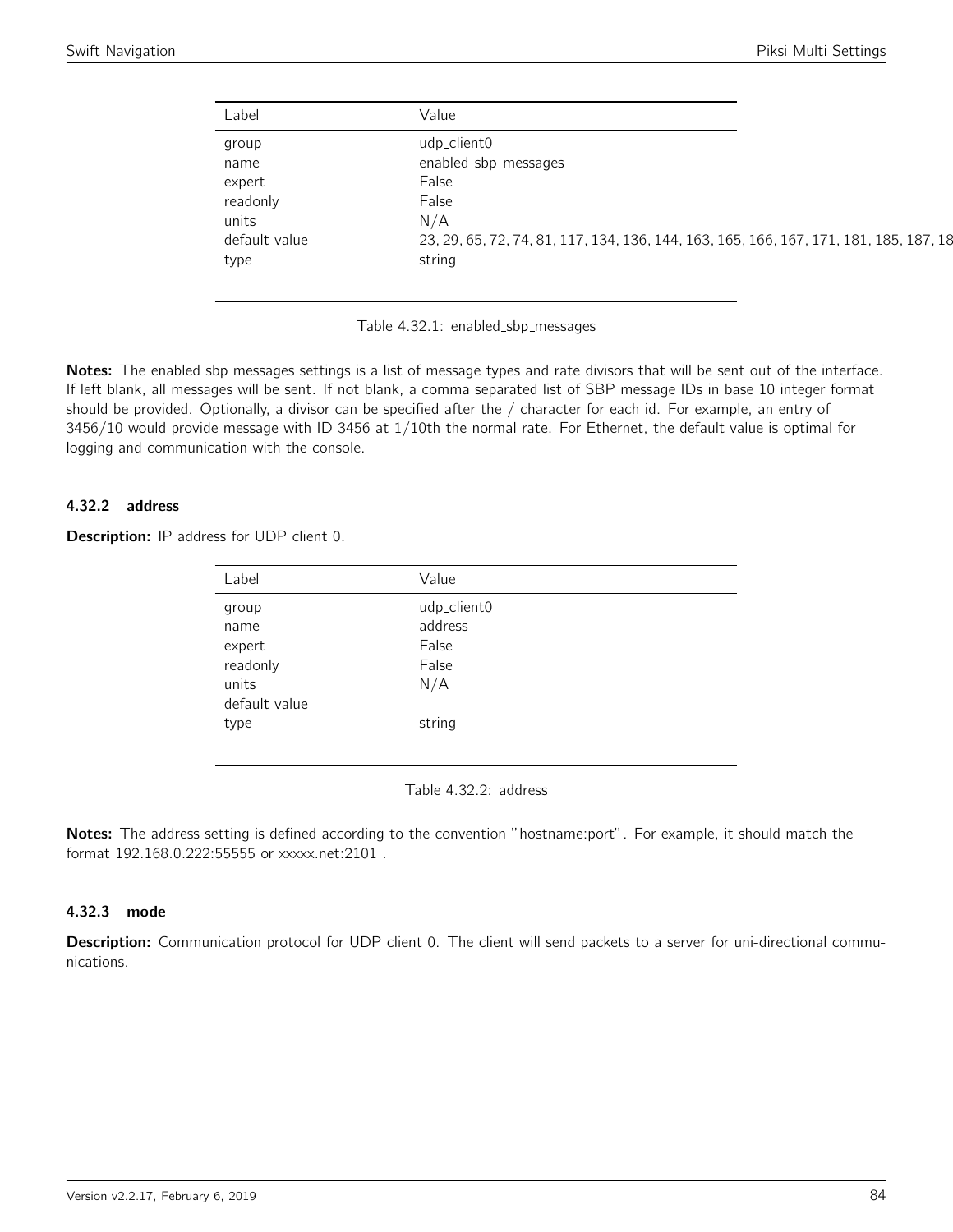| Label         | Value                                                                                  |
|---------------|----------------------------------------------------------------------------------------|
| group         | udp_client0                                                                            |
| name          | enabled_sbp_messages                                                                   |
| expert        | False                                                                                  |
| readonly      | False                                                                                  |
| units         | N/A                                                                                    |
| default value | 23, 29, 65, 72, 74, 81, 117, 134, 136, 144, 163, 165, 166, 167, 171, 181, 185, 187, 18 |
| type          | string                                                                                 |

Table 4.32.1: enabled\_sbp\_messages

Notes: The enabled sbp messages settings is a list of message types and rate divisors that will be sent out of the interface. If left blank, all messages will be sent. If not blank, a comma separated list of SBP message IDs in base 10 integer format should be provided. Optionally, a divisor can be specified after the / character for each id. For example, an entry of 3456/10 would provide message with ID 3456 at 1/10th the normal rate. For Ethernet, the default value is optimal for logging and communication with the console.

# 4.32.2 address

| <b>Description:</b> IP address for UDP client 0. |  |  |  |  |  |  |
|--------------------------------------------------|--|--|--|--|--|--|
|--------------------------------------------------|--|--|--|--|--|--|

| Label         | Value       |
|---------------|-------------|
| group         | udp_client0 |
| name          | address     |
| expert        | False       |
| readonly      | False       |
| units         | N/A         |
| default value |             |
| type          | string      |
|               |             |

Table 4.32.2: address

Notes: The address setting is defined according to the convention "hostname:port". For example, it should match the format 192.168.0.222:55555 or xxxxx.net:2101 .

### 4.32.3 mode

Description: Communication protocol for UDP client 0. The client will send packets to a server for uni-directional communications.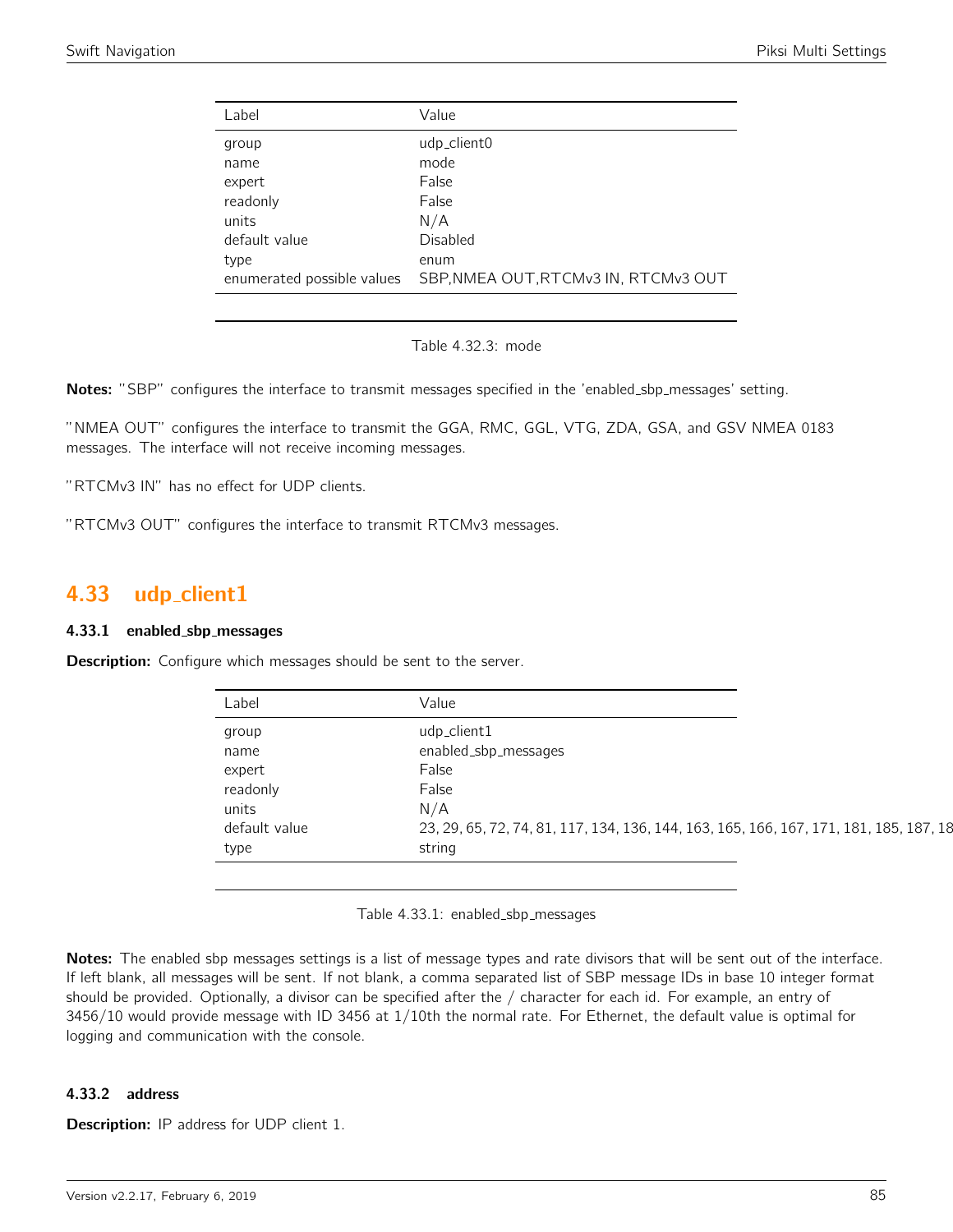| Label                      | Value                                |
|----------------------------|--------------------------------------|
| group                      | udp_client0                          |
| name                       | mode                                 |
| expert                     | False                                |
| readonly                   | False                                |
| units                      | N/A                                  |
| default value              | Disabled                             |
| type                       | enum                                 |
| enumerated possible values | SBP, NMEA OUT, RTCMv3 IN, RTCMv3 OUT |
|                            |                                      |

Table 4.32.3: mode

Notes: "SBP" configures the interface to transmit messages specified in the 'enabled\_sbp\_messages' setting.

"NMEA OUT" configures the interface to transmit the GGA, RMC, GGL, VTG, ZDA, GSA, and GSV NMEA 0183 messages. The interface will not receive incoming messages.

"RTCMv3 IN" has no effect for UDP clients.

"RTCMv3 OUT" configures the interface to transmit RTCMv3 messages.

# 4.33 udp\_client1

#### 4.33.1 enabled sbp messages

**Description:** Configure which messages should be sent to the server.

| Label         | Value                                                                                  |
|---------------|----------------------------------------------------------------------------------------|
| group         | udp_client1                                                                            |
| name          | enabled_sbp_messages                                                                   |
| expert        | False                                                                                  |
| readonly      | False                                                                                  |
| units         | N/A                                                                                    |
| default value | 23, 29, 65, 72, 74, 81, 117, 134, 136, 144, 163, 165, 166, 167, 171, 181, 185, 187, 18 |
| type          | string                                                                                 |

Table 4.33.1: enabled\_sbp\_messages

Notes: The enabled sbp messages settings is a list of message types and rate divisors that will be sent out of the interface. If left blank, all messages will be sent. If not blank, a comma separated list of SBP message IDs in base 10 integer format should be provided. Optionally, a divisor can be specified after the / character for each id. For example, an entry of 3456/10 would provide message with ID 3456 at 1/10th the normal rate. For Ethernet, the default value is optimal for logging and communication with the console.

## 4.33.2 address

**Description:** IP address for UDP client 1.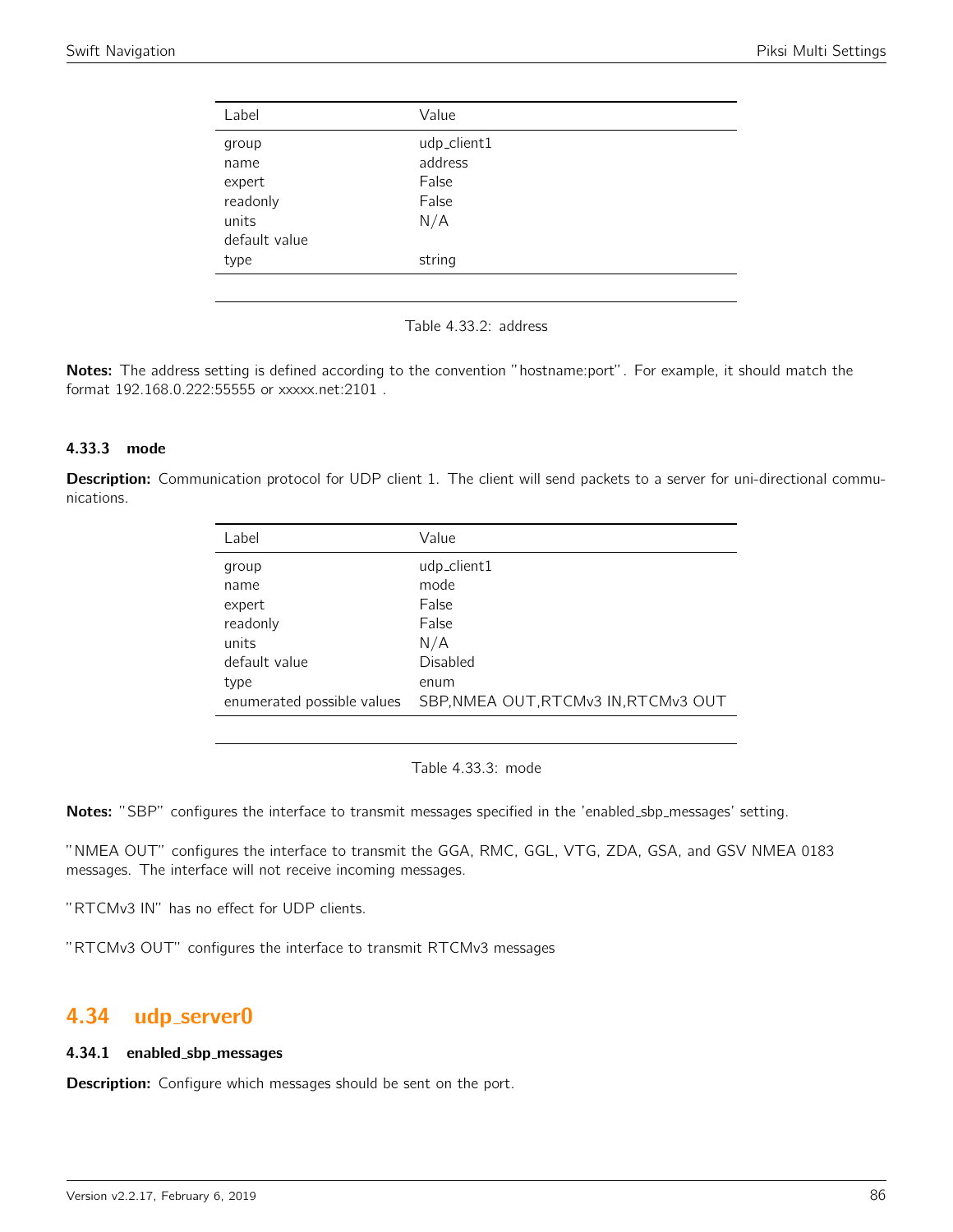| Label                                        | Value                                           |
|----------------------------------------------|-------------------------------------------------|
| group<br>name<br>expert<br>readonly<br>units | udp_client1<br>address<br>False<br>False<br>N/A |
| default value<br>type                        | string                                          |

Table 4.33.2: address

Notes: The address setting is defined according to the convention "hostname:port". For example, it should match the format 192.168.0.222:55555 or xxxxx.net:2101 .

### 4.33.3 mode

Description: Communication protocol for UDP client 1. The client will send packets to a server for uni-directional communications.

| Label                      | Value                                |
|----------------------------|--------------------------------------|
| group                      | udp_client1                          |
| name                       | mode                                 |
| expert                     | False                                |
| readonly                   | False                                |
| units                      | N/A                                  |
| default value              | Disabled                             |
| type                       | enum                                 |
| enumerated possible values | SBP, NMEA OUT, RTCMv3 IN, RTCMv3 OUT |

Table 4.33.3: mode

Notes: "SBP" configures the interface to transmit messages specified in the 'enabled\_sbp\_messages' setting.

"NMEA OUT" configures the interface to transmit the GGA, RMC, GGL, VTG, ZDA, GSA, and GSV NMEA 0183 messages. The interface will not receive incoming messages.

"RTCMv3 IN" has no effect for UDP clients.

"RTCMv3 OUT" configures the interface to transmit RTCMv3 messages

# 4.34 udp server0

#### 4.34.1 enabled sbp messages

**Description:** Configure which messages should be sent on the port.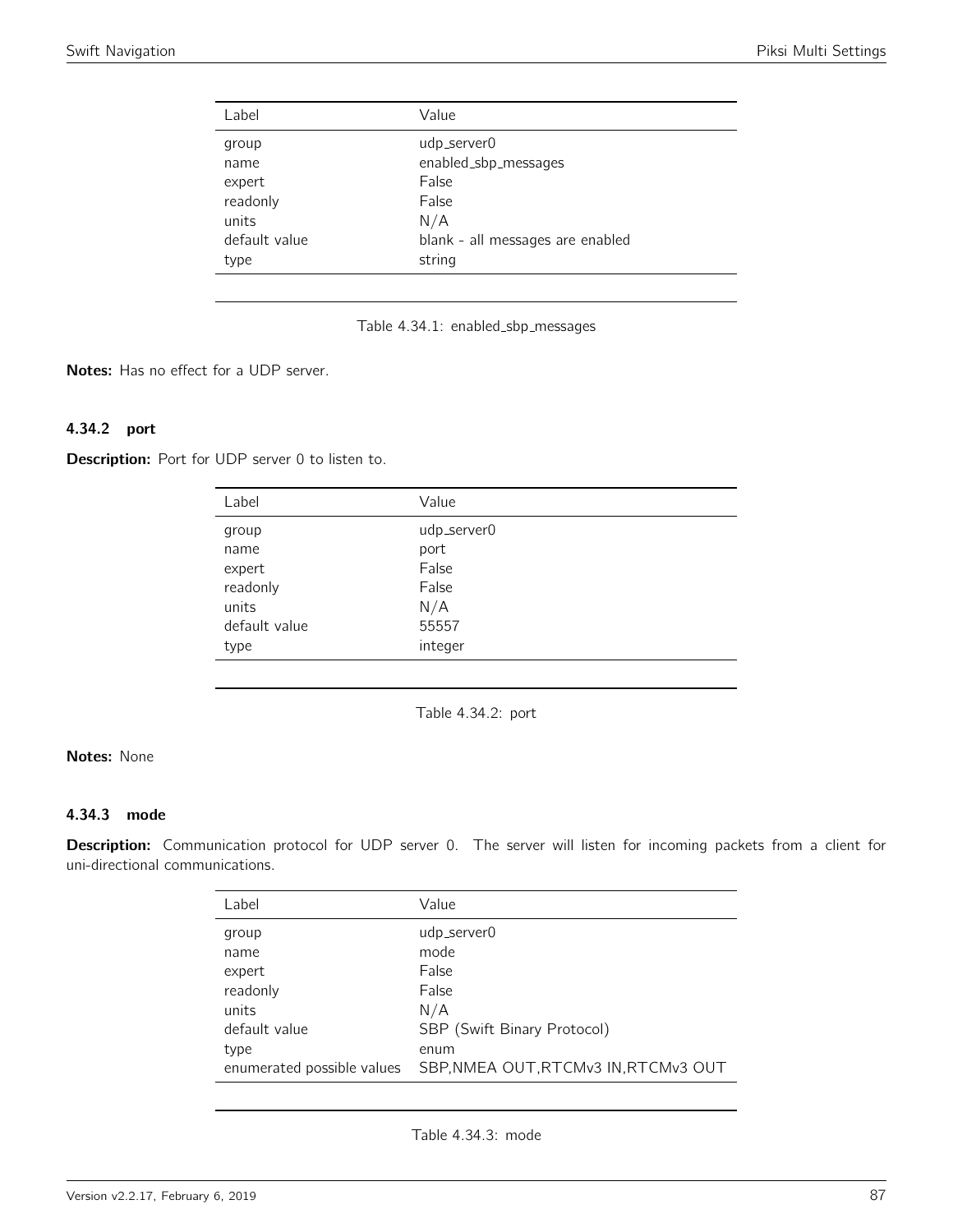| Label                                      | Value                                                      |  |
|--------------------------------------------|------------------------------------------------------------|--|
| group<br>name<br>expert                    | udp_server0<br>enabled_sbp_messages<br>False               |  |
| readonly<br>units<br>default value<br>type | False<br>N/A<br>blank - all messages are enabled<br>string |  |

Table 4.34.1: enabled\_sbp\_messages

Notes: Has no effect for a UDP server.

# 4.34.2 port

Description: Port for UDP server 0 to listen to.

| Label         | Value       |
|---------------|-------------|
| group         | udp_server0 |
| name          | port        |
| expert        | False       |
| readonly      | False       |
| units         | N/A         |
| default value | 55557       |
| type          | integer     |

Table 4.34.2: port

# Notes: None

# 4.34.3 mode

Description: Communication protocol for UDP server 0. The server will listen for incoming packets from a client for uni-directional communications.

| Label                      | Value                                |
|----------------------------|--------------------------------------|
| group                      | udp_server0                          |
| name                       | mode                                 |
| expert                     | False                                |
| readonly                   | False                                |
| units                      | N/A                                  |
| default value              | SBP (Swift Binary Protocol)          |
| type                       | enum                                 |
| enumerated possible values | SBP, NMEA OUT, RTCMv3 IN, RTCMv3 OUT |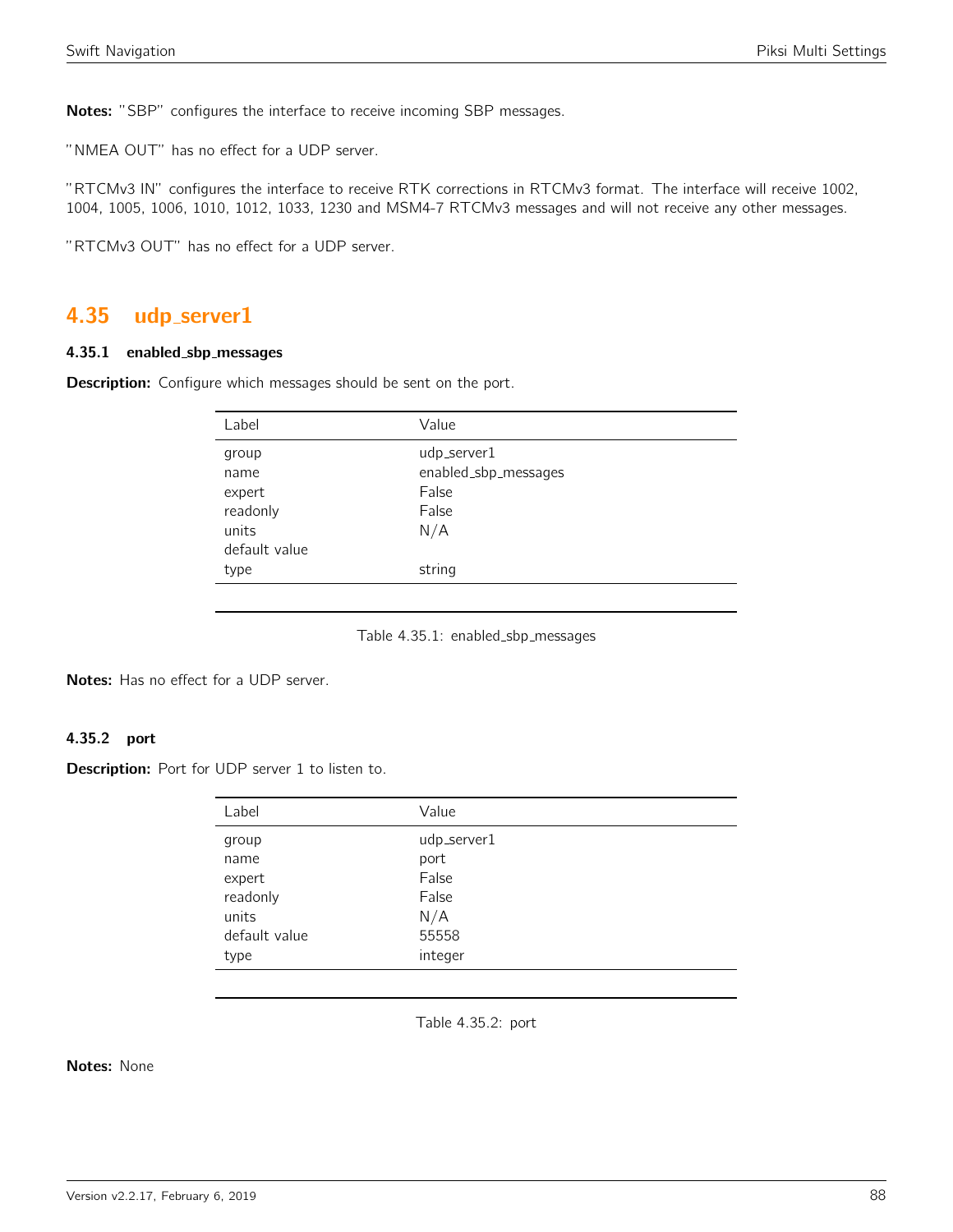Notes: "SBP" configures the interface to receive incoming SBP messages.

"NMEA OUT" has no effect for a UDP server.

"RTCMv3 IN" configures the interface to receive RTK corrections in RTCMv3 format. The interface will receive 1002, 1004, 1005, 1006, 1010, 1012, 1033, 1230 and MSM4-7 RTCMv3 messages and will not receive any other messages.

"RTCMv3 OUT" has no effect for a UDP server.

# 4.35 udp server1

#### 4.35.1 enabled sbp messages

Description: Configure which messages should be sent on the port.

| Label         | Value                |
|---------------|----------------------|
| group         | udp_server1          |
| name          | enabled_sbp_messages |
| expert        | False                |
| readonly      | False                |
| units         | N/A                  |
| default value |                      |
| type          | string               |
|               |                      |

Table 4.35.1: enabled\_sbp\_messages

Notes: Has no effect for a UDP server.

# 4.35.2 port

Description: Port for UDP server 1 to listen to.

| Label         | Value       |
|---------------|-------------|
| group         | udp_server1 |
| name          | port        |
| expert        | False       |
| readonly      | False       |
| units         | N/A         |
| default value | 55558       |
| type          | integer     |

Table 4.35.2: port

Notes: None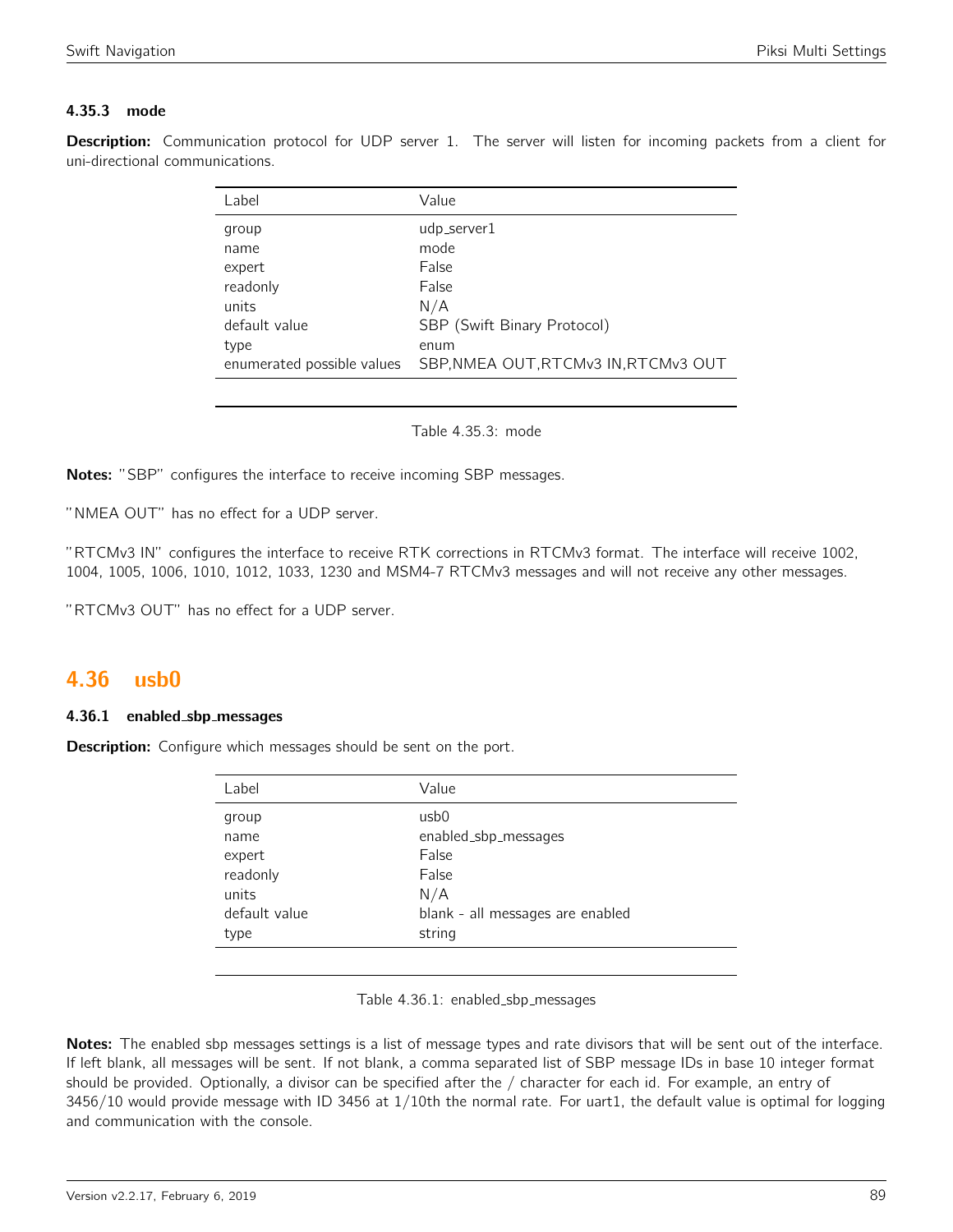# 4.35.3 mode

Description: Communication protocol for UDP server 1. The server will listen for incoming packets from a client for uni-directional communications.

| Label                      | Value                                |
|----------------------------|--------------------------------------|
| group                      | udp_server1                          |
| name                       | mode                                 |
| expert                     | False                                |
| readonly                   | False                                |
| units                      | N/A                                  |
| default value              | SBP (Swift Binary Protocol)          |
| type                       | enum                                 |
| enumerated possible values | SBP, NMEA OUT, RTCMv3 IN, RTCMv3 OUT |

Table 4.35.3: mode

Notes: "SBP" configures the interface to receive incoming SBP messages.

"NMEA OUT" has no effect for a UDP server.

"RTCMv3 IN" configures the interface to receive RTK corrections in RTCMv3 format. The interface will receive 1002, 1004, 1005, 1006, 1010, 1012, 1033, 1230 and MSM4-7 RTCMv3 messages and will not receive any other messages.

"RTCMv3 OUT" has no effect for a UDP server.

# 4.36 usb0

### 4.36.1 enabled sbp messages

**Description:** Configure which messages should be sent on the port.

| Label         | Value                            |
|---------------|----------------------------------|
| group         | usb0                             |
| name          | enabled_sbp_messages             |
| expert        | False                            |
| readonly      | False                            |
| units         | N/A                              |
| default value | blank - all messages are enabled |
| type          | string                           |
|               |                                  |

Table 4.36.1: enabled\_sbp\_messages

Notes: The enabled sbp messages settings is a list of message types and rate divisors that will be sent out of the interface. If left blank, all messages will be sent. If not blank, a comma separated list of SBP message IDs in base 10 integer format should be provided. Optionally, a divisor can be specified after the / character for each id. For example, an entry of 3456/10 would provide message with ID 3456 at 1/10th the normal rate. For uart1, the default value is optimal for logging and communication with the console.